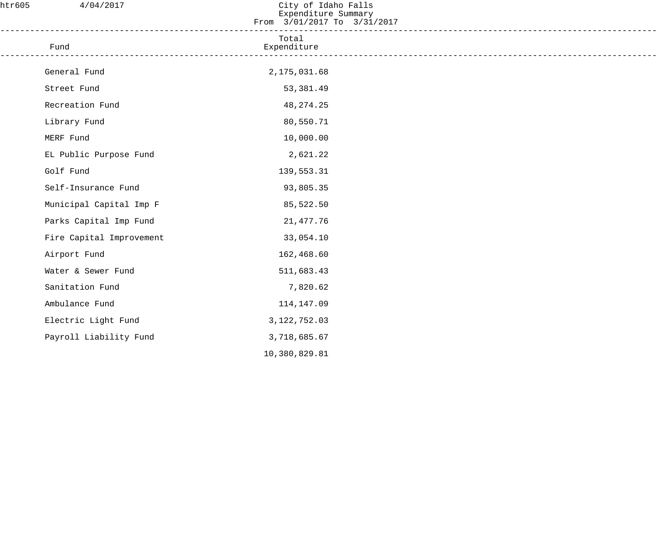| htr605 | 4/04/2017                | City of Idaho Falls<br>Expenditure Summary<br>From 3/01/2017 To 3/31/2017 |  |
|--------|--------------------------|---------------------------------------------------------------------------|--|
|        | Fund                     | Total<br>Expenditure                                                      |  |
|        | General Fund             | 2, 175, 031.68                                                            |  |
|        | Street Fund              | 53,381.49                                                                 |  |
|        | Recreation Fund          | 48, 274. 25                                                               |  |
|        | Library Fund             | 80,550.71                                                                 |  |
|        | MERF Fund                | 10,000.00                                                                 |  |
|        | EL Public Purpose Fund   | 2,621.22                                                                  |  |
|        | Golf Fund                | 139,553.31                                                                |  |
|        | Self-Insurance Fund      | 93,805.35                                                                 |  |
|        | Municipal Capital Imp F  | 85,522.50                                                                 |  |
|        | Parks Capital Imp Fund   | 21, 477.76                                                                |  |
|        | Fire Capital Improvement | 33,054.10                                                                 |  |
|        | Airport Fund             | 162,468.60                                                                |  |
|        | Water & Sewer Fund       | 511,683.43                                                                |  |
|        | Sanitation Fund          | 7,820.62                                                                  |  |
|        | Ambulance Fund           | 114,147.09                                                                |  |
|        | Electric Light Fund      | 3, 122, 752.03                                                            |  |
|        | Payroll Liability Fund   | 3,718,685.67                                                              |  |
|        |                          | 10,380,829.81                                                             |  |
|        |                          |                                                                           |  |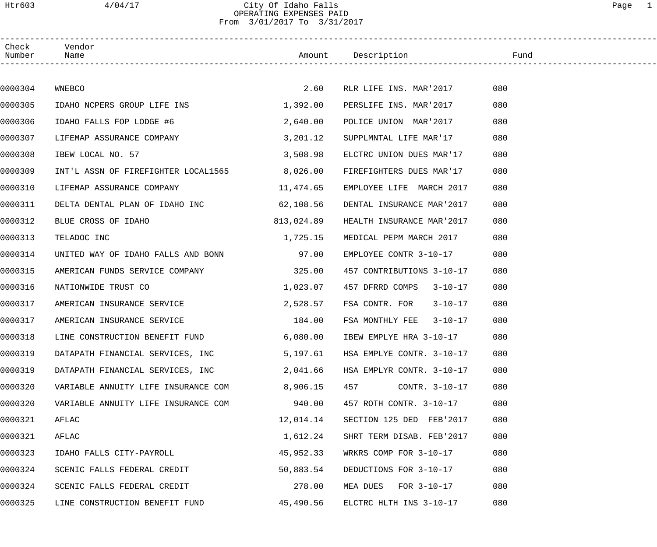Htr603 4/04/17 City Of Idaho Falls Page 1 OPERATING EXPENSES PAID From 3/01/2017 To 3/31/2017

| Check<br>Number | Vendor<br>Name                      |            | Amount Description               | Fund |
|-----------------|-------------------------------------|------------|----------------------------------|------|
|                 |                                     |            |                                  |      |
| 0000304         | WNEBCO                              | 2.60       | RLR LIFE INS. MAR'2017           | 080  |
| 0000305         | IDAHO NCPERS GROUP LIFE INS         | 1,392.00   | PERSLIFE INS. MAR'2017           | 080  |
| 0000306         | IDAHO FALLS FOP LODGE #6            | 2,640.00   | POLICE UNION MAR'2017            | 080  |
| 0000307         | LIFEMAP ASSURANCE COMPANY           | 3,201.12   | SUPPLMNTAL LIFE MAR'17           | 080  |
| 0000308         | IBEW LOCAL NO. 57                   | 3,508.98   | ELCTRC UNION DUES MAR'17         | 080  |
| 0000309         | INT'L ASSN OF FIREFIGHTER LOCAL1565 | 8,026.00   | FIREFIGHTERS DUES MAR'17         | 080  |
| 0000310         | LIFEMAP ASSURANCE COMPANY           | 11,474.65  | EMPLOYEE LIFE MARCH 2017         | 080  |
| 0000311         | DELTA DENTAL PLAN OF IDAHO INC      | 62,108.56  | DENTAL INSURANCE MAR'2017        | 080  |
| 0000312         | BLUE CROSS OF IDAHO                 | 813,024.89 | HEALTH INSURANCE MAR'2017        | 080  |
| 0000313         | TELADOC INC                         | 1,725.15   | MEDICAL PEPM MARCH 2017          | 080  |
| 0000314         | UNITED WAY OF IDAHO FALLS AND BONN  | 97.00      | EMPLOYEE CONTR 3-10-17           | 080  |
| 0000315         | AMERICAN FUNDS SERVICE COMPANY      | 325.00     | 457 CONTRIBUTIONS 3-10-17        | 080  |
| 0000316         | NATIONWIDE TRUST CO                 | 1,023.07   | 457 DFRRD COMPS<br>$3 - 10 - 17$ | 080  |
| 0000317         | AMERICAN INSURANCE SERVICE          | 2,528.57   | FSA CONTR. FOR<br>$3 - 10 - 17$  | 080  |
| 0000317         | AMERICAN INSURANCE SERVICE          | 184.00     | FSA MONTHLY FEE 3-10-17          | 080  |
| 0000318         | LINE CONSTRUCTION BENEFIT FUND      | 6,080.00   | IBEW EMPLYE HRA 3-10-17          | 080  |
| 0000319         | DATAPATH FINANCIAL SERVICES, INC    | 5,197.61   | HSA EMPLYE CONTR. 3-10-17        | 080  |
| 0000319         | DATAPATH FINANCIAL SERVICES, INC    | 2,041.66   | HSA EMPLYR CONTR. 3-10-17        | 080  |
| 0000320         | VARIABLE ANNUITY LIFE INSURANCE COM | 8,906.15   | 457<br>CONTR. 3-10-17            | 080  |
| 0000320         | VARIABLE ANNUITY LIFE INSURANCE COM | 940.00     | 457 ROTH CONTR. 3-10-17          | 080  |
| 0000321         | AFLAC                               | 12,014.14  | SECTION 125 DED FEB'2017         | 080  |
| 0000321         | AFLAC                               | 1,612.24   | SHRT TERM DISAB. FEB'2017        | 080  |
| 0000323         | IDAHO FALLS CITY-PAYROLL            | 45,952.33  | WRKRS COMP FOR 3-10-17           | 080  |
| 0000324         | SCENIC FALLS FEDERAL CREDIT         | 50,883.54  | DEDUCTIONS FOR 3-10-17           | 080  |
| 0000324         | SCENIC FALLS FEDERAL CREDIT         | 278.00     | MEA DUES FOR 3-10-17             | 080  |
| 0000325         | LINE CONSTRUCTION BENEFIT FUND      | 45,490.56  | ELCTRC HLTH INS 3-10-17          | 080  |
|                 |                                     |            |                                  |      |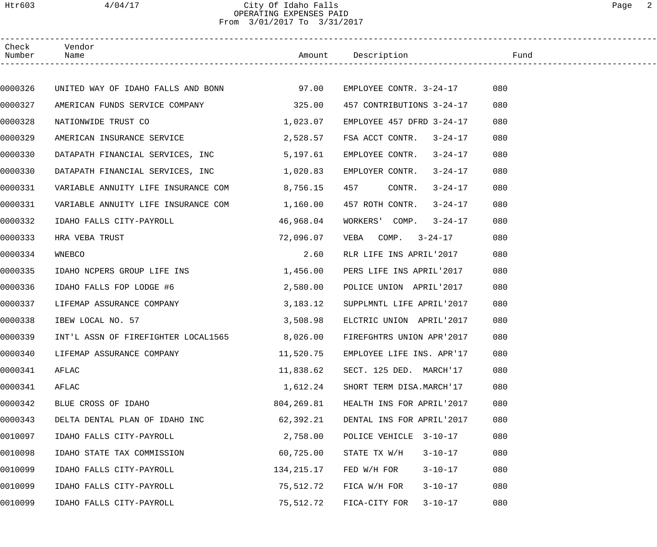## Htr603 4/04/17 City Of Idaho Falls Page 2 OPERATING EXPENSES PAID From 3/01/2017 To 3/31/2017

| Check<br>Number | Vendor<br>Name                           |            | Amount Description                 | Fund |
|-----------------|------------------------------------------|------------|------------------------------------|------|
|                 |                                          |            |                                    |      |
| 0000326         | UNITED WAY OF IDAHO FALLS AND BONN 97.00 |            | EMPLOYEE CONTR. 3-24-17            | 080  |
| 0000327         | AMERICAN FUNDS SERVICE COMPANY           | 325.00     | 457 CONTRIBUTIONS 3-24-17          | 080  |
| 0000328         | NATIONWIDE TRUST CO                      | 1,023.07   | EMPLOYEE 457 DFRD 3-24-17          | 080  |
| 0000329         | AMERICAN INSURANCE SERVICE               | 2,528.57   | FSA ACCT CONTR. 3-24-17            | 080  |
| 0000330         | DATAPATH FINANCIAL SERVICES, INC         | 5,197.61   | EMPLOYEE CONTR.<br>$3 - 24 - 17$   | 080  |
| 0000330         | DATAPATH FINANCIAL SERVICES, INC         | 1,020.83   | EMPLOYER CONTR.<br>$3 - 24 - 17$   | 080  |
| 0000331         | VARIABLE ANNUITY LIFE INSURANCE COM      | 8,756.15   | 457<br>CONTR.<br>$3 - 24 - 17$     | 080  |
| 0000331         | VARIABLE ANNUITY LIFE INSURANCE COM      | 1,160.00   | 457 ROTH CONTR.<br>$3 - 24 - 17$   | 080  |
| 0000332         | IDAHO FALLS CITY-PAYROLL                 | 46,968.04  | WORKERS' COMP.<br>$3 - 24 - 17$    | 080  |
| 0000333         | HRA VEBA TRUST                           | 72,096.07  | $VEBA$ COMP. $3-24-17$             | 080  |
| 0000334         | WNEBCO                                   | 2.60       | RLR LIFE INS APRIL'2017            | 080  |
| 0000335         | IDAHO NCPERS GROUP LIFE INS              | 1,456.00   | PERS LIFE INS APRIL'2017           | 080  |
| 0000336         | IDAHO FALLS FOP LODGE #6                 | 2,580.00   | POLICE UNION APRIL'2017            | 080  |
| 0000337         | LIFEMAP ASSURANCE COMPANY                | 3,183.12   | SUPPLMNTL LIFE APRIL'2017          | 080  |
| 0000338         | IBEW LOCAL NO. 57                        | 3,508.98   | ELCTRIC UNION APRIL'2017           | 080  |
| 0000339         | INT'L ASSN OF FIREFIGHTER LOCAL1565      |            | 8,026.00 FIREFGHTRS UNION APR'2017 | 080  |
| 0000340         | LIFEMAP ASSURANCE COMPANY                | 11,520.75  | EMPLOYEE LIFE INS. APR'17          | 080  |
| 0000341         | AFLAC                                    | 11,838.62  | SECT. 125 DED. MARCH'17            | 080  |
| 0000341         | AFLAC                                    | 1,612.24   | SHORT TERM DISA.MARCH'17           | 080  |
| 0000342         | BLUE CROSS OF IDAHO                      | 804,269.81 | HEALTH INS FOR APRIL'2017          | 080  |
| 0000343         | DELTA DENTAL PLAN OF IDAHO INC           | 62,392.21  | DENTAL INS FOR APRIL'2017          | 080  |
| 0010097         | IDAHO FALLS CITY-PAYROLL                 | 2,758.00   | POLICE VEHICLE<br>$3 - 10 - 17$    | 080  |
| 0010098         | IDAHO STATE TAX COMMISSION               | 60,725.00  | $3 - 10 - 17$<br>STATE TX W/H      | 080  |
| 0010099         | IDAHO FALLS CITY-PAYROLL                 | 134,215.17 | FED W/H FOR<br>$3 - 10 - 17$       | 080  |
| 0010099         | IDAHO FALLS CITY-PAYROLL                 | 75,512.72  | $3 - 10 - 17$<br>FICA W/H FOR      | 080  |
| 0010099         | IDAHO FALLS CITY-PAYROLL                 | 75,512.72  | $3 - 10 - 17$<br>FICA-CITY FOR     | 080  |
|                 |                                          |            |                                    |      |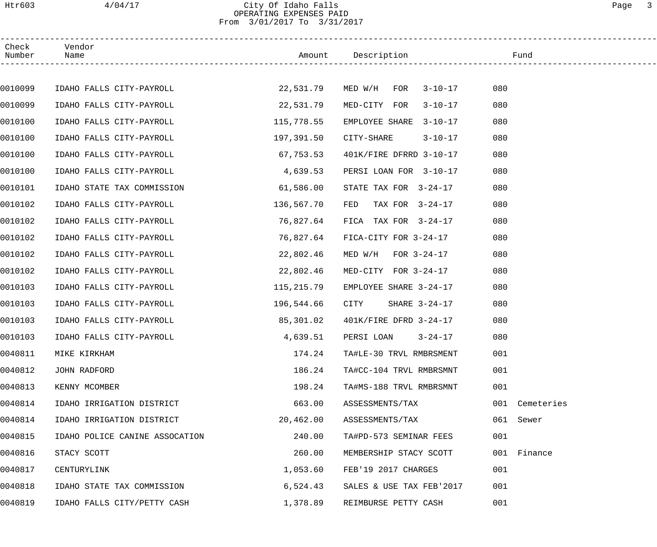### Htr603 4/04/17 City Of Idaho Falls Page 3 OPERATING EXPENSES PAID From 3/01/2017 To 3/31/2017

| Check<br>Number | Vendor<br>Name                 |            | Amount Description              | Fund           |
|-----------------|--------------------------------|------------|---------------------------------|----------------|
|                 |                                |            |                                 |                |
| 0010099         | IDAHO FALLS CITY-PAYROLL       |            | 22,531.79 MED W/H FOR 3-10-17   | 080            |
| 0010099         | IDAHO FALLS CITY-PAYROLL       | 22,531.79  | MED-CITY FOR<br>$3 - 10 - 17$   | 080            |
| 0010100         | IDAHO FALLS CITY-PAYROLL       | 115,778.55 | EMPLOYEE SHARE<br>$3 - 10 - 17$ | 080            |
| 0010100         | IDAHO FALLS CITY-PAYROLL       | 197,391.50 | $3 - 10 - 17$<br>CITY-SHARE     | 080            |
| 0010100         | IDAHO FALLS CITY-PAYROLL       | 67,753.53  | 401K/FIRE DFRRD 3-10-17         | 080            |
| 0010100         | IDAHO FALLS CITY-PAYROLL       | 4,639.53   | PERSI LOAN FOR 3-10-17          | 080            |
| 0010101         | IDAHO STATE TAX COMMISSION     | 61,586.00  | STATE TAX FOR 3-24-17           | 080            |
| 0010102         | IDAHO FALLS CITY-PAYROLL       | 136,567.70 | FED<br>TAX FOR 3-24-17          | 080            |
| 0010102         | IDAHO FALLS CITY-PAYROLL       | 76,827.64  | FICA TAX FOR $3-24-17$          | 080            |
| 0010102         | IDAHO FALLS CITY-PAYROLL       | 76,827.64  | FICA-CITY FOR 3-24-17           | 080            |
| 0010102         | IDAHO FALLS CITY-PAYROLL       | 22,802.46  | MED $W/H$ FOR $3-24-17$         | 080            |
| 0010102         | IDAHO FALLS CITY-PAYROLL       | 22,802.46  | MED-CITY FOR 3-24-17            | 080            |
| 0010103         | IDAHO FALLS CITY-PAYROLL       | 115,215.79 | EMPLOYEE SHARE 3-24-17          | 080            |
| 0010103         | IDAHO FALLS CITY-PAYROLL       | 196,544.66 | CITY<br>SHARE 3-24-17           | 080            |
| 0010103         | IDAHO FALLS CITY-PAYROLL       | 85,301.02  | 401K/FIRE DFRD 3-24-17          | 080            |
| 0010103         | IDAHO FALLS CITY-PAYROLL       | 4,639.51   | PERSI LOAN 3-24-17              | 080            |
| 0040811         | MIKE KIRKHAM                   | 174.24     | TA#LE-30 TRVL RMBRSMENT         | 001            |
| 0040812         | JOHN RADFORD                   | 186.24     | TA#CC-104 TRVL RMBRSMNT         | 001            |
| 0040813         | KENNY MCOMBER                  | 198.24     | TA#MS-188 TRVL RMBRSMNT         | 001            |
| 0040814         | IDAHO IRRIGATION DISTRICT      | 663.00     | ASSESSMENTS/TAX                 | 001 Cemeteries |
| 0040814         | IDAHO IRRIGATION DISTRICT      | 20,462.00  | ASSESSMENTS/TAX                 | 061 Sewer      |
| 0040815         | IDAHO POLICE CANINE ASSOCATION | 240.00     | TA#PD-573 SEMINAR FEES          | 001            |
| 0040816         | STACY SCOTT                    | 260.00     | MEMBERSHIP STACY SCOTT          | 001 Finance    |
| 0040817         | CENTURYLINK                    | 1,053.60   | FEB'19 2017 CHARGES             | 001            |
| 0040818         | IDAHO STATE TAX COMMISSION     | 6,524.43   | SALES & USE TAX FEB'2017        | 001            |
| 0040819         | IDAHO FALLS CITY/PETTY CASH    | 1,378.89   | REIMBURSE PETTY CASH            | 001            |
|                 |                                |            |                                 |                |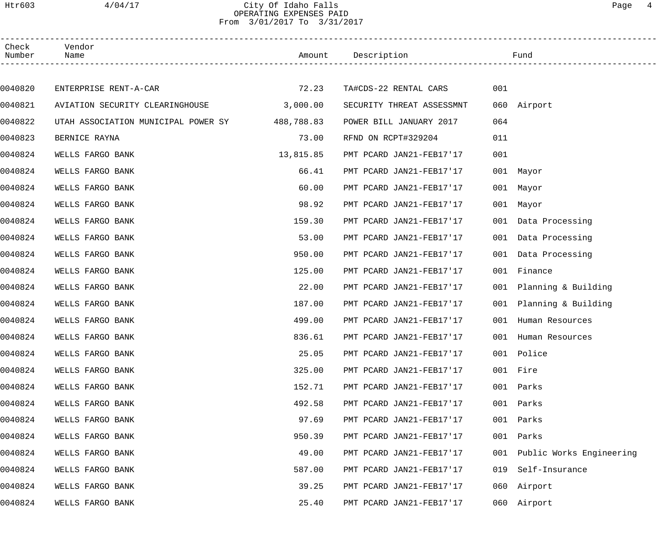### Htr603 4/04/17 City Of Idaho Falls Page 4 OPERATING EXPENSES PAID From 3/01/2017 To 3/31/2017

| Check<br>Number | Vendor<br>Name                                 |           | Amount Description        |     | Fund                         |
|-----------------|------------------------------------------------|-----------|---------------------------|-----|------------------------------|
|                 |                                                |           |                           |     |                              |
| 0040820         | ENTERPRISE RENT-A-CAR                          | 72.23     | TA#CDS-22 RENTAL CARS     | 001 |                              |
| 0040821         | AVIATION SECURITY CLEARINGHOUSE 3,000.00       |           | SECURITY THREAT ASSESSMNT |     | 060 Airport                  |
| 0040822         | UTAH ASSOCIATION MUNICIPAL POWER SY 488,788.83 |           | POWER BILL JANUARY 2017   | 064 |                              |
| 0040823         | BERNICE RAYNA                                  | 73.00     | RFND ON RCPT#329204       | 011 |                              |
| 0040824         | WELLS FARGO BANK                               | 13,815.85 | PMT PCARD JAN21-FEB17'17  | 001 |                              |
| 0040824         | WELLS FARGO BANK                               | 66.41     | PMT PCARD JAN21-FEB17'17  |     | 001 Mayor                    |
| 0040824         | WELLS FARGO BANK                               | 60.00     | PMT PCARD JAN21-FEB17'17  |     | 001 Mayor                    |
| 0040824         | WELLS FARGO BANK                               | 98.92     | PMT PCARD JAN21-FEB17'17  |     | 001 Mayor                    |
| 0040824         | WELLS FARGO BANK                               | 159.30    | PMT PCARD JAN21-FEB17'17  |     | 001 Data Processing          |
| 0040824         | WELLS FARGO BANK                               | 53.00     | PMT PCARD JAN21-FEB17'17  | 001 | Data Processing              |
| 0040824         | WELLS FARGO BANK                               | 950.00    | PMT PCARD JAN21-FEB17'17  |     | 001 Data Processing          |
| 0040824         | WELLS FARGO BANK                               | 125.00    | PMT PCARD JAN21-FEB17'17  | 001 | Finance                      |
| 0040824         | WELLS FARGO BANK                               | 22.00     | PMT PCARD JAN21-FEB17'17  |     | 001 Planning & Building      |
| 0040824         | WELLS FARGO BANK                               | 187.00    | PMT PCARD JAN21-FEB17'17  |     | 001 Planning & Building      |
| 0040824         | WELLS FARGO BANK                               | 499.00    | PMT PCARD JAN21-FEB17'17  | 001 | Human Resources              |
| 0040824         | WELLS FARGO BANK                               | 836.61    | PMT PCARD JAN21-FEB17'17  |     | 001 Human Resources          |
| 0040824         | WELLS FARGO BANK                               | 25.05     | PMT PCARD JAN21-FEB17'17  |     | 001 Police                   |
| 0040824         | WELLS FARGO BANK                               | 325.00    | PMT PCARD JAN21-FEB17'17  |     | 001 Fire                     |
| 0040824         | WELLS FARGO BANK                               | 152.71    | PMT PCARD JAN21-FEB17'17  |     | 001 Parks                    |
| 0040824         | WELLS FARGO BANK                               | 492.58    | PMT PCARD JAN21-FEB17'17  |     | 001 Parks                    |
| 0040824         | WELLS FARGO BANK                               | 97.69     | PMT PCARD JAN21-FEB17'17  |     | 001 Parks                    |
| 0040824         | WELLS FARGO BANK                               | 950.39    | PMT PCARD JAN21-FEB17'17  | 001 | Parks                        |
| 0040824         | WELLS FARGO BANK                               | 49.00     | PMT PCARD JAN21-FEB17'17  |     | 001 Public Works Engineering |
| 0040824         | WELLS FARGO BANK                               | 587.00    | PMT PCARD JAN21-FEB17'17  | 019 | Self-Insurance               |
| 0040824         | WELLS FARGO BANK                               | 39.25     | PMT PCARD JAN21-FEB17'17  |     | 060 Airport                  |
| 0040824         | WELLS FARGO BANK                               | 25.40     | PMT PCARD JAN21-FEB17'17  |     | 060 Airport                  |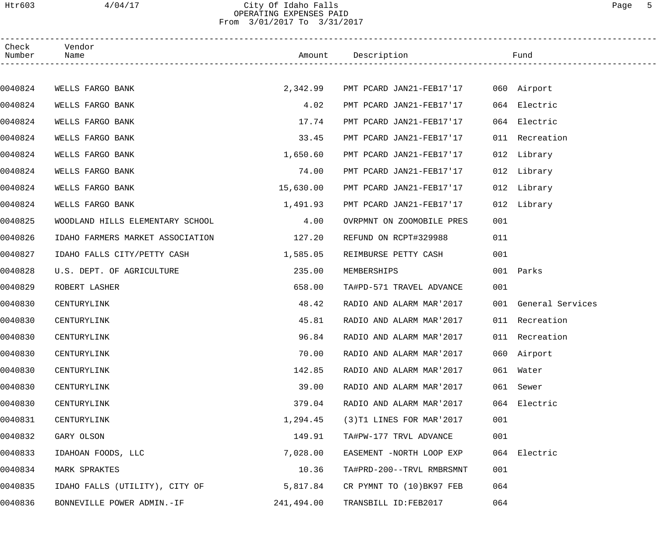### Htr603 4/04/17 City Of Idaho Falls Page 5 OPERATING EXPENSES PAID From 3/01/2017 To 3/31/2017

| Check<br>Number | Vendor<br>Name                   |            | Amount Description                   |     | Fund                 |  |
|-----------------|----------------------------------|------------|--------------------------------------|-----|----------------------|--|
|                 |                                  |            |                                      |     |                      |  |
| 0040824         | WELLS FARGO BANK                 | 2,342.99   | PMT PCARD JAN21-FEB17'17 060 Airport |     |                      |  |
| 0040824         | WELLS FARGO BANK                 | 4.02       | PMT PCARD JAN21-FEB17'17             |     | 064 Electric         |  |
| 0040824         | WELLS FARGO BANK                 | 17.74      | PMT PCARD JAN21-FEB17'17             | 064 | Electric             |  |
| 0040824         | WELLS FARGO BANK                 | 33.45      | PMT PCARD JAN21-FEB17'17             |     | 011 Recreation       |  |
| 0040824         | WELLS FARGO BANK                 | 1,650.60   | PMT PCARD JAN21-FEB17'17             |     | 012 Library          |  |
| 0040824         | WELLS FARGO BANK                 | 74.00      | PMT PCARD JAN21-FEB17'17             |     | 012 Library          |  |
| 0040824         | WELLS FARGO BANK                 | 15,630.00  | PMT PCARD JAN21-FEB17'17             |     | 012 Library          |  |
| 0040824         | WELLS FARGO BANK                 | 1,491.93   | PMT PCARD JAN21-FEB17'17             |     | 012 Library          |  |
| 0040825         | WOODLAND HILLS ELEMENTARY SCHOOL | 4.00       | OVRPMNT ON ZOOMOBILE PRES            | 001 |                      |  |
| 0040826         | IDAHO FARMERS MARKET ASSOCIATION | 127.20     | REFUND ON RCPT#329988                | 011 |                      |  |
| 0040827         | IDAHO FALLS CITY/PETTY CASH      | 1,585.05   | REIMBURSE PETTY CASH                 | 001 |                      |  |
| 0040828         | U.S. DEPT. OF AGRICULTURE        | 235.00     | MEMBERSHIPS                          |     | 001 Parks            |  |
| 0040829         | ROBERT LASHER                    | 658.00     | TA#PD-571 TRAVEL ADVANCE             | 001 |                      |  |
| 0040830         | CENTURYLINK                      | 48.42      | RADIO AND ALARM MAR'2017             |     | 001 General Services |  |
| 0040830         | CENTURYLINK                      | 45.81      | RADIO AND ALARM MAR'2017             |     | 011 Recreation       |  |
| 0040830         | CENTURYLINK                      | 96.84      | RADIO AND ALARM MAR'2017             |     | 011 Recreation       |  |
| 0040830         | CENTURYLINK                      | 70.00      | RADIO AND ALARM MAR'2017             |     | 060 Airport          |  |
| 0040830         | CENTURYLINK                      | 142.85     | RADIO AND ALARM MAR'2017             |     | 061 Water            |  |
| 0040830         | CENTURYLINK                      | 39.00      | RADIO AND ALARM MAR'2017             | 061 | Sewer                |  |
| 0040830         | CENTURYLINK                      | 379.04     | RADIO AND ALARM MAR'2017             |     | 064 Electric         |  |
| 0040831         | CENTURYLINK                      | 1,294.45   | (3) T1 LINES FOR MAR' 2017           | 001 |                      |  |
| 0040832         | GARY OLSON                       | 149.91     | TA#PW-177 TRVL ADVANCE               | 001 |                      |  |
| 0040833         | IDAHOAN FOODS, LLC               | 7,028.00   | EASEMENT -NORTH LOOP EXP             |     | 064 Electric         |  |
| 0040834         | MARK SPRAKTES                    | 10.36      | TA#PRD-200--TRVL RMBRSMNT            | 001 |                      |  |
| 0040835         | IDAHO FALLS (UTILITY), CITY OF   | 5,817.84   | CR PYMNT TO (10)BK97 FEB             | 064 |                      |  |
| 0040836         | BONNEVILLE POWER ADMIN.-IF       | 241,494.00 | TRANSBILL ID:FEB2017                 | 064 |                      |  |
|                 |                                  |            |                                      |     |                      |  |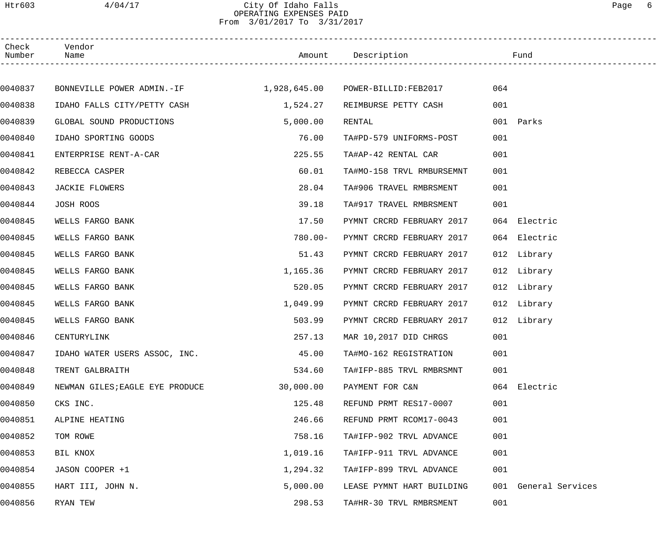## Htr603 4/04/17 City Of Idaho Falls Page 6 OPERATING EXPENSES PAID From 3/01/2017 To 3/31/2017

| Check<br>Number | Vendor<br>Name                                                 |            | Amount Description        | Fund         |                      |  |
|-----------------|----------------------------------------------------------------|------------|---------------------------|--------------|----------------------|--|
|                 |                                                                |            |                           |              |                      |  |
| 0040837         | BONNEVILLE POWER ADMIN.-IF $1,928,645.00$ POWER-BILLID:FEB2017 |            |                           | 064          |                      |  |
| 0040838         | IDAHO FALLS CITY/PETTY CASH                                    | 1,524.27   | REIMBURSE PETTY CASH      | 001          |                      |  |
| 0040839         | GLOBAL SOUND PRODUCTIONS                                       | 5,000.00   | RENTAL                    | 001 Parks    |                      |  |
| 0040840         | IDAHO SPORTING GOODS                                           | 76.00      | TA#PD-579 UNIFORMS-POST   | 001          |                      |  |
| 0040841         | ENTERPRISE RENT-A-CAR                                          | 225.55     | TA#AP-42 RENTAL CAR       | 001          |                      |  |
| 0040842         | REBECCA CASPER                                                 | 60.01      | TA#MO-158 TRVL RMBURSEMNT | 001          |                      |  |
| 0040843         | JACKIE FLOWERS                                                 | 28.04      | TA#906 TRAVEL RMBRSMENT   | 001          |                      |  |
| 0040844         | JOSH ROOS                                                      | 39.18      | TA#917 TRAVEL RMBRSMENT   | 001          |                      |  |
| 0040845         | WELLS FARGO BANK                                               | 17.50      | PYMNT CRCRD FEBRUARY 2017 | 064 Electric |                      |  |
| 0040845         | WELLS FARGO BANK                                               | $780.00 -$ | PYMNT CRCRD FEBRUARY 2017 | 064 Electric |                      |  |
| 0040845         | WELLS FARGO BANK                                               | 51.43      | PYMNT CRCRD FEBRUARY 2017 | 012 Library  |                      |  |
| 0040845         | WELLS FARGO BANK                                               | 1,165.36   | PYMNT CRCRD FEBRUARY 2017 | 012 Library  |                      |  |
| 0040845         | WELLS FARGO BANK                                               | 520.05     | PYMNT CRCRD FEBRUARY 2017 | 012 Library  |                      |  |
| 0040845         | WELLS FARGO BANK                                               | 1,049.99   | PYMNT CRCRD FEBRUARY 2017 | 012 Library  |                      |  |
| 0040845         | WELLS FARGO BANK                                               | 503.99     | PYMNT CRCRD FEBRUARY 2017 | 012 Library  |                      |  |
| 0040846         | CENTURYLINK                                                    | 257.13     | MAR 10,2017 DID CHRGS     | 001          |                      |  |
| 0040847         | IDAHO WATER USERS ASSOC, INC.                                  | 45.00      | TA#MO-162 REGISTRATION    | 001          |                      |  |
| 0040848         | TRENT GALBRAITH                                                | 534.60     | TA#IFP-885 TRVL RMBRSMNT  | 001          |                      |  |
| 0040849         | NEWMAN GILES; EAGLE EYE PRODUCE                                | 30,000.00  | PAYMENT FOR C&N           | 064 Electric |                      |  |
| 0040850         | CKS INC.                                                       | 125.48     | REFUND PRMT RES17-0007    | 001          |                      |  |
| 0040851         | ALPINE HEATING                                                 | 246.66     | REFUND PRMT RCOM17-0043   | 001          |                      |  |
| 0040852         | TOM ROWE                                                       | 758.16     | TA#IFP-902 TRVL ADVANCE   | 001          |                      |  |
| 0040853         | BIL KNOX                                                       | 1,019.16   | TA#IFP-911 TRVL ADVANCE   | 001          |                      |  |
| 0040854         | JASON COOPER +1                                                | 1,294.32   | TA#IFP-899 TRVL ADVANCE   | 001          |                      |  |
| 0040855         | HART III, JOHN N.                                              | 5,000.00   | LEASE PYMNT HART BUILDING |              | 001 General Services |  |
| 0040856         | RYAN TEW                                                       | 298.53     | TA#HR-30 TRVL RMBRSMENT   | 001          |                      |  |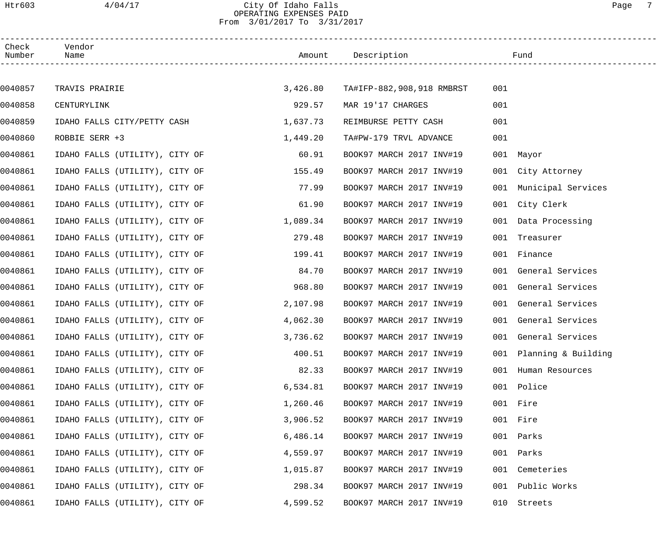## Htr603 4/04/17 City Of Idaho Falls Page 7 OPERATING EXPENSES PAID From 3/01/2017 To 3/31/2017

| Check<br>Number | Vendor<br>Name                 | Amount   | Description               |     | Fund                    |
|-----------------|--------------------------------|----------|---------------------------|-----|-------------------------|
|                 |                                |          |                           |     |                         |
| 0040857         | TRAVIS PRAIRIE                 | 3,426.80 | TA#IFP-882,908,918 RMBRST | 001 |                         |
| 0040858         | CENTURYLINK                    | 929.57   | MAR 19'17 CHARGES         | 001 |                         |
| 0040859         | IDAHO FALLS CITY/PETTY CASH    | 1,637.73 | REIMBURSE PETTY CASH      | 001 |                         |
| 0040860         | ROBBIE SERR +3                 | 1,449.20 | TA#PW-179 TRVL ADVANCE    | 001 |                         |
| 0040861         | IDAHO FALLS (UTILITY), CITY OF | 60.91    | BOOK97 MARCH 2017 INV#19  |     | 001 Mayor               |
| 0040861         | IDAHO FALLS (UTILITY), CITY OF | 155.49   | BOOK97 MARCH 2017 INV#19  |     | 001 City Attorney       |
| 0040861         | IDAHO FALLS (UTILITY), CITY OF | 77.99    | BOOK97 MARCH 2017 INV#19  | 001 | Municipal Services      |
| 0040861         | IDAHO FALLS (UTILITY), CITY OF | 61.90    | BOOK97 MARCH 2017 INV#19  |     | 001 City Clerk          |
| 0040861         | IDAHO FALLS (UTILITY), CITY OF | 1,089.34 | BOOK97 MARCH 2017 INV#19  |     | 001 Data Processing     |
| 0040861         | IDAHO FALLS (UTILITY), CITY OF | 279.48   | BOOK97 MARCH 2017 INV#19  |     | 001 Treasurer           |
| 0040861         | IDAHO FALLS (UTILITY), CITY OF | 199.41   | BOOK97 MARCH 2017 INV#19  |     | 001 Finance             |
| 0040861         | IDAHO FALLS (UTILITY), CITY OF | 84.70    | BOOK97 MARCH 2017 INV#19  |     | 001 General Services    |
| 0040861         | IDAHO FALLS (UTILITY), CITY OF | 968.80   | BOOK97 MARCH 2017 INV#19  |     | 001 General Services    |
| 0040861         | IDAHO FALLS (UTILITY), CITY OF | 2,107.98 | BOOK97 MARCH 2017 INV#19  |     | 001 General Services    |
| 0040861         | IDAHO FALLS (UTILITY), CITY OF | 4,062.30 | BOOK97 MARCH 2017 INV#19  |     | 001 General Services    |
| 0040861         | IDAHO FALLS (UTILITY), CITY OF | 3,736.62 | BOOK97 MARCH 2017 INV#19  |     | 001 General Services    |
| 0040861         | IDAHO FALLS (UTILITY), CITY OF | 400.51   | BOOK97 MARCH 2017 INV#19  |     | 001 Planning & Building |
| 0040861         | IDAHO FALLS (UTILITY), CITY OF | 82.33    | BOOK97 MARCH 2017 INV#19  |     | 001 Human Resources     |
| 0040861         | IDAHO FALLS (UTILITY), CITY OF | 6,534.81 | BOOK97 MARCH 2017 INV#19  | 001 | Police                  |
| 0040861         | IDAHO FALLS (UTILITY), CITY OF | 1,260.46 | BOOK97 MARCH 2017 INV#19  |     | 001 Fire                |
| 0040861         | IDAHO FALLS (UTILITY), CITY OF | 3,906.52 | BOOK97 MARCH 2017 INV#19  |     | 001 Fire                |
| 0040861         | IDAHO FALLS (UTILITY), CITY OF | 6,486.14 | BOOK97 MARCH 2017 INV#19  | 001 | Parks                   |
| 0040861         | IDAHO FALLS (UTILITY), CITY OF | 4,559.97 | BOOK97 MARCH 2017 INV#19  | 001 | Parks                   |
| 0040861         | IDAHO FALLS (UTILITY), CITY OF | 1,015.87 | BOOK97 MARCH 2017 INV#19  | 001 | Cemeteries              |
| 0040861         | IDAHO FALLS (UTILITY), CITY OF | 298.34   | BOOK97 MARCH 2017 INV#19  | 001 | Public Works            |
| 0040861         | IDAHO FALLS (UTILITY), CITY OF | 4,599.52 | BOOK97 MARCH 2017 INV#19  | 010 | Streets                 |
|                 |                                |          |                           |     |                         |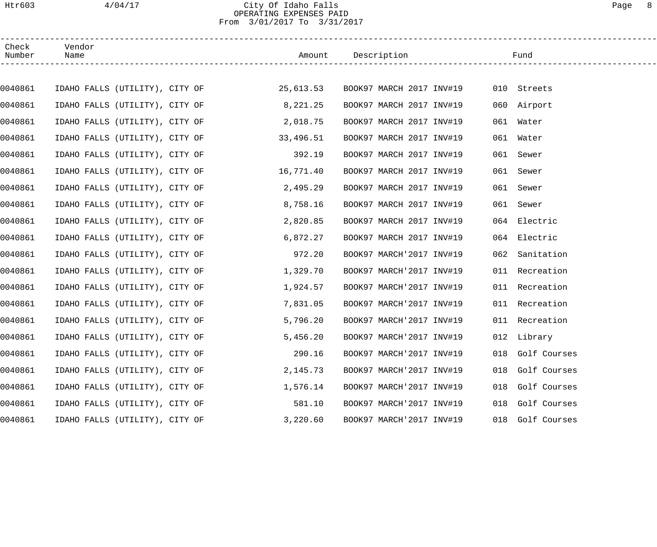## Htr603 4/04/17 City Of Idaho Falls Page 8 OPERATING EXPENSES PAID From 3/01/2017 To 3/31/2017

| Check<br>Number | Vendor<br>Name                 |  |                                                                                            | Amount Description       |                          |     | Fund             |  |
|-----------------|--------------------------------|--|--------------------------------------------------------------------------------------------|--------------------------|--------------------------|-----|------------------|--|
|                 |                                |  |                                                                                            |                          |                          |     |                  |  |
| 0040861         |                                |  | IDAHO FALLS (UTILITY), CITY OF                       25,613.53    BOOK97 MARCH 2017 INV#19 |                          |                          |     | 010 Streets      |  |
| 0040861         | IDAHO FALLS (UTILITY), CITY OF |  | 8,221.25                                                                                   |                          | BOOK97 MARCH 2017 INV#19 |     | 060 Airport      |  |
| 0040861         | IDAHO FALLS (UTILITY), CITY OF |  | 2,018.75                                                                                   |                          | BOOK97 MARCH 2017 INV#19 |     | 061 Water        |  |
| 0040861         |                                |  | IDAHO FALLS (UTILITY), CITY OF<br>33,496.51                                                |                          | BOOK97 MARCH 2017 INV#19 |     | 061 Water        |  |
| 0040861         | IDAHO FALLS (UTILITY), CITY OF |  | 392.19                                                                                     |                          | BOOK97 MARCH 2017 INV#19 |     | 061 Sewer        |  |
| 0040861         |                                |  | IDAHO FALLS (UTILITY), CITY OF<br>16,771.40                                                |                          | BOOK97 MARCH 2017 INV#19 |     | 061 Sewer        |  |
| 0040861         | IDAHO FALLS (UTILITY), CITY OF |  | 2,495.29                                                                                   |                          | BOOK97 MARCH 2017 INV#19 |     | 061 Sewer        |  |
| 0040861         | IDAHO FALLS (UTILITY), CITY OF |  | 8,758.16                                                                                   |                          | BOOK97 MARCH 2017 INV#19 |     | 061 Sewer        |  |
| 0040861         | IDAHO FALLS (UTILITY), CITY OF |  | 2,820.85                                                                                   |                          | BOOK97 MARCH 2017 INV#19 |     | 064 Electric     |  |
| 0040861         | IDAHO FALLS (UTILITY), CITY OF |  | 6,872.27                                                                                   |                          | BOOK97 MARCH 2017 INV#19 |     | 064 Electric     |  |
| 0040861         | IDAHO FALLS (UTILITY), CITY OF |  | 972.20                                                                                     |                          | BOOK97 MARCH'2017 INV#19 | 062 | Sanitation       |  |
| 0040861         | IDAHO FALLS (UTILITY), CITY OF |  | 1,329.70                                                                                   |                          | BOOK97 MARCH'2017 INV#19 |     | 011 Recreation   |  |
| 0040861         | IDAHO FALLS (UTILITY), CITY OF |  | 1,924.57                                                                                   |                          | BOOK97 MARCH'2017 INV#19 |     | 011 Recreation   |  |
| 0040861         | IDAHO FALLS (UTILITY), CITY OF |  | 7,831.05                                                                                   |                          | BOOK97 MARCH'2017 INV#19 |     | 011 Recreation   |  |
| 0040861         | IDAHO FALLS (UTILITY), CITY OF |  | 5,796.20                                                                                   | BOOK97 MARCH'2017 INV#19 |                          |     | 011 Recreation   |  |
| 0040861         | IDAHO FALLS (UTILITY), CITY OF |  | 5,456.20                                                                                   | BOOK97 MARCH'2017 INV#19 |                          |     | 012 Library      |  |
| 0040861         | IDAHO FALLS (UTILITY), CITY OF |  | 290.16                                                                                     |                          | BOOK97 MARCH'2017 INV#19 |     | 018 Golf Courses |  |
| 0040861         | IDAHO FALLS (UTILITY), CITY OF |  | 2,145.73                                                                                   |                          | BOOK97 MARCH'2017 INV#19 |     | 018 Golf Courses |  |
| 0040861         | IDAHO FALLS (UTILITY), CITY OF |  | 1,576.14                                                                                   |                          | BOOK97 MARCH'2017 INV#19 | 018 | Golf Courses     |  |
| 0040861         | IDAHO FALLS (UTILITY), CITY OF |  | 581.10                                                                                     |                          | BOOK97 MARCH'2017 INV#19 | 018 | Golf Courses     |  |
| 0040861         | IDAHO FALLS (UTILITY), CITY OF |  | 3,220.60                                                                                   |                          | BOOK97 MARCH'2017 INV#19 | 018 | Golf Courses     |  |
|                 |                                |  |                                                                                            |                          |                          |     |                  |  |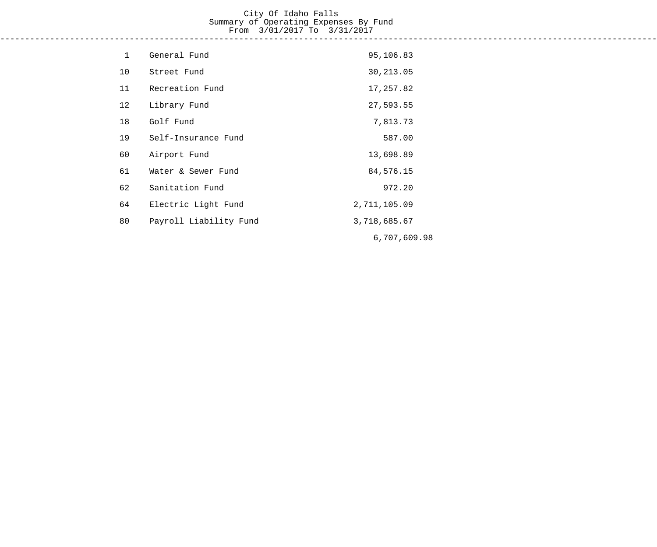#### City Of Idaho Falls Summary of Operating Expenses By Fund From 3/01/2017 To 3/31/2017 ------------------------------------------------------------------------------------------------------------------------------------

| $\mathbf{1}$ | General Fund           | 95,106.83    |
|--------------|------------------------|--------------|
| 10           | Street Fund            | 30, 213.05   |
| 11           | Recreation Fund        | 17,257.82    |
| 12           | Library Fund           | 27,593.55    |
| 18           | Golf Fund              | 7,813.73     |
| 19           | Self-Insurance Fund    | 587.00       |
| 60           | Airport Fund           | 13,698.89    |
| 61           | Water & Sewer Fund     | 84,576.15    |
| 62           | Sanitation Fund        | 972.20       |
| 64           | Electric Light Fund    | 2,711,105.09 |
| 80           | Payroll Liability Fund | 3,718,685.67 |
|              |                        | 6,707,609.98 |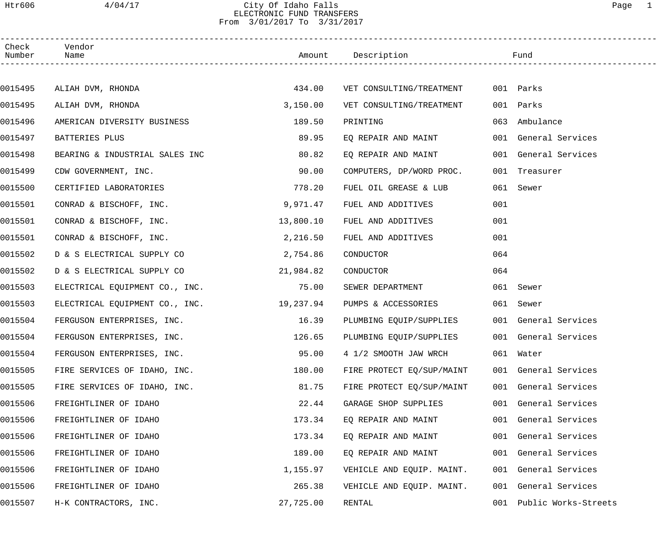### Htr606 4/04/17 City Of Idaho Falls Page 1 ELECTRONIC FUND TRANSFERS From 3/01/2017 To 3/31/2017

| Check<br>Number | Vendor<br>Name                 |           | Amount Description        |     | Fund                 |
|-----------------|--------------------------------|-----------|---------------------------|-----|----------------------|
|                 |                                |           |                           |     |                      |
| 0015495         | ALIAH DVM, RHONDA              | 434.00    | VET CONSULTING/TREATMENT  |     | 001 Parks            |
| 0015495         | ALIAH DVM, RHONDA              | 3,150.00  | VET CONSULTING/TREATMENT  |     | 001 Parks            |
| 0015496         | AMERICAN DIVERSITY BUSINESS    | 189.50    | PRINTING                  | 063 | Ambulance            |
| 0015497         | BATTERIES PLUS                 | 89.95     | EQ REPAIR AND MAINT       |     | 001 General Services |
| 0015498         | BEARING & INDUSTRIAL SALES INC | 80.82     | EQ REPAIR AND MAINT       |     | 001 General Services |
| 0015499         | CDW GOVERNMENT, INC.           | 90.00     | COMPUTERS, DP/WORD PROC.  |     | 001 Treasurer        |
| 0015500         | CERTIFIED LABORATORIES         | 778.20    | FUEL OIL GREASE & LUB     |     | 061 Sewer            |
| 0015501         | CONRAD & BISCHOFF, INC.        | 9,971.47  | FUEL AND ADDITIVES        | 001 |                      |
| 0015501         | CONRAD & BISCHOFF, INC.        | 13,800.10 | FUEL AND ADDITIVES        | 001 |                      |
| 0015501         | CONRAD & BISCHOFF, INC.        | 2,216.50  | FUEL AND ADDITIVES        | 001 |                      |
| 0015502         | D & S ELECTRICAL SUPPLY CO     | 2,754.86  | CONDUCTOR                 | 064 |                      |
| 0015502         | D & S ELECTRICAL SUPPLY CO     | 21,984.82 | CONDUCTOR                 | 064 |                      |
| 0015503         | ELECTRICAL EQUIPMENT CO., INC. | 75.00     | SEWER DEPARTMENT          |     | 061 Sewer            |
| 0015503         | ELECTRICAL EQUIPMENT CO., INC. | 19,237.94 | PUMPS & ACCESSORIES       |     | 061 Sewer            |
| 0015504         | FERGUSON ENTERPRISES, INC.     | 16.39     | PLUMBING EQUIP/SUPPLIES   |     | 001 General Services |
| 0015504         | FERGUSON ENTERPRISES, INC.     | 126.65    | PLUMBING EQUIP/SUPPLIES   |     | 001 General Services |
| 0015504         | FERGUSON ENTERPRISES, INC.     | 95.00     | 4 1/2 SMOOTH JAW WRCH     |     | 061 Water            |
| 0015505         | FIRE SERVICES OF IDAHO, INC.   | 180.00    | FIRE PROTECT EQ/SUP/MAINT |     | 001 General Services |
| 0015505         | FIRE SERVICES OF IDAHO, INC.   | 81.75     | FIRE PROTECT EQ/SUP/MAINT |     | 001 General Services |
| 0015506         | FREIGHTLINER OF IDAHO          | 22.44     | GARAGE SHOP SUPPLIES      |     | 001 General Services |
| 0015506         | FREIGHTLINER OF IDAHO          | 173.34    | EO REPAIR AND MAINT       |     | 001 General Services |
| 0015506         | FREIGHTLINER OF IDAHO          | 173.34    | EQ REPAIR AND MAINT       |     | 001 General Services |
| 0015506         | FREIGHTLINER OF IDAHO          | 189.00    | EQ REPAIR AND MAINT       |     | 001 General Services |
| 0015506         | FREIGHTLINER OF IDAHO          | 1,155.97  | VEHICLE AND EQUIP. MAINT. |     | 001 General Services |
| 0015506         | FREIGHTLINER OF IDAHO          | 265.38    | VEHICLE AND EQUIP. MAINT. |     | 001 General Services |
| 0015507         | H-K CONTRACTORS, INC.          | 27,725.00 | RENTAL                    | 001 | Public Works-Streets |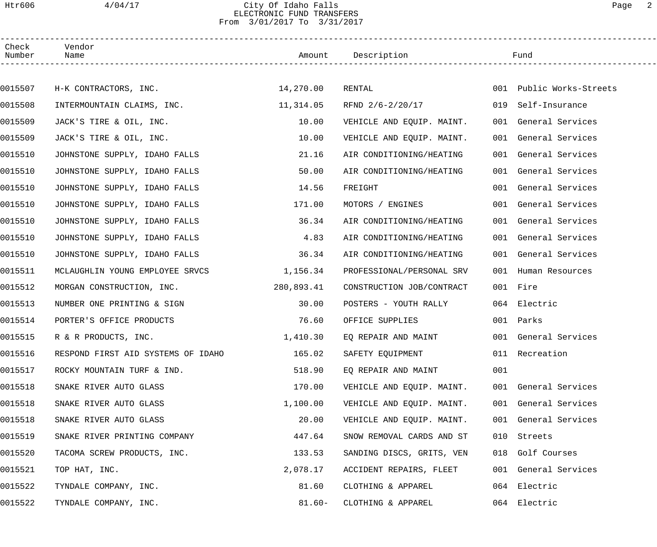### Htr606 4/04/17 City Of Idaho Falls Page 2 ELECTRONIC FUND TRANSFERS From 3/01/2017 To 3/31/2017

| Check<br>Number | Vendor<br>Name                     |            | Amount Description           |     | Fund                     |  |
|-----------------|------------------------------------|------------|------------------------------|-----|--------------------------|--|
|                 |                                    |            |                              |     |                          |  |
| 0015507         | H-K CONTRACTORS, INC.              | 14,270.00  | RENTAL                       |     | 001 Public Works-Streets |  |
| 0015508         | INTERMOUNTAIN CLAIMS, INC.         | 11,314.05  | RFND 2/6-2/20/17             |     | 019 Self-Insurance       |  |
| 0015509         | JACK'S TIRE & OIL, INC.            | 10.00      | VEHICLE AND EQUIP. MAINT.    |     | 001 General Services     |  |
| 0015509         | JACK'S TIRE & OIL, INC.            | 10.00      | VEHICLE AND EQUIP. MAINT.    |     | 001 General Services     |  |
| 0015510         | JOHNSTONE SUPPLY, IDAHO FALLS      | 21.16      | AIR CONDITIONING/HEATING     |     | 001 General Services     |  |
| 0015510         | JOHNSTONE SUPPLY, IDAHO FALLS      | 50.00      | AIR CONDITIONING/HEATING     |     | 001 General Services     |  |
| 0015510         | JOHNSTONE SUPPLY, IDAHO FALLS      | 14.56      | FREIGHT                      |     | 001 General Services     |  |
| 0015510         | JOHNSTONE SUPPLY, IDAHO FALLS      | 171.00     | MOTORS / ENGINES             |     | 001 General Services     |  |
| 0015510         | JOHNSTONE SUPPLY, IDAHO FALLS      | 36.34      | AIR CONDITIONING/HEATING     |     | 001 General Services     |  |
| 0015510         | JOHNSTONE SUPPLY, IDAHO FALLS      | 4.83       | AIR CONDITIONING/HEATING     |     | 001 General Services     |  |
| 0015510         | JOHNSTONE SUPPLY, IDAHO FALLS      | 36.34      | AIR CONDITIONING/HEATING     |     | 001 General Services     |  |
| 0015511         | MCLAUGHLIN YOUNG EMPLOYEE SRVCS    | 1,156.34   | PROFESSIONAL/PERSONAL SRV    |     | 001 Human Resources      |  |
| 0015512         | MORGAN CONSTRUCTION, INC.          | 280,893.41 | CONSTRUCTION JOB/CONTRACT    |     | 001 Fire                 |  |
| 0015513         | NUMBER ONE PRINTING & SIGN         | 30.00      | POSTERS - YOUTH RALLY        |     | 064 Electric             |  |
| 0015514         | PORTER'S OFFICE PRODUCTS           | 76.60      | OFFICE SUPPLIES              |     | 001 Parks                |  |
| 0015515         | R & R PRODUCTS, INC.               |            | 1,410.30 EQ REPAIR AND MAINT |     | 001 General Services     |  |
| 0015516         | RESPOND FIRST AID SYSTEMS OF IDAHO | 165.02     | SAFETY EQUIPMENT             |     | 011 Recreation           |  |
| 0015517         | ROCKY MOUNTAIN TURF & IND.         | 518.90     | EQ REPAIR AND MAINT          | 001 |                          |  |
| 0015518         | SNAKE RIVER AUTO GLASS             | 170.00     | VEHICLE AND EQUIP. MAINT.    |     | 001 General Services     |  |
| 0015518         | SNAKE RIVER AUTO GLASS             | 1,100.00   | VEHICLE AND EQUIP. MAINT.    |     | 001 General Services     |  |
| 0015518         | SNAKE RIVER AUTO GLASS             | 20.00      | VEHICLE AND EQUIP. MAINT.    |     | 001 General Services     |  |
| 0015519         | SNAKE RIVER PRINTING COMPANY       | 447.64     | SNOW REMOVAL CARDS AND ST    | 010 | Streets                  |  |
| 0015520         | TACOMA SCREW PRODUCTS, INC.        | 133.53     | SANDING DISCS, GRITS, VEN    |     | 018 Golf Courses         |  |
| 0015521         | TOP HAT, INC.                      | 2,078.17   | ACCIDENT REPAIRS, FLEET      |     | 001 General Services     |  |
| 0015522         | TYNDALE COMPANY, INC.              | 81.60      | CLOTHING & APPAREL           |     | 064 Electric             |  |
| 0015522         | TYNDALE COMPANY, INC.              | $81.60 -$  | CLOTHING & APPAREL           |     | 064 Electric             |  |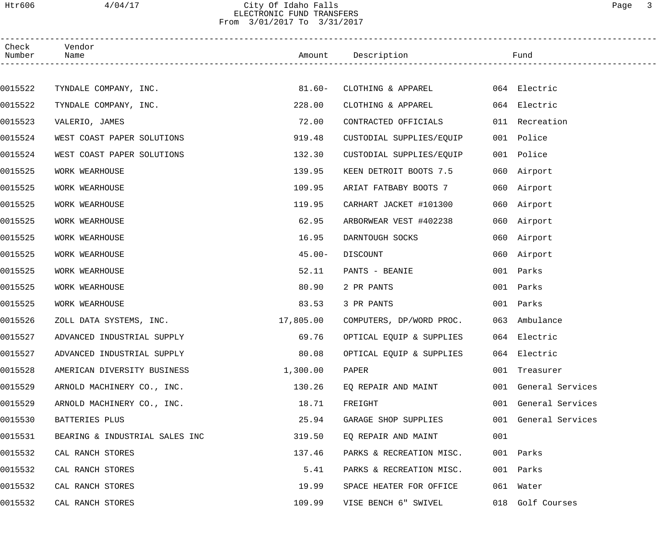### Htr606 4/04/17 City Of Idaho Falls Page 3 ELECTRONIC FUND TRANSFERS From 3/01/2017 To 3/31/2017

| Check<br>Number | Vendor<br>Name                 |           | Amount Description       |     | Fund                 |
|-----------------|--------------------------------|-----------|--------------------------|-----|----------------------|
|                 |                                |           |                          |     |                      |
| 0015522         | TYNDALE COMPANY, INC.          | $81.60 -$ | CLOTHING & APPAREL       |     | 064 Electric         |
| 0015522         | TYNDALE COMPANY, INC.          | 228.00    | CLOTHING & APPAREL       |     | 064 Electric         |
| 0015523         | VALERIO, JAMES                 | 72.00     | CONTRACTED OFFICIALS     |     | 011 Recreation       |
| 0015524         | WEST COAST PAPER SOLUTIONS     | 919.48    | CUSTODIAL SUPPLIES/EQUIP |     | 001 Police           |
| 0015524         | WEST COAST PAPER SOLUTIONS     | 132.30    | CUSTODIAL SUPPLIES/EQUIP |     | 001 Police           |
| 0015525         | WORK WEARHOUSE                 | 139.95    | KEEN DETROIT BOOTS 7.5   |     | 060 Airport          |
| 0015525         | WORK WEARHOUSE                 | 109.95    | ARIAT FATBABY BOOTS 7    |     | 060 Airport          |
| 0015525         | WORK WEARHOUSE                 | 119.95    | CARHART JACKET #101300   |     | 060 Airport          |
| 0015525         | WORK WEARHOUSE                 | 62.95     | ARBORWEAR VEST #402238   |     | 060 Airport          |
| 0015525         | WORK WEARHOUSE                 | 16.95     | DARNTOUGH SOCKS          |     | 060 Airport          |
| 0015525         | WORK WEARHOUSE                 | $45.00 -$ | DISCOUNT                 |     | 060 Airport          |
| 0015525         | WORK WEARHOUSE                 | 52.11     | PANTS - BEANIE           |     | 001 Parks            |
| 0015525         | WORK WEARHOUSE                 | 80.90     | 2 PR PANTS               |     | 001 Parks            |
| 0015525         | WORK WEARHOUSE                 | 83.53     | 3 PR PANTS               |     | 001 Parks            |
| 0015526         | ZOLL DATA SYSTEMS, INC.        | 17,805.00 | COMPUTERS, DP/WORD PROC. |     | 063 Ambulance        |
| 0015527         | ADVANCED INDUSTRIAL SUPPLY     | 69.76     | OPTICAL EQUIP & SUPPLIES |     | 064 Electric         |
| 0015527         | ADVANCED INDUSTRIAL SUPPLY     | 80.08     | OPTICAL EQUIP & SUPPLIES |     | 064 Electric         |
| 0015528         | AMERICAN DIVERSITY BUSINESS    | 1,300.00  | PAPER                    |     | 001 Treasurer        |
| 0015529         | ARNOLD MACHINERY CO., INC.     | 130.26    | EQ REPAIR AND MAINT      |     | 001 General Services |
| 0015529         | ARNOLD MACHINERY CO., INC.     | 18.71     | FREIGHT                  |     | 001 General Services |
| 0015530         | BATTERIES PLUS                 | 25.94     | GARAGE SHOP SUPPLIES     |     | 001 General Services |
| 0015531         | BEARING & INDUSTRIAL SALES INC | 319.50    | EQ REPAIR AND MAINT      | 001 |                      |
| 0015532         | CAL RANCH STORES               | 137.46    | PARKS & RECREATION MISC. |     | 001 Parks            |
| 0015532         | CAL RANCH STORES               | 5.41      | PARKS & RECREATION MISC. |     | 001 Parks            |
| 0015532         | CAL RANCH STORES               | 19.99     | SPACE HEATER FOR OFFICE  |     | 061 Water            |
| 0015532         | CAL RANCH STORES               | 109.99    | VISE BENCH 6" SWIVEL     |     | 018 Golf Courses     |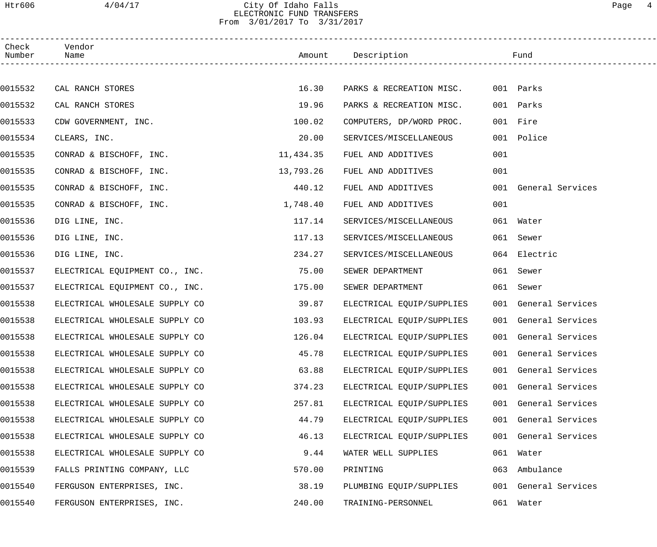### Htr606 4/04/17 City Of Idaho Falls Page 4 ELECTRONIC FUND TRANSFERS From 3/01/2017 To 3/31/2017

| Check<br>Number | Vendor<br>Name                 |           | Amount Description        |     | Fund                 |
|-----------------|--------------------------------|-----------|---------------------------|-----|----------------------|
|                 |                                |           |                           |     |                      |
| 0015532         | CAL RANCH STORES               | 16.30     | PARKS & RECREATION MISC.  |     | 001 Parks            |
| 0015532         | CAL RANCH STORES               | 19.96     | PARKS & RECREATION MISC.  |     | 001 Parks            |
| 0015533         | CDW GOVERNMENT, INC.           | 100.02    | COMPUTERS, DP/WORD PROC.  |     | 001 Fire             |
| 0015534         | CLEARS, INC.                   | 20.00     | SERVICES/MISCELLANEOUS    |     | 001 Police           |
| 0015535         | CONRAD & BISCHOFF, INC.        | 11,434.35 | FUEL AND ADDITIVES        | 001 |                      |
| 0015535         | CONRAD & BISCHOFF, INC.        | 13,793.26 | FUEL AND ADDITIVES        | 001 |                      |
| 0015535         | CONRAD & BISCHOFF, INC.        | 440.12    | FUEL AND ADDITIVES        |     | 001 General Services |
| 0015535         | CONRAD & BISCHOFF, INC.        | 1,748.40  | FUEL AND ADDITIVES        | 001 |                      |
| 0015536         | DIG LINE, INC.                 | 117.14    | SERVICES/MISCELLANEOUS    |     | 061 Water            |
| 0015536         | DIG LINE, INC.                 | 117.13    | SERVICES/MISCELLANEOUS    |     | 061 Sewer            |
| 0015536         | DIG LINE, INC.                 | 234.27    | SERVICES/MISCELLANEOUS    |     | 064 Electric         |
| 0015537         | ELECTRICAL EQUIPMENT CO., INC. | 75.00     | SEWER DEPARTMENT          |     | 061 Sewer            |
| 0015537         | ELECTRICAL EQUIPMENT CO., INC. | 175.00    | SEWER DEPARTMENT          |     | 061 Sewer            |
| 0015538         | ELECTRICAL WHOLESALE SUPPLY CO | 39.87     | ELECTRICAL EQUIP/SUPPLIES |     | 001 General Services |
| 0015538         | ELECTRICAL WHOLESALE SUPPLY CO | 103.93    | ELECTRICAL EQUIP/SUPPLIES |     | 001 General Services |
| 0015538         | ELECTRICAL WHOLESALE SUPPLY CO | 126.04    | ELECTRICAL EQUIP/SUPPLIES |     | 001 General Services |
| 0015538         | ELECTRICAL WHOLESALE SUPPLY CO | 45.78     | ELECTRICAL EQUIP/SUPPLIES |     | 001 General Services |
| 0015538         | ELECTRICAL WHOLESALE SUPPLY CO | 63.88     | ELECTRICAL EQUIP/SUPPLIES |     | 001 General Services |
| 0015538         | ELECTRICAL WHOLESALE SUPPLY CO | 374.23    | ELECTRICAL EQUIP/SUPPLIES |     | 001 General Services |
| 0015538         | ELECTRICAL WHOLESALE SUPPLY CO | 257.81    | ELECTRICAL EQUIP/SUPPLIES |     | 001 General Services |
| 0015538         | ELECTRICAL WHOLESALE SUPPLY CO | 44.79     | ELECTRICAL EQUIP/SUPPLIES |     | 001 General Services |
| 0015538         | ELECTRICAL WHOLESALE SUPPLY CO | 46.13     | ELECTRICAL EQUIP/SUPPLIES |     | 001 General Services |
| 0015538         | ELECTRICAL WHOLESALE SUPPLY CO | 9.44      | WATER WELL SUPPLIES       |     | 061 Water            |
| 0015539         | FALLS PRINTING COMPANY, LLC    | 570.00    | PRINTING                  | 063 | Ambulance            |
| 0015540         | FERGUSON ENTERPRISES, INC.     | 38.19     | PLUMBING EQUIP/SUPPLIES   |     | 001 General Services |
| 0015540         | FERGUSON ENTERPRISES, INC.     | 240.00    | TRAINING-PERSONNEL        |     | 061 Water            |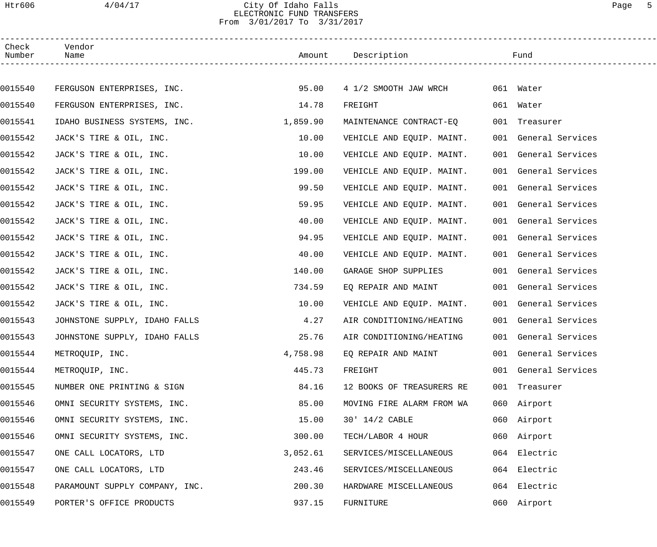## Htr606 4/04/17 City Of Idaho Falls Page 5 ELECTRONIC FUND TRANSFERS From 3/01/2017 To 3/31/2017

| Check<br>Number | Vendor<br>Name                 |          | Amount Description        | Fund                 |
|-----------------|--------------------------------|----------|---------------------------|----------------------|
|                 |                                |          |                           |                      |
| 0015540         | FERGUSON ENTERPRISES, INC.     | 95.00    | 4 1/2 SMOOTH JAW WRCH     | 061 Water            |
| 0015540         | FERGUSON ENTERPRISES, INC.     | 14.78    | FREIGHT                   | 061 Water            |
| 0015541         | IDAHO BUSINESS SYSTEMS, INC.   | 1,859.90 | MAINTENANCE CONTRACT-EQ   | 001 Treasurer        |
| 0015542         | JACK'S TIRE & OIL, INC.        | 10.00    | VEHICLE AND EQUIP. MAINT. | 001 General Services |
| 0015542         | JACK'S TIRE & OIL, INC.        | 10.00    | VEHICLE AND EQUIP. MAINT. | 001 General Services |
| 0015542         | JACK'S TIRE & OIL, INC.        | 199.00   | VEHICLE AND EQUIP. MAINT. | 001 General Services |
| 0015542         | JACK'S TIRE & OIL, INC.        | 99.50    | VEHICLE AND EQUIP. MAINT. | 001 General Services |
| 0015542         | JACK'S TIRE & OIL, INC.        | 59.95    | VEHICLE AND EQUIP. MAINT. | 001 General Services |
| 0015542         | JACK'S TIRE & OIL, INC.        | 40.00    | VEHICLE AND EQUIP. MAINT. | 001 General Services |
| 0015542         | JACK'S TIRE & OIL, INC.        | 94.95    | VEHICLE AND EQUIP. MAINT. | 001 General Services |
| 0015542         | JACK'S TIRE & OIL, INC.        | 40.00    | VEHICLE AND EQUIP. MAINT. | 001 General Services |
| 0015542         | JACK'S TIRE & OIL, INC.        | 140.00   | GARAGE SHOP SUPPLIES      | 001 General Services |
| 0015542         | JACK'S TIRE & OIL, INC.        | 734.59   | EQ REPAIR AND MAINT       | 001 General Services |
| 0015542         | JACK'S TIRE & OIL, INC.        | 10.00    | VEHICLE AND EQUIP. MAINT. | 001 General Services |
| 0015543         | JOHNSTONE SUPPLY, IDAHO FALLS  | 4.27     | AIR CONDITIONING/HEATING  | 001 General Services |
| 0015543         | JOHNSTONE SUPPLY, IDAHO FALLS  | 25.76    | AIR CONDITIONING/HEATING  | 001 General Services |
| 0015544         | METROQUIP, INC.                | 4,758.98 | EQ REPAIR AND MAINT       | 001 General Services |
| 0015544         | METROQUIP, INC.                | 445.73   | FREIGHT                   | 001 General Services |
| 0015545         | NUMBER ONE PRINTING & SIGN     | 84.16    | 12 BOOKS OF TREASURERS RE | 001 Treasurer        |
| 0015546         | OMNI SECURITY SYSTEMS, INC.    | 85.00    | MOVING FIRE ALARM FROM WA | 060 Airport          |
| 0015546         | OMNI SECURITY SYSTEMS, INC.    | 15.00    | $30'$ $14/2$ CABLE        | 060 Airport          |
| 0015546         | OMNI SECURITY SYSTEMS, INC.    | 300.00   | TECH/LABOR 4 HOUR         | 060 Airport          |
| 0015547         | ONE CALL LOCATORS, LTD         | 3,052.61 | SERVICES/MISCELLANEOUS    | 064 Electric         |
| 0015547         | ONE CALL LOCATORS, LTD         | 243.46   | SERVICES/MISCELLANEOUS    | 064 Electric         |
| 0015548         | PARAMOUNT SUPPLY COMPANY, INC. | 200.30   | HARDWARE MISCELLANEOUS    | 064 Electric         |
| 0015549         | PORTER'S OFFICE PRODUCTS       | 937.15   | FURNITURE                 | 060 Airport          |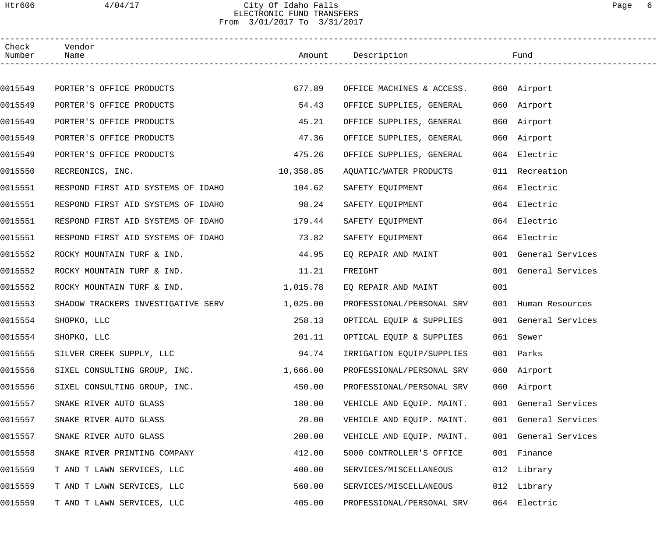# Htr606 4/04/17 City Of Idaho Falls Page 6 ELECTRONIC FUND TRANSFERS From 3/01/2017 To 3/31/2017

| Check<br>Number | Vendor                                    |           |                                       |     |                      |  |
|-----------------|-------------------------------------------|-----------|---------------------------------------|-----|----------------------|--|
|                 |                                           |           |                                       |     |                      |  |
| 0015549         | PORTER'S OFFICE PRODUCTS                  | 677.89    | OFFICE MACHINES & ACCESS. 060 Airport |     |                      |  |
| 0015549         | PORTER'S OFFICE PRODUCTS                  | 54.43     | OFFICE SUPPLIES, GENERAL              |     | 060 Airport          |  |
| 0015549         | PORTER'S OFFICE PRODUCTS                  | 45.21     | OFFICE SUPPLIES, GENERAL              |     | 060 Airport          |  |
| 0015549         | PORTER'S OFFICE PRODUCTS                  | 47.36     | OFFICE SUPPLIES, GENERAL              |     | 060 Airport          |  |
| 0015549         | PORTER'S OFFICE PRODUCTS                  | 475.26    | OFFICE SUPPLIES, GENERAL              |     | 064 Electric         |  |
| 0015550         | RECREONICS, INC.                          | 10,358.85 | AQUATIC/WATER PRODUCTS                |     | 011 Recreation       |  |
| 0015551         | RESPOND FIRST AID SYSTEMS OF IDAHO 104.62 |           | SAFETY EQUIPMENT                      |     | 064 Electric         |  |
| 0015551         | RESPOND FIRST AID SYSTEMS OF IDAHO        | 98.24     | SAFETY EQUIPMENT                      |     | 064 Electric         |  |
| 0015551         | RESPOND FIRST AID SYSTEMS OF IDAHO 179.44 |           | SAFETY EQUIPMENT                      |     | 064 Electric         |  |
| 0015551         | RESPOND FIRST AID SYSTEMS OF IDAHO        | 73.82     | SAFETY EQUIPMENT                      |     | 064 Electric         |  |
| 0015552         | ROCKY MOUNTAIN TURF & IND.                | 44.95     | EQ REPAIR AND MAINT                   |     | 001 General Services |  |
| 0015552         | ROCKY MOUNTAIN TURF & IND.                | 11.21     | FREIGHT                               |     | 001 General Services |  |
| 0015552         | ROCKY MOUNTAIN TURF & IND.                | 1,015.78  | EQ REPAIR AND MAINT                   | 001 |                      |  |
| 0015553         | SHADOW TRACKERS INVESTIGATIVE SERV        | 1,025.00  | PROFESSIONAL/PERSONAL SRV             |     | 001 Human Resources  |  |
| 0015554         | SHOPKO, LLC                               | 258.13    | OPTICAL EQUIP & SUPPLIES              |     | 001 General Services |  |
| 0015554         | SHOPKO, LLC                               | 201.11    | OPTICAL EQUIP & SUPPLIES              |     | 061 Sewer            |  |
| 0015555         | SILVER CREEK SUPPLY, LLC                  | 94.74     | IRRIGATION EQUIP/SUPPLIES             |     | 001 Parks            |  |
| 0015556         | SIXEL CONSULTING GROUP, INC.              | 1,666.00  | PROFESSIONAL/PERSONAL SRV             |     | 060 Airport          |  |
| 0015556         | SIXEL CONSULTING GROUP, INC.              | 450.00    | PROFESSIONAL/PERSONAL SRV             |     | 060 Airport          |  |
| 0015557         | SNAKE RIVER AUTO GLASS                    | 180.00    | VEHICLE AND EQUIP. MAINT.             |     | 001 General Services |  |
| 0015557         | SNAKE RIVER AUTO GLASS                    | 20.00     | VEHICLE AND EQUIP. MAINT.             |     | 001 General Services |  |
| 0015557         | SNAKE RIVER AUTO GLASS                    | 200.00    | VEHICLE AND EQUIP. MAINT.             |     | 001 General Services |  |
| 0015558         | SNAKE RIVER PRINTING COMPANY              | 412.00    | 5000 CONTROLLER'S OFFICE              |     | 001 Finance          |  |
| 0015559         | T AND T LAWN SERVICES, LLC                | 400.00    | SERVICES/MISCELLANEOUS                |     | 012 Library          |  |
| 0015559         | T AND T LAWN SERVICES, LLC                | 560.00    | SERVICES/MISCELLANEOUS                |     | 012 Library          |  |
| 0015559         | T AND T LAWN SERVICES, LLC                | 405.00    | PROFESSIONAL/PERSONAL SRV             |     | 064 Electric         |  |
|                 |                                           |           |                                       |     |                      |  |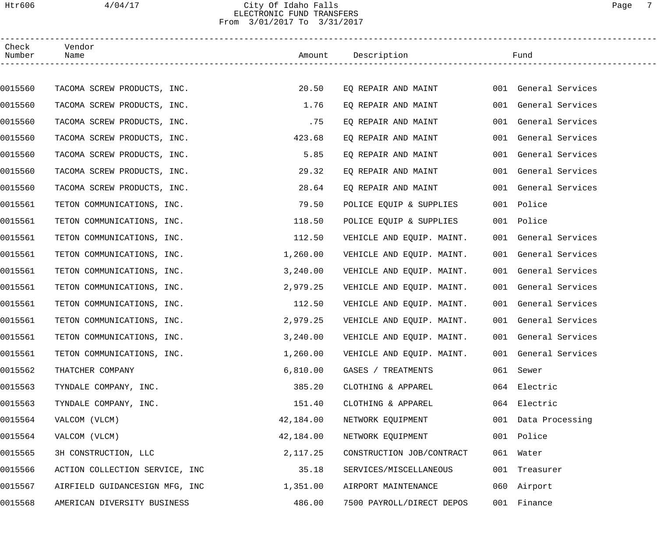## Htr606 4/04/17 City Of Idaho Falls Page 7 ELECTRONIC FUND TRANSFERS From 3/01/2017 To 3/31/2017

| Check<br>Number | Vendor<br>Name                 |           | Amount Description        |     | Fund                 |
|-----------------|--------------------------------|-----------|---------------------------|-----|----------------------|
|                 |                                |           |                           |     |                      |
| 0015560         | TACOMA SCREW PRODUCTS, INC.    | 20.50     | EQ REPAIR AND MAINT       |     | 001 General Services |
| 0015560         | TACOMA SCREW PRODUCTS, INC.    | 1.76      | EQ REPAIR AND MAINT       |     | 001 General Services |
| 0015560         | TACOMA SCREW PRODUCTS, INC.    | .75       | EQ REPAIR AND MAINT       | 001 | General Services     |
| 0015560         | TACOMA SCREW PRODUCTS, INC.    | 423.68    | EQ REPAIR AND MAINT       | 001 | General Services     |
| 0015560         | TACOMA SCREW PRODUCTS, INC.    | 5.85      | EQ REPAIR AND MAINT       |     | 001 General Services |
| 0015560         | TACOMA SCREW PRODUCTS, INC.    | 29.32     | EQ REPAIR AND MAINT       |     | 001 General Services |
| 0015560         | TACOMA SCREW PRODUCTS, INC.    | 28.64     | EO REPAIR AND MAINT       |     | 001 General Services |
| 0015561         | TETON COMMUNICATIONS, INC.     | 79.50     | POLICE EQUIP & SUPPLIES   |     | 001 Police           |
| 0015561         | TETON COMMUNICATIONS, INC.     | 118.50    | POLICE EQUIP & SUPPLIES   |     | 001 Police           |
| 0015561         | TETON COMMUNICATIONS, INC.     | 112.50    | VEHICLE AND EQUIP. MAINT. |     | 001 General Services |
| 0015561         | TETON COMMUNICATIONS, INC.     | 1,260.00  | VEHICLE AND EQUIP. MAINT. |     | 001 General Services |
| 0015561         | TETON COMMUNICATIONS, INC.     | 3,240.00  | VEHICLE AND EQUIP. MAINT. |     | 001 General Services |
| 0015561         | TETON COMMUNICATIONS, INC.     | 2,979.25  | VEHICLE AND EQUIP. MAINT. |     | 001 General Services |
| 0015561         | TETON COMMUNICATIONS, INC.     | 112.50    | VEHICLE AND EQUIP. MAINT. |     | 001 General Services |
| 0015561         | TETON COMMUNICATIONS, INC.     | 2,979.25  | VEHICLE AND EQUIP. MAINT. |     | 001 General Services |
| 0015561         | TETON COMMUNICATIONS, INC.     | 3,240.00  | VEHICLE AND EQUIP. MAINT. |     | 001 General Services |
| 0015561         | TETON COMMUNICATIONS, INC.     | 1,260.00  | VEHICLE AND EQUIP. MAINT. |     | 001 General Services |
| 0015562         | THATCHER COMPANY               | 6,810.00  | GASES / TREATMENTS        |     | 061 Sewer            |
| 0015563         | TYNDALE COMPANY, INC.          | 385.20    | CLOTHING & APPAREL        |     | 064 Electric         |
| 0015563         | TYNDALE COMPANY, INC.          | 151.40    | CLOTHING & APPAREL        |     | 064 Electric         |
| 0015564         | VALCOM (VLCM)                  | 42,184.00 | NETWORK EQUIPMENT         |     | 001 Data Processing  |
| 0015564         | VALCOM (VLCM)                  | 42,184.00 | NETWORK EQUIPMENT         |     | 001 Police           |
| 0015565         | 3H CONSTRUCTION, LLC           | 2,117.25  | CONSTRUCTION JOB/CONTRACT |     | 061 Water            |
| 0015566         | ACTION COLLECTION SERVICE, INC | 35.18     | SERVICES/MISCELLANEOUS    | 001 | Treasurer            |
| 0015567         | AIRFIELD GUIDANCESIGN MFG, INC | 1,351.00  | AIRPORT MAINTENANCE       |     | 060 Airport          |
| 0015568         | AMERICAN DIVERSITY BUSINESS    | 486.00    | 7500 PAYROLL/DIRECT DEPOS |     | 001 Finance          |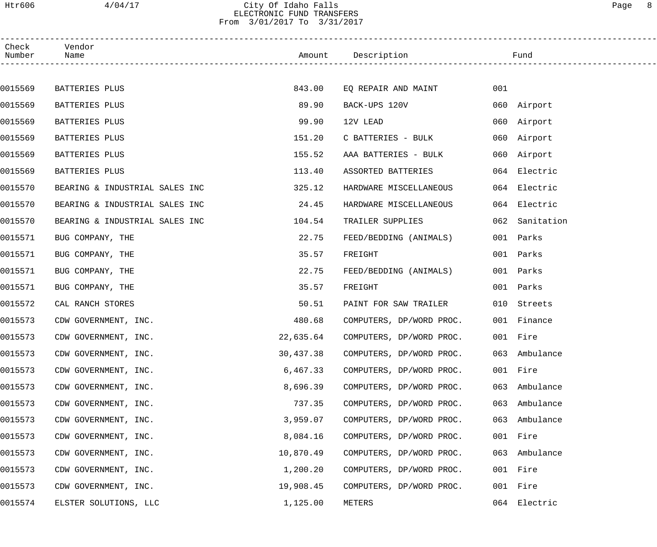### Htr606 4/04/17 City Of Idaho Falls Page 8 ELECTRONIC FUND TRANSFERS From 3/01/2017 To 3/31/2017

| Check<br>Number | Vendor<br>Name                 |           | Amount Description                 |     | Fund          |
|-----------------|--------------------------------|-----------|------------------------------------|-----|---------------|
|                 |                                |           |                                    |     |               |
| 0015569         | BATTERIES PLUS                 | 843.00    | EQ REPAIR AND MAINT                | 001 |               |
| 0015569         | BATTERIES PLUS                 | 89.90     | BACK-UPS 120V                      |     | 060 Airport   |
| 0015569         | BATTERIES PLUS                 | 99.90     | 12V LEAD                           |     | 060 Airport   |
| 0015569         | BATTERIES PLUS                 | 151.20    | C BATTERIES - BULK                 |     | 060 Airport   |
| 0015569         | BATTERIES PLUS                 | 155.52    | AAA BATTERIES - BULK               |     | 060 Airport   |
| 0015569         | BATTERIES PLUS                 | 113.40    | ASSORTED BATTERIES                 |     | 064 Electric  |
| 0015570         | BEARING & INDUSTRIAL SALES INC | 325.12    | HARDWARE MISCELLANEOUS             |     | 064 Electric  |
| 0015570         | BEARING & INDUSTRIAL SALES INC | 24.45     | HARDWARE MISCELLANEOUS             |     | 064 Electric  |
| 0015570         | BEARING & INDUSTRIAL SALES INC | 104.54    | TRAILER SUPPLIES                   | 062 | Sanitation    |
| 0015571         | BUG COMPANY, THE               | 22.75     | FEED/BEDDING (ANIMALS)             |     | 001 Parks     |
| 0015571         | BUG COMPANY, THE               | 35.57     | FREIGHT                            |     | 001 Parks     |
| 0015571         | BUG COMPANY, THE               | 22.75     | FEED/BEDDING (ANIMALS)             |     | 001 Parks     |
| 0015571         | BUG COMPANY, THE               | 35.57     | FREIGHT                            |     | 001 Parks     |
| 0015572         | CAL RANCH STORES               | 50.51     | PAINT FOR SAW TRAILER              |     | 010 Streets   |
| 0015573         | CDW GOVERNMENT, INC.           | 480.68    | COMPUTERS, DP/WORD PROC.           |     | 001 Finance   |
| 0015573         | CDW GOVERNMENT, INC.           |           | 22,635.64 COMPUTERS, DP/WORD PROC. |     | 001 Fire      |
| 0015573         | CDW GOVERNMENT, INC.           | 30,437.38 | COMPUTERS, DP/WORD PROC.           |     | 063 Ambulance |
| 0015573         | CDW GOVERNMENT, INC.           | 6,467.33  | COMPUTERS, DP/WORD PROC.           |     | 001 Fire      |
| 0015573         | CDW GOVERNMENT, INC.           | 8,696.39  | COMPUTERS, DP/WORD PROC.           |     | 063 Ambulance |
| 0015573         | CDW GOVERNMENT, INC.           | 737.35    | COMPUTERS, DP/WORD PROC.           |     | 063 Ambulance |
| 0015573         | CDW GOVERNMENT, INC.           | 3,959.07  | COMPUTERS, DP/WORD PROC.           |     | 063 Ambulance |
| 0015573         | CDW GOVERNMENT, INC.           | 8,084.16  | COMPUTERS, DP/WORD PROC.           |     | 001 Fire      |
| 0015573         | CDW GOVERNMENT, INC.           | 10,870.49 | COMPUTERS, DP/WORD PROC.           |     | 063 Ambulance |
| 0015573         | CDW GOVERNMENT, INC.           | 1,200.20  | COMPUTERS, DP/WORD PROC.           |     | 001 Fire      |
| 0015573         | CDW GOVERNMENT, INC.           | 19,908.45 | COMPUTERS, DP/WORD PROC.           |     | 001 Fire      |
| 0015574         | ELSTER SOLUTIONS, LLC          | 1,125.00  | METERS                             | 064 | Electric      |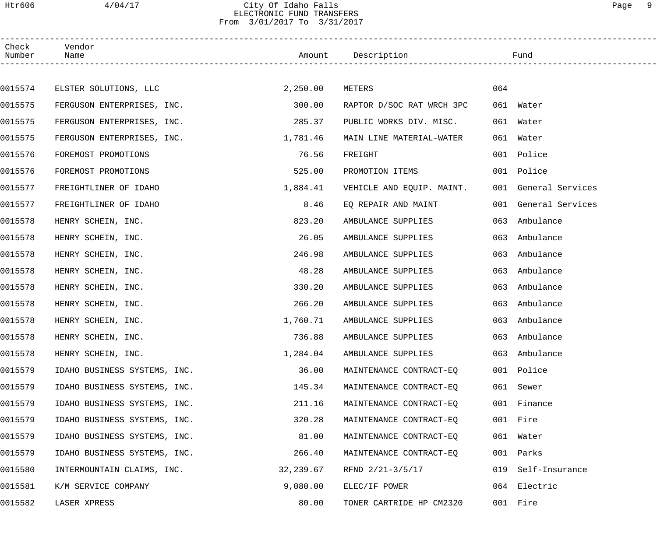### Htr606 4/04/17 City Of Idaho Falls Page 9 ELECTRONIC FUND TRANSFERS From 3/01/2017 To 3/31/2017

| Check<br>Number | Vendor<br>Name               |           | Amount Description        |     | Fund                 |
|-----------------|------------------------------|-----------|---------------------------|-----|----------------------|
|                 |                              |           |                           |     |                      |
| 0015574         | ELSTER SOLUTIONS, LLC        | 2,250.00  | METERS                    | 064 |                      |
| 0015575         | FERGUSON ENTERPRISES, INC.   | 300.00    | RAPTOR D/SOC RAT WRCH 3PC |     | 061 Water            |
| 0015575         | FERGUSON ENTERPRISES, INC.   | 285.37    | PUBLIC WORKS DIV. MISC.   | 061 | Water                |
| 0015575         | FERGUSON ENTERPRISES, INC.   | 1,781.46  | MAIN LINE MATERIAL-WATER  |     | 061 Water            |
| 0015576         | FOREMOST PROMOTIONS          | 76.56     | FREIGHT                   |     | 001 Police           |
| 0015576         | FOREMOST PROMOTIONS          | 525.00    | PROMOTION ITEMS           |     | 001 Police           |
| 0015577         | FREIGHTLINER OF IDAHO        | 1,884.41  | VEHICLE AND EQUIP. MAINT. |     | 001 General Services |
| 0015577         | FREIGHTLINER OF IDAHO        | 8.46      | EQ REPAIR AND MAINT       |     | 001 General Services |
| 0015578         | HENRY SCHEIN, INC.           | 823.20    | AMBULANCE SUPPLIES        | 063 | Ambulance            |
| 0015578         | HENRY SCHEIN, INC.           | 26.05     | AMBULANCE SUPPLIES        | 063 | Ambulance            |
| 0015578         | HENRY SCHEIN, INC.           | 246.98    | AMBULANCE SUPPLIES        | 063 | Ambulance            |
| 0015578         | HENRY SCHEIN, INC.           | 48.28     | AMBULANCE SUPPLIES        | 063 | Ambulance            |
| 0015578         | HENRY SCHEIN, INC.           | 330.20    | AMBULANCE SUPPLIES        | 063 | Ambulance            |
| 0015578         | HENRY SCHEIN, INC.           | 266.20    | AMBULANCE SUPPLIES        | 063 | Ambulance            |
| 0015578         | HENRY SCHEIN, INC.           | 1,760.71  | AMBULANCE SUPPLIES        | 063 | Ambulance            |
| 0015578         | HENRY SCHEIN, INC.           | 736.88    | AMBULANCE SUPPLIES        |     | 063 Ambulance        |
| 0015578         | HENRY SCHEIN, INC.           | 1,284.04  | AMBULANCE SUPPLIES        |     | 063 Ambulance        |
| 0015579         | IDAHO BUSINESS SYSTEMS, INC. | 36.00     | MAINTENANCE CONTRACT-EO   |     | 001 Police           |
| 0015579         | IDAHO BUSINESS SYSTEMS, INC. | 145.34    | MAINTENANCE CONTRACT-EQ   |     | 061 Sewer            |
| 0015579         | IDAHO BUSINESS SYSTEMS, INC. | 211.16    | MAINTENANCE CONTRACT-EQ   |     | 001 Finance          |
| 0015579         | IDAHO BUSINESS SYSTEMS, INC. | 320.28    | MAINTENANCE CONTRACT-EO   |     | 001 Fire             |
| 0015579         | IDAHO BUSINESS SYSTEMS, INC. | 81.00     | MAINTENANCE CONTRACT-EQ   |     | 061 Water            |
| 0015579         | IDAHO BUSINESS SYSTEMS, INC. | 266.40    | MAINTENANCE CONTRACT-EQ   |     | 001 Parks            |
| 0015580         | INTERMOUNTAIN CLAIMS, INC.   | 32,239.67 | RFND 2/21-3/5/17          |     | 019 Self-Insurance   |
| 0015581         | K/M SERVICE COMPANY          | 9,080.00  | ELEC/IF POWER             |     | 064 Electric         |
| 0015582         | LASER XPRESS                 | 80.00     | TONER CARTRIDE HP CM2320  |     | 001 Fire             |
|                 |                              |           |                           |     |                      |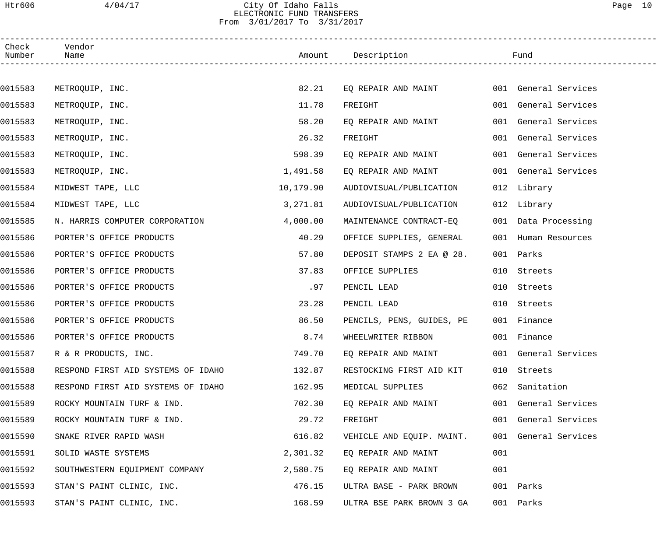## Htr606 4/04/17 City Of Idaho Falls Page 10 ELECTRONIC FUND TRANSFERS From 3/01/2017 To 3/31/2017

| Check<br>Number | Vendor<br>Name                     |           | Amount Description Fund                  |     |                      |
|-----------------|------------------------------------|-----------|------------------------------------------|-----|----------------------|
|                 |                                    |           |                                          |     |                      |
| 0015583         | METROQUIP, INC.                    | 82.21     | EQ REPAIR AND MAINT 001 General Services |     |                      |
| 0015583         | METROQUIP, INC.                    | 11.78     | FREIGHT                                  |     | 001 General Services |
| 0015583         | METROQUIP, INC.                    | 58.20     | EQ REPAIR AND MAINT                      |     | 001 General Services |
| 0015583         | METROQUIP, INC.                    | 26.32     | FREIGHT                                  |     | 001 General Services |
| 0015583         | METROQUIP, INC.                    | 598.39    | EQ REPAIR AND MAINT                      |     | 001 General Services |
| 0015583         | METROQUIP, INC.                    | 1,491.58  | EQ REPAIR AND MAINT                      |     | 001 General Services |
| 0015584         | MIDWEST TAPE, LLC                  | 10,179.90 | AUDIOVISUAL/PUBLICATION                  |     | 012 Library          |
| 0015584         | MIDWEST TAPE, LLC                  | 3,271.81  | AUDIOVISUAL/PUBLICATION                  |     | 012 Library          |
| 0015585         | N. HARRIS COMPUTER CORPORATION     | 4,000.00  | MAINTENANCE CONTRACT-EQ                  |     | 001 Data Processing  |
| 0015586         | PORTER'S OFFICE PRODUCTS           | 40.29     | OFFICE SUPPLIES, GENERAL                 |     | 001 Human Resources  |
| 0015586         | PORTER'S OFFICE PRODUCTS           | 57.80     | DEPOSIT STAMPS 2 EA @ 28.                |     | 001 Parks            |
| 0015586         | PORTER'S OFFICE PRODUCTS           | 37.83     | OFFICE SUPPLIES                          |     | 010 Streets          |
| 0015586         | PORTER'S OFFICE PRODUCTS           | .97       | PENCIL LEAD                              | 010 | Streets              |
| 0015586         | PORTER'S OFFICE PRODUCTS           | 23.28     | PENCIL LEAD                              | 010 | Streets              |
| 0015586         | PORTER'S OFFICE PRODUCTS           | 86.50     | PENCILS, PENS, GUIDES, PE                |     | 001 Finance          |
| 0015586         | PORTER'S OFFICE PRODUCTS           | 8.74      | WHEELWRITER RIBBON                       |     | 001 Finance          |
| 0015587         | R & R PRODUCTS, INC.               | 749.70    | EQ REPAIR AND MAINT                      |     | 001 General Services |
| 0015588         | RESPOND FIRST AID SYSTEMS OF IDAHO | 132.87    | RESTOCKING FIRST AID KIT                 |     | 010 Streets          |
| 0015588         | RESPOND FIRST AID SYSTEMS OF IDAHO | 162.95    | MEDICAL SUPPLIES                         | 062 | Sanitation           |
| 0015589         | ROCKY MOUNTAIN TURF & IND.         | 702.30    | EQ REPAIR AND MAINT                      |     | 001 General Services |
| 0015589         | ROCKY MOUNTAIN TURF & IND.         | 29.72     | FREIGHT                                  |     | 001 General Services |
| 0015590         | SNAKE RIVER RAPID WASH             | 616.82    | VEHICLE AND EQUIP. MAINT.                |     | 001 General Services |
| 0015591         | SOLID WASTE SYSTEMS                | 2,301.32  | EQ REPAIR AND MAINT                      | 001 |                      |
| 0015592         | SOUTHWESTERN EQUIPMENT COMPANY     | 2,580.75  | EQ REPAIR AND MAINT                      | 001 |                      |
| 0015593         | STAN'S PAINT CLINIC, INC.          | 476.15    | ULTRA BASE - PARK BROWN                  |     | 001 Parks            |
| 0015593         | STAN'S PAINT CLINIC, INC.          | 168.59    | ULTRA BSE PARK BROWN 3 GA                |     | 001 Parks            |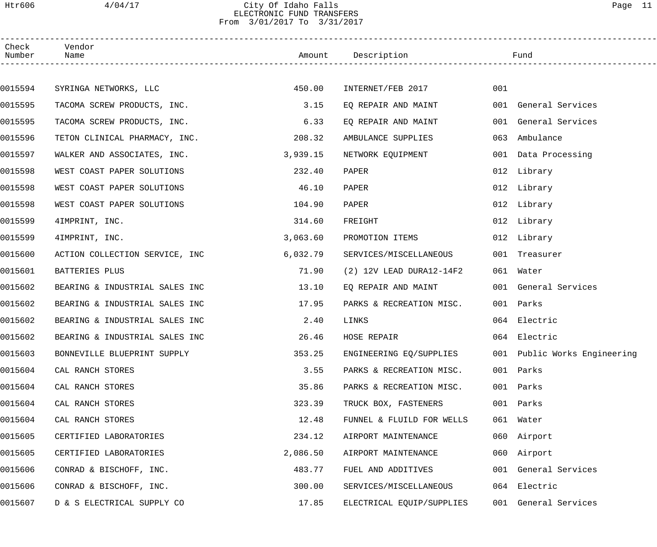## Htr606 4/04/17 City Of Idaho Falls Page 11 ELECTRONIC FUND TRANSFERS From 3/01/2017 To 3/31/2017

| Check<br>Number | Vendor<br>Name                 |          | Amount Description        |     | Fund                         |
|-----------------|--------------------------------|----------|---------------------------|-----|------------------------------|
|                 |                                |          |                           |     |                              |
| 0015594         | SYRINGA NETWORKS, LLC          | 450.00   | INTERNET/FEB 2017         | 001 |                              |
| 0015595         | TACOMA SCREW PRODUCTS, INC.    | 3.15     | EO REPAIR AND MAINT       |     | 001 General Services         |
| 0015595         | TACOMA SCREW PRODUCTS, INC.    | 6.33     | EQ REPAIR AND MAINT       |     | 001 General Services         |
| 0015596         | TETON CLINICAL PHARMACY, INC.  | 208.32   | AMBULANCE SUPPLIES        | 063 | Ambulance                    |
| 0015597         | WALKER AND ASSOCIATES, INC.    | 3,939.15 | NETWORK EQUIPMENT         |     | 001 Data Processing          |
| 0015598         | WEST COAST PAPER SOLUTIONS     | 232.40   | PAPER                     |     | 012 Library                  |
| 0015598         | WEST COAST PAPER SOLUTIONS     | 46.10    | PAPER                     |     | 012 Library                  |
| 0015598         | WEST COAST PAPER SOLUTIONS     | 104.90   | PAPER                     |     | 012 Library                  |
| 0015599         | 4IMPRINT, INC.                 | 314.60   | FREIGHT                   |     | 012 Library                  |
| 0015599         | 4IMPRINT, INC.                 | 3,063.60 | PROMOTION ITEMS           |     | 012 Library                  |
| 0015600         | ACTION COLLECTION SERVICE, INC | 6,032.79 | SERVICES/MISCELLANEOUS    |     | 001 Treasurer                |
| 0015601         | BATTERIES PLUS                 | 71.90    | (2) 12V LEAD DURA12-14F2  |     | 061 Water                    |
| 0015602         | BEARING & INDUSTRIAL SALES INC | 13.10    | EQ REPAIR AND MAINT       |     | 001 General Services         |
| 0015602         | BEARING & INDUSTRIAL SALES INC | 17.95    | PARKS & RECREATION MISC.  |     | 001 Parks                    |
| 0015602         | BEARING & INDUSTRIAL SALES INC | 2.40     | LINKS                     |     | 064 Electric                 |
| 0015602         | BEARING & INDUSTRIAL SALES INC | 26.46    | HOSE REPAIR               |     | 064 Electric                 |
| 0015603         | BONNEVILLE BLUEPRINT SUPPLY    | 353.25   | ENGINEERING EQ/SUPPLIES   |     | 001 Public Works Engineering |
| 0015604         | CAL RANCH STORES               | 3.55     | PARKS & RECREATION MISC.  | 001 | Parks                        |
| 0015604         | CAL RANCH STORES               | 35.86    | PARKS & RECREATION MISC.  | 001 | Parks                        |
| 0015604         | CAL RANCH STORES               | 323.39   | TRUCK BOX, FASTENERS      |     | 001 Parks                    |
| 0015604         | CAL RANCH STORES               | 12.48    | FUNNEL & FLUILD FOR WELLS |     | 061 Water                    |
| 0015605         | CERTIFIED LABORATORIES         | 234.12   | AIRPORT MAINTENANCE       | 060 | Airport                      |
| 0015605         | CERTIFIED LABORATORIES         | 2,086.50 | AIRPORT MAINTENANCE       | 060 | Airport                      |
| 0015606         | CONRAD & BISCHOFF, INC.        | 483.77   | FUEL AND ADDITIVES        |     | 001 General Services         |
| 0015606         | CONRAD & BISCHOFF, INC.        | 300.00   | SERVICES/MISCELLANEOUS    |     | 064 Electric                 |
| 0015607         | D & S ELECTRICAL SUPPLY CO     | 17.85    | ELECTRICAL EQUIP/SUPPLIES |     | 001 General Services         |
|                 |                                |          |                           |     |                              |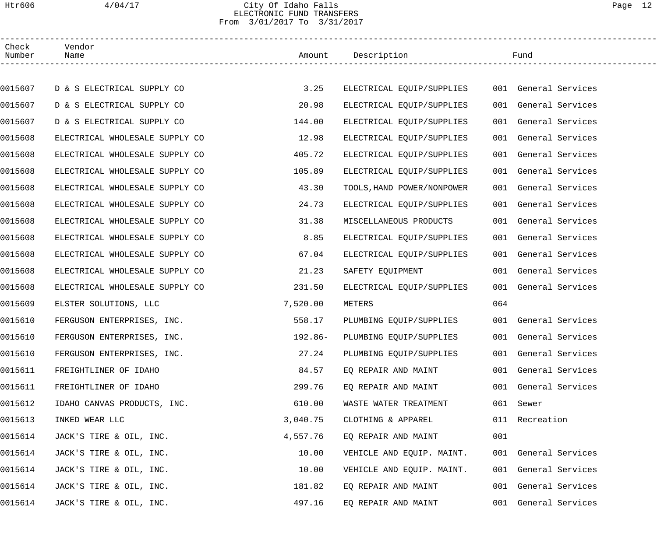# Htr606 4/04/17 City Of Idaho Falls Page 12 ELECTRONIC FUND TRANSFERS From 3/01/2017 To 3/31/2017

| Check<br>Number | Vendor<br>Name                 |          | Amount Description         |     | Fund                 |
|-----------------|--------------------------------|----------|----------------------------|-----|----------------------|
|                 |                                |          |                            |     |                      |
| 0015607         | D & S ELECTRICAL SUPPLY CO     | 3.25     | ELECTRICAL EQUIP/SUPPLIES  |     | 001 General Services |
| 0015607         | D & S ELECTRICAL SUPPLY CO     | 20.98    | ELECTRICAL EQUIP/SUPPLIES  |     | 001 General Services |
| 0015607         | D & S ELECTRICAL SUPPLY CO     | 144.00   | ELECTRICAL EQUIP/SUPPLIES  |     | 001 General Services |
| 0015608         | ELECTRICAL WHOLESALE SUPPLY CO | 12.98    | ELECTRICAL EQUIP/SUPPLIES  |     | 001 General Services |
| 0015608         | ELECTRICAL WHOLESALE SUPPLY CO | 405.72   | ELECTRICAL EQUIP/SUPPLIES  |     | 001 General Services |
| 0015608         | ELECTRICAL WHOLESALE SUPPLY CO | 105.89   | ELECTRICAL EQUIP/SUPPLIES  |     | 001 General Services |
| 0015608         | ELECTRICAL WHOLESALE SUPPLY CO | 43.30    | TOOLS, HAND POWER/NONPOWER |     | 001 General Services |
| 0015608         | ELECTRICAL WHOLESALE SUPPLY CO | 24.73    | ELECTRICAL EQUIP/SUPPLIES  |     | 001 General Services |
| 0015608         | ELECTRICAL WHOLESALE SUPPLY CO | 31.38    | MISCELLANEOUS PRODUCTS     |     | 001 General Services |
| 0015608         | ELECTRICAL WHOLESALE SUPPLY CO | 8.85     | ELECTRICAL EQUIP/SUPPLIES  |     | 001 General Services |
| 0015608         | ELECTRICAL WHOLESALE SUPPLY CO | 67.04    | ELECTRICAL EQUIP/SUPPLIES  |     | 001 General Services |
| 0015608         | ELECTRICAL WHOLESALE SUPPLY CO | 21.23    | SAFETY EQUIPMENT           |     | 001 General Services |
| 0015608         | ELECTRICAL WHOLESALE SUPPLY CO | 231.50   | ELECTRICAL EQUIP/SUPPLIES  |     | 001 General Services |
| 0015609         | ELSTER SOLUTIONS, LLC          | 7,520.00 | METERS                     | 064 |                      |
| 0015610         | FERGUSON ENTERPRISES, INC.     | 558.17   | PLUMBING EQUIP/SUPPLIES    |     | 001 General Services |
| 0015610         | FERGUSON ENTERPRISES, INC.     | 192.86-  | PLUMBING EOUIP/SUPPLIES    |     | 001 General Services |
| 0015610         | FERGUSON ENTERPRISES, INC.     | 27.24    | PLUMBING EQUIP/SUPPLIES    |     | 001 General Services |
| 0015611         | FREIGHTLINER OF IDAHO          | 84.57    | EQ REPAIR AND MAINT        |     | 001 General Services |
| 0015611         | FREIGHTLINER OF IDAHO          | 299.76   | EQ REPAIR AND MAINT        |     | 001 General Services |
| 0015612         | IDAHO CANVAS PRODUCTS, INC.    | 610.00   | WASTE WATER TREATMENT      |     | 061 Sewer            |
| 0015613         | INKED WEAR LLC                 | 3,040.75 | CLOTHING & APPAREL         |     | 011 Recreation       |
| 0015614         | JACK'S TIRE & OIL, INC.        | 4,557.76 | EQ REPAIR AND MAINT        | 001 |                      |
| 0015614         | JACK'S TIRE & OIL, INC.        | 10.00    | VEHICLE AND EQUIP. MAINT.  |     | 001 General Services |
| 0015614         | JACK'S TIRE & OIL, INC.        | 10.00    | VEHICLE AND EQUIP. MAINT.  |     | 001 General Services |
| 0015614         | JACK'S TIRE & OIL, INC.        | 181.82   | EQ REPAIR AND MAINT        |     | 001 General Services |
| 0015614         | JACK'S TIRE & OIL, INC.        | 497.16   | EQ REPAIR AND MAINT        |     | 001 General Services |
|                 |                                |          |                            |     |                      |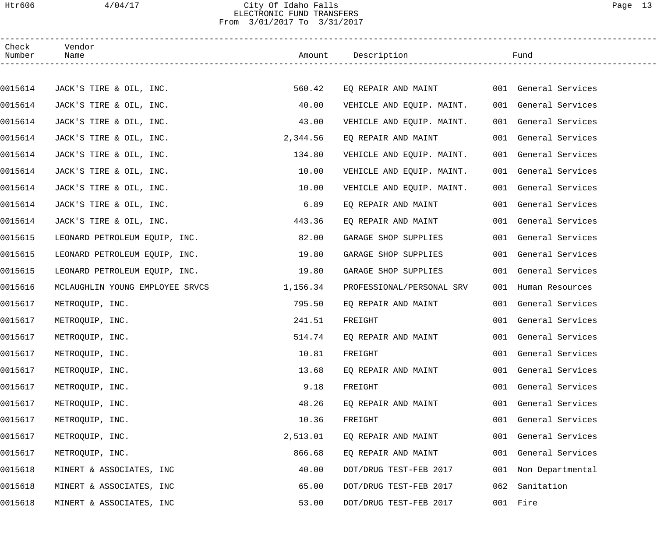### Htr606 4/04/17 City Of Idaho Falls Page 13 ELECTRONIC FUND TRANSFERS From 3/01/2017 To 3/31/2017

| Check<br>Number | Vendor<br>Name                  |          | Amount Description        |     | Fund                 |
|-----------------|---------------------------------|----------|---------------------------|-----|----------------------|
|                 |                                 |          |                           |     |                      |
| 0015614         | JACK'S TIRE & OIL, INC.         | 560.42   | EQ REPAIR AND MAINT       |     | 001 General Services |
| 0015614         | JACK'S TIRE & OIL, INC.         | 40.00    | VEHICLE AND EQUIP. MAINT. |     | 001 General Services |
| 0015614         | JACK'S TIRE & OIL, INC.         | 43.00    | VEHICLE AND EQUIP. MAINT. |     | 001 General Services |
| 0015614         | JACK'S TIRE & OIL, INC.         | 2,344.56 | EQ REPAIR AND MAINT       |     | 001 General Services |
| 0015614         | JACK'S TIRE & OIL, INC.         | 134.80   | VEHICLE AND EQUIP. MAINT. |     | 001 General Services |
| 0015614         | JACK'S TIRE & OIL, INC.         | 10.00    | VEHICLE AND EQUIP. MAINT. |     | 001 General Services |
| 0015614         | JACK'S TIRE & OIL, INC.         | 10.00    | VEHICLE AND EQUIP. MAINT. |     | 001 General Services |
| 0015614         | JACK'S TIRE & OIL, INC.         | 6.89     | EQ REPAIR AND MAINT       |     | 001 General Services |
| 0015614         | JACK'S TIRE & OIL, INC.         | 443.36   | EQ REPAIR AND MAINT       |     | 001 General Services |
| 0015615         | LEONARD PETROLEUM EQUIP, INC.   | 82.00    | GARAGE SHOP SUPPLIES      |     | 001 General Services |
| 0015615         | LEONARD PETROLEUM EQUIP, INC.   | 19.80    | GARAGE SHOP SUPPLIES      |     | 001 General Services |
| 0015615         | LEONARD PETROLEUM EQUIP, INC.   | 19.80    | GARAGE SHOP SUPPLIES      |     | 001 General Services |
| 0015616         | MCLAUGHLIN YOUNG EMPLOYEE SRVCS | 1,156.34 | PROFESSIONAL/PERSONAL SRV |     | 001 Human Resources  |
| 0015617         | METROQUIP, INC.                 | 795.50   | EO REPAIR AND MAINT       |     | 001 General Services |
| 0015617         | METROQUIP, INC.                 | 241.51   | FREIGHT                   |     | 001 General Services |
| 0015617         | METROQUIP, INC.                 | 514.74   | EQ REPAIR AND MAINT       |     | 001 General Services |
| 0015617         | METROQUIP, INC.                 | 10.81    | FREIGHT                   |     | 001 General Services |
| 0015617         | METROQUIP, INC.                 | 13.68    | EQ REPAIR AND MAINT       |     | 001 General Services |
| 0015617         | METROQUIP, INC.                 | 9.18     | FREIGHT                   | 001 | General Services     |
| 0015617         | METROQUIP, INC.                 | 48.26    | EO REPAIR AND MAINT       | 001 | General Services     |
| 0015617         | METROQUIP, INC.                 | 10.36    | FREIGHT                   |     | 001 General Services |
| 0015617         | METROQUIP, INC.                 | 2,513.01 | EQ REPAIR AND MAINT       | 001 | General Services     |
| 0015617         | METROQUIP, INC.                 | 866.68   | EQ REPAIR AND MAINT       |     | 001 General Services |
| 0015618         | MINERT & ASSOCIATES, INC        | 40.00    | DOT/DRUG TEST-FEB 2017    |     | 001 Non Departmental |
| 0015618         | MINERT & ASSOCIATES, INC        | 65.00    | DOT/DRUG TEST-FEB 2017    | 062 | Sanitation           |
| 0015618         | MINERT & ASSOCIATES, INC        | 53.00    | DOT/DRUG TEST-FEB 2017    |     | 001 Fire             |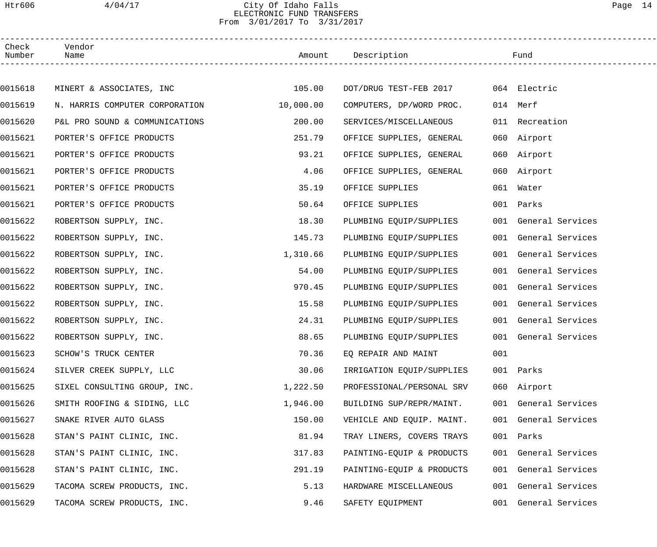## Htr606 4/04/17 City Of Idaho Falls Page 14 ELECTRONIC FUND TRANSFERS From 3/01/2017 To 3/31/2017

| Check<br>Number | Vendor<br>Name                 |           | Amount Description        |     | Fund                 |  |
|-----------------|--------------------------------|-----------|---------------------------|-----|----------------------|--|
|                 |                                |           |                           |     |                      |  |
| 0015618         | MINERT & ASSOCIATES, INC       | 105.00    | DOT/DRUG TEST-FEB 2017    |     | 064 Electric         |  |
| 0015619         | N. HARRIS COMPUTER CORPORATION | 10,000.00 | COMPUTERS, DP/WORD PROC.  |     | 014 Merf             |  |
| 0015620         | P&L PRO SOUND & COMMUNICATIONS | 200.00    | SERVICES/MISCELLANEOUS    |     | 011 Recreation       |  |
| 0015621         | PORTER'S OFFICE PRODUCTS       | 251.79    | OFFICE SUPPLIES, GENERAL  |     | 060 Airport          |  |
| 0015621         | PORTER'S OFFICE PRODUCTS       | 93.21     | OFFICE SUPPLIES, GENERAL  |     | 060 Airport          |  |
| 0015621         | PORTER'S OFFICE PRODUCTS       | 4.06      | OFFICE SUPPLIES, GENERAL  |     | 060 Airport          |  |
| 0015621         | PORTER'S OFFICE PRODUCTS       | 35.19     | OFFICE SUPPLIES           |     | 061 Water            |  |
| 0015621         | PORTER'S OFFICE PRODUCTS       | 50.64     | OFFICE SUPPLIES           |     | 001 Parks            |  |
| 0015622         | ROBERTSON SUPPLY, INC.         | 18.30     | PLUMBING EQUIP/SUPPLIES   |     | 001 General Services |  |
| 0015622         | ROBERTSON SUPPLY, INC.         | 145.73    | PLUMBING EQUIP/SUPPLIES   |     | 001 General Services |  |
| 0015622         | ROBERTSON SUPPLY, INC.         | 1,310.66  | PLUMBING EQUIP/SUPPLIES   |     | 001 General Services |  |
| 0015622         | ROBERTSON SUPPLY, INC.         | 54.00     | PLUMBING EQUIP/SUPPLIES   |     | 001 General Services |  |
| 0015622         | ROBERTSON SUPPLY, INC.         | 970.45    | PLUMBING EQUIP/SUPPLIES   |     | 001 General Services |  |
| 0015622         | ROBERTSON SUPPLY, INC.         | 15.58     | PLUMBING EQUIP/SUPPLIES   |     | 001 General Services |  |
| 0015622         | ROBERTSON SUPPLY, INC.         | 24.31     | PLUMBING EQUIP/SUPPLIES   |     | 001 General Services |  |
| 0015622         | ROBERTSON SUPPLY, INC.         | 88.65     | PLUMBING EQUIP/SUPPLIES   |     | 001 General Services |  |
| 0015623         | SCHOW'S TRUCK CENTER           | 70.36     | EQ REPAIR AND MAINT       | 001 |                      |  |
| 0015624         | SILVER CREEK SUPPLY, LLC       | 30.06     | IRRIGATION EQUIP/SUPPLIES |     | 001 Parks            |  |
| 0015625         | SIXEL CONSULTING GROUP, INC.   | 1,222.50  | PROFESSIONAL/PERSONAL SRV |     | 060 Airport          |  |
| 0015626         | SMITH ROOFING & SIDING, LLC    | 1,946.00  | BUILDING SUP/REPR/MAINT.  |     | 001 General Services |  |
| 0015627         | SNAKE RIVER AUTO GLASS         | 150.00    | VEHICLE AND EQUIP. MAINT. |     | 001 General Services |  |
| 0015628         | STAN'S PAINT CLINIC, INC.      | 81.94     | TRAY LINERS, COVERS TRAYS |     | 001 Parks            |  |
| 0015628         | STAN'S PAINT CLINIC, INC.      | 317.83    | PAINTING-EQUIP & PRODUCTS |     | 001 General Services |  |
| 0015628         | STAN'S PAINT CLINIC, INC.      | 291.19    | PAINTING-EQUIP & PRODUCTS |     | 001 General Services |  |
| 0015629         | TACOMA SCREW PRODUCTS, INC.    | 5.13      | HARDWARE MISCELLANEOUS    |     | 001 General Services |  |
| 0015629         | TACOMA SCREW PRODUCTS, INC.    | 9.46      | SAFETY EQUIPMENT          |     | 001 General Services |  |
|                 |                                |           |                           |     |                      |  |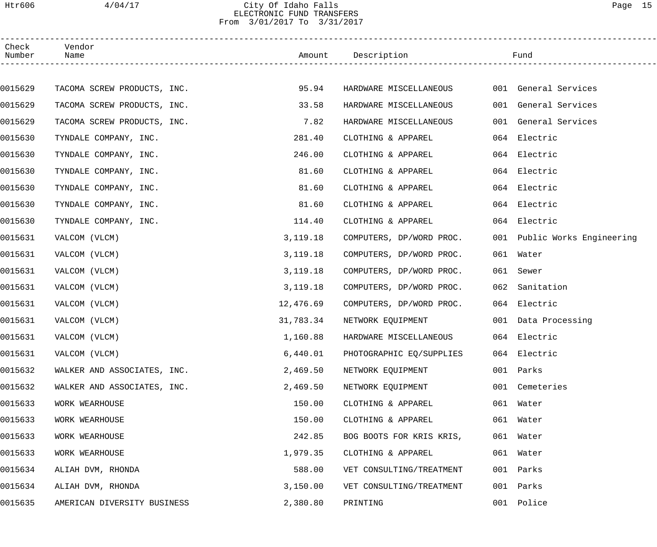## Htr606 4/04/17 City Of Idaho Falls Page 15 ELECTRONIC FUND TRANSFERS From 3/01/2017 To 3/31/2017

| Check<br>Number | Vendor<br>Name              |            | Amount Description       |     | Fund                         |  |
|-----------------|-----------------------------|------------|--------------------------|-----|------------------------------|--|
|                 |                             |            |                          |     |                              |  |
| 0015629         | TACOMA SCREW PRODUCTS, INC. | 95.94      | HARDWARE MISCELLANEOUS   |     | 001 General Services         |  |
| 0015629         | TACOMA SCREW PRODUCTS, INC. | 33.58      | HARDWARE MISCELLANEOUS   |     | 001 General Services         |  |
| 0015629         | TACOMA SCREW PRODUCTS, INC. | 7.82       | HARDWARE MISCELLANEOUS   |     | 001 General Services         |  |
| 0015630         | TYNDALE COMPANY, INC.       | 281.40     | CLOTHING & APPAREL       |     | 064 Electric                 |  |
| 0015630         | TYNDALE COMPANY, INC.       | 246.00     | CLOTHING & APPAREL       |     | 064 Electric                 |  |
| 0015630         | TYNDALE COMPANY, INC.       | 81.60      | CLOTHING & APPAREL       |     | 064 Electric                 |  |
| 0015630         | TYNDALE COMPANY, INC.       | 81.60      | CLOTHING & APPAREL       |     | 064 Electric                 |  |
| 0015630         | TYNDALE COMPANY, INC.       | 81.60      | CLOTHING & APPAREL       |     | 064 Electric                 |  |
| 0015630         | TYNDALE COMPANY, INC.       | 114.40     | CLOTHING & APPAREL       |     | 064 Electric                 |  |
| 0015631         | VALCOM (VLCM)               | 3, 119. 18 | COMPUTERS, DP/WORD PROC. |     | 001 Public Works Engineering |  |
| 0015631         | VALCOM (VLCM)               | 3,119.18   | COMPUTERS, DP/WORD PROC. |     | 061 Water                    |  |
| 0015631         | VALCOM (VLCM)               | 3,119.18   | COMPUTERS, DP/WORD PROC. |     | 061 Sewer                    |  |
| 0015631         | VALCOM (VLCM)               | 3,119.18   | COMPUTERS, DP/WORD PROC. | 062 | Sanitation                   |  |
| 0015631         | VALCOM (VLCM)               | 12,476.69  | COMPUTERS, DP/WORD PROC. |     | 064 Electric                 |  |
| 0015631         | VALCOM (VLCM)               | 31,783.34  | NETWORK EQUIPMENT        |     | 001 Data Processing          |  |
| 0015631         | VALCOM (VLCM)               | 1,160.88   | HARDWARE MISCELLANEOUS   |     | 064 Electric                 |  |
| 0015631         | VALCOM (VLCM)               | 6,440.01   | PHOTOGRAPHIC EQ/SUPPLIES |     | 064 Electric                 |  |
| 0015632         | WALKER AND ASSOCIATES, INC. | 2,469.50   | NETWORK EQUIPMENT        |     | 001 Parks                    |  |
| 0015632         | WALKER AND ASSOCIATES, INC. | 2,469.50   | NETWORK EQUIPMENT        |     | 001 Cemeteries               |  |
| 0015633         | WORK WEARHOUSE              | 150.00     | CLOTHING & APPAREL       |     | 061 Water                    |  |
| 0015633         | WORK WEARHOUSE              | 150.00     | CLOTHING & APPAREL       |     | 061 Water                    |  |
| 0015633         | WORK WEARHOUSE              | 242.85     | BOG BOOTS FOR KRIS KRIS, |     | 061 Water                    |  |
| 0015633         | WORK WEARHOUSE              | 1,979.35   | CLOTHING & APPAREL       |     | 061 Water                    |  |
| 0015634         | ALIAH DVM, RHONDA           | 588.00     | VET CONSULTING/TREATMENT |     | 001 Parks                    |  |
| 0015634         | ALIAH DVM, RHONDA           | 3,150.00   | VET CONSULTING/TREATMENT | 001 | Parks                        |  |
| 0015635         | AMERICAN DIVERSITY BUSINESS | 2,380.80   | PRINTING                 |     | 001 Police                   |  |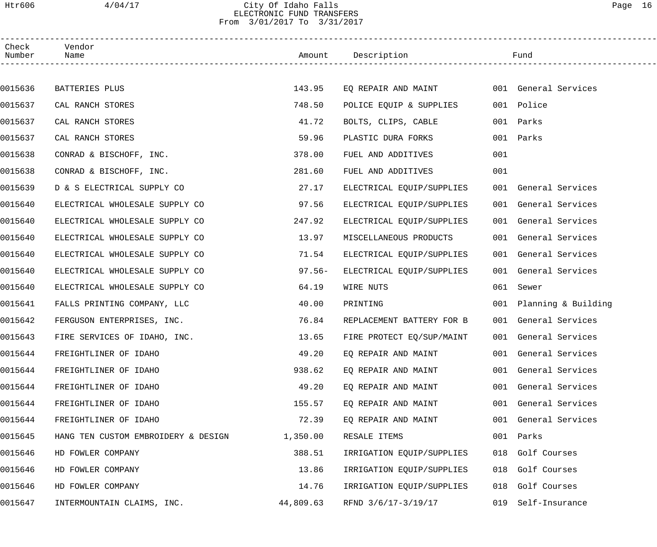## Htr606 4/04/17 City Of Idaho Falls Page 16 ELECTRONIC FUND TRANSFERS From 3/01/2017 To 3/31/2017

| Check<br>Number | Vendor<br>Name                      |           | Amount Description        |     | Fund                    |
|-----------------|-------------------------------------|-----------|---------------------------|-----|-------------------------|
|                 |                                     |           |                           |     |                         |
| 0015636         | BATTERIES PLUS                      | 143.95    | EQ REPAIR AND MAINT       |     | 001 General Services    |
| 0015637         | CAL RANCH STORES                    | 748.50    | POLICE EQUIP & SUPPLIES   |     | 001 Police              |
| 0015637         | CAL RANCH STORES                    | 41.72     | BOLTS, CLIPS, CABLE       |     | 001 Parks               |
| 0015637         | CAL RANCH STORES                    | 59.96     | PLASTIC DURA FORKS        |     | 001 Parks               |
| 0015638         | CONRAD & BISCHOFF, INC.             | 378.00    | FUEL AND ADDITIVES        | 001 |                         |
| 0015638         | CONRAD & BISCHOFF, INC.             | 281.60    | FUEL AND ADDITIVES        | 001 |                         |
| 0015639         | D & S ELECTRICAL SUPPLY CO          | 27.17     | ELECTRICAL EQUIP/SUPPLIES |     | 001 General Services    |
| 0015640         | ELECTRICAL WHOLESALE SUPPLY CO      | 97.56     | ELECTRICAL EQUIP/SUPPLIES |     | 001 General Services    |
| 0015640         | ELECTRICAL WHOLESALE SUPPLY CO      | 247.92    | ELECTRICAL EQUIP/SUPPLIES |     | 001 General Services    |
| 0015640         | ELECTRICAL WHOLESALE SUPPLY CO      | 13.97     | MISCELLANEOUS PRODUCTS    |     | 001 General Services    |
| 0015640         | ELECTRICAL WHOLESALE SUPPLY CO      | 71.54     | ELECTRICAL EQUIP/SUPPLIES |     | 001 General Services    |
| 0015640         | ELECTRICAL WHOLESALE SUPPLY CO      | $97.56 -$ | ELECTRICAL EQUIP/SUPPLIES |     | 001 General Services    |
| 0015640         | ELECTRICAL WHOLESALE SUPPLY CO      | 64.19     | WIRE NUTS                 | 061 | Sewer                   |
| 0015641         | FALLS PRINTING COMPANY, LLC         | 40.00     | PRINTING                  |     | 001 Planning & Building |
| 0015642         | FERGUSON ENTERPRISES, INC.          | 76.84     | REPLACEMENT BATTERY FOR B |     | 001 General Services    |
| 0015643         | FIRE SERVICES OF IDAHO, INC.        | 13.65     | FIRE PROTECT EQ/SUP/MAINT |     | 001 General Services    |
| 0015644         | FREIGHTLINER OF IDAHO               | 49.20     | EQ REPAIR AND MAINT       |     | 001 General Services    |
| 0015644         | FREIGHTLINER OF IDAHO               | 938.62    | EQ REPAIR AND MAINT       |     | 001 General Services    |
| 0015644         | FREIGHTLINER OF IDAHO               | 49.20     | EQ REPAIR AND MAINT       |     | 001 General Services    |
| 0015644         | FREIGHTLINER OF IDAHO               | 155.57    | EQ REPAIR AND MAINT       |     | 001 General Services    |
| 0015644         | FREIGHTLINER OF IDAHO               | 72.39     | EQ REPAIR AND MAINT       |     | 001 General Services    |
| 0015645         | HANG TEN CUSTOM EMBROIDERY & DESIGN | 1,350.00  | RESALE ITEMS              | 001 | Parks                   |
| 0015646         | HD FOWLER COMPANY                   | 388.51    | IRRIGATION EQUIP/SUPPLIES | 018 | Golf Courses            |
| 0015646         | HD FOWLER COMPANY                   | 13.86     | IRRIGATION EQUIP/SUPPLIES | 018 | Golf Courses            |
| 0015646         | HD FOWLER COMPANY                   | 14.76     | IRRIGATION EQUIP/SUPPLIES | 018 | Golf Courses            |
| 0015647         | INTERMOUNTAIN CLAIMS, INC.          | 44,809.63 | RFND 3/6/17-3/19/17       | 019 | Self-Insurance          |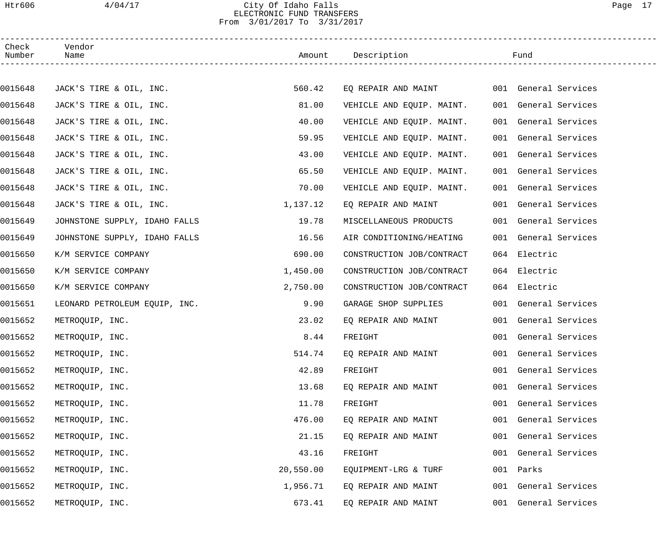### Htr606 4/04/17 City Of Idaho Falls Page 17 ELECTRONIC FUND TRANSFERS From 3/01/2017 To 3/31/2017

| Check<br>Number | Vendor<br>Name                |           | Amount Description        |     | Fund                 |
|-----------------|-------------------------------|-----------|---------------------------|-----|----------------------|
|                 |                               |           |                           |     |                      |
| 0015648         | JACK'S TIRE & OIL, INC.       | 560.42    | EQ REPAIR AND MAINT       |     | 001 General Services |
| 0015648         | JACK'S TIRE & OIL, INC.       | 81.00     | VEHICLE AND EQUIP. MAINT. |     | 001 General Services |
| 0015648         | JACK'S TIRE & OIL, INC.       | 40.00     | VEHICLE AND EQUIP. MAINT. |     | 001 General Services |
| 0015648         | JACK'S TIRE & OIL, INC.       | 59.95     | VEHICLE AND EQUIP. MAINT. |     | 001 General Services |
| 0015648         | JACK'S TIRE & OIL, INC.       | 43.00     | VEHICLE AND EQUIP. MAINT. |     | 001 General Services |
| 0015648         | JACK'S TIRE & OIL, INC.       | 65.50     | VEHICLE AND EQUIP. MAINT. |     | 001 General Services |
| 0015648         | JACK'S TIRE & OIL, INC.       | 70.00     | VEHICLE AND EQUIP. MAINT. |     | 001 General Services |
| 0015648         | JACK'S TIRE & OIL, INC.       | 1,137.12  | EQ REPAIR AND MAINT       |     | 001 General Services |
| 0015649         | JOHNSTONE SUPPLY, IDAHO FALLS | 19.78     | MISCELLANEOUS PRODUCTS    |     | 001 General Services |
| 0015649         | JOHNSTONE SUPPLY, IDAHO FALLS | 16.56     | AIR CONDITIONING/HEATING  |     | 001 General Services |
| 0015650         | K/M SERVICE COMPANY           | 690.00    | CONSTRUCTION JOB/CONTRACT |     | 064 Electric         |
| 0015650         | K/M SERVICE COMPANY           | 1,450.00  | CONSTRUCTION JOB/CONTRACT |     | 064 Electric         |
| 0015650         | K/M SERVICE COMPANY           | 2,750.00  | CONSTRUCTION JOB/CONTRACT |     | 064 Electric         |
| 0015651         | LEONARD PETROLEUM EQUIP, INC. | 9.90      | GARAGE SHOP SUPPLIES      |     | 001 General Services |
| 0015652         | METROQUIP, INC.               | 23.02     | EQ REPAIR AND MAINT       |     | 001 General Services |
| 0015652         | METROQUIP, INC.               | 8.44      | FREIGHT                   |     | 001 General Services |
| 0015652         | METROQUIP, INC.               | 514.74    | EO REPAIR AND MAINT       |     | 001 General Services |
| 0015652         | METROQUIP, INC.               | 42.89     | FREIGHT                   |     | 001 General Services |
| 0015652         | METROQUIP, INC.               | 13.68     | EQ REPAIR AND MAINT       | 001 | General Services     |
| 0015652         | METROQUIP, INC.               | 11.78     | FREIGHT                   |     | 001 General Services |
| 0015652         | METROQUIP, INC.               | 476.00    | EQ REPAIR AND MAINT       |     | 001 General Services |
| 0015652         | METROQUIP, INC.               | 21.15     | EQ REPAIR AND MAINT       | 001 | General Services     |
| 0015652         | METROQUIP, INC.               | 43.16     | FREIGHT                   |     | 001 General Services |
| 0015652         | METROQUIP, INC.               | 20,550.00 | EQUIPMENT-LRG & TURF      | 001 | Parks                |
| 0015652         | METROQUIP, INC.               | 1,956.71  | EQ REPAIR AND MAINT       |     | 001 General Services |
| 0015652         | METROQUIP, INC.               | 673.41    | EQ REPAIR AND MAINT       |     | 001 General Services |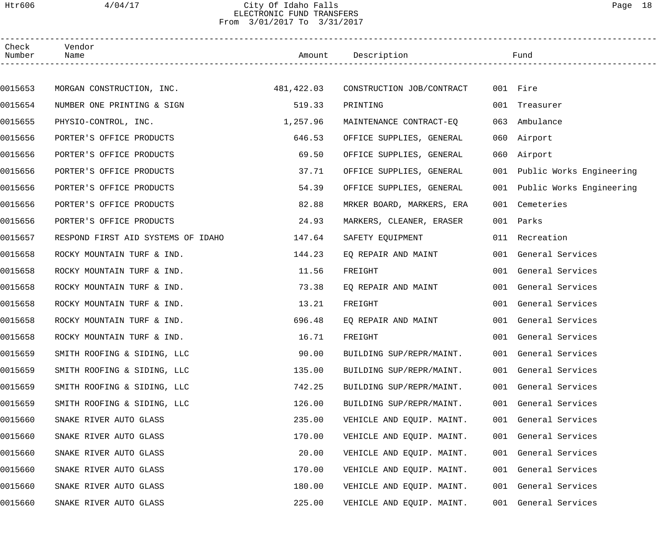### Htr606 4/04/17 City Of Idaho Falls Page 18 ELECTRONIC FUND TRANSFERS From 3/01/2017 To 3/31/2017

| Check<br>Number | Vendor<br>Name                        |          | Amount Description        |     | Fund                         |
|-----------------|---------------------------------------|----------|---------------------------|-----|------------------------------|
|                 |                                       |          |                           |     |                              |
| 0015653         | MORGAN CONSTRUCTION, INC. 481, 422.03 |          | CONSTRUCTION JOB/CONTRACT |     | 001 Fire                     |
| 0015654         | NUMBER ONE PRINTING & SIGN            | 519.33   | PRINTING                  |     | 001 Treasurer                |
| 0015655         | PHYSIO-CONTROL, INC.                  | 1,257.96 | MAINTENANCE CONTRACT-EQ   | 063 | Ambulance                    |
| 0015656         | PORTER'S OFFICE PRODUCTS              | 646.53   | OFFICE SUPPLIES, GENERAL  |     | 060 Airport                  |
| 0015656         | PORTER'S OFFICE PRODUCTS              | 69.50    | OFFICE SUPPLIES, GENERAL  |     | 060 Airport                  |
| 0015656         | PORTER'S OFFICE PRODUCTS              | 37.71    | OFFICE SUPPLIES, GENERAL  |     | 001 Public Works Engineering |
| 0015656         | PORTER'S OFFICE PRODUCTS              | 54.39    | OFFICE SUPPLIES, GENERAL  |     | 001 Public Works Engineering |
| 0015656         | PORTER'S OFFICE PRODUCTS              | 82.88    | MRKER BOARD, MARKERS, ERA |     | 001 Cemeteries               |
| 0015656         | PORTER'S OFFICE PRODUCTS              | 24.93    | MARKERS, CLEANER, ERASER  |     | 001 Parks                    |
| 0015657         | RESPOND FIRST AID SYSTEMS OF IDAHO    | 147.64   | SAFETY EQUIPMENT          |     | 011 Recreation               |
| 0015658         | ROCKY MOUNTAIN TURF & IND.            | 144.23   | EQ REPAIR AND MAINT       |     | 001 General Services         |
| 0015658         | ROCKY MOUNTAIN TURF & IND.            | 11.56    | FREIGHT                   |     | 001 General Services         |
| 0015658         | ROCKY MOUNTAIN TURF & IND.            | 73.38    | EQ REPAIR AND MAINT       |     | 001 General Services         |
| 0015658         | ROCKY MOUNTAIN TURF & IND.            | 13.21    | FREIGHT                   |     | 001 General Services         |
| 0015658         | ROCKY MOUNTAIN TURF & IND.            | 696.48   | EQ REPAIR AND MAINT       |     | 001 General Services         |
| 0015658         | ROCKY MOUNTAIN TURF & IND.            | 16.71    | FREIGHT                   |     | 001 General Services         |
| 0015659         | SMITH ROOFING & SIDING, LLC           | 90.00    | BUILDING SUP/REPR/MAINT.  |     | 001 General Services         |
| 0015659         | SMITH ROOFING & SIDING, LLC           | 135.00   | BUILDING SUP/REPR/MAINT.  |     | 001 General Services         |
| 0015659         | SMITH ROOFING & SIDING, LLC           | 742.25   | BUILDING SUP/REPR/MAINT.  |     | 001 General Services         |
| 0015659         | SMITH ROOFING & SIDING, LLC           | 126.00   | BUILDING SUP/REPR/MAINT.  |     | 001 General Services         |
| 0015660         | SNAKE RIVER AUTO GLASS                | 235.00   | VEHICLE AND EQUIP. MAINT. |     | 001 General Services         |
| 0015660         | SNAKE RIVER AUTO GLASS                | 170.00   | VEHICLE AND EQUIP. MAINT. |     | 001 General Services         |
| 0015660         | SNAKE RIVER AUTO GLASS                | 20.00    | VEHICLE AND EQUIP. MAINT. |     | 001 General Services         |
| 0015660         | SNAKE RIVER AUTO GLASS                | 170.00   | VEHICLE AND EQUIP. MAINT. |     | 001 General Services         |
| 0015660         | SNAKE RIVER AUTO GLASS                | 180.00   | VEHICLE AND EQUIP. MAINT. |     | 001 General Services         |
| 0015660         | SNAKE RIVER AUTO GLASS                | 225.00   | VEHICLE AND EQUIP. MAINT. |     | 001 General Services         |
|                 |                                       |          |                           |     |                              |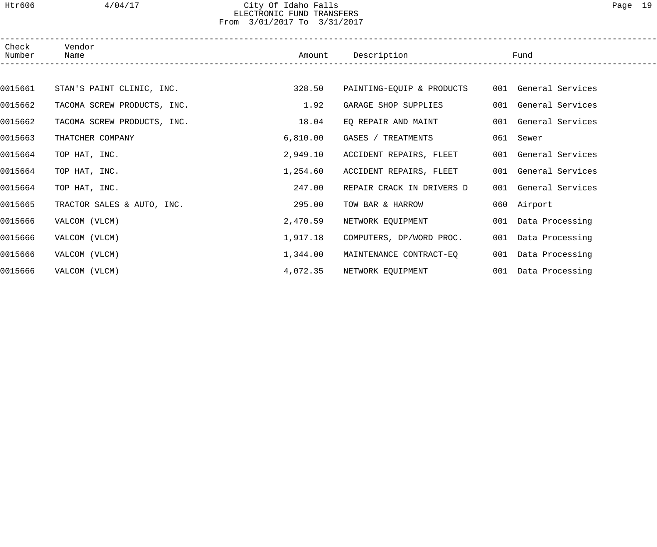## Htr606 4/04/17 City Of Idaho Falls Page 19 ELECTRONIC FUND TRANSFERS From 3/01/2017 To 3/31/2017

| Check<br>Number | Vendor<br>Name              | Amount   | Description               | Fund                 |  |
|-----------------|-----------------------------|----------|---------------------------|----------------------|--|
|                 |                             |          |                           |                      |  |
| 0015661         | STAN'S PAINT CLINIC, INC.   | 328.50   | PAINTING-EQUIP & PRODUCTS | 001 General Services |  |
| 0015662         | TACOMA SCREW PRODUCTS, INC. | 1.92     | GARAGE SHOP SUPPLIES      | 001 General Services |  |
| 0015662         | TACOMA SCREW PRODUCTS, INC. | 18.04    | EQ REPAIR AND MAINT       | 001 General Services |  |
| 0015663         | THATCHER COMPANY            | 6,810.00 | GASES / TREATMENTS        | 061 Sewer            |  |
| 0015664         | TOP HAT, INC.               | 2,949.10 | ACCIDENT REPAIRS, FLEET   | 001 General Services |  |
| 0015664         | TOP HAT, INC.               | 1,254.60 | ACCIDENT REPAIRS, FLEET   | 001 General Services |  |
| 0015664         | TOP HAT, INC.               | 247.00   | REPAIR CRACK IN DRIVERS D | 001 General Services |  |
| 0015665         | TRACTOR SALES & AUTO, INC.  | 295.00   | TOW BAR & HARROW          | 060 Airport          |  |
| 0015666         | VALCOM (VLCM)               | 2,470.59 | NETWORK EQUIPMENT         | 001 Data Processing  |  |
| 0015666         | VALCOM (VLCM)               | 1,917.18 | COMPUTERS, DP/WORD PROC.  | 001 Data Processing  |  |
| 0015666         | VALCOM (VLCM)               | 1,344.00 | MAINTENANCE CONTRACT-EQ   | 001 Data Processing  |  |
| 0015666         | VALCOM (VLCM)               | 4,072.35 | NETWORK EQUIPMENT         | 001 Data Processing  |  |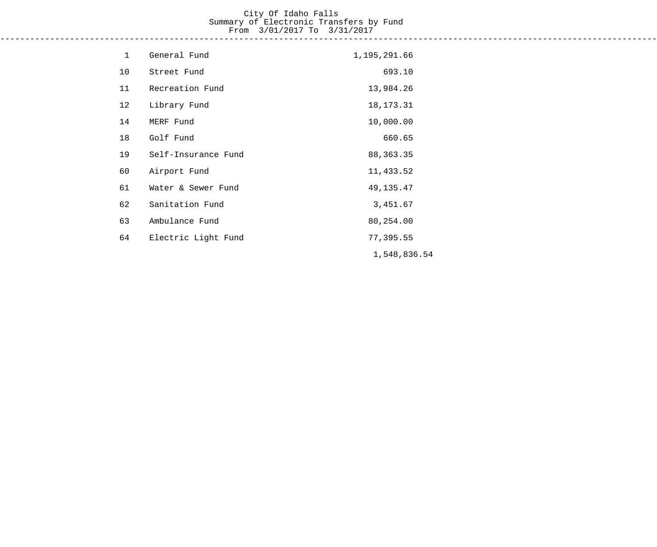# City Of Idaho Falls Summary of Electronic Transfers by Fund From 3/01/2017 To 3/31/2017

------------------------------------------------------------------------------------------------------------------------------------

| $\mathbf{1}$ | General Fund        | 1,195,291.66 |
|--------------|---------------------|--------------|
| 10           | Street Fund         | 693.10       |
| 11           | Recreation Fund     | 13,984.26    |
| 12           | Library Fund        | 18, 173. 31  |
| 14           | MERF Fund           | 10,000.00    |
| 18           | Golf Fund           | 660.65       |
| 19           | Self-Insurance Fund | 88, 363. 35  |
| 60           | Airport Fund        | 11,433.52    |
| 61           | Water & Sewer Fund  | 49, 135. 47  |
| 62           | Sanitation Fund     | 3,451.67     |
| 63           | Ambulance Fund      | 80,254.00    |
| 64           | Electric Light Fund | 77,395.55    |
|              |                     | 1,548,836.54 |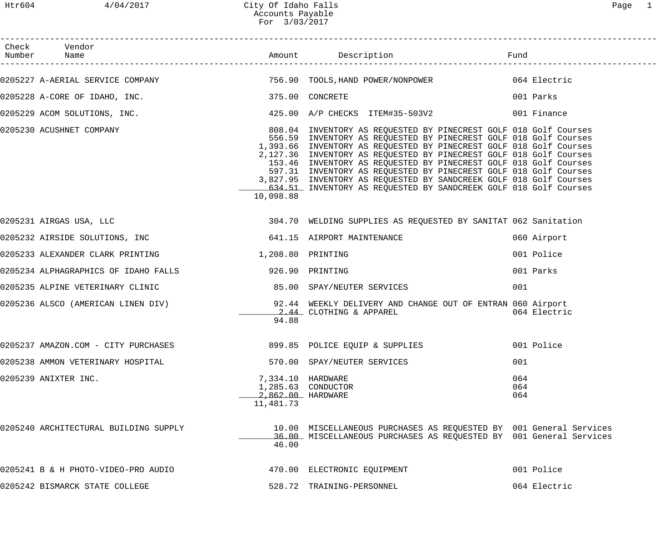------------------------------------------------------------------------------------------------------------------------------------

| Check<br>Number | Vendor                                |                                                    |                                                     |                                                                                                                                                                                                                                                                                                                                                                                                                                                                                                                                                                    | Fund              |              |
|-----------------|---------------------------------------|----------------------------------------------------|-----------------------------------------------------|--------------------------------------------------------------------------------------------------------------------------------------------------------------------------------------------------------------------------------------------------------------------------------------------------------------------------------------------------------------------------------------------------------------------------------------------------------------------------------------------------------------------------------------------------------------------|-------------------|--------------|
|                 |                                       |                                                    |                                                     | 0205227 A-AERIAL SERVICE COMPANY (2001) 756.90 TOOLS, HAND POWER/NONPOWER (2018) 8064 Electric                                                                                                                                                                                                                                                                                                                                                                                                                                                                     |                   |              |
|                 |                                       | 0205228 A-CORE OF IDAHO, INC.                      |                                                     | 375.00 CONCRETE                                                                                                                                                                                                                                                                                                                                                                                                                                                                                                                                                    |                   | 001 Parks    |
|                 |                                       | 0205229 ACOM SOLUTIONS, INC.                       |                                                     | 425.00 A/P CHECKS ITEM#35-503V2                                                                                                                                                                                                                                                                                                                                                                                                                                                                                                                                    |                   | 001 Finance  |
|                 |                                       | 0205230 ACUSHNET COMPANY                           | 10,098.88                                           | 808.04 INVENTORY AS REQUESTED BY PINECREST GOLF 018 Golf Courses<br>556.59 INVENTORY AS REQUESTED BY PINECREST GOLF 018 Golf Courses<br>1,393.66 INVENTORY AS REQUESTED BY PINECREST GOLF 018 Golf Courses<br>2,127.36 INVENTORY AS REQUESTED BY PINECREST GOLF 018 Golf Courses<br>153.46 INVENTORY AS REQUESTED BY PINECREST GOLF 018 Golf Courses<br>597.31 INVENTORY AS REQUESTED BY PINECREST GOLF 018 Golf Courses<br>3,827.95 INVENTORY AS REQUESTED BY SANDCREEK GOLF 018 Golf Courses<br>634.51 INVENTORY AS REQUESTED BY SANDCREEK GOLF 018 Golf Courses |                   |              |
|                 | 0205231 AIRGAS USA, LLC               |                                                    |                                                     | 304.70 WELDING SUPPLIES AS REQUESTED BY SANITAT 062 Sanitation                                                                                                                                                                                                                                                                                                                                                                                                                                                                                                     |                   |              |
|                 |                                       |                                                    |                                                     | 0205232 AIRSIDE SOLUTIONS, INC 641.15 AIRPORT MAINTENANCE                                                                                                                                                                                                                                                                                                                                                                                                                                                                                                          |                   | 060 Airport  |
|                 |                                       | 0205233 ALEXANDER CLARK PRINTING 1,208.80 PRINTING |                                                     |                                                                                                                                                                                                                                                                                                                                                                                                                                                                                                                                                                    |                   | 001 Police   |
|                 |                                       | 0205234 ALPHAGRAPHICS OF IDAHO FALLS               |                                                     | 926.90 PRINTING                                                                                                                                                                                                                                                                                                                                                                                                                                                                                                                                                    |                   | 001 Parks    |
|                 | 0205235 ALPINE VETERINARY CLINIC      |                                                    |                                                     | 85.00 SPAY/NEUTER SERVICES                                                                                                                                                                                                                                                                                                                                                                                                                                                                                                                                         | 001               |              |
|                 |                                       | 0205236 ALSCO (AMERICAN LINEN DIV)                 | 94.88                                               | 92.44 WEEKLY DELIVERY AND CHANGE OUT OF ENTRAN 060 Airport<br>2.44 CLOTHING & APPAREL                                                                                                                                                                                                                                                                                                                                                                                                                                                                              |                   | 064 Electric |
|                 |                                       |                                                    |                                                     | 0205237 AMAZON.COM - CITY PURCHASES 600 000 000 000 000 000 001 Police                                                                                                                                                                                                                                                                                                                                                                                                                                                                                             |                   |              |
|                 | 0205238 AMMON VETERINARY HOSPITAL     |                                                    |                                                     | 570.00 SPAY/NEUTER SERVICES                                                                                                                                                                                                                                                                                                                                                                                                                                                                                                                                        | 001               |              |
|                 | 0205239 ANIXTER INC.                  |                                                    | 7,334.10 HARDWARE<br>2,862.00 HARDWARE<br>11,481.73 | 1,285.63 CONDUCTOR                                                                                                                                                                                                                                                                                                                                                                                                                                                                                                                                                 | 064<br>064<br>064 |              |
|                 | 0205240 ARCHITECTURAL BUILDING SUPPLY |                                                    | 46.00                                               | 10.00 MISCELLANEOUS PURCHASES AS REQUESTED BY 001 General Services<br>36.00 MISCELLANEOUS PURCHASES AS REQUESTED BY 001 General Services                                                                                                                                                                                                                                                                                                                                                                                                                           |                   |              |
|                 | 0205241 B & H PHOTO-VIDEO-PRO AUDIO   |                                                    |                                                     | 470.00 ELECTRONIC EQUIPMENT                                                                                                                                                                                                                                                                                                                                                                                                                                                                                                                                        |                   | 001 Police   |
|                 | 0205242 BISMARCK STATE COLLEGE        |                                                    |                                                     | 528.72 TRAINING-PERSONNEL                                                                                                                                                                                                                                                                                                                                                                                                                                                                                                                                          |                   | 064 Electric |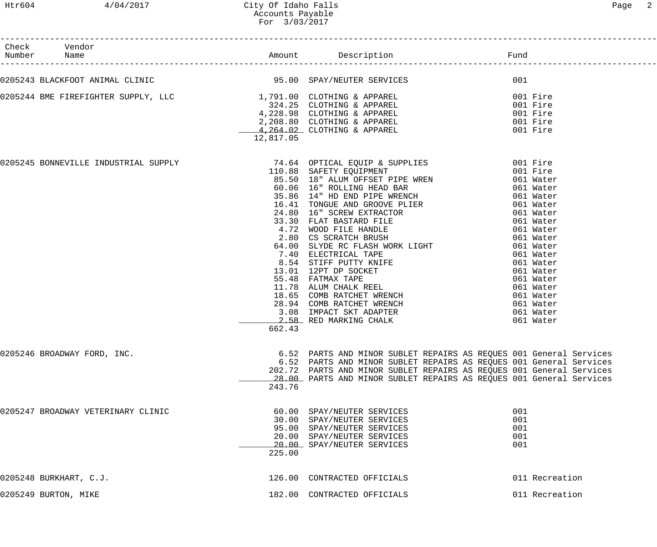| Check Vendor<br>Number Name        |           |                                                                                                                                                                                                                                                                                         |                                 |
|------------------------------------|-----------|-----------------------------------------------------------------------------------------------------------------------------------------------------------------------------------------------------------------------------------------------------------------------------------------|---------------------------------|
|                                    |           | 0205243 BLACKFOOT ANIMAL CLINIC 35.00 SPAY/NEUTER SERVICES 300 SPAY/NEUTER SERVICES                                                                                                                                                                                                     |                                 |
|                                    | 12,817.05 |                                                                                                                                                                                                                                                                                         |                                 |
|                                    | 662.43    |                                                                                                                                                                                                                                                                                         |                                 |
| 0205246 BROADWAY FORD, INC.        | 243.76    | 6.52 PARTS AND MINOR SUBLET REPAIRS AS REQUES 001 General Services<br>6.52 PARTS AND MINOR SUBLET REPAIRS AS REQUES 001 General Services<br>202.72 PARTS AND MINOR SUBLET REPAIRS AS REQUES 001 General Services<br>28.00 PARTS AND MINOR SUBLET REPAIRS AS REQUES 001 General Services |                                 |
| 0205247 BROADWAY VETERINARY CLINIC | 225.00    | 60.00 SPAY/NEUTER SERVICES<br>30.00 SPAY/NEUTER SERVICES<br>95.00 SPAY/NEUTER SERVICES<br>20.00 SPAY/NEUTER SERVICES<br>20.00 SPAY/NEUTER SERVICES                                                                                                                                      | 001<br>001<br>001<br>001<br>001 |
| 0205248 BURKHART, C.J.             |           | 126.00 CONTRACTED OFFICIALS                                                                                                                                                                                                                                                             | 011 Recreation                  |
| 0205249 BURTON, MIKE               |           | 182.00 CONTRACTED OFFICIALS                                                                                                                                                                                                                                                             | 011 Recreation                  |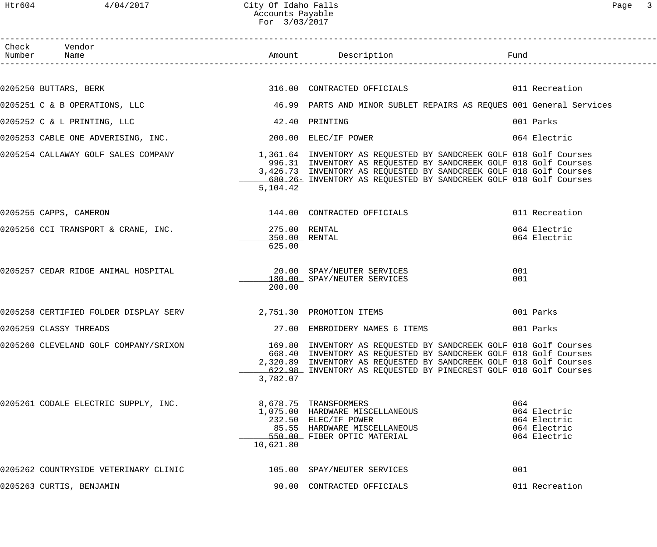## Htr604 4/04/2017 City Of Idaho Falls Page 3 Accounts Payable For 3/03/2017

| Check Vendor<br>Number Name                                       |                                          |                                                                                                                                                                                                                                                                                                                      |                                                                     |
|-------------------------------------------------------------------|------------------------------------------|----------------------------------------------------------------------------------------------------------------------------------------------------------------------------------------------------------------------------------------------------------------------------------------------------------------------|---------------------------------------------------------------------|
|                                                                   |                                          |                                                                                                                                                                                                                                                                                                                      |                                                                     |
|                                                                   |                                          | 0205250 BUTTARS, BERK 60 CONTRACTED OFFICIALS 60 CONTROLLER 11 Recreation                                                                                                                                                                                                                                            |                                                                     |
|                                                                   |                                          | 0205251 C & B OPERATIONS, LLC 6 19 2010 1999 PARTS AND MINOR SUBLET REPAIRS AS REQUES 001 General Services                                                                                                                                                                                                           |                                                                     |
| 0205252 C & L PRINTING, LLC                                       | 42.40 PRINTING                           |                                                                                                                                                                                                                                                                                                                      | 001 Parks                                                           |
| 0205253 CABLE ONE ADVERISING, INC. 200.00 ELEC/IF POWER           |                                          |                                                                                                                                                                                                                                                                                                                      | 064 Electric                                                        |
|                                                                   | 5,104.42                                 | 0205254 CALLAWAY GOLF SALES COMPANY 1,361.64 INVENTORY AS REQUESTED BY SANDCREEK GOLF 018 Golf Courses<br>996.31 INVENTORY AS REQUESTED BY SANDCREEK GOLF 018 Golf Courses<br>3,426.73 INVENTORY AS REQUESTED BY SANDCREEK GOLF 018 Golf Courses<br>680.26 INVENTORY AS REQUESTED BY SANDCREEK GOLF 018 Golf Courses |                                                                     |
| 0205255 CAPPS, CAMERON                                            |                                          | 144.00 CONTRACTED OFFICIALS                                                                                                                                                                                                                                                                                          | 011 Recreation                                                      |
| 0205256 CCI TRANSPORT & CRANE, INC.                               | 275.00 RENTAL<br>350.00 RENTAL<br>625.00 |                                                                                                                                                                                                                                                                                                                      | 064 Electric<br>064 Electric                                        |
| 0205257 CEDAR RIDGE ANIMAL HOSPITAL (20.00 SPAY/NEUTER SERVICES   | 200.00                                   | 180.00 SPAY/NEUTER SERVICES                                                                                                                                                                                                                                                                                          | 001<br>001                                                          |
| 0205258 CERTIFIED FOLDER DISPLAY SERV<br>2,751.30 PROMOTION ITEMS |                                          |                                                                                                                                                                                                                                                                                                                      | 001 Parks                                                           |
| 0205259 CLASSY THREADS                                            |                                          | 27.00 EMBROIDERY NAMES 6 ITEMS                                                                                                                                                                                                                                                                                       | 001 Parks                                                           |
|                                                                   | 3,782.07                                 | 0205260 CLEVELAND GOLF COMPANY/SRIXON 169.80 INVENTORY AS REQUESTED BY SANDCREEK GOLF 018 Golf Courses<br>668.40 INVENTORY AS REQUESTED BY SANDCREEK GOLF 018 Golf Courses<br>2,320.89 INVENTORY AS REQUESTED BY SANDCREEK GOLF 018 Golf Courses<br>622.98 INVENTORY AS REQUESTED BY PINECREST GOLF 018 Golf Courses |                                                                     |
| 0205261 CODALE ELECTRIC SUPPLY, INC.                              | 10,621.80                                | 8,678.75 TRANSFORMERS<br>1,075.00 HARDWARE MISCELLANEOUS<br>232.50 ELEC/IF POWER<br>85.55 HARDWARE MISCELLANEOUS<br>550.00 FIBER OPTIC MATERIAL                                                                                                                                                                      | 064<br>064 Electric<br>064 Electric<br>064 Electric<br>064 Electric |
| 0205262 COUNTRYSIDE VETERINARY CLINIC                             |                                          | 105.00 SPAY/NEUTER SERVICES                                                                                                                                                                                                                                                                                          | 001                                                                 |
| 0205263 CURTIS, BENJAMIN                                          |                                          | 90.00 CONTRACTED OFFICIALS                                                                                                                                                                                                                                                                                           | 011 Recreation                                                      |
|                                                                   |                                          |                                                                                                                                                                                                                                                                                                                      |                                                                     |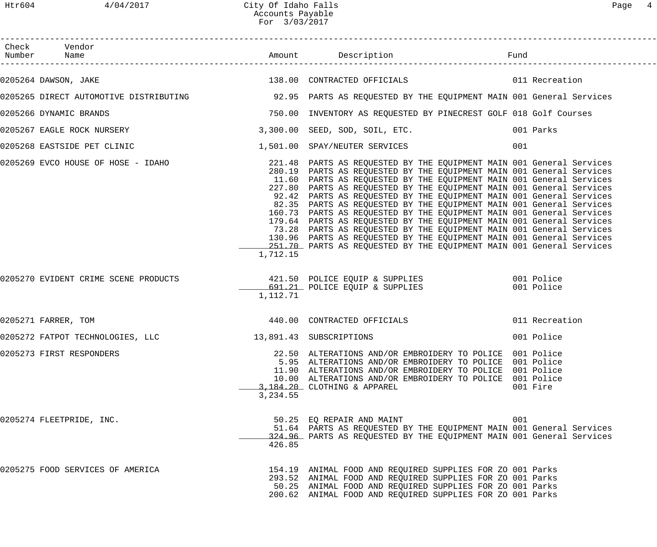| Check Vendor                                                                                               |          |                                                                                                                                                                                                                                                                                                                                                                                                                                                                                                                                                                                                                                                                                                                                          |     |                |
|------------------------------------------------------------------------------------------------------------|----------|------------------------------------------------------------------------------------------------------------------------------------------------------------------------------------------------------------------------------------------------------------------------------------------------------------------------------------------------------------------------------------------------------------------------------------------------------------------------------------------------------------------------------------------------------------------------------------------------------------------------------------------------------------------------------------------------------------------------------------------|-----|----------------|
| 0205264 DAWSON, JAKE                                                                                       |          |                                                                                                                                                                                                                                                                                                                                                                                                                                                                                                                                                                                                                                                                                                                                          |     |                |
| 0205265 DIRECT AUTOMOTIVE DISTRIBUTING 32.95 PARTS AS REQUESTED BY THE EQUIPMENT MAIN 001 General Services |          |                                                                                                                                                                                                                                                                                                                                                                                                                                                                                                                                                                                                                                                                                                                                          |     |                |
| 0205266 DYNAMIC BRANDS                                                                                     |          | 750.00 INVENTORY AS REQUESTED BY PINECREST GOLF 018 Golf Courses                                                                                                                                                                                                                                                                                                                                                                                                                                                                                                                                                                                                                                                                         |     |                |
| 0205267 EAGLE ROCK NURSERY                                                                                 |          | 3,300.00 SEED, SOD, SOIL, ETC. 001 Parks                                                                                                                                                                                                                                                                                                                                                                                                                                                                                                                                                                                                                                                                                                 |     |                |
|                                                                                                            |          |                                                                                                                                                                                                                                                                                                                                                                                                                                                                                                                                                                                                                                                                                                                                          | 001 |                |
|                                                                                                            | 1,712.15 | 280.19 PARTS AS REQUESTED BY THE EQUIPMENT MAIN 001 General Services<br>11.60 PARTS AS REQUESTED BY THE EQUIPMENT MAIN 001 General Services<br>227.80 PARTS AS REQUESTED BY THE EQUIPMENT MAIN 001 General Services<br>92.42 PARTS AS REQUESTED BY THE EQUIPMENT MAIN 001 General Services<br>82.35 PARTS AS REQUESTED BY THE EQUIPMENT MAIN 001 General Services<br>160.73 PARTS AS REQUESTED BY THE EQUIPMENT MAIN 001 General Services<br>179.64 PARTS AS REQUESTED BY THE EQUIPMENT MAIN 001 General Services<br>73.28 PARTS AS REQUESTED BY THE EQUIPMENT MAIN 001 General Services<br>130.96 PARTS AS REQUESTED BY THE EQUIPMENT MAIN 001 General Services<br>251.70 PARTS AS REQUESTED BY THE EQUIPMENT MAIN 001 General Services |     |                |
| 0205270 EVIDENT CRIME SCENE PRODUCTS 421.50 POLICE EQUIP & SUPPLIES 001 Police                             | 1,112.71 | 691.21 POLICE EQUIP & SUPPLIES 001 Police                                                                                                                                                                                                                                                                                                                                                                                                                                                                                                                                                                                                                                                                                                |     |                |
| 0205271 FARRER, TOM                                                                                        |          | 440.00 CONTRACTED OFFICIALS                                                                                                                                                                                                                                                                                                                                                                                                                                                                                                                                                                                                                                                                                                              |     | 011 Recreation |
| 0205272 FATPOT TECHNOLOGIES, LLC 13,891.43 SUBSCRIPTIONS                                                   |          |                                                                                                                                                                                                                                                                                                                                                                                                                                                                                                                                                                                                                                                                                                                                          |     | 001 Police     |
| 0205273 FIRST RESPONDERS                                                                                   | 3,234.55 | 22.50 ALTERATIONS AND/OR EMBROIDERY TO POLICE 001 Police<br>5.95 ALTERATIONS AND/OR EMBROIDERY TO POLICE 001 Police<br>11.90 ALTERATIONS AND/OR EMBROIDERY TO POLICE 001 Police<br>10.00 ALTERATIONS AND/OR EMBROIDERY TO POLICE 001 Police<br>3,184.20 CLOTHING & APPAREL                                                                                                                                                                                                                                                                                                                                                                                                                                                               |     | 001 Fire       |
| 0205274 FLEETPRIDE, INC.                                                                                   | 426.85   | 50.25 EO REPAIR AND MAINT<br>51.64 PARTS AS REQUESTED BY THE EQUIPMENT MAIN 001 General Services<br>324.96 PARTS AS REQUESTED BY THE EQUIPMENT MAIN 001 General Services                                                                                                                                                                                                                                                                                                                                                                                                                                                                                                                                                                 | 001 |                |
| 0205275 FOOD SERVICES OF AMERICA                                                                           |          | 154.19 ANIMAL FOOD AND REQUIRED SUPPLIES FOR ZO 001 Parks<br>293.52 ANIMAL FOOD AND REQUIRED SUPPLIES FOR ZO 001 Parks<br>50.25 ANIMAL FOOD AND REQUIRED SUPPLIES FOR ZO 001 Parks<br>200.62 ANIMAL FOOD AND REQUIRED SUPPLIES FOR ZO 001 Parks                                                                                                                                                                                                                                                                                                                                                                                                                                                                                          |     |                |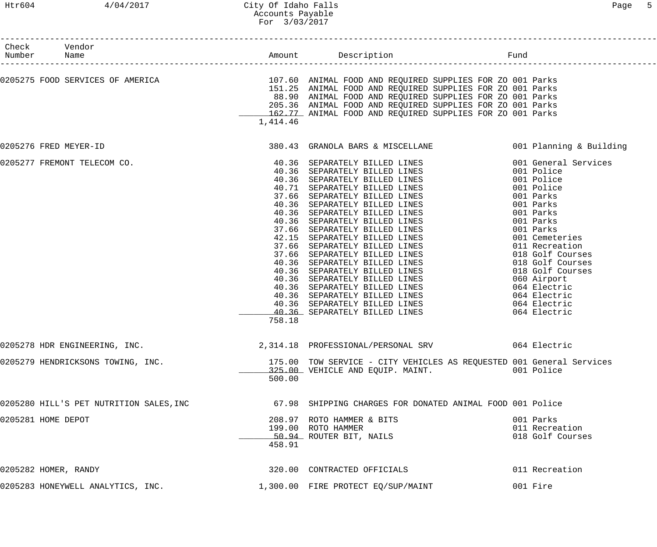## Htr604 4/04/2017 City Of Idaho Falls Page 5 Accounts Payable For 3/03/2017

| Check Vendor<br>Number Name |                                         |          |                                                                                                             |                  |
|-----------------------------|-----------------------------------------|----------|-------------------------------------------------------------------------------------------------------------|------------------|
|                             |                                         |          |                                                                                                             |                  |
|                             |                                         |          | 0205275 FOOD SERVICES OF AMERICA THE SERVICE SUPPLIES OF ANIMAL FOOD AND REQUIRED SUPPLIES FOR ZO 001 Parks |                  |
|                             |                                         |          | 151.25 ANIMAL FOOD AND REQUIRED SUPPLIES FOR ZO 001 Parks                                                   |                  |
|                             |                                         |          | 88.90 ANIMAL FOOD AND REQUIRED SUPPLIES FOR ZO 001 Parks                                                    |                  |
|                             |                                         |          | 205.36 ANIMAL FOOD AND REQUIRED SUPPLIES FOR ZO 001 Parks                                                   |                  |
|                             |                                         | 1,414.46 | 162.77 ANIMAL FOOD AND REQUIRED SUPPLIES FOR ZO 001 Parks                                                   |                  |
|                             |                                         |          |                                                                                                             |                  |
| 0205276 FRED MEYER-ID       |                                         |          | 380.43 GRANOLA BARS & MISCELLANE (001 Planning & Building                                                   |                  |
|                             | 0205277 FREMONT TELECOM CO.             |          |                                                                                                             |                  |
|                             |                                         |          |                                                                                                             |                  |
|                             |                                         |          | 40.36 SEPARATELY BILLED LINES                                                                               | 001 Police       |
|                             |                                         |          | 40.71 SEPARATELY BILLED LINES                                                                               | 001 Police       |
|                             |                                         |          | 37.66 SEPARATELY BILLED LINES                                                                               | 001 Parks        |
|                             |                                         |          | 40.36 SEPARATELY BILLED LINES                                                                               | 001 Parks        |
|                             |                                         |          | 40.36 SEPARATELY BILLED LINES                                                                               | 001 Parks        |
|                             |                                         |          | 40.36 SEPARATELY BILLED LINES                                                                               | 001 Parks        |
|                             |                                         |          | 37.66 SEPARATELY BILLED LINES<br>42.15 SEPARATELY BILLED LINES                                              | 001 Parks        |
|                             |                                         |          |                                                                                                             | 001 Cemeteries   |
|                             |                                         |          | 37.66 SEPARATELY BILLED LINES 011 Recreation                                                                |                  |
|                             |                                         |          | 37.66 SEPARATELY BILLED LINES 018 Golf Courses                                                              |                  |
|                             |                                         |          | 40.36 SEPARATELY BILLED LINES 6018 Golf Courses                                                             |                  |
|                             |                                         |          | 40.36 SEPARATELY BILLED LINES 018 Golf Courses                                                              |                  |
|                             |                                         |          | 40.36 SEPARATELY BILLED LINES                                                                               | 060 Airport      |
|                             |                                         |          | 40.36 SEPARATELY BILLED LINES 6064 Electric                                                                 |                  |
|                             |                                         |          | 40.36 SEPARATELY BILLED LINES 6064 Electric                                                                 |                  |
|                             |                                         |          | 40.36 SEPARATELY BILLED LINES 6064 Electric                                                                 |                  |
|                             |                                         | 758.18   | 40.36 SEPARATELY BILLED LINES 664 Electric                                                                  |                  |
|                             |                                         |          |                                                                                                             |                  |
|                             | 0205278 HDR ENGINEERING, INC.           |          | 2,314.18 PROFESSIONAL/PERSONAL SRV                                                                          | 064 Electric     |
|                             | 0205279 HENDRICKSONS TOWING, INC.       |          | 175.00 TOW SERVICE - CITY VEHICLES AS REQUESTED 001 General Services                                        |                  |
|                             |                                         |          | 325.00 VEHICLE AND EQUIP. MAINT. 6001 Police                                                                |                  |
|                             |                                         | 500.00   |                                                                                                             |                  |
|                             | 0205280 HILL'S PET NUTRITION SALES, INC |          | 67.98 SHIPPING CHARGES FOR DONATED ANIMAL FOOD 001 Police                                                   |                  |
|                             |                                         |          |                                                                                                             |                  |
| 0205281 HOME DEPOT          |                                         |          | 208.97 ROTO HAMMER & BITS                                                                                   | 001 Parks        |
|                             |                                         |          | 199.00 ROTO HAMMER                                                                                          | 011 Recreation   |
|                             |                                         |          | 50.94 ROUTER BIT, NAILS                                                                                     | 018 Golf Courses |
|                             |                                         | 458.91   |                                                                                                             |                  |
| 0205282 HOMER, RANDY        |                                         |          | 320.00 CONTRACTED OFFICIALS                                                                                 | 011 Recreation   |
|                             | 0205283 HONEYWELL ANALYTICS, INC.       |          | 1,300.00 FIRE PROTECT EQ/SUP/MAINT                                                                          | 001 Fire         |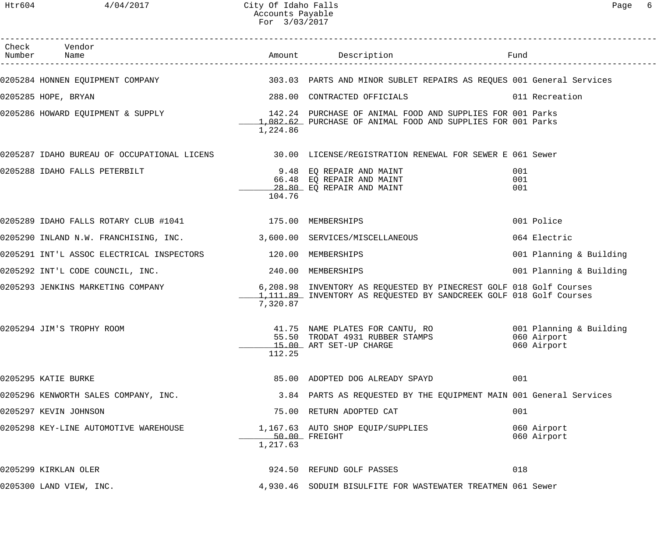| Check Vendor                                                          |          |                                                                                                                                                 |                            |
|-----------------------------------------------------------------------|----------|-------------------------------------------------------------------------------------------------------------------------------------------------|----------------------------|
|                                                                       |          | 0205284 HONNEN EQUIPMENT COMPANY (2008) SOS.03 PARTS AND MINOR SUBLET REPAIRS AS REQUES 001 General Services                                    |                            |
| 0205285 HOPE, BRYAN                                                   |          | 288.00 CONTRACTED OFFICIALS 6011 Recreation                                                                                                     |                            |
|                                                                       | 1,224.86 | 0205286 HOWARD EQUIPMENT & SUPPLY THE RELEVIE SERVIES AND SUPPLIES FOR 001 Parks<br>1.082.62 PURCHASE OF ANIMAL FOOD AND SUPPLIES FOR 001 Parks |                            |
|                                                                       |          | 0205287 IDAHO BUREAU OF OCCUPATIONAL LICENS 30.00 LICENSE/REGISTRATION RENEWAL FOR SEWER E 061 Sewer                                            |                            |
| 0205288 IDAHO FALLS PETERBILT                                         | 104.76   | 9.48 EQ REPAIR AND MAINT<br>66.48 EQ REPAIR AND MAINT<br><u>28.80</u> EQ REPAIR AND MAINT                                                       | 001<br>001<br>001          |
| 0205289 IDAHO FALLS ROTARY CLUB #1041 175.00 MEMBERSHIPS              |          |                                                                                                                                                 | 001 Police                 |
| 0205290 INLAND N.W. FRANCHISING, INC. 3,600.00 SERVICES/MISCELLANEOUS |          |                                                                                                                                                 | 064 Electric               |
| 0205291 INT'L ASSOC ELECTRICAL INSPECTORS 120.00 MEMBERSHIPS          |          |                                                                                                                                                 | 001 Planning & Building    |
| 0205292 INT'L CODE COUNCIL, INC. 240.00 MEMBERSHIPS                   |          |                                                                                                                                                 | 001 Planning & Building    |
| 0205293 JENKINS MARKETING COMPANY                                     | 7,320.87 | 6,208.98 INVENTORY AS REQUESTED BY PINECREST GOLF 018 Golf Courses<br>1,111.89 INVENTORY AS REQUESTED BY SANDCREEK GOLF 018 Golf Courses        |                            |
| 0205294 JIM'S TROPHY ROOM                                             | 112.25   | 41.75 NAME PLATES FOR CANTU, RO 6001 Planning & Building<br>55.50 TRODAT 4931 RUBBER STAMPS<br>15.00 ART SET-UP CHARGE                          | 060 Airport<br>060 Airport |
| 0205295 KATIE BURKE                                                   |          | 85.00 ADOPTED DOG ALREADY SPAYD                                                                                                                 | 001                        |
| 0205296 KENWORTH SALES COMPANY, INC.                                  |          | 3.84 PARTS AS REQUESTED BY THE EQUIPMENT MAIN 001 General Services                                                                              |                            |
| 0205297 KEVIN JOHNSON                                                 |          | 75.00 RETURN ADOPTED CAT                                                                                                                        | 001                        |
| 0205298 KEY-LINE AUTOMOTIVE WAREHOUSE                                 | 1,217.63 | 1,167.63 AUTO SHOP EQUIP/SUPPLIES<br>50.00 FREIGHT                                                                                              | 060 Airport<br>060 Airport |
| 0205299 KIRKLAN OLER                                                  |          | 924.50 REFUND GOLF PASSES                                                                                                                       | 018                        |
| 0205300 LAND VIEW, INC.                                               |          | 4,930.46 SODUIM BISULFITE FOR WASTEWATER TREATMEN 061 Sewer                                                                                     |                            |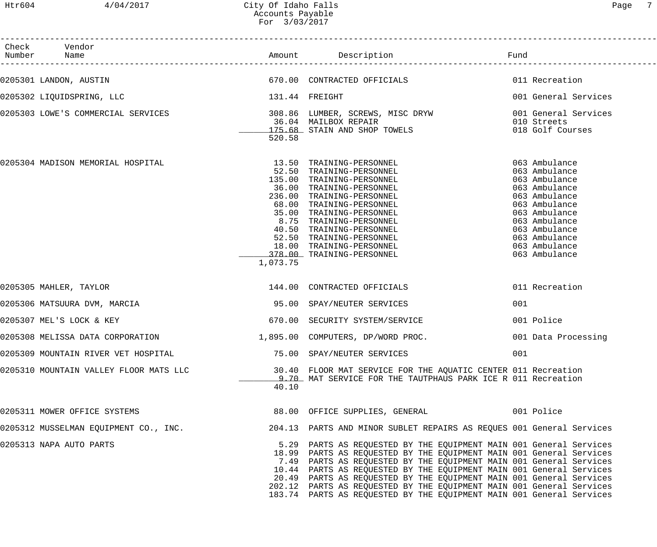------------------------------------------------------------------------------------------------------------------------------------

| Check | Vendor<br>Number Name                                                                                    |                |                                                                                                                                                                                                                                                                                                                                                                                                                                                                                                               | Fund                                                                                                                                                                                                     |
|-------|----------------------------------------------------------------------------------------------------------|----------------|---------------------------------------------------------------------------------------------------------------------------------------------------------------------------------------------------------------------------------------------------------------------------------------------------------------------------------------------------------------------------------------------------------------------------------------------------------------------------------------------------------------|----------------------------------------------------------------------------------------------------------------------------------------------------------------------------------------------------------|
|       |                                                                                                          |                |                                                                                                                                                                                                                                                                                                                                                                                                                                                                                                               |                                                                                                                                                                                                          |
|       | 0205302 LIQUIDSPRING, LLC                                                                                | 131.44 FREIGHT |                                                                                                                                                                                                                                                                                                                                                                                                                                                                                                               | 001 General Services                                                                                                                                                                                     |
|       | 0205303 LOWE'S COMMERCIAL SERVICES   THE MANUSIC SOB.86 LUMBER, SCREWS, MISC DRYW   001 General Services | 520.58         | 36.04 MAILBOX REPAIR<br>36.04 MAILBOX REPAIR<br>175.68 STAIN AND SHOP TOWELS                                                                                                                                                                                                                                                                                                                                                                                                                                  | 010 Streets<br>018 Golf Courses                                                                                                                                                                          |
|       | 0205304 MADISON MEMORIAL HOSPITAL                                                                        | 1,073.75       | 13.50 TRAINING-PERSONNEL<br>52.50 TRAINING-PERSONNEL<br>135.00 TRAINING-PERSONNEL<br>36.00 TRAINING-PERSONNEL<br>236.00 TRAINING-PERSONNEL<br>236.00 TRAINING-PERSONNEL<br>68.00 TRAINING-PERSONNEL<br>35.00 TRAINING-PERSONNEL<br>8.75 TRAINING-PERSONNEL<br>40.50 TRAINING-PERSONNEL<br>52.50 TRAINING-PERSONNEL<br>18.00 TRAINING-PERSONNEL<br>378.00 TRAINING-PERSONNEL                                                                                                                                   | 063 Ambulance<br>063 Ambulance<br>063 Ambulance<br>063 Ambulance<br>063 Ambulance<br>063 Ambulance<br>063 Ambulance<br>063 Ambulance<br>063 Ambulance<br>063 Ambulance<br>063 Ambulance<br>063 Ambulance |
|       | 0205305 MAHLER, TAYLOR                                                                                   |                | 144.00 CONTRACTED OFFICIALS                                                                                                                                                                                                                                                                                                                                                                                                                                                                                   | 011 Recreation                                                                                                                                                                                           |
|       | 0205306 MATSUURA DVM, MARCIA                                                                             |                | 95.00 SPAY/NEUTER SERVICES                                                                                                                                                                                                                                                                                                                                                                                                                                                                                    | 001                                                                                                                                                                                                      |
|       | 0205307 MEL'S LOCK & KEY                                                                                 |                | 670.00 SECURITY SYSTEM/SERVICE                                                                                                                                                                                                                                                                                                                                                                                                                                                                                | 001 Police                                                                                                                                                                                               |
|       | 0205308 MELISSA DATA CORPORATION $1,895.00$ COMPUTERS, DP/WORD PROC.                                     |                |                                                                                                                                                                                                                                                                                                                                                                                                                                                                                                               | 001 Data Processing                                                                                                                                                                                      |
|       | 0205309 MOUNTAIN RIVER VET HOSPITAL                                                                      |                | 75.00 SPAY/NEUTER SERVICES                                                                                                                                                                                                                                                                                                                                                                                                                                                                                    | 001                                                                                                                                                                                                      |
|       | 0205310 MOUNTAIN VALLEY FLOOR MATS LLC                                                                   | 40.10          | 30.40 FLOOR MAT SERVICE FOR THE AQUATIC CENTER 011 Recreation<br>9.70 MAT SERVICE FOR THE TAUTPHAUS PARK ICE R 011 Recreation                                                                                                                                                                                                                                                                                                                                                                                 |                                                                                                                                                                                                          |
|       | 0205311 MOWER OFFICE SYSTEMS                                                                             |                | 88.00 OFFICE SUPPLIES, GENERAL 601 Police                                                                                                                                                                                                                                                                                                                                                                                                                                                                     |                                                                                                                                                                                                          |
|       | 0205312 MUSSELMAN EQUIPMENT CO., INC.                                                                    |                | 204.13 PARTS AND MINOR SUBLET REPAIRS AS REOUES 001 General Services                                                                                                                                                                                                                                                                                                                                                                                                                                          |                                                                                                                                                                                                          |
|       | 0205313 NAPA AUTO PARTS                                                                                  |                | 5.29 PARTS AS REQUESTED BY THE EQUIPMENT MAIN 001 General Services<br>18.99 PARTS AS REQUESTED BY THE EQUIPMENT MAIN 001 General Services<br>7.49 PARTS AS REQUESTED BY THE EQUIPMENT MAIN 001 General Services<br>10.44 PARTS AS REQUESTED BY THE EQUIPMENT MAIN 001 General Services<br>20.49 PARTS AS REQUESTED BY THE EQUIPMENT MAIN 001 General Services<br>202.12 PARTS AS REQUESTED BY THE EQUIPMENT MAIN 001 General Services<br>183.74 PARTS AS REQUESTED BY THE EQUIPMENT MAIN 001 General Services |                                                                                                                                                                                                          |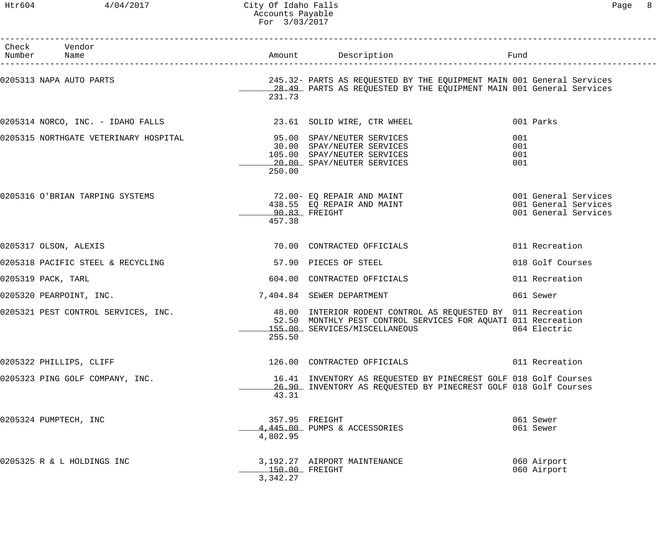## Htr604 4/04/2017 City Of Idaho Falls Page 8 Accounts Payable For 3/03/2017

| Check Vendor<br>Number Name |                                                                      |                              |                                                                                                                                                                | Fund                                         |
|-----------------------------|----------------------------------------------------------------------|------------------------------|----------------------------------------------------------------------------------------------------------------------------------------------------------------|----------------------------------------------|
|                             | 0205313 NAPA AUTO PARTS                                              | 231.73                       | 245.32- PARTS AS REQUESTED BY THE EQUIPMENT MAIN 001 General Services<br>28.49 PARTS AS REQUESTED BY THE EQUIPMENT MAIN 001 General Services                   |                                              |
|                             |                                                                      |                              | 0205314 NORCO, INC. - IDAHO FALLS 23.61 SOLID WIRE, CTR WHEEL                                                                                                  | 001 Parks                                    |
|                             | 0205315 NORTHGATE VETERINARY HOSPITAL 600 95.00 SPAY/NEUTER SERVICES | 250.00                       | 30.00 SPAY/NEUTER SERVICES<br>105.00 SPAY/NEUTER SERVICES<br>20.00 SPAY/NEUTER SERVICES                                                                        | 001<br>001<br>001<br>001                     |
|                             | 0205316 O'BRIAN TARPING SYSTEMS                                      | 457.38                       | 72.00- EQ REPAIR AND MAINT THE SERIE COMPOSE ON SERVICES<br>438.55  EQ REPAIR AND MAINT<br>_90.83_ FREIGHT<br>$90.83$ FREIGHT                                  | 001 General Services<br>001 General Services |
|                             | 0205317 OLSON, ALEXIS                                                |                              | 70.00 CONTRACTED OFFICIALS                                                                                                                                     | 011 Recreation                               |
|                             | 0205318 PACIFIC STEEL & RECYCLING                                    |                              | 57.90 PIECES OF STEEL                                                                                                                                          | 018 Golf Courses                             |
| 0205319 PACK, TARL          |                                                                      |                              | 604.00 CONTRACTED OFFICIALS                                                                                                                                    | 011 Recreation                               |
|                             | 0205320 PEARPOINT, INC.                                              |                              | 7,404.84 SEWER DEPARTMENT                                                                                                                                      | 061 Sewer                                    |
|                             | 0205321 PEST CONTROL SERVICES, INC.                                  | 255.50                       | 48.00 INTERIOR RODENT CONTROL AS REQUESTED BY 011 Recreation<br>52.50 MONTHLY PEST CONTROL SERVICES FOR AQUATI 011 Recreation<br>155.00 SERVICES/MISCELLANEOUS | 064 Electric                                 |
|                             | 0205322 PHILLIPS, CLIFF                                              |                              | 126.00 CONTRACTED OFFICIALS                                                                                                                                    | 011 Recreation                               |
|                             | 0205323 PING GOLF COMPANY, INC.                                      | 43.31                        | 16.41 INVENTORY AS REQUESTED BY PINECREST GOLF 018 Golf Courses<br>26.90 INVENTORY AS REQUESTED BY PINECREST GOLF 018 Golf Courses                             |                                              |
|                             | 0205324 PUMPTECH, INC                                                | 4,802.95                     | 357.95 FREIGHT<br>4,445.00 PUMPS & ACCESSORIES                                                                                                                 | 061 Sewer<br>061 Sewer                       |
|                             | 0205325 R & L HOLDINGS INC                                           | $150.00$ FREIGHT<br>3,342.27 | 3,192.27 AIRPORT MAINTENANCE                                                                                                                                   | 060 Airport<br>060 Airport                   |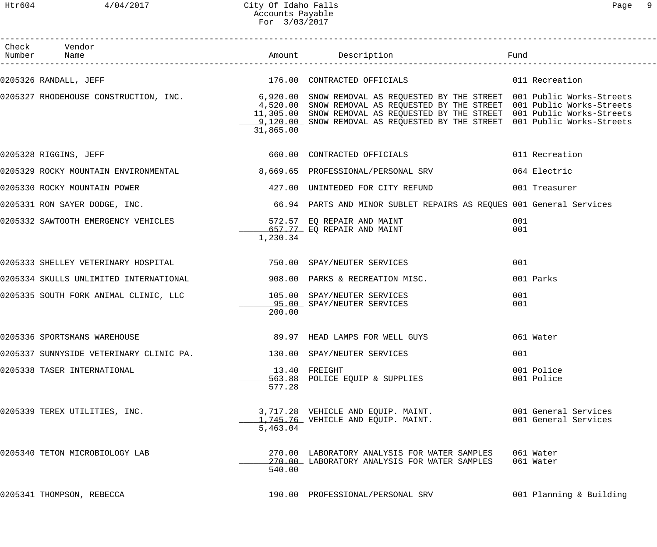Htr604 4/04/2017 City Of Idaho Falls Page 9 Accounts Payable For 3/03/2017

| Check Vendor<br>Number Name                                                                               |           |                                                                                                                                                                                                                                                                                                                                                                        |                                              |
|-----------------------------------------------------------------------------------------------------------|-----------|------------------------------------------------------------------------------------------------------------------------------------------------------------------------------------------------------------------------------------------------------------------------------------------------------------------------------------------------------------------------|----------------------------------------------|
|                                                                                                           |           |                                                                                                                                                                                                                                                                                                                                                                        |                                              |
|                                                                                                           | 31,865.00 | 0205327 RHODEHOUSE CONSTRUCTION, INC. 4 The Subsettion of Angle SNOW REMOVAL AS REQUESTED BY THE STREET 001 Public Works-Streets<br>4,520.00 SNOW REMOVAL AS REQUESTED BY THE STREET 001 Public Works-Streets<br>11,305.00 SNOW REMOVAL AS REQUESTED BY THE STREET 001 Public Works-Streets<br>120.00 SNOW REMOVAL AS REQUESTED BY THE STREET 001 Public Works-Streets |                                              |
| 0205328 RIGGINS, JEFF                                                                                     |           | 660.00 CONTRACTED OFFICIALS                                                                                                                                                                                                                                                                                                                                            | 011 Recreation                               |
| 0205329 ROCKY MOUNTAIN ENVIRONMENTAL 68,669.65 PROFESSIONAL/PERSONAL SRV                                  |           |                                                                                                                                                                                                                                                                                                                                                                        | 064 Electric                                 |
|                                                                                                           |           | 0205330 ROCKY MOUNTAIN POWER 127.00 UNINTEDED FOR CITY REFUND 101 Treasurer                                                                                                                                                                                                                                                                                            |                                              |
|                                                                                                           |           |                                                                                                                                                                                                                                                                                                                                                                        |                                              |
|                                                                                                           | 1,230.34  |                                                                                                                                                                                                                                                                                                                                                                        | 001<br>001                                   |
| 0205333 SHELLEY VETERINARY HOSPITAL THE SERVICES CONSTRAY/NEUTER SERVICES                                 |           |                                                                                                                                                                                                                                                                                                                                                                        | 001                                          |
| 0205334 SKULLS UNLIMITED INTERNATIONAL 600 908.00 PARKS & RECREATION MISC.                                |           |                                                                                                                                                                                                                                                                                                                                                                        | 001 Parks                                    |
| 0205335 SOUTH FORK ANIMAL CLINIC, LLC          105.00 SPAY/NEUTER SERVICES<br>105.00 SPAY/NEUTER SERVICES | 200.00    |                                                                                                                                                                                                                                                                                                                                                                        | 001<br>001                                   |
| 0205336 SPORTSMANS WAREHOUSE                                                                              |           | 89.97 HEAD LAMPS FOR WELL GUYS                                                                                                                                                                                                                                                                                                                                         | 061 Water                                    |
| 0205337 SUNNYSIDE VETERINARY CLINIC PA. 130.00 SPAY/NEUTER SERVICES                                       |           |                                                                                                                                                                                                                                                                                                                                                                        | 001                                          |
| 0205338 TASER INTERNATIONAL                                                                               | 577.28    | 13.40 FREIGHT<br>563.88 POLICE EQUIP & SUPPLIES                                                                                                                                                                                                                                                                                                                        | 001 Police<br>001 Police                     |
| 0205339 TEREX UTILITIES, INC.                                                                             | 5,463.04  | 3,717.28 VEHICLE AND EQUIP. MAINT.<br>1,745.76 VEHICLE AND EQUIP. MAINT.                                                                                                                                                                                                                                                                                               | 001 General Services<br>001 General Services |
| 0205340 TETON MICROBIOLOGY LAB                                                                            | 540.00    | 270.00 LABORATORY ANALYSIS FOR WATER SAMPLES<br>270.00 LABORATORY ANALYSIS FOR WATER SAMPLES                                                                                                                                                                                                                                                                           | 061 Water<br>061 Water                       |
| 0205341 THOMPSON, REBECCA                                                                                 |           | 190.00 PROFESSIONAL/PERSONAL SRV                                                                                                                                                                                                                                                                                                                                       | 001 Planning & Building                      |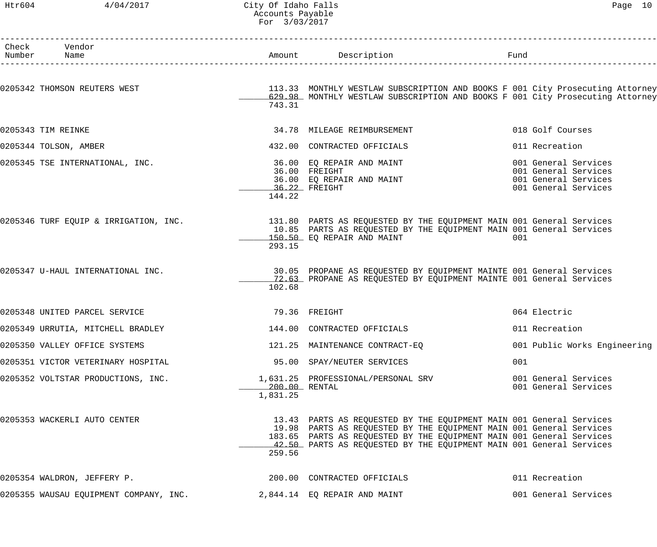Htr604 4/04/2017 City Of Idaho Falls Page 10 Accounts Payable For 3/03/2017

| Check Vendor<br>Number Name                                                              |                           | Amount Description                                                                                                                                                                                                                                                                        | Fund                                                                                         |
|------------------------------------------------------------------------------------------|---------------------------|-------------------------------------------------------------------------------------------------------------------------------------------------------------------------------------------------------------------------------------------------------------------------------------------|----------------------------------------------------------------------------------------------|
|                                                                                          |                           | 1<br>-------------------------                                                                                                                                                                                                                                                            |                                                                                              |
| 0205342 THOMSON REUTERS WEST                                                             | 743.31                    | 113.33 MONTHLY WESTLAW SUBSCRIPTION AND BOOKS F 001 City Prosecuting Attorney<br>629.98 MONTHLY WESTLAW SUBSCRIPTION AND BOOKS F 001 City Prosecuting Attorney                                                                                                                            |                                                                                              |
| 0205343 TIM REINKE                                                                       |                           | 34.78 MILEAGE REIMBURSEMENT                                                                                                                                                                                                                                                               | 018 Golf Courses                                                                             |
| 0205344 TOLSON, AMBER                                                                    |                           | 432.00 CONTRACTED OFFICIALS                                                                                                                                                                                                                                                               | 011 Recreation                                                                               |
| 0205345 TSE INTERNATIONAL, INC.                                                          | 144.22                    | 36.00 FREIGHT<br>36.00 EQ REPAIR AND MAINT<br>36.22 FREIGHT<br>44.22<br>36.22 FREIGHT                                                                                                                                                                                                     | 001 General Services<br>001 General Services<br>001 General Services<br>001 General Services |
| 0205346 TURF EQUIP & IRRIGATION, INC.                                                    | 293.15                    | 131.80 PARTS AS REQUESTED BY THE EQUIPMENT MAIN 001 General Services<br>10.85 PARTS AS REQUESTED BY THE EQUIPMENT MAIN 001 General Services<br>150.50 EQ REPAIR AND MAINT                                                                                                                 | 001                                                                                          |
| 0205347 U-HAUL INTERNATIONAL INC.                                                        | 102.68                    | 30.05 PROPANE AS REQUESTED BY EQUIPMENT MAINTE 001 General Services<br>72.63 PROPANE AS REQUESTED BY EQUIPMENT MAINTE 001 General Services                                                                                                                                                |                                                                                              |
| 0205348 UNITED PARCEL SERVICE                                                            | 79.36 FREIGHT             |                                                                                                                                                                                                                                                                                           | 064 Electric                                                                                 |
| 0205349 URRUTIA, MITCHELL BRADLEY                            144.00 CONTRACTED OFFICIALS |                           |                                                                                                                                                                                                                                                                                           | 011 Recreation                                                                               |
| 0205350 VALLEY OFFICE SYSTEMS                                                            |                           | 121.25 MAINTENANCE CONTRACT-EQ                                                                                                                                                                                                                                                            | 001 Public Works Engineering                                                                 |
| 0205351 VICTOR VETERINARY HOSPITAL                                                       |                           | 95.00 SPAY/NEUTER SERVICES                                                                                                                                                                                                                                                                | 001                                                                                          |
| 0205352 VOLTSTAR PRODUCTIONS, INC.                                                       | 200.00 RENTAL<br>1,831.25 | 1,631.25 PROFESSIONAL/PERSONAL SRV                                                                                                                                                                                                                                                        | 001 General Services<br>001 General Services                                                 |
| 0205353 WACKERLI AUTO CENTER                                                             | 259.56                    | 13.43 PARTS AS REQUESTED BY THE EQUIPMENT MAIN 001 General Services<br>19.98 PARTS AS REQUESTED BY THE EQUIPMENT MAIN 001 General Services<br>183.65 PARTS AS REQUESTED BY THE EQUIPMENT MAIN 001 General Services<br>42.50 PARTS AS REQUESTED BY THE EQUIPMENT MAIN 001 General Services |                                                                                              |
| 0205354 WALDRON, JEFFERY P.                                                              |                           | 200.00 CONTRACTED OFFICIALS                                                                                                                                                                                                                                                               | 011 Recreation                                                                               |
| 0205355 WAUSAU EQUIPMENT COMPANY, INC.                    2,844.14  EQ REPAIR AND MAINT  |                           |                                                                                                                                                                                                                                                                                           | 001 General Services                                                                         |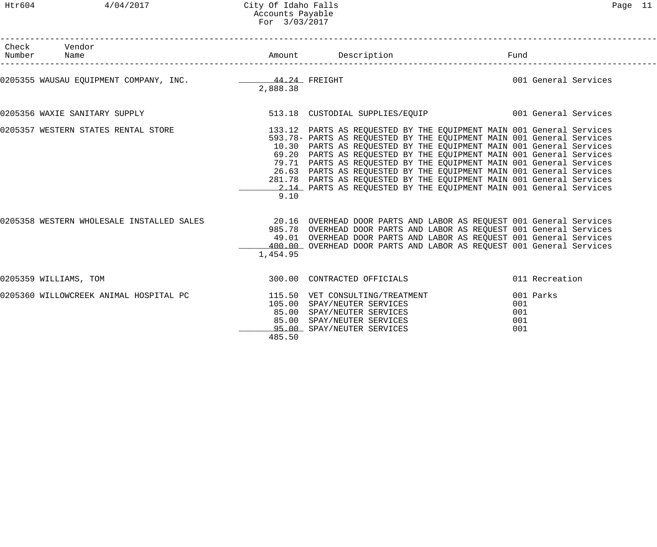Htr604 4/04/2017 City Of Idaho Falls Page 11 Accounts Payable For 3/03/2017

| Check Vendor<br>Number Name                                                                                        |          |                                                                                                                                                                                                                                                                                                                                                                                                                                                                                                                 |                                       |  |
|--------------------------------------------------------------------------------------------------------------------|----------|-----------------------------------------------------------------------------------------------------------------------------------------------------------------------------------------------------------------------------------------------------------------------------------------------------------------------------------------------------------------------------------------------------------------------------------------------------------------------------------------------------------------|---------------------------------------|--|
| 0205355 WAUSAU EQUIPMENT COMPANY, INC. 44.24 FREIGHT                                                               | 2,888.38 |                                                                                                                                                                                                                                                                                                                                                                                                                                                                                                                 | and the 1001 General Services         |  |
|                                                                                                                    |          |                                                                                                                                                                                                                                                                                                                                                                                                                                                                                                                 |                                       |  |
| 0205357 WESTERN STATES RENTAL STORE THE STORE 133.12 PARTS AS REQUESTED BY THE EQUIPMENT MAIN 001 General Services | 9.10     | 593.78- PARTS AS REQUESTED BY THE EQUIPMENT MAIN 001 General Services<br>10.30 PARTS AS REQUESTED BY THE EQUIPMENT MAIN 001 General Services<br>69.20 PARTS AS REQUESTED BY THE EQUIPMENT MAIN 001 General Services<br>79.71 PARTS AS REQUESTED BY THE EQUIPMENT MAIN 001 General Services<br>26.63 PARTS AS REQUESTED BY THE EQUIPMENT MAIN 001 General Services<br>281.78 PARTS AS REQUESTED BY THE EQUIPMENT MAIN 001 General Services<br>2.14 PARTS AS REQUESTED BY THE EQUIPMENT MAIN 001 General Services |                                       |  |
| 0205358 WESTERN WHOLESALE INSTALLED SALES                                                                          | 1,454.95 | 20.16 OVERHEAD DOOR PARTS AND LABOR AS REQUEST 001 General Services<br>985.78 OVERHEAD DOOR PARTS AND LABOR AS REQUEST 001 General Services<br>49.01 OVERHEAD DOOR PARTS AND LABOR AS REQUEST 001 General Services<br>400.00 OVERHEAD DOOR PARTS AND LABOR AS REQUEST 001 General Services                                                                                                                                                                                                                      |                                       |  |
| 0205359 WILLIAMS, TOM                                                                                              |          | 300.00 CONTRACTED OFFICIALS                                                                                                                                                                                                                                                                                                                                                                                                                                                                                     | 011 Recreation                        |  |
| 0205360 WILLOWCREEK ANIMAL HOSPITAL PC                                                                             | 485.50   | 115.50 VET CONSULTING/TREATMENT<br>105.00 SPAY/NEUTER SERVICES<br>85.00 SPAY/NEUTER SERVICES<br>85.00 SPAY/NEUTER SERVICES<br>95.00 SPAY/NEUTER SERVICES                                                                                                                                                                                                                                                                                                                                                        | 001 Parks<br>001<br>001<br>001<br>001 |  |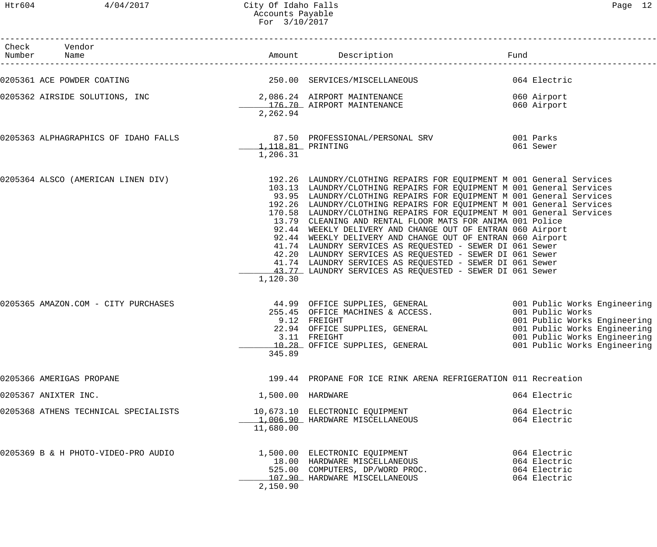| г |  |
|---|--|
|---|--|

| Check Vendor<br>Number Name          |                                |                                                                                                                                                                                                                                                                                                                                                                                                                                                                                                                                                                                                                                                                                                                                                                                                              | Fund                                                                                                                                             |
|--------------------------------------|--------------------------------|--------------------------------------------------------------------------------------------------------------------------------------------------------------------------------------------------------------------------------------------------------------------------------------------------------------------------------------------------------------------------------------------------------------------------------------------------------------------------------------------------------------------------------------------------------------------------------------------------------------------------------------------------------------------------------------------------------------------------------------------------------------------------------------------------------------|--------------------------------------------------------------------------------------------------------------------------------------------------|
| 0205361 ACE POWDER COATING           |                                | 250.00 SERVICES/MISCELLANEOUS                                                                                                                                                                                                                                                                                                                                                                                                                                                                                                                                                                                                                                                                                                                                                                                | 064 Electric                                                                                                                                     |
| 0205362 AIRSIDE SOLUTIONS, INC       | 2,262.94                       | 2,086.24 AIRPORT MAINTENANCE<br>176.70 AIRPORT MAINTENANCE                                                                                                                                                                                                                                                                                                                                                                                                                                                                                                                                                                                                                                                                                                                                                   | 060 Airport<br>060 Airport                                                                                                                       |
| 0205363 ALPHAGRAPHICS OF IDAHO FALLS | 1, 118.81 PRINTING<br>1,206.31 | 87.50 PROFESSIONAL/PERSONAL SRV                                                                                                                                                                                                                                                                                                                                                                                                                                                                                                                                                                                                                                                                                                                                                                              | 001 Parks<br>061 Sewer                                                                                                                           |
| 0205364 ALSCO (AMERICAN LINEN DIV)   | 1,120.30                       | 192.26 LAUNDRY/CLOTHING REPAIRS FOR EQUIPMENT M 001 General Services<br>103.13 LAUNDRY/CLOTHING REPAIRS FOR EQUIPMENT M 001 General Services<br>93.95 LAUNDRY/CLOTHING REPAIRS FOR EQUIPMENT M 001 General Services<br>192.26 LAUNDRY/CLOTHING REPAIRS FOR EQUIPMENT M 001 General Services<br>170.58 LAUNDRY/CLOTHING REPAIRS FOR EQUIPMENT M 001 General Services<br>13.79 CLEANING AND RENTAL FLOOR MATS FOR ANIMA 001 Police<br>92.44 WEEKLY DELIVERY AND CHANGE OUT OF ENTRAN 060 Airport<br>92.44 WEEKLY DELIVERY AND CHANGE OUT OF ENTRAN 060 Airport<br>41.74 LAUNDRY SERVICES AS REQUESTED - SEWER DI 061 Sewer<br>42.20 LAUNDRY SERVICES AS REQUESTED - SEWER DI 061 Sewer<br>41.74 LAUNDRY SERVICES AS REQUESTED - SEWER DI 061 Sewer<br>43.77 LAUNDRY SERVICES AS REQUESTED - SEWER DI 061 Sewer |                                                                                                                                                  |
| 0205365 AMAZON.COM - CITY PURCHASES  | 345.89                         | 44.99 OFFICE SUPPLIES, GENERAL 6001 Public Works Engineering<br>255.45 OFFICE MACHINES & ACCESS.<br>9.12 FREIGHT<br>22.94 OFFICE SUPPLIES, GENERAL<br>3.11 FREIGHT<br>10.28 OFFICE SUPPLIES, GENERAL                                                                                                                                                                                                                                                                                                                                                                                                                                                                                                                                                                                                         | 001 Public Works<br>001 Public Works Engineering<br>001 Public Works Engineering<br>001 Public Works Engineering<br>001 Public Works Engineering |
| 0205366 AMERIGAS PROPANE             |                                | 199.44 PROPANE FOR ICE RINK ARENA REFRIGERATION 011 Recreation                                                                                                                                                                                                                                                                                                                                                                                                                                                                                                                                                                                                                                                                                                                                               |                                                                                                                                                  |
| 0205367 ANIXTER INC.                 | 1,500.00 HARDWARE              |                                                                                                                                                                                                                                                                                                                                                                                                                                                                                                                                                                                                                                                                                                                                                                                                              | 064 Electric                                                                                                                                     |
| 0205368 ATHENS TECHNICAL SPECIALISTS | 11,680.00                      | 10,673.10 ELECTRONIC EQUIPMENT<br>1,006.90 HARDWARE MISCELLANEOUS                                                                                                                                                                                                                                                                                                                                                                                                                                                                                                                                                                                                                                                                                                                                            | 064 Electric<br>064 Electric                                                                                                                     |
| 0205369 B & H PHOTO-VIDEO-PRO AUDIO  | 2,150.90                       | 1,500.00 ELECTRONIC EQUIPMENT<br>18.00 HARDWARE MISCELLANEOUS<br>525.00 COMPUTERS, DP/WORD PROC.<br>107.90 HARDWARE MISCELLANEOUS                                                                                                                                                                                                                                                                                                                                                                                                                                                                                                                                                                                                                                                                            | 064 Electric<br>064 Electric<br>064 Electric<br>064 Electric                                                                                     |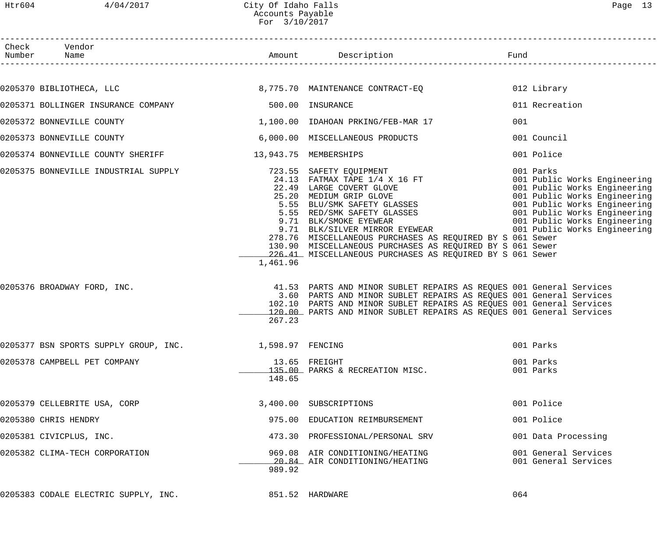Htr604 4/04/2017 City Of Idaho Falls Page 13 Accounts Payable For 3/10/2017

| Check Vendor<br>Number Name                             |          |                                                                                                                                                                                                                                                                                           |                                              |
|---------------------------------------------------------|----------|-------------------------------------------------------------------------------------------------------------------------------------------------------------------------------------------------------------------------------------------------------------------------------------------|----------------------------------------------|
|                                                         |          |                                                                                                                                                                                                                                                                                           |                                              |
|                                                         |          | $0205370$ BIBLIOTHECA, LLC $\hphantom{\sim}8.775.70$ MAINTENANCE CONTRACT-EQ                                                                                                                                                                                                              | 012 Library                                  |
| 0205371 BOLLINGER INSURANCE COMPANY 600 100 INSURANCE   |          |                                                                                                                                                                                                                                                                                           | 011 Recreation                               |
| 0205372 BONNEVILLE COUNTY                               |          | 1,100.00 IDAHOAN PRKING/FEB-MAR 17                                                                                                                                                                                                                                                        | 001                                          |
| 0205373 BONNEVILLE COUNTY                               |          | 6,000.00 MISCELLANEOUS PRODUCTS                                                                                                                                                                                                                                                           | 001 Council                                  |
| 0205374 BONNEVILLE COUNTY SHERIFF 13,943.75 MEMBERSHIPS |          |                                                                                                                                                                                                                                                                                           | 001 Police                                   |
|                                                         | 1,461.96 | 278.76 MISCELLANEOUS PURCHASES AS REQUIRED BY S 061 Sewer<br>130.90 MISCELLANEOUS PURCHASES AS REQUIRED BY S 061 Sewer<br>226.41 MISCELLANEOUS PURCHASES AS REQUIRED BY S 061 Sewer                                                                                                       |                                              |
| 0205376 BROADWAY FORD, INC.                             | 267.23   | 41.53 PARTS AND MINOR SUBLET REPAIRS AS REQUES 001 General Services<br>3.60 PARTS AND MINOR SUBLET REPAIRS AS REQUES 001 General Services<br>102.10 PARTS AND MINOR SUBLET REPAIRS AS REQUES 001 General Services<br>120.00 PARTS AND MINOR SUBLET REPAIRS AS REQUES 001 General Services |                                              |
| 0205377 BSN SPORTS SUPPLY GROUP, INC. 1,598.97 FENCING  |          |                                                                                                                                                                                                                                                                                           | 001 Parks                                    |
| 0205378 CAMPBELL PET COMPANY                            | 148.65   | 13.65 FREIGHT<br>135.00 PARKS & RECREATION MISC.                                                                                                                                                                                                                                          | 001 Parks<br>001 Parks                       |
| 0205379 CELLEBRITE USA, CORP                            |          | 3,400.00 SUBSCRIPTIONS                                                                                                                                                                                                                                                                    | 001 Police                                   |
| 0205380 CHRIS HENDRY                                    |          | 975.00 EDUCATION REIMBURSEMENT                                                                                                                                                                                                                                                            | 001 Police                                   |
| 0205381 CIVICPLUS, INC.                                 |          | 473.30 PROFESSIONAL/PERSONAL SRV                                                                                                                                                                                                                                                          | 001 Data Processing                          |
| 0205382 CLIMA-TECH CORPORATION                          | 989.92   | 969.08 AIR CONDITIONING/HEATING<br>20.84 AIR CONDITIONING/HEATING                                                                                                                                                                                                                         | 001 General Services<br>001 General Services |
|                                                         |          |                                                                                                                                                                                                                                                                                           | 064                                          |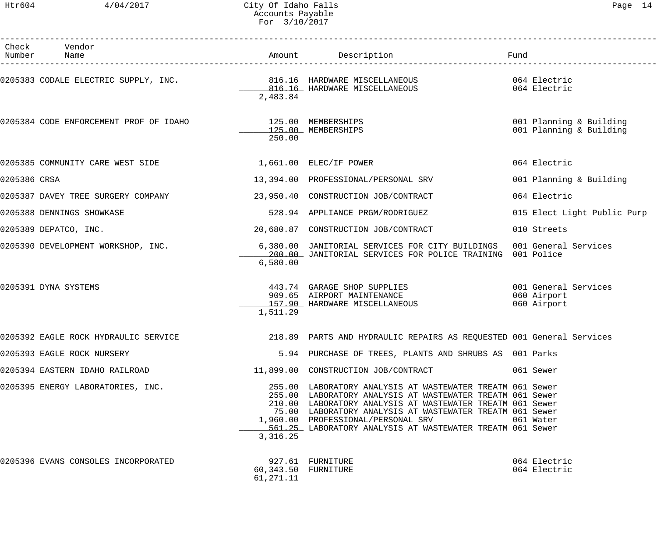|              | Check Vendor<br>Number Name                                            |                                  | Amount Description                                                                                                                                                                                                                                                                                                                                 | Fund                                               |
|--------------|------------------------------------------------------------------------|----------------------------------|----------------------------------------------------------------------------------------------------------------------------------------------------------------------------------------------------------------------------------------------------------------------------------------------------------------------------------------------------|----------------------------------------------------|
|              | 0205383 CODALE ELECTRIC SUPPLY, INC. 300 816.16 HARDWARE MISCELLANEOUS | 2,483.84                         | 816.16 HARDWARE MISCELLANEOUS                                                                                                                                                                                                                                                                                                                      | 064 Electric<br>064 Electric                       |
|              | 0205384 CODE ENFORCEMENT PROF OF IDAHO                                 | 125.00 MEMBERSHIPS<br>250.00     | 125.00 MEMBERSHIPS                                                                                                                                                                                                                                                                                                                                 | 001 Planning & Building<br>001 Planning & Building |
|              | 0205385 COMMUNITY CARE WEST SIDE                                       |                                  | 1,661.00 ELEC/IF POWER                                                                                                                                                                                                                                                                                                                             | 064 Electric                                       |
| 0205386 CRSA |                                                                        |                                  | 13,394.00 PROFESSIONAL/PERSONAL SRV                                                                                                                                                                                                                                                                                                                | 001 Planning & Building                            |
|              | 0205387 DAVEY TREE SURGERY COMPANY                                     |                                  | 23,950.40 CONSTRUCTION JOB/CONTRACT                                                                                                                                                                                                                                                                                                                | 064 Electric                                       |
|              | 0205388 DENNINGS SHOWKASE                                              |                                  | 528.94 APPLIANCE PRGM/RODRIGUEZ                                                                                                                                                                                                                                                                                                                    | 015 Elect Light Public Purp                        |
|              | 0205389 DEPATCO, INC.                                                  |                                  | 20,680.87 CONSTRUCTION JOB/CONTRACT                                                                                                                                                                                                                                                                                                                | 010 Streets                                        |
|              | 0205390 DEVELOPMENT WORKSHOP, INC.                                     | 6,580.00                         | 6,380.00 JANITORIAL SERVICES FOR CITY BUILDINGS 001 General Services<br>200.00 JANITORIAL SERVICES FOR POLICE TRAINING 001 Police                                                                                                                                                                                                                  |                                                    |
|              | 0205391 DYNA SYSTEMS                                                   | 1,511.29                         | 443.74  GARAGE SHOP SUPPLIES<br>909.65  AIRPORT MAINTENANCE<br>157.90 HARDWARE MISCELLANEOUS                                                                                                                                                                                                                                                       | 001 General Services<br>060 Airport<br>060 Airport |
|              | 0205392 EAGLE ROCK HYDRAULIC SERVICE                                   |                                  | 218.89 PARTS AND HYDRAULIC REPAIRS AS REQUESTED 001 General Services                                                                                                                                                                                                                                                                               |                                                    |
|              | 0205393 EAGLE ROCK NURSERY                                             |                                  | 5.94 PURCHASE OF TREES, PLANTS AND SHRUBS AS 001 Parks                                                                                                                                                                                                                                                                                             |                                                    |
|              | 0205394 EASTERN IDAHO RAILROAD                                         |                                  | 11,899.00 CONSTRUCTION JOB/CONTRACT                                                                                                                                                                                                                                                                                                                | 061 Sewer                                          |
|              | 0205395 ENERGY LABORATORIES, INC.                                      | 3,316.25                         | 255.00 LABORATORY ANALYSIS AT WASTEWATER TREATM 061 Sewer<br>255.00 LABORATORY ANALYSIS AT WASTEWATER TREATM 061 Sewer<br>210.00 LABORATORY ANALYSIS AT WASTEWATER TREATM 061 Sewer<br>75.00 LABORATORY ANALYSIS AT WASTEWATER TREATM 061 Sewer<br>1,960.00 PROFESSIONAL/PERSONAL SRV<br>561.25 LABORATORY ANALYSIS AT WASTEWATER TREATM 061 Sewer | 061 Water                                          |
|              | 0205396 EVANS CONSOLES INCORPORATED                                    | 60.343.50 FURNITURE<br>61,271.11 | 927.61 FURNITURE                                                                                                                                                                                                                                                                                                                                   | 064 Electric<br>064 Electric                       |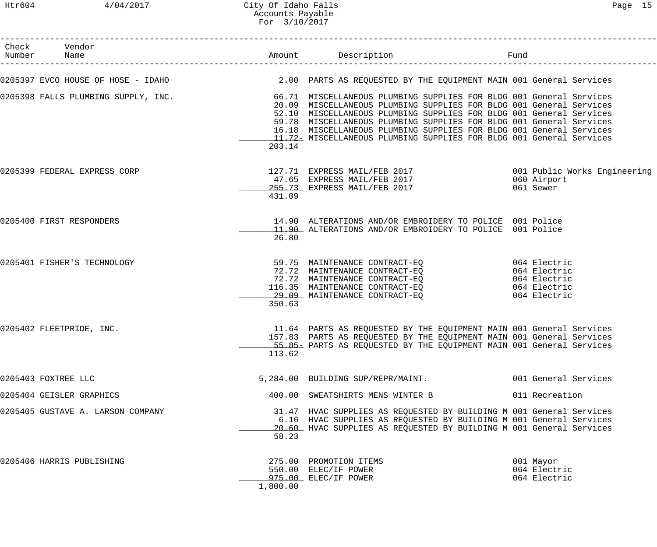# Htr604 4/04/2017 City Of Idaho Falls Page 15 Accounts Payable For 3/10/2017

| Check Vendor<br>Number Name                                                                                           |          | Amount Description                                                                                                                                                                                                                                                                                                                                                                                                                     | Fund                                                         |
|-----------------------------------------------------------------------------------------------------------------------|----------|----------------------------------------------------------------------------------------------------------------------------------------------------------------------------------------------------------------------------------------------------------------------------------------------------------------------------------------------------------------------------------------------------------------------------------------|--------------------------------------------------------------|
| 0205397 EVCO HOUSE OF HOSE - IDAHO                 2.00 PARTS AS REQUESTED BY THE EQUIPMENT MAIN 001 General Services |          |                                                                                                                                                                                                                                                                                                                                                                                                                                        |                                                              |
| 0205398 FALLS PLUMBING SUPPLY, INC.                                                                                   | 203.14   | 66.71 MISCELLANEOUS PLUMBING SUPPLIES FOR BLDG 001 General Services<br>20.09 MISCELLANEOUS PLUMBING SUPPLIES FOR BLDG 001 General Services<br>52.10 MISCELLANEOUS PLUMBING SUPPLIES FOR BLDG 001 General Services<br>59.78 MISCELLANEOUS PLUMBING SUPPLIES FOR BLDG 001 General Services<br>16.18 MISCELLANEOUS PLUMBING SUPPLIES FOR BLDG 001 General Services<br>11.72 MISCELLANEOUS PLUMBING SUPPLIES FOR BLDG 001 General Services |                                                              |
| 0205399 FEDERAL EXPRESS CORP                                                                                          | 431.09   | 127.71 EXPRESS MAIL/FEB 2017<br>47.65 EXPRESS MAIL/FEB 2017 1060 Airport<br>255.73 EXPRESS MAIL/FEB 2017                                                                                                                                                                                                                                                                                                                               | 061 Sewer                                                    |
| 0205400 FIRST RESPONDERS                                                                                              | 26.80    | 14.90 ALTERATIONS AND/OR EMBROIDERY TO POLICE 001 Police<br>11.90 ALTERATIONS AND/OR EMBROIDERY TO POLICE 001 Police                                                                                                                                                                                                                                                                                                                   |                                                              |
| 0205401 FISHER'S TECHNOLOGY                                                                                           | 350.63   | 59.75 MAINTENANCE CONTRACT-EQ 064 Electric<br>72.72 MAINTENANCE CONTRACT-EQ<br>72.72 MAINTENANCE CONTRACT-EQ<br>116.35 MAINTENANCE CONTRACT-EQ<br>29.09 MAINTENANCE CONTRACT-EO                                                                                                                                                                                                                                                        | 064 Electric<br>064 Electric<br>064 Electric<br>064 Electric |
| 0205402 FLEETPRIDE, INC.                                                                                              | 113.62   | 11.64 PARTS AS REQUESTED BY THE EQUIPMENT MAIN 001 General Services<br>157.83 PARTS AS REQUESTED BY THE EQUIPMENT MAIN 001 General Services<br>55.85- PARTS AS REQUESTED BY THE EQUIPMENT MAIN 001 General Services                                                                                                                                                                                                                    |                                                              |
| 0205403 FOXTREE LLC                                                                                                   |          | 5,284.00 BUILDING SUP/REPR/MAINT.                                                                                                                                                                                                                                                                                                                                                                                                      | 001 General Services                                         |
| 0205404 GEISLER GRAPHICS                                                                                              |          | 400.00 SWEATSHIRTS MENS WINTER B                                                                                                                                                                                                                                                                                                                                                                                                       | 011 Recreation                                               |
| 0205405 GUSTAVE A. LARSON COMPANY                                                                                     | 58.23    | 31.47 HVAC SUPPLIES AS REQUESTED BY BUILDING M 001 General Services<br>6.16 HVAC SUPPLIES AS REQUESTED BY BUILDING M 001 General Services<br>20.60 HVAC SUPPLIES AS REQUESTED BY BUILDING M 001 General Services                                                                                                                                                                                                                       |                                                              |
| 0205406 HARRIS PUBLISHING                                                                                             | 1,800.00 | 275.00 PROMOTION ITEMS<br>550.00 ELEC/IF POWER<br>975.00 ELEC/IF POWER                                                                                                                                                                                                                                                                                                                                                                 | 001 Mayor<br>064 Electric<br>064 Electric                    |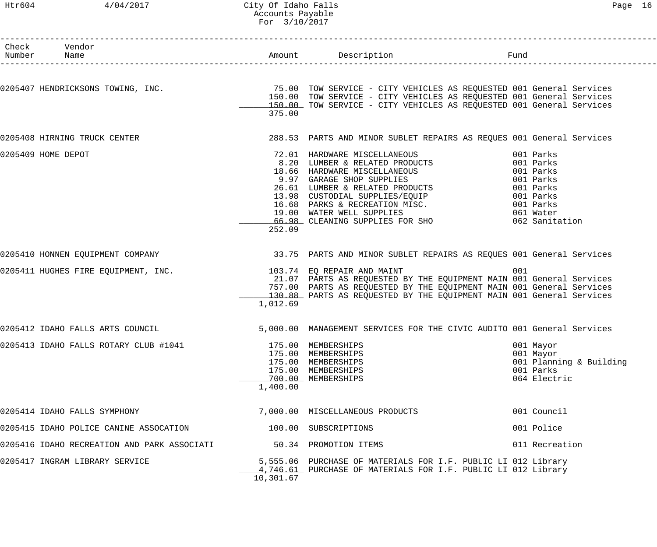#### Htr604 4/04/2017 City Of Idaho Falls Page 16 Accounts Payable For 3/10/2017

| Page |  |
|------|--|
|------|--|

| Check Vendor<br>Number Name                                    |           |                                                                                                                                                                                                                                                                                                                |                                                                                |  |
|----------------------------------------------------------------|-----------|----------------------------------------------------------------------------------------------------------------------------------------------------------------------------------------------------------------------------------------------------------------------------------------------------------------|--------------------------------------------------------------------------------|--|
|                                                                | 375.00    | 0205407 HENDRICKSONS TOWING, INC. TOW SERVICE - CITY VEHICLES AS REQUESTED 001 General Services<br>150.00 TOW SERVICE - CITY VEHICLES AS REQUESTED 001 General Services<br>150.00 TOW SERVICE - CITY VEHICLES AS REQUESTED 001 General Services                                                                |                                                                                |  |
| 0205408 HIRNING TRUCK CENTER                                   |           | 288.53 PARTS AND MINOR SUBLET REPAIRS AS REQUES 001 General Services                                                                                                                                                                                                                                           |                                                                                |  |
| 0205409 HOME DEPOT                                             | 252.09    | 72.01 HARDWARE MISCELLANEOUS<br>8.20 LUMBER & RELATED PRODUCTS<br>3.20 HOMBER & RELATED PRODUCTS<br>18.66 HARDWARE MISCELLANEOUS<br>9.97 GARAGE SHOP SUPPLIES<br>26.61 LUMBER & RELATED PRODUCTS<br>13.98 CUSTODIAL SUPPLIES/EQUIP<br>16.68 PARKS & RECREATION MISC.<br>19.00 WATER WELL SUPPLIES<br>66.98 CLE | 001 Parks<br>001 Parks                                                         |  |
|                                                                |           | 0205410 HONNEN EQUIPMENT COMPANY 33.75 PARTS AND MINOR SUBLET REPAIRS AS REQUES 001 General Services                                                                                                                                                                                                           |                                                                                |  |
| 0205411 HUGHES FIRE EQUIPMENT, INC. 103.74 EQ REPAIR AND MAINT | 1,012.69  | 21.07 PARTS AS REQUESTED BY THE EQUIPMENT MAIN 001 General Services<br>757.00 PARTS AS REQUESTED BY THE EQUIPMENT MAIN 001 General Services<br>130.88 PARTS AS REQUESTED BY THE EQUIPMENT MAIN 001 General Services                                                                                            | 001                                                                            |  |
| 0205412 IDAHO FALLS ARTS COUNCIL                               |           | 5,000.00 MANAGEMENT SERVICES FOR THE CIVIC AUDITO 001 General Services                                                                                                                                                                                                                                         |                                                                                |  |
| 0205413 IDAHO FALLS ROTARY CLUB #1041                          | 1,400.00  | 175.00 MEMBERSHIPS<br>175.00 MEMBERSHIPS<br>175.00 MEMBERSHIPS<br>175.00 MEMBERSHIPS<br>700.00 MEMBERSHIPS                                                                                                                                                                                                     | 001 Mayor<br>001 Mayor<br>001 Planning & Building<br>001 Parks<br>064 Electric |  |
| 0205414 IDAHO FALLS SYMPHONY                                   |           | 7,000.00 MISCELLANEOUS PRODUCTS                                                                                                                                                                                                                                                                                | 001 Council                                                                    |  |
| 0205415 IDAHO POLICE CANINE ASSOCATION                         |           | 100.00 SUBSCRIPTIONS                                                                                                                                                                                                                                                                                           | 001 Police                                                                     |  |
| 0205416 IDAHO RECREATION AND PARK ASSOCIATI                    |           | 50.34 PROMOTION ITEMS                                                                                                                                                                                                                                                                                          | 011 Recreation                                                                 |  |
| 0205417 INGRAM LIBRARY SERVICE                                 | 10,301.67 | 5,555.06 PURCHASE OF MATERIALS FOR I.F. PUBLIC LI 012 Library<br>4,746.61 PURCHASE OF MATERIALS FOR I.F. PUBLIC LI 012 Library                                                                                                                                                                                 |                                                                                |  |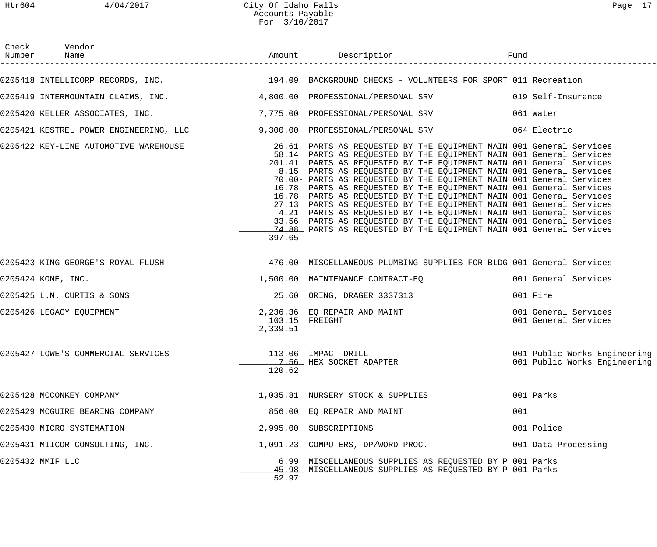| Check Vendor<br>Number Name                                                                    |                            |                                                                                                                                                                                                                                                                                                                                                                                                                                                                                                                                                                                                                                                                                                                                                                                                           |     |                                                              |
|------------------------------------------------------------------------------------------------|----------------------------|-----------------------------------------------------------------------------------------------------------------------------------------------------------------------------------------------------------------------------------------------------------------------------------------------------------------------------------------------------------------------------------------------------------------------------------------------------------------------------------------------------------------------------------------------------------------------------------------------------------------------------------------------------------------------------------------------------------------------------------------------------------------------------------------------------------|-----|--------------------------------------------------------------|
|                                                                                                |                            | 0205418 INTELLICORP RECORDS, INC. THE SAME READS AND MANUSCROUND CHECKS - VOLUNTEERS FOR SPORT 011 Recreation                                                                                                                                                                                                                                                                                                                                                                                                                                                                                                                                                                                                                                                                                             |     |                                                              |
|                                                                                                |                            | 0205419 INTERMOUNTAIN CLAIMS, INC. 4,800.00 PROFESSIONAL/PERSONAL SRV 019 Self-Insurance                                                                                                                                                                                                                                                                                                                                                                                                                                                                                                                                                                                                                                                                                                                  |     |                                                              |
| 0205420 KELLER ASSOCIATES, INC.                             7,775.00 PROFESSIONAL/PERSONAL SRV |                            |                                                                                                                                                                                                                                                                                                                                                                                                                                                                                                                                                                                                                                                                                                                                                                                                           |     | 061 Water                                                    |
|                                                                                                |                            | 0205421 KESTREL POWER ENGINEERING, LLC 3,300.00 PROFESSIONAL/PERSONAL SRV 300 064 Electric                                                                                                                                                                                                                                                                                                                                                                                                                                                                                                                                                                                                                                                                                                                |     |                                                              |
| 0205422 KEY-LINE AUTOMOTIVE WAREHOUSE                                                          | 397.65                     | 26.61 PARTS AS REQUESTED BY THE EQUIPMENT MAIN 001 General Services<br>58.14 PARTS AS REQUESTED BY THE EQUIPMENT MAIN 001 General Services<br>201.41 PARTS AS REQUESTED BY THE EQUIPMENT MAIN 001 General Services<br>8.15 PARTS AS REQUESTED BY THE EQUIPMENT MAIN 001 General Services<br>70.00- PARTS AS REQUESTED BY THE EQUIPMENT MAIN 001 General Services<br>16.78 PARTS AS REQUESTED BY THE EQUIPMENT MAIN 001 General Services<br>16.78 PARTS AS REQUESTED BY THE EQUIPMENT MAIN 001 General Services<br>27.13 PARTS AS REQUESTED BY THE EQUIPMENT MAIN 001 General Services<br>4.21 PARTS AS REQUESTED BY THE EQUIPMENT MAIN 001 General Services<br>33.56 PARTS AS REQUESTED BY THE EQUIPMENT MAIN 001 General Services<br>74.88 PARTS AS REQUESTED BY THE EQUIPMENT MAIN 001 General Services |     |                                                              |
|                                                                                                |                            | 0205423 KING GEORGE'S ROYAL FLUSH 176.00 MISCELLANEOUS PLUMBING SUPPLIES FOR BLDG 001 General Services                                                                                                                                                                                                                                                                                                                                                                                                                                                                                                                                                                                                                                                                                                    |     |                                                              |
| 0205424 KONE, INC.                                                                             |                            | 1,500.00 MAINTENANCE CONTRACT-EQ                                                                                                                                                                                                                                                                                                                                                                                                                                                                                                                                                                                                                                                                                                                                                                          |     | 001 General Services                                         |
| 0205425 L.N. CURTIS & SONS                                                                     |                            | 25.60 ORING, DRAGER 3337313                                                                                                                                                                                                                                                                                                                                                                                                                                                                                                                                                                                                                                                                                                                                                                               |     | 001 Fire                                                     |
| 0205426 LEGACY EQUIPMENT                                                                       | 103.15 FREIGHT<br>2,339.51 | 2,236.36 EQ REPAIR AND MAINT<br>103.15 FREIGHT                                                                                                                                                                                                                                                                                                                                                                                                                                                                                                                                                                                                                                                                                                                                                            |     | 001 General Services<br>001 General Services                 |
| 0205427 LOWE'S COMMERCIAL SERVICES                                                             | 120.62                     | 113.06 IMPACT DRILL<br>7.56 HEX SOCKET ADAPTER                                                                                                                                                                                                                                                                                                                                                                                                                                                                                                                                                                                                                                                                                                                                                            |     | 001 Public Works Engineering<br>001 Public Works Engineering |
| 0205428 MCCONKEY COMPANY                                                                       |                            | 1,035.81 NURSERY STOCK & SUPPLIES                                                                                                                                                                                                                                                                                                                                                                                                                                                                                                                                                                                                                                                                                                                                                                         |     | 001 Parks                                                    |
| 0205429 MCGUIRE BEARING COMPANY                                                                |                            | 856.00 EQ REPAIR AND MAINT                                                                                                                                                                                                                                                                                                                                                                                                                                                                                                                                                                                                                                                                                                                                                                                | 001 |                                                              |
| 0205430 MICRO SYSTEMATION                                                                      |                            | 2,995.00 SUBSCRIPTIONS                                                                                                                                                                                                                                                                                                                                                                                                                                                                                                                                                                                                                                                                                                                                                                                    |     | 001 Police                                                   |
| 0205431 MIICOR CONSULTING, INC.                                                                |                            | 1,091.23 COMPUTERS, DP/WORD PROC.                                                                                                                                                                                                                                                                                                                                                                                                                                                                                                                                                                                                                                                                                                                                                                         |     | 001 Data Processing                                          |
| 0205432 MMIF LLC                                                                               | 52.97                      | 6.99 MISCELLANEOUS SUPPLIES AS REQUESTED BY P 001 Parks<br>45.98 MISCELLANEOUS SUPPLIES AS REQUESTED BY P 001 Parks                                                                                                                                                                                                                                                                                                                                                                                                                                                                                                                                                                                                                                                                                       |     |                                                              |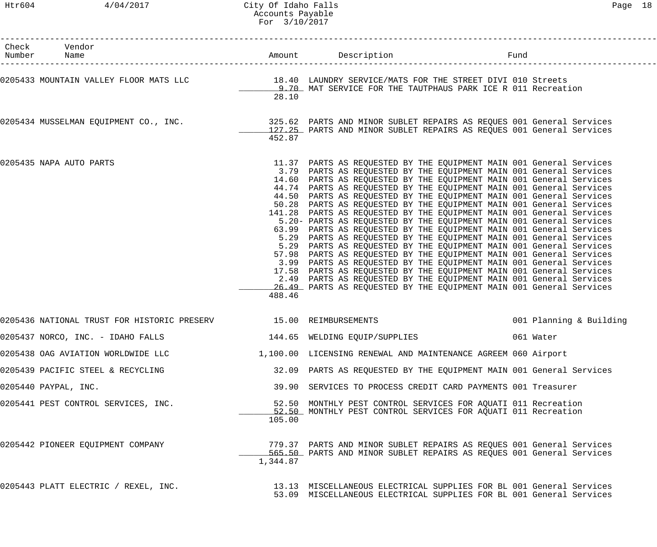| Check Vendor<br>Number Name                                                                                                                                                            |          | Amount Description                                                                                                                                                                                                                                                                                                                                                                                                                                                                                                                                                                                                                                                                                                                                                                                                                                                                                                                                                                                                                                                                                                                                                       | Fund |                         |
|----------------------------------------------------------------------------------------------------------------------------------------------------------------------------------------|----------|--------------------------------------------------------------------------------------------------------------------------------------------------------------------------------------------------------------------------------------------------------------------------------------------------------------------------------------------------------------------------------------------------------------------------------------------------------------------------------------------------------------------------------------------------------------------------------------------------------------------------------------------------------------------------------------------------------------------------------------------------------------------------------------------------------------------------------------------------------------------------------------------------------------------------------------------------------------------------------------------------------------------------------------------------------------------------------------------------------------------------------------------------------------------------|------|-------------------------|
| 0205433 MOUNTAIN VALLEY FLOOR MATS LLC 18.40 LAUNDRY SERVICE/MATS FOR THE STREET DIVI 010 Streets                                                                                      | 28.10    | 9.70 MAT SERVICE FOR THE TAUTPHAUS PARK ICE R 011 Recreation                                                                                                                                                                                                                                                                                                                                                                                                                                                                                                                                                                                                                                                                                                                                                                                                                                                                                                                                                                                                                                                                                                             |      |                         |
| 0205434 MUSSELMAN EQUIPMENT CO., INC. 325.62 PARTS AND MINOR SUBLET REPAIRS AS REQUES 001 General Services 001<br>127.25 PARTS AND MINOR SUBLET REPAIRS AS REQUES 001 General Services | 452.87   |                                                                                                                                                                                                                                                                                                                                                                                                                                                                                                                                                                                                                                                                                                                                                                                                                                                                                                                                                                                                                                                                                                                                                                          |      |                         |
| 0205435 NAPA AUTO PARTS                                                                                                                                                                | 488.46   | 11.37 PARTS AS REQUESTED BY THE EQUIPMENT MAIN 001 General Services<br>3.79 PARTS AS REQUESTED BY THE EQUIPMENT MAIN 001 General Services<br>14.60 PARTS AS REQUESTED BY THE EQUIPMENT MAIN 001 General Services<br>44.74 PARTS AS REQUESTED BY THE EQUIPMENT MAIN 001 General Services<br>44.50 PARTS AS REQUESTED BY THE EQUIPMENT MAIN 001 General Services<br>50.28 PARTS AS REQUESTED BY THE EQUIPMENT MAIN 001 General Services<br>141.28 PARTS AS REQUESTED BY THE EQUIPMENT MAIN 001 General Services<br>5.20- PARTS AS REQUESTED BY THE EQUIPMENT MAIN 001 General Services<br>63.99 PARTS AS REQUESTED BY THE EQUIPMENT MAIN 001 General Services<br>5.29 PARTS AS REQUESTED BY THE EQUIPMENT MAIN 001 General Services<br>5.29 PARTS AS REQUESTED BY THE EQUIPMENT MAIN 001 General Services<br>57.98 PARTS AS REQUESTED BY THE EQUIPMENT MAIN 001 General Services<br>3.99 PARTS AS REQUESTED BY THE EQUIPMENT MAIN 001 General Services<br>17.58 PARTS AS REQUESTED BY THE EQUIPMENT MAIN 001 General Services<br>2.49 PARTS AS REQUESTED BY THE EQUIPMENT MAIN 001 General Services<br>26.49 PARTS AS REQUESTED BY THE EQUIPMENT MAIN 001 General Services |      |                         |
| 0205436 NATIONAL TRUST FOR HISTORIC PRESERV                                                                                                                                            |          | 15.00 REIMBURSEMENTS                                                                                                                                                                                                                                                                                                                                                                                                                                                                                                                                                                                                                                                                                                                                                                                                                                                                                                                                                                                                                                                                                                                                                     |      | 001 Planning & Building |
| 0205437 NORCO, INC. - IDAHO FALLS                                                                                                                                                      |          | 144.65 WELDING EQUIP/SUPPLIES                                                                                                                                                                                                                                                                                                                                                                                                                                                                                                                                                                                                                                                                                                                                                                                                                                                                                                                                                                                                                                                                                                                                            |      | 061 Water               |
| 0205438 OAG AVIATION WORLDWIDE LLC                                                                                                                                                     |          | 1,100.00 LICENSING RENEWAL AND MAINTENANCE AGREEM 060 Airport                                                                                                                                                                                                                                                                                                                                                                                                                                                                                                                                                                                                                                                                                                                                                                                                                                                                                                                                                                                                                                                                                                            |      |                         |
| 0205439 PACIFIC STEEL & RECYCLING                                                                                                                                                      |          | 32.09 PARTS AS REQUESTED BY THE EQUIPMENT MAIN 001 General Services                                                                                                                                                                                                                                                                                                                                                                                                                                                                                                                                                                                                                                                                                                                                                                                                                                                                                                                                                                                                                                                                                                      |      |                         |
| 0205440 PAYPAL, INC.                                                                                                                                                                   |          | 39.90 SERVICES TO PROCESS CREDIT CARD PAYMENTS 001 Treasurer                                                                                                                                                                                                                                                                                                                                                                                                                                                                                                                                                                                                                                                                                                                                                                                                                                                                                                                                                                                                                                                                                                             |      |                         |
| 0205441 PEST CONTROL SERVICES, INC.                                                                                                                                                    | 105.00   | 52.50 MONTHLY PEST CONTROL SERVICES FOR AQUATI 011 Recreation<br>52.50 MONTHLY PEST CONTROL SERVICES FOR AQUATI 011 Recreation                                                                                                                                                                                                                                                                                                                                                                                                                                                                                                                                                                                                                                                                                                                                                                                                                                                                                                                                                                                                                                           |      |                         |
| 0205442 PIONEER EQUIPMENT COMPANY                                                                                                                                                      | 1,344.87 | 779.37 PARTS AND MINOR SUBLET REPAIRS AS REQUES 001 General Services<br>565.50 PARTS AND MINOR SUBLET REPAIRS AS REQUES 001 General Services                                                                                                                                                                                                                                                                                                                                                                                                                                                                                                                                                                                                                                                                                                                                                                                                                                                                                                                                                                                                                             |      |                         |
| 0205443 PLATT ELECTRIC / REXEL, INC.                                                                                                                                                   |          | 13.13 MISCELLANEOUS ELECTRICAL SUPPLIES FOR BL 001 General Services<br>53.09 MISCELLANEOUS ELECTRICAL SUPPLIES FOR BL 001 General Services                                                                                                                                                                                                                                                                                                                                                                                                                                                                                                                                                                                                                                                                                                                                                                                                                                                                                                                                                                                                                               |      |                         |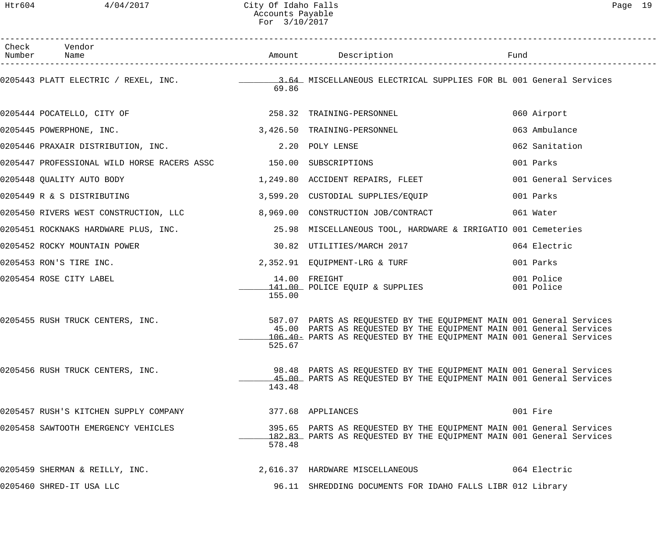| Check Vendor<br>Number Name                                                                        |        |                                                                                                                                                                                                                     |                          |
|----------------------------------------------------------------------------------------------------|--------|---------------------------------------------------------------------------------------------------------------------------------------------------------------------------------------------------------------------|--------------------------|
|                                                                                                    | 69.86  |                                                                                                                                                                                                                     |                          |
| 0205444 POCATELLO, CITY OF 258.32 TRAINING-PERSONNEL                                               |        |                                                                                                                                                                                                                     | 060 Airport              |
| 0205445 POWERPHONE, INC. 2008 and 2009 and 2010 12:00 3,426.50 TRAINING-PERSONNEL                  |        |                                                                                                                                                                                                                     | 063 Ambulance            |
| 0205446 PRAXAIR DISTRIBUTION, INC. 2.20 POLY LENSE                                                 |        |                                                                                                                                                                                                                     | 062 Sanitation           |
| 0205447 PROFESSIONAL WILD HORSE RACERS ASSC 150.00 SUBSCRIPTIONS                                   |        |                                                                                                                                                                                                                     | 001 Parks                |
| 0205448 QUALITY AUTO BODY 1,249.80 ACCIDENT REPAIRS, FLEET                                         |        |                                                                                                                                                                                                                     | 001 General Services     |
| 0205449 R & S DISTRIBUTING                                     3,599.20  CUSTODIAL SUPPLIES/EQUIP  |        |                                                                                                                                                                                                                     | 001 Parks                |
| 0205450 RIVERS WEST CONSTRUCTION, LLC 8,969.00 CONSTRUCTION JOB/CONTRACT                           |        |                                                                                                                                                                                                                     | 061 Water                |
| 0205451 ROCKNAKS HARDWARE PLUS, INC. 25.98 MISCELLANEOUS TOOL, HARDWARE & IRRIGATIO 001 Cemeteries |        |                                                                                                                                                                                                                     |                          |
| 0205452 ROCKY MOUNTAIN POWER                                                                       |        | 30.82 UTILITIES/MARCH 2017                                                                                                                                                                                          | 064 Electric             |
| 0205453 RON'S TIRE INC.                                                                            |        | 2,352.91 EQUIPMENT-LRG & TURF                                                                                                                                                                                       | 001 Parks                |
| 0205454 ROSE CITY LABEL                                                                            | 155.00 | 14.00 FREIGHT<br>141.00 POLICE EQUIP & SUPPLIES                                                                                                                                                                     | 001 Police<br>001 Police |
| 0205455 RUSH TRUCK CENTERS, INC.                                                                   | 525.67 | 587.07 PARTS AS REQUESTED BY THE EQUIPMENT MAIN 001 General Services<br>45.00 PARTS AS REQUESTED BY THE EQUIPMENT MAIN 001 General Services<br>106.40 PARTS AS REQUESTED BY THE EQUIPMENT MAIN 001 General Services |                          |
| 0205456 RUSH TRUCK CENTERS, INC.                                                                   | 143.48 | 98.48 PARTS AS REQUESTED BY THE EQUIPMENT MAIN 001 General Services<br>45.00 PARTS AS REQUESTED BY THE EQUIPMENT MAIN 001 General Services                                                                          |                          |
| 0205457 RUSH'S KITCHEN SUPPLY COMPANY                                                              |        | 377.68 APPLIANCES                                                                                                                                                                                                   | 001 Fire                 |
| 0205458 SAWTOOTH EMERGENCY VEHICLES                                                                | 578.48 | 395.65 PARTS AS REQUESTED BY THE EQUIPMENT MAIN 001 General Services<br>182.83 PARTS AS REQUESTED BY THE EQUIPMENT MAIN 001 General Services                                                                        |                          |
| 0205459 SHERMAN & REILLY, INC.                                                                     |        | 2,616.37 HARDWARE MISCELLANEOUS                                                                                                                                                                                     | 064 Electric             |
| 0205460 SHRED-IT USA LLC                                                                           |        | 96.11 SHREDDING DOCUMENTS FOR IDAHO FALLS LIBR 012 Library                                                                                                                                                          |                          |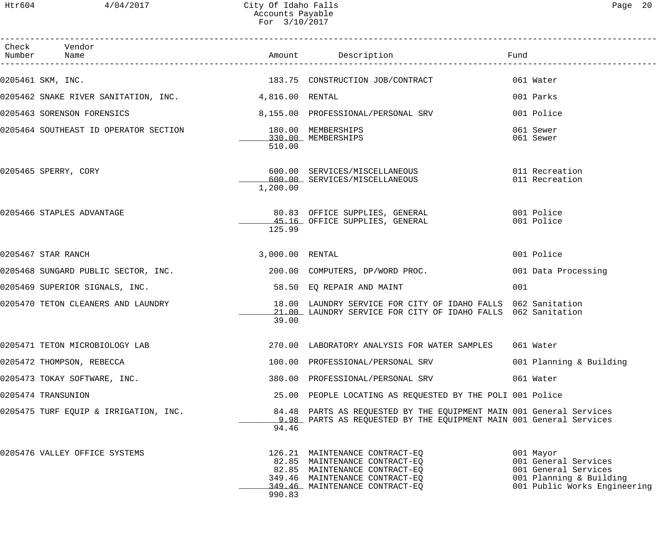| Check Vendor<br>Number Name                                                    |                 | Amount Description                                                                                                                                                   | Fund                                                                                                                 |
|--------------------------------------------------------------------------------|-----------------|----------------------------------------------------------------------------------------------------------------------------------------------------------------------|----------------------------------------------------------------------------------------------------------------------|
| 0205461 SKM, INC.                                                              |                 | 183.75 CONSTRUCTION JOB/CONTRACT                                                                                                                                     | 061 Water                                                                                                            |
| 0205462 SNAKE RIVER SANITATION, INC. 4,816.00 RENTAL                           |                 |                                                                                                                                                                      | 001 Parks                                                                                                            |
| 0205463 SORENSON FORENSICS                                                     |                 | 8,155.00 PROFESSIONAL/PERSONAL SRV                                                                                                                                   | 001 Police                                                                                                           |
| 0205464 SOUTHEAST ID OPERATOR SECTION 180.00 MEMBERSHIPS<br>330.00 MEMBERSHIPS | 510.00          |                                                                                                                                                                      | 061 Sewer<br>061 Sewer                                                                                               |
| 0205465 SPERRY, CORY                                                           | 1,200.00        | 600.00 SERVICES/MISCELLANEOUS 011 Recreation<br>600.00 SERVICES/MISCELLANEOUS                                                                                        | 011 Recreation                                                                                                       |
| 0205466 STAPLES ADVANTAGE                                                      | 125.99          | 80.83 OFFICE SUPPLIES, GENERAL 601 Police<br>45.16 OFFICE SUPPLIES, GENERAL                                                                                          | 001 Police                                                                                                           |
| 0205467 STAR RANCH                                                             | 3,000.00 RENTAL |                                                                                                                                                                      | 001 Police                                                                                                           |
| 0205468 SUNGARD PUBLIC SECTOR, INC.                                            |                 | 200.00 COMPUTERS, DP/WORD PROC.                                                                                                                                      | 001 Data Processing                                                                                                  |
| 0205469 SUPERIOR SIGNALS, INC.                                                 |                 | 58.50 EQ REPAIR AND MAINT                                                                                                                                            | 001                                                                                                                  |
| 0205470 TETON CLEANERS AND LAUNDRY                                             | 39.00           | 18.00 LAUNDRY SERVICE FOR CITY OF IDAHO FALLS 062 Sanitation<br>21.00 LAUNDRY SERVICE FOR CITY OF IDAHO FALLS 062 Sanitation                                         |                                                                                                                      |
| 0205471 TETON MICROBIOLOGY LAB                                                 |                 | 270.00 LABORATORY ANALYSIS FOR WATER SAMPLES 061 Water                                                                                                               |                                                                                                                      |
| 0205472 THOMPSON, REBECCA                                                      |                 | 100.00 PROFESSIONAL/PERSONAL SRV                                                                                                                                     | 001 Planning & Building                                                                                              |
| 0205473 TOKAY SOFTWARE, INC.                                                   |                 | 380.00 PROFESSIONAL/PERSONAL SRV                                                                                                                                     | 061 Water                                                                                                            |
| 0205474 TRANSUNION                                                             |                 | 25.00 PEOPLE LOCATING AS REQUESTED BY THE POLI 001 Police                                                                                                            |                                                                                                                      |
| 0205475 TURF EQUIP & IRRIGATION, INC.                                          | 94.46           | 84.48 PARTS AS REQUESTED BY THE EQUIPMENT MAIN 001 General Services<br>9.98 PARTS AS REOUESTED BY THE EOUIPMENT MAIN 001 General Services                            |                                                                                                                      |
| 0205476 VALLEY OFFICE SYSTEMS                                                  | 990.83          | 126.21 MAINTENANCE CONTRACT-EQ<br>82.85 MAINTENANCE CONTRACT-EQ<br>82.85 MAINTENANCE CONTRACT-EQ<br>349.46 MAINTENANCE CONTRACT-EQ<br>349.46 MAINTENANCE CONTRACT-EQ | 001 Mayor<br>001 General Services<br>001 General Services<br>001 Planning & Building<br>001 Public Works Engineering |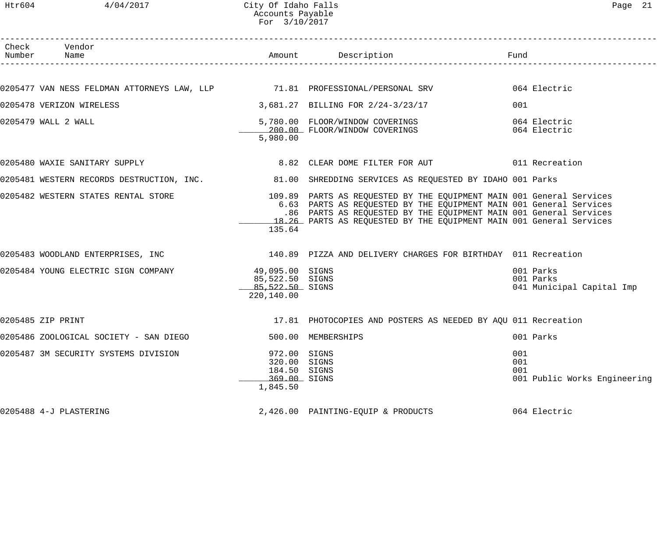# Htr604 4/04/2017 City Of Idaho Falls extending the Page 21 Accounts Payable For 3/10/2017

| Check Vendor<br>Number Name                                                       |                                                                          | Amount Description                                                                                                                                                                                                                                                                     | Fund                                                |
|-----------------------------------------------------------------------------------|--------------------------------------------------------------------------|----------------------------------------------------------------------------------------------------------------------------------------------------------------------------------------------------------------------------------------------------------------------------------------|-----------------------------------------------------|
|                                                                                   |                                                                          |                                                                                                                                                                                                                                                                                        |                                                     |
| 0205477 VAN NESS FELDMAN ATTORNEYS LAW, LLP       71.81 PROFESSIONAL/PERSONAL SRV |                                                                          |                                                                                                                                                                                                                                                                                        | 064 Electric                                        |
| 0205478 VERIZON WIRELESS                                                          |                                                                          | 3,681.27 BILLING FOR 2/24-3/23/17                                                                                                                                                                                                                                                      | 001                                                 |
| 0205479 WALL 2 WALL                                                               | 5,980.00                                                                 | 5,780.00 FLOOR/WINDOW COVERINGS<br>200.00 FLOOR/WINDOW COVERINGS                                                                                                                                                                                                                       | 064 Electric<br>064 Electric                        |
| 0205480 WAXIE SANITARY SUPPLY                                                     |                                                                          | 8.82 CLEAR DOME FILTER FOR AUT 6011 Recreation                                                                                                                                                                                                                                         |                                                     |
|                                                                                   |                                                                          | 0205481 WESTERN RECORDS DESTRUCTION, INC. 31.00 SHREDDING SERVICES AS REQUESTED BY IDAHO 001 Parks                                                                                                                                                                                     |                                                     |
| 0205482 WESTERN STATES RENTAL STORE                                               | 135.64                                                                   | 109.89 PARTS AS REQUESTED BY THE EQUIPMENT MAIN 001 General Services<br>6.63 PARTS AS REQUESTED BY THE EQUIPMENT MAIN 001 General Services<br>.86 PARTS AS REQUESTED BY THE EQUIPMENT MAIN 001 General Services<br>18.26 PARTS AS REQUESTED BY THE EQUIPMENT MAIN 001 General Services |                                                     |
|                                                                                   |                                                                          | 0205483 WOODLAND ENTERPRISES, INC 30 140.89 PIZZA AND DELIVERY CHARGES FOR BIRTHDAY 011 Recreation                                                                                                                                                                                     |                                                     |
| 0205484 YOUNG ELECTRIC SIGN COMPANY                                               | 49,095.00 SIGNS<br>85,522.50 SIGNS<br>85,522.50 SIGNS<br>220,140.00      |                                                                                                                                                                                                                                                                                        | 001 Parks<br>001 Parks<br>041 Municipal Capital Imp |
| 0205485 ZIP PRINT                                                                 |                                                                          | 17.81 PHOTOCOPIES AND POSTERS AS NEEDED BY AQU 011 Recreation                                                                                                                                                                                                                          |                                                     |
| 0205486 ZOOLOGICAL SOCIETY - SAN DIEGO                                            |                                                                          | 500.00 MEMBERSHIPS                                                                                                                                                                                                                                                                     | 001 Parks                                           |
| 0205487 3M SECURITY SYSTEMS DIVISION                                              | 972.00 SIGNS<br>320.00 SIGNS<br>184.50 SIGNS<br>369.00 SIGNS<br>1,845.50 |                                                                                                                                                                                                                                                                                        | 001<br>001<br>001<br>001 Public Works Engineering   |
| 0205488 4-J PLASTERING                                                            |                                                                          | 2,426.00 PAINTING-EQUIP & PRODUCTS                                                                                                                                                                                                                                                     | 064 Electric                                        |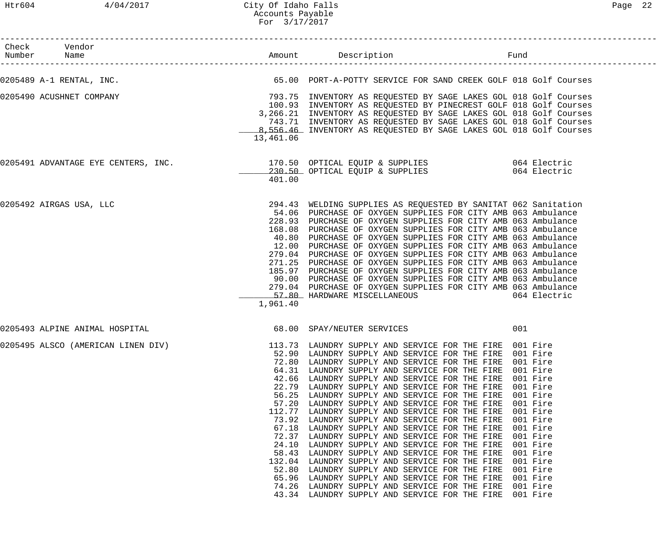| Check Vendor<br>Number Name                                                                |                                                             |                                                                                                                                                                                                                                                                                                                                                                                                                                                                                                                                                                                                                                                                                                                                                                                                                                                                                          | Fund                                                                                                                                                                                         |
|--------------------------------------------------------------------------------------------|-------------------------------------------------------------|------------------------------------------------------------------------------------------------------------------------------------------------------------------------------------------------------------------------------------------------------------------------------------------------------------------------------------------------------------------------------------------------------------------------------------------------------------------------------------------------------------------------------------------------------------------------------------------------------------------------------------------------------------------------------------------------------------------------------------------------------------------------------------------------------------------------------------------------------------------------------------------|----------------------------------------------------------------------------------------------------------------------------------------------------------------------------------------------|
| 0205489 A-1 RENTAL, INC. THE SALE RELEASE SERVICE FOR SAND CREEK GOLF 018 Golf Courses     |                                                             |                                                                                                                                                                                                                                                                                                                                                                                                                                                                                                                                                                                                                                                                                                                                                                                                                                                                                          |                                                                                                                                                                                              |
| 0205490 ACUSHNET COMPANY                                                                   | 13,461.06                                                   | 793.75 INVENTORY AS REQUESTED BY SAGE LAKES GOL 018 Golf Courses<br>100.93 INVENTORY AS REQUESTED BY PINECREST GOLF 018 Golf Courses<br>3,266.21 INVENTORY AS REQUESTED BY SAGE LAKES GOL 018 Golf Courses<br>743.71 INVENTORY AS REQUESTED BY SAGE LAKES GOL 018 Golf Courses<br>8,556.46 INVENTORY AS REQUESTED BY SAGE LAKES GOL 018 Golf Courses                                                                                                                                                                                                                                                                                                                                                                                                                                                                                                                                     |                                                                                                                                                                                              |
|                                                                                            | 401.00                                                      |                                                                                                                                                                                                                                                                                                                                                                                                                                                                                                                                                                                                                                                                                                                                                                                                                                                                                          |                                                                                                                                                                                              |
| 0205492 AIRGAS USA, LLC                                                                    | 1,961.40                                                    | 294.43 WELDING SUPPLIES AS REQUESTED BY SANITAT 062 Sanitation<br>54.06 PURCHASE OF OXYGEN SUPPLIES FOR CITY AMB 063 Ambulance<br>228.93 PURCHASE OF OXYGEN SUPPLIES FOR CITY AMB 063 Ambulance<br>168.08 PURCHASE OF OXYGEN SUPPLIES FOR CITY AMB 063 Ambulance<br>40.80 PURCHASE OF OXYGEN SUPPLIES FOR CITY AMB 063 Ambulance<br>12.00 PURCHASE OF OXYGEN SUPPLIES FOR CITY AMB 063 Ambulance<br>279.04 PURCHASE OF OXYGEN SUPPLIES FOR CITY AMB 063 Ambulance<br>271.25 PURCHASE OF OXYGEN SUPPLIES FOR CITY AMB 063 Ambulance<br>185.97 PURCHASE OF OXYGEN SUPPLIES FOR CITY AMB 063 Ambulance<br>90.00 PURCHASE OF OXYGEN SUPPLIES FOR CITY AMB 063 Ambulance<br>279.04 PURCHASE OF OXYGEN SUPPLIES FOR CITY AMB 063 Ambulance<br>57.80 HARDWARE MISCELLANEOUS                                                                                                                     | 064 Electric                                                                                                                                                                                 |
| 0205493 ALPINE ANIMAL HOSPITAL                                                             |                                                             | 68.00 SPAY/NEUTER SERVICES                                                                                                                                                                                                                                                                                                                                                                                                                                                                                                                                                                                                                                                                                                                                                                                                                                                               | 001                                                                                                                                                                                          |
| 0205495 ALSCO (AMERICAN LINEN DIV) 113.73 LAUNDRY SUPPLY AND SERVICE FOR THE FIRE 001 Fire | 52.90<br>72.80<br>42.66<br>56.25<br>52.80<br>65.96<br>74.26 | LAUNDRY SUPPLY AND SERVICE FOR THE FIRE<br>LAUNDRY SUPPLY AND SERVICE FOR THE FIRE 001 Fire<br>64.31 LAUNDRY SUPPLY AND SERVICE FOR THE FIRE<br>LAUNDRY SUPPLY AND SERVICE FOR THE FIRE<br>22.79 LAUNDRY SUPPLY AND SERVICE FOR THE FIRE<br>LAUNDRY SUPPLY AND SERVICE FOR THE FIRE<br>57.20 LAUNDRY SUPPLY AND SERVICE FOR THE FIRE<br>112.77 LAUNDRY SUPPLY AND SERVICE FOR THE FIRE<br>73.92 LAUNDRY SUPPLY AND SERVICE FOR THE FIRE<br>67.18 LAUNDRY SUPPLY AND SERVICE FOR THE FIRE<br>72.37 LAUNDRY SUPPLY AND SERVICE FOR THE FIRE<br>24.10 LAUNDRY SUPPLY AND SERVICE FOR THE FIRE<br>58.43 LAUNDRY SUPPLY AND SERVICE FOR THE FIRE<br>132.04 LAUNDRY SUPPLY AND SERVICE FOR THE FIRE<br>LAUNDRY SUPPLY AND SERVICE FOR THE FIRE<br>LAUNDRY SUPPLY AND SERVICE FOR THE FIRE<br>LAUNDRY SUPPLY AND SERVICE FOR THE FIRE<br>43.34 LAUNDRY SUPPLY AND SERVICE FOR THE FIRE 001 Fire | 001 Fire<br>001 Fire<br>001 Fire<br>001 Fire<br>001 Fire<br>001 Fire<br>001 Fire<br>001 Fire<br>001 Fire<br>001 Fire<br>001 Fire<br>001 Fire<br>001 Fire<br>001 Fire<br>001 Fire<br>001 Fire |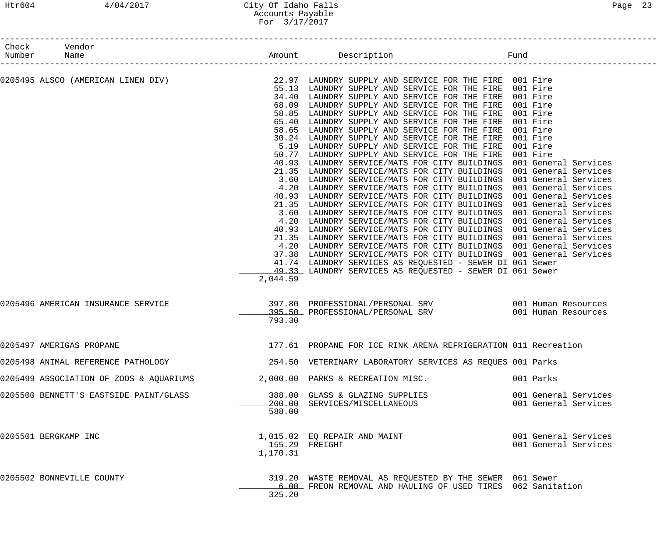## Htr604 4/04/2017 City Of Idaho Falls Page 23 Accounts Payable For 3/17/2017

| Number | Check Vendor<br>Name                    |                            | Amount Description                                                                                                                                                                                                                                                                                                                                                                                                                                                                                                                                                                                                                                                                                                                                                                                                                                                                                                                                                                                                                                                                                                                                                                                                                                                                                                                                                                                                                                                                                                                                              | Fund                                         |
|--------|-----------------------------------------|----------------------------|-----------------------------------------------------------------------------------------------------------------------------------------------------------------------------------------------------------------------------------------------------------------------------------------------------------------------------------------------------------------------------------------------------------------------------------------------------------------------------------------------------------------------------------------------------------------------------------------------------------------------------------------------------------------------------------------------------------------------------------------------------------------------------------------------------------------------------------------------------------------------------------------------------------------------------------------------------------------------------------------------------------------------------------------------------------------------------------------------------------------------------------------------------------------------------------------------------------------------------------------------------------------------------------------------------------------------------------------------------------------------------------------------------------------------------------------------------------------------------------------------------------------------------------------------------------------|----------------------------------------------|
|        | 0205495 ALSCO (AMERICAN LINEN DIV)      | 2,044.59                   | 22.97 LAUNDRY SUPPLY AND SERVICE FOR THE FIRE 001 Fire<br>55.13 LAUNDRY SUPPLY AND SERVICE FOR THE FIRE 001 Fire<br>34.40 LAUNDRY SUPPLY AND SERVICE FOR THE FIRE 001 Fire<br>68.09 LAUNDRY SUPPLY AND SERVICE FOR THE FIRE 001 Fire<br>58.85 LAUNDRY SUPPLY AND SERVICE FOR THE FIRE<br>65.40 LAUNDRY SUPPLY AND SERVICE FOR THE FIRE<br>58.65 LAUNDRY SUPPLY AND SERVICE FOR THE FIRE<br>30.24 LAUNDRY SUPPLY AND SERVICE FOR THE FIRE 001 Fire<br>5.19 LAUNDRY SUPPLY AND SERVICE FOR THE FIRE 001 Fire<br>50.77 LAUNDRY SUPPLY AND SERVICE FOR THE FIRE 001 Fire<br>40.93 LAUNDRY SERVICE/MATS FOR CITY BUILDINGS 001 General Services<br>21.35 LAUNDRY SERVICE/MATS FOR CITY BUILDINGS 001 General Services<br>3.60 LAUNDRY SERVICE/MATS FOR CITY BUILDINGS 001 General Services<br>4.20 LAUNDRY SERVICE/MATS FOR CITY BUILDINGS 001 General Services<br>40.93 LAUNDRY SERVICE/MATS FOR CITY BUILDINGS 001 General Services<br>21.35 LAUNDRY SERVICE/MATS FOR CITY BUILDINGS 001 General Services<br>3.60 LAUNDRY SERVICE/MATS FOR CITY BUILDINGS 001 General Services<br>4.20 LAUNDRY SERVICE/MATS FOR CITY BUILDINGS 001 General Services<br>40.93 LAUNDRY SERVICE/MATS FOR CITY BUILDINGS 001 General Services<br>21.35 LAUNDRY SERVICE/MATS FOR CITY BUILDINGS 001 General Services<br>4.20 LAUNDRY SERVICE/MATS FOR CITY BUILDINGS 001 General Services<br>37.38 LAUNDRY SERVICE/MATS FOR CITY BUILDINGS 001 General Services<br>41.74 LAUNDRY SERVICES AS REQUESTED - SEWER DI 061 Sewer<br>49.33 LAUNDRY SERVICES AS REQUESTED - SEWER DI 061 Sewer | 001 Fire<br>001 Fire<br>001 Fire             |
|        | 0205496 AMERICAN INSURANCE SERVICE      | 793.30                     | 397.80 PROFESSIONAL/PERSONAL SRV 6001 Human Resources<br>395.50 PROFESSIONAL/PERSONAL SRV                                                                                                                                                                                                                                                                                                                                                                                                                                                                                                                                                                                                                                                                                                                                                                                                                                                                                                                                                                                                                                                                                                                                                                                                                                                                                                                                                                                                                                                                       | 001 Human Resources                          |
|        | 0205497 AMERIGAS PROPANE                |                            | 177.61 PROPANE FOR ICE RINK ARENA REFRIGERATION 011 Recreation                                                                                                                                                                                                                                                                                                                                                                                                                                                                                                                                                                                                                                                                                                                                                                                                                                                                                                                                                                                                                                                                                                                                                                                                                                                                                                                                                                                                                                                                                                  |                                              |
|        | 0205498 ANIMAL REFERENCE PATHOLOGY      |                            | 254.50 VETERINARY LABORATORY SERVICES AS REQUES 001 Parks                                                                                                                                                                                                                                                                                                                                                                                                                                                                                                                                                                                                                                                                                                                                                                                                                                                                                                                                                                                                                                                                                                                                                                                                                                                                                                                                                                                                                                                                                                       |                                              |
|        | 0205499 ASSOCIATION OF ZOOS & AQUARIUMS |                            | 2,000.00 PARKS & RECREATION MISC.                                                                                                                                                                                                                                                                                                                                                                                                                                                                                                                                                                                                                                                                                                                                                                                                                                                                                                                                                                                                                                                                                                                                                                                                                                                                                                                                                                                                                                                                                                                               | 001 Parks                                    |
|        | 0205500 BENNETT'S EASTSIDE PAINT/GLASS  | 588.00                     | 388.00 GLASS & GLAZING SUPPLIES<br>200.00 SERVICES/MISCELLANEOUS                                                                                                                                                                                                                                                                                                                                                                                                                                                                                                                                                                                                                                                                                                                                                                                                                                                                                                                                                                                                                                                                                                                                                                                                                                                                                                                                                                                                                                                                                                | 001 General Services<br>001 General Services |
|        | 0205501 BERGKAMP INC                    | 155.29 FREIGHT<br>1,170.31 | 1,015.02 EQ REPAIR AND MAINT                                                                                                                                                                                                                                                                                                                                                                                                                                                                                                                                                                                                                                                                                                                                                                                                                                                                                                                                                                                                                                                                                                                                                                                                                                                                                                                                                                                                                                                                                                                                    | 001 General Services<br>001 General Services |
|        | 0205502 BONNEVILLE COUNTY               | 325.20                     | 319.20 WASTE REMOVAL AS REQUESTED BY THE SEWER 061 Sewer<br>6.00 FREON REMOVAL AND HAULING OF USED TIRES 062 Sanitation                                                                                                                                                                                                                                                                                                                                                                                                                                                                                                                                                                                                                                                                                                                                                                                                                                                                                                                                                                                                                                                                                                                                                                                                                                                                                                                                                                                                                                         |                                              |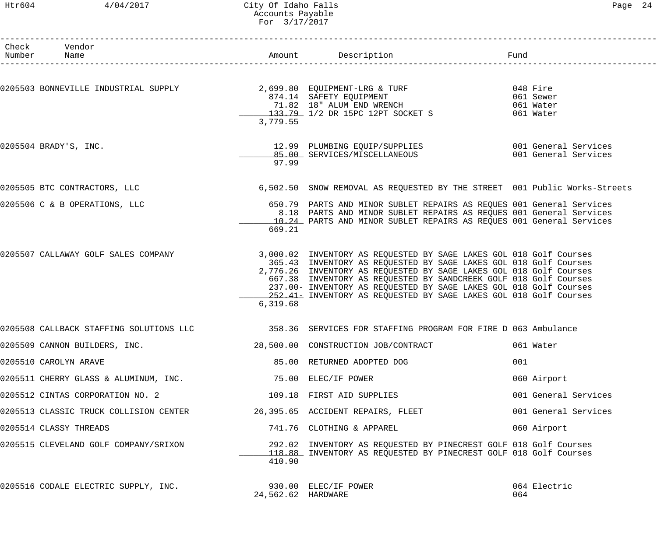#### Htr604 4/04/2017 City Of Idaho Falls Page 24 Accounts Payable For 3/17/2017

| Check Vendor<br>Number Name                                              |                    | Amount Description Description Fund                                                                                                                                                                                                                                                                                                                                                                                         |                      |
|--------------------------------------------------------------------------|--------------------|-----------------------------------------------------------------------------------------------------------------------------------------------------------------------------------------------------------------------------------------------------------------------------------------------------------------------------------------------------------------------------------------------------------------------------|----------------------|
|                                                                          | 3,779.55           | 0205503 BONNEVILLE INDUSTRIAL SUPPLY 2,699.80 EQUIPMENT-LRG & TURF 048 Fire<br>874.14 SAFETY EQUIPMENT 061 Sewer<br>71.82 18" ALUM END WRENCH 061 Water<br>133.79 1/2 DR 15PC 12PT SOCKET S 061 Water                                                                                                                                                                                                                       |                      |
| 0205504 BRADY'S, INC.                                                    | 97.99              | 12.99 PLUMBING EQUIP/SUPPLIES 6001 General Services<br>85.00 SERVICES/MISCELLANEOUS                                                                                                                                                                                                                                                                                                                                         | 001 General Services |
| 0205505 BTC CONTRACTORS, LLC                                             |                    | 6,502.50 SNOW REMOVAL AS REQUESTED BY THE STREET 001 Public Works-Streets                                                                                                                                                                                                                                                                                                                                                   |                      |
| 0205506 C & B OPERATIONS, LLC                                            | 669.21             | 650.79 PARTS AND MINOR SUBLET REPAIRS AS REQUES 001 General Services<br>8.18 PARTS AND MINOR SUBLET REPAIRS AS REQUES 001 General Services<br>10.24 PARTS AND MINOR SUBLET REPAIRS AS REQUES 001 General Services                                                                                                                                                                                                           |                      |
| 0205507 CALLAWAY GOLF SALES COMPANY                                      | 6,319.68           | 3,000.02 INVENTORY AS REQUESTED BY SAGE LAKES GOL 018 Golf Courses<br>365.43 INVENTORY AS REQUESTED BY SAGE LAKES GOL 018 Golf Courses<br>2,776.26 INVENTORY AS REQUESTED BY SAGE LAKES GOL 018 Golf Courses<br>667.38 INVENTORY AS REQUESTED BY SANDCREEK GOLF 018 Golf Courses<br>237.00- INVENTORY AS REQUESTED BY SAGE LAKES GOL 018 Golf Courses<br>252.41 = INVENTORY AS REQUESTED BY SAGE LAKES GOL 018 Golf Courses |                      |
|                                                                          |                    | 0205508 CALLBACK STAFFING SOLUTIONS LLC 358.36 SERVICES FOR STAFFING PROGRAM FOR FIRE D 063 Ambulance                                                                                                                                                                                                                                                                                                                       |                      |
| 0205509 CANNON BUILDERS, INC.                                            |                    | 28,500.00 CONSTRUCTION JOB/CONTRACT                                                                                                                                                                                                                                                                                                                                                                                         | 061 Water            |
| 0205510 CAROLYN ARAVE                                                    |                    | 85.00 RETURNED ADOPTED DOG                                                                                                                                                                                                                                                                                                                                                                                                  | 001                  |
| 0205511 CHERRY GLASS & ALUMINUM, INC.                                    |                    | 75.00 ELEC/IF POWER                                                                                                                                                                                                                                                                                                                                                                                                         | 060 Airport          |
| 0205512 CINTAS CORPORATION NO. 2                                         |                    | 109.18 FIRST AID SUPPLIES                                                                                                                                                                                                                                                                                                                                                                                                   | 001 General Services |
| 0205513 CLASSIC TRUCK COLLISION CENTER 26,395.65 ACCIDENT REPAIRS, FLEET |                    |                                                                                                                                                                                                                                                                                                                                                                                                                             | 001 General Services |
| 0205514 CLASSY THREADS                                                   |                    | 741.76 CLOTHING & APPAREL                                                                                                                                                                                                                                                                                                                                                                                                   | 060 Airport          |
| 0205515 CLEVELAND GOLF COMPANY/SRIXON                                    | 410.90             | 292.02 INVENTORY AS REQUESTED BY PINECREST GOLF 018 Golf Courses<br>118.88 INVENTORY AS REQUESTED BY PINECREST GOLF 018 Golf Courses                                                                                                                                                                                                                                                                                        |                      |
| 0205516 CODALE ELECTRIC SUPPLY, INC.                                     | 24,562.62 HARDWARE | 930.00 ELEC/IF POWER                                                                                                                                                                                                                                                                                                                                                                                                        | 064 Electric<br>064  |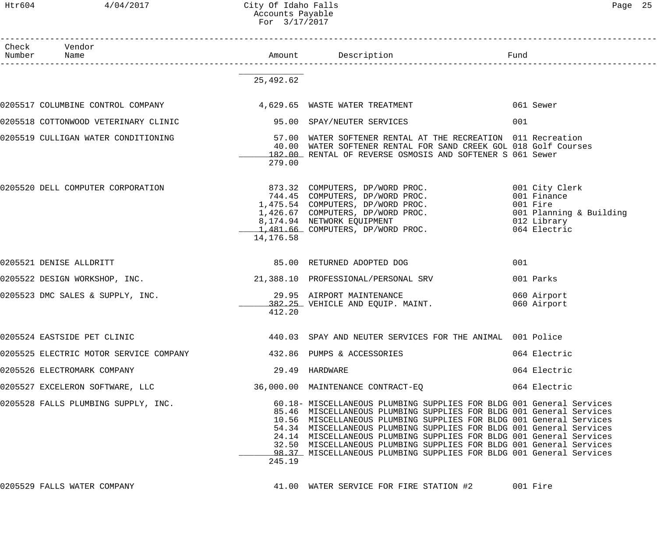## Htr604 4/04/2017 City Of Idaho Falls Page 25 Accounts Payable For 3/17/2017

| Check Vendor<br>Number<br>Name                                                |                |                                                                                                                                                                                                                                                                                                                                                                                                                                                                                                                | Fund                       |
|-------------------------------------------------------------------------------|----------------|----------------------------------------------------------------------------------------------------------------------------------------------------------------------------------------------------------------------------------------------------------------------------------------------------------------------------------------------------------------------------------------------------------------------------------------------------------------------------------------------------------------|----------------------------|
|                                                                               |                |                                                                                                                                                                                                                                                                                                                                                                                                                                                                                                                |                            |
|                                                                               | 25,492.62      |                                                                                                                                                                                                                                                                                                                                                                                                                                                                                                                |                            |
| 0205517 COLUMBINE CONTROL COMPANY            4,629.65 WASTE WATER TREATMENT   |                |                                                                                                                                                                                                                                                                                                                                                                                                                                                                                                                | 061 Sewer                  |
| 0205518 COTTONWOOD VETERINARY CLINIC                                          |                | 95.00 SPAY/NEUTER SERVICES                                                                                                                                                                                                                                                                                                                                                                                                                                                                                     | 001                        |
| 0205519 CULLIGAN WATER CONDITIONING                                           | 279.00         | 57.00 WATER SOFTENER RENTAL AT THE RECREATION 011 Recreation<br>40.00 WATER SOFTENER RENTAL FOR SAND CREEK GOL 018 Golf Courses<br>182.00 RENTAL OF REVERSE OSMOSIS AND SOFTENER S 061 Sewer                                                                                                                                                                                                                                                                                                                   |                            |
| 0205520 DELL COMPUTER CORPORATION                                             | 14,176.58      | 873.32 COMPUTERS, DP/WORD PROC. 001 City Clerk<br>744.45 COMPUTERS, DP/WORD PROC. 001 Finance<br>1,475.54 COMPUTERS, DP/WORD PROC. 001 Fire<br>1,426.67 COMPUTERS, DP/WORD PROC. 001 Planning & Building<br>8,174.94 NETWORK EQUIPMENT                                                                                                                                                                                                                                                                         |                            |
| 0205521 DENISE ALLDRITT                                                       |                | 85.00 RETURNED ADOPTED DOG                                                                                                                                                                                                                                                                                                                                                                                                                                                                                     | 001                        |
| 0205522 DESIGN WORKSHOP, INC.                                                 |                | 21,388.10 PROFESSIONAL/PERSONAL SRV                                                                                                                                                                                                                                                                                                                                                                                                                                                                            | 001 Parks                  |
| 0205523 DMC SALES & SUPPLY, INC.                                              | 412.20         | 29.95 AIRPORT MAINTENANCE<br>382.25 VEHICLE AND EQUIP. MAINT.                                                                                                                                                                                                                                                                                                                                                                                                                                                  | 060 Airport<br>060 Airport |
| 0205524 EASTSIDE PET CLINIC                                                   |                | 440.03 SPAY AND NEUTER SERVICES FOR THE ANIMAL 001 Police                                                                                                                                                                                                                                                                                                                                                                                                                                                      |                            |
| 0205525 ELECTRIC MOTOR SERVICE COMPANY          432.86  PUMPS & ACCESSORIES   |                |                                                                                                                                                                                                                                                                                                                                                                                                                                                                                                                | 064 Electric               |
| 0205526 ELECTROMARK COMPANY                                                   | 29.49 HARDWARE |                                                                                                                                                                                                                                                                                                                                                                                                                                                                                                                | 064 Electric               |
| 0205527 EXCELERON SOFTWARE, LLC 36,000.00 MAINTENANCE CONTRACT-EQ 64 Electric |                |                                                                                                                                                                                                                                                                                                                                                                                                                                                                                                                |                            |
| 0205528 FALLS PLUMBING SUPPLY, INC.                                           | 245.19         | 60.18- MISCELLANEOUS PLUMBING SUPPLIES FOR BLDG 001 General Services<br>85.46 MISCELLANEOUS PLUMBING SUPPLIES FOR BLDG 001 General Services<br>10.56 MISCELLANEOUS PLUMBING SUPPLIES FOR BLDG 001 General Services<br>54.34 MISCELLANEOUS PLUMBING SUPPLIES FOR BLDG 001 General Services<br>24.14 MISCELLANEOUS PLUMBING SUPPLIES FOR BLDG 001 General Services<br>32.50 MISCELLANEOUS PLUMBING SUPPLIES FOR BLDG 001 General Services<br>98.37 MISCELLANEOUS PLUMBING SUPPLIES FOR BLDG 001 General Services |                            |
| 0205529 FALLS WATER COMPANY                                                   |                | 41.00 WATER SERVICE FOR FIRE STATION #2 001 Fire                                                                                                                                                                                                                                                                                                                                                                                                                                                               |                            |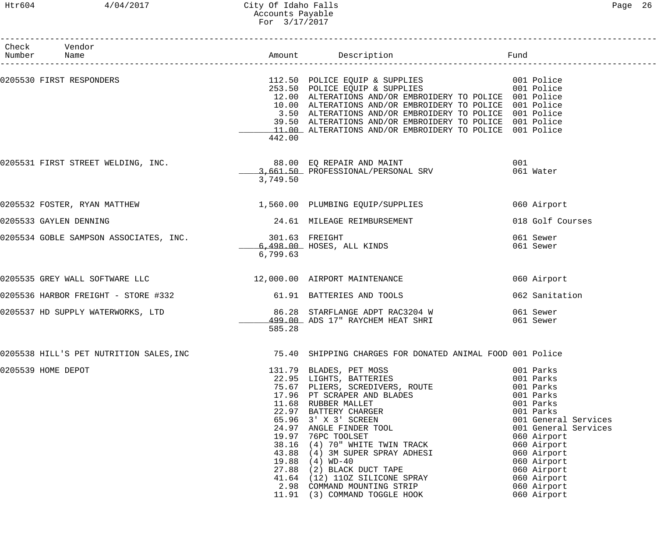# Htr604 4/04/2017 City Of Idaho Falls Page 26 Accounts Payable For 3/17/2017

| Check Vendor<br>Number Name                                   |                            |                                                                                                                                                                                                                                                                                                                                                                                                                                                    |                                                                                                                                                                                                                                                    |
|---------------------------------------------------------------|----------------------------|----------------------------------------------------------------------------------------------------------------------------------------------------------------------------------------------------------------------------------------------------------------------------------------------------------------------------------------------------------------------------------------------------------------------------------------------------|----------------------------------------------------------------------------------------------------------------------------------------------------------------------------------------------------------------------------------------------------|
|                                                               | 442.00                     | 0205530 FIRST RESPONDERS 601 CONTROL 112.50 POLICE EQUIP & SUPPLIES 601 POLICE 1001 Police<br>253.50 POLICE EQUIP & SUPPLIES 001 Police<br>12.00 ALTERATIONS AND/OR EMBROIDERY TO POLICE 001 Police<br>10.00 ALTERATIONS AND/OR EMBROIDERY TO POLICE 001 Police<br>3.50 ALTERATIONS AND/OR EMBROIDERY TO POLICE 001 Police<br>39.50 ALTERATIONS AND/OR EMBROIDERY TO POLICE 001 Police<br>11.00 ALTERATIONS AND/OR EMBROIDERY TO POLICE 001 Police |                                                                                                                                                                                                                                                    |
| 0205531 FIRST STREET WELDING, INC.                            | 3,749.50                   | 88.00 EQ REPAIR AND MAINT<br>3,661.50 PROFESSIONAL/PERSONAL SRV 061 Water                                                                                                                                                                                                                                                                                                                                                                          |                                                                                                                                                                                                                                                    |
|                                                               |                            | 0205532 FOSTER, RYAN MATTHEW 1,560.00 PLUMBING EQUIP/SUPPLIES                                                                                                                                                                                                                                                                                                                                                                                      | 060 Airport                                                                                                                                                                                                                                        |
| 0205533 GAYLEN DENNING                                        |                            | 24.61 MILEAGE REIMBURSEMENT                                                                                                                                                                                                                                                                                                                                                                                                                        | 018 Golf Courses                                                                                                                                                                                                                                   |
| 0205534 GOBLE SAMPSON ASSOCIATES, INC.                        | 301.63 FREIGHT<br>6,799.63 | 301.63 FREIGHT<br>6,498.00 HOSES, ALL KINDS                                                                                                                                                                                                                                                                                                                                                                                                        | 061 Sewer<br>061 Sewer                                                                                                                                                                                                                             |
| 0205535 GREY WALL SOFTWARE LLC 12,000.00 AIRPORT MAINTENANCE  |                            |                                                                                                                                                                                                                                                                                                                                                                                                                                                    | 060 Airport                                                                                                                                                                                                                                        |
| 0205536 HARBOR FREIGHT - STORE #332 61.91 BATTERIES AND TOOLS |                            |                                                                                                                                                                                                                                                                                                                                                                                                                                                    | 062 Sanitation                                                                                                                                                                                                                                     |
| 0205537 HD SUPPLY WATERWORKS, LTD                             | 585.28                     | 86.28 STARFLANGE ADPT RAC3204 W 061 Sewer<br>499.00 ADS 17" RAYCHEM HEAT SHRI                                                                                                                                                                                                                                                                                                                                                                      | 061 Sewer                                                                                                                                                                                                                                          |
|                                                               |                            |                                                                                                                                                                                                                                                                                                                                                                                                                                                    |                                                                                                                                                                                                                                                    |
| 0205539 HOME DEPOT                                            |                            | 131.79 BLADES, PET MOSS<br>22.95 LIGHTS, BATTERIES<br>75.67 PLIERS, SCREDIVERS, ROUTE<br>17.96 PT SCRAPER AND BLADES<br>11.68 RUBBER MALLET<br>22.97 BATTERY CHARGER<br>65.96 3' X 3' SCREEN<br>24.97 ANGLE FINDER TOOL<br>19.97 76PC TOOLSET<br><br>2.98 COMMAND MOUNTING STRIP<br>11.91 (3) COMMAND TOGGLE HOOK                                                                                                                                  | 001 Parks<br>001 Parks<br>001 Parks<br>001 Parks<br>001 Parks<br>001 Parks<br>001 General Services<br>001 General Services<br>060 Airport<br>060 Airport<br>060 Airport<br>060 Airport<br>060 Airport<br>060 Airport<br>060 Airport<br>060 Airport |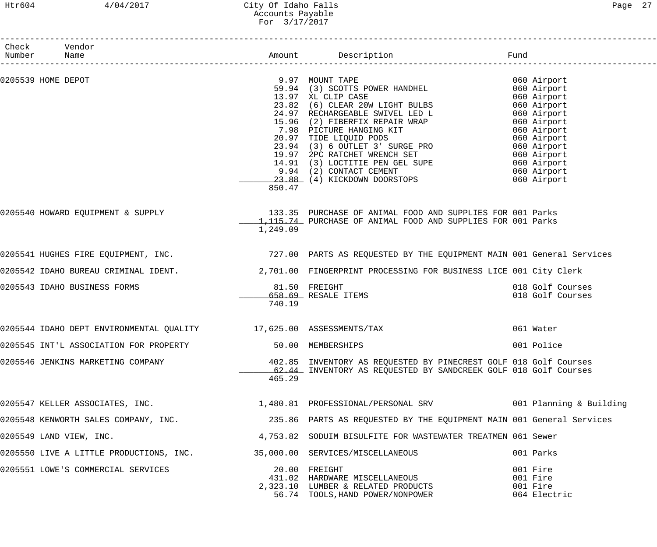## Htr604 4/04/2017 City Of Idaho Falls Page 27 Accounts Payable For 3/17/2017

| Check Vendor<br>Number Name                                              |          |                                                                                                                                                                                                                                                                                                                         |                                                                                                                                     |
|--------------------------------------------------------------------------|----------|-------------------------------------------------------------------------------------------------------------------------------------------------------------------------------------------------------------------------------------------------------------------------------------------------------------------------|-------------------------------------------------------------------------------------------------------------------------------------|
| 0205539 HOME DEPOT                                                       |          | 9.97 MOUNT TAPE<br>59.94 (3) SCOTTS POWER HANDHEL<br>13.97 XL CLIP CASE<br>13.97 XL CLIP CASE<br>23.82 (6) CLEAR 20W LIGHT BULBS<br>24.97 RECHARGEABLE SWIVEL LED L<br>15.96 (2) FIBERFIX REPAIR WRAP<br>7.98 PICTURE HANGING KIT<br>20.97 TIDE LIQUID PODS<br>23.94 (3) 6 OUTLET 3' SURGE PRO<br>19.97 2PC RATCHET WRE | 060 Airport<br>060 Airport<br>060 Airport<br>060 Airport<br>060 Airport<br>060 Airport<br>060 Airport<br>060 Airport<br>060 Airport |
|                                                                          | 850.47   | 9.94 (2) CONTACT CEMENT<br>23.88 (4) KICKDOWN DOORSTOPS                                                                                                                                                                                                                                                                 | 060 Airport<br>060 Airport<br>060 Airport<br>060 Airport                                                                            |
|                                                                          | 1,249.09 | 0205540 HOWARD EQUIPMENT & SUPPLY 133.35 PURCHASE OF ANIMAL FOOD AND SUPPLIES FOR 001 Parks<br>1,115.74 PURCHASE OF ANIMAL FOOD AND SUPPLIES FOR 001 Parks                                                                                                                                                              |                                                                                                                                     |
|                                                                          |          | 0205541 HUGHES FIRE EQUIPMENT, INC. THE SAND THE 727.00 PARTS AS REQUESTED BY THE EQUIPMENT MAIN 001 General Services                                                                                                                                                                                                   |                                                                                                                                     |
|                                                                          |          | 0205542 IDAHO BUREAU CRIMINAL IDENT. 2,701.00 FINGERPRINT PROCESSING FOR BUSINESS LICE 001 City Clerk                                                                                                                                                                                                                   |                                                                                                                                     |
| 0205543 IDAHO BUSINESS FORMS                                             | 740.19   | 81.50 FREIGHT<br>658.69 RESALE ITEMS                                                                                                                                                                                                                                                                                    | 018 Golf Courses<br>018 Golf Courses                                                                                                |
| 0205544 IDAHO DEPT ENVIRONMENTAL QUALITY 17,625.00 ASSESSMENTS/TAX       |          |                                                                                                                                                                                                                                                                                                                         | 061 Water                                                                                                                           |
| 0205545 INT'L ASSOCIATION FOR PROPERTY 60.00 MEMBERSHIPS                 |          |                                                                                                                                                                                                                                                                                                                         | 001 Police                                                                                                                          |
| 0205546 JENKINS MARKETING COMPANY                                        | 465.29   | 402.85 INVENTORY AS REQUESTED BY PINECREST GOLF 018 Golf Courses<br>62.44 INVENTORY AS REQUESTED BY SANDCREEK GOLF 018 Golf Courses                                                                                                                                                                                     |                                                                                                                                     |
|                                                                          |          | 0205547 KELLER ASSOCIATES, INC. 1,480.81 PROFESSIONAL/PERSONAL SRV 1001 Planning & Building                                                                                                                                                                                                                             |                                                                                                                                     |
| 0205548 KENWORTH SALES COMPANY, INC.                                     |          | 235.86 PARTS AS REQUESTED BY THE EQUIPMENT MAIN 001 General Services                                                                                                                                                                                                                                                    |                                                                                                                                     |
| 0205549 LAND VIEW, INC.                                                  |          | 4,753.82 SODUIM BISULFITE FOR WASTEWATER TREATMEN 061 Sewer                                                                                                                                                                                                                                                             |                                                                                                                                     |
| 0205550 LIVE A LITTLE PRODUCTIONS, INC. 35,000.00 SERVICES/MISCELLANEOUS |          |                                                                                                                                                                                                                                                                                                                         | 001 Parks                                                                                                                           |
| 0205551 LOWE'S COMMERCIAL SERVICES                                       |          | 20.00 FREIGHT<br>431.02 HARDWARE MISCELLANEOUS<br>2,323.10 LUMBER & RELATED PRODUCTS<br>56.74 TOOLS, HAND POWER/NONPOWER                                                                                                                                                                                                | 001 Fire<br>001 Fire<br>001 Fire<br>064 Electric                                                                                    |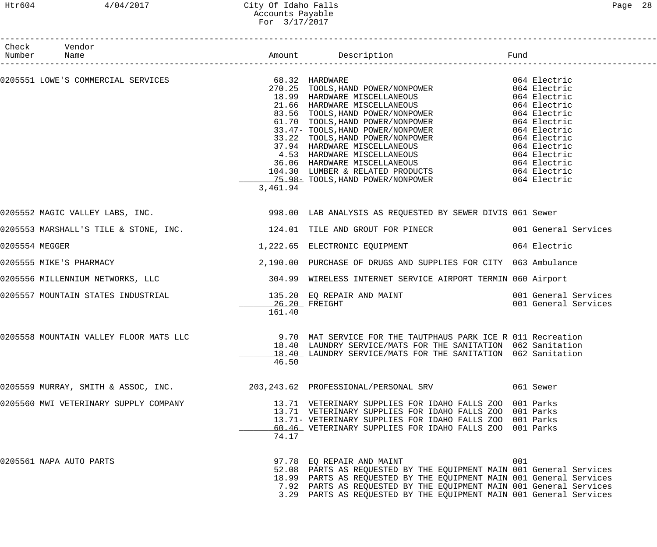## Htr604 4/04/2017 City Of Idaho Falls Page 28 Accounts Payable For 3/17/2017

|                | Check Vendor<br>Number Name           |          |                                                                                                                                                                                                                                                                                                                     |     |           |
|----------------|---------------------------------------|----------|---------------------------------------------------------------------------------------------------------------------------------------------------------------------------------------------------------------------------------------------------------------------------------------------------------------------|-----|-----------|
|                |                                       |          |                                                                                                                                                                                                                                                                                                                     |     |           |
|                |                                       | 3,461.94 |                                                                                                                                                                                                                                                                                                                     |     |           |
|                |                                       |          | 0205552 MAGIC VALLEY LABS, INC.                           998.00 LAB ANALYSIS AS REQUESTED BY SEWER DIVIS 061 Sewer                                                                                                                                                                                                 |     |           |
|                |                                       |          | 0205553 MARSHALL'S TILE & STONE, INC. 124.01 TILE AND GROUT FOR PINECR 001 General Services                                                                                                                                                                                                                         |     |           |
| 0205554 MEGGER |                                       |          | 1,222.65 ELECTRONIC EQUIPMENT 664 Electric                                                                                                                                                                                                                                                                          |     |           |
|                | 0205555 MIKE'S PHARMACY               |          | 2,190.00 PURCHASE OF DRUGS AND SUPPLIES FOR CITY 063 Ambulance                                                                                                                                                                                                                                                      |     |           |
|                |                                       |          | 0205556 MILLENNIUM NETWORKS, LLC 304.99 WIRELESS INTERNET SERVICE AIRPORT TERMIN 060 Airport                                                                                                                                                                                                                        |     |           |
|                |                                       | 161.40   |                                                                                                                                                                                                                                                                                                                     |     |           |
|                |                                       | 46.50    | 0205558 MOUNTAIN VALLEY FLOOR MATS LLC 3 0.70 MAT SERVICE FOR THE TAUTPHAUS PARK ICE R 011 Recreation<br>18.40 LAUNDRY SERVICE/MATS FOR THE SANITATION 062 Sanitation<br>18.40 LAUNDRY SERVICE/MATS FOR THE SANITATION 062 Sanitation                                                                               |     |           |
|                | 0205559 MURRAY, SMITH & ASSOC, INC.   |          | 203,243.62 PROFESSIONAL/PERSONAL SRV                                                                                                                                                                                                                                                                                |     | 061 Sewer |
|                | 0205560 MWI VETERINARY SUPPLY COMPANY | 74.17    | 13.71 VETERINARY SUPPLIES FOR IDAHO FALLS ZOO 001 Parks<br>13.71 VETERINARY SUPPLIES FOR IDAHO FALLS ZOO 001 Parks<br>13.71- VETERINARY SUPPLIES FOR IDAHO FALLS ZOO 001 Parks<br>60.46 VETERINARY SUPPLIES FOR IDAHO FALLS ZOO 001 Parks                                                                           |     |           |
|                | 0205561 NAPA AUTO PARTS               |          | 97.78 EQ REPAIR AND MAINT<br>52.08 PARTS AS REQUESTED BY THE EQUIPMENT MAIN 001 General Services<br>18.99 PARTS AS REQUESTED BY THE EQUIPMENT MAIN 001 General Services<br>7.92 PARTS AS REQUESTED BY THE EQUIPMENT MAIN 001 General Services<br>3.29 PARTS AS REQUESTED BY THE EQUIPMENT MAIN 001 General Services | 001 |           |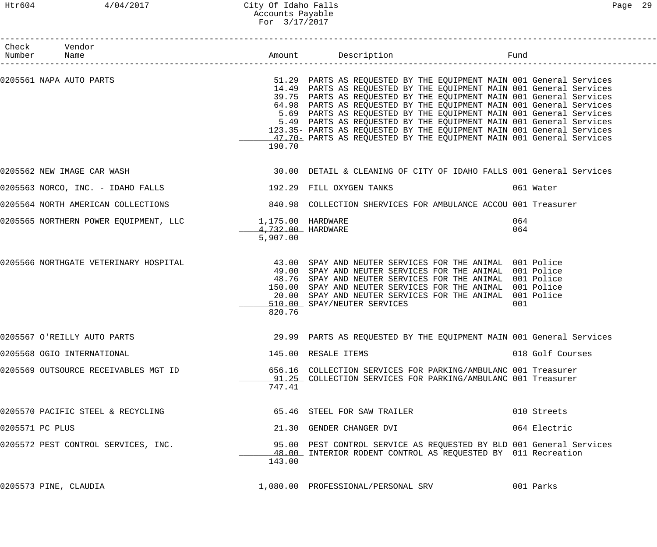| Check Vendor<br>Number Name                                |                                  |                                                                                                                                                                                                                                                                                                                                                                                                                                                                                                                                                                                      |                  |
|------------------------------------------------------------|----------------------------------|--------------------------------------------------------------------------------------------------------------------------------------------------------------------------------------------------------------------------------------------------------------------------------------------------------------------------------------------------------------------------------------------------------------------------------------------------------------------------------------------------------------------------------------------------------------------------------------|------------------|
| 0205561 NAPA AUTO PARTS                                    | 190.70                           | 51.29 PARTS AS REQUESTED BY THE EQUIPMENT MAIN 001 General Services<br>14.49 PARTS AS REQUESTED BY THE EQUIPMENT MAIN 001 General Services<br>39.75 PARTS AS REQUESTED BY THE EQUIPMENT MAIN 001 General Services<br>64.98 PARTS AS REQUESTED BY THE EQUIPMENT MAIN 001 General Services<br>5.69 PARTS AS REQUESTED BY THE EQUIPMENT MAIN 001 General Services<br>5.49 PARTS AS REQUESTED BY THE EQUIPMENT MAIN 001 General Services<br>123.35- PARTS AS REQUESTED BY THE EQUIPMENT MAIN 001 General Services<br>47.70 PARTS AS REQUESTED BY THE EQUIPMENT MAIN 001 General Services |                  |
| 0205562 NEW IMAGE CAR WASH                                 |                                  | 30.00 DETAIL & CLEANING OF CITY OF IDAHO FALLS 001 General Services                                                                                                                                                                                                                                                                                                                                                                                                                                                                                                                  |                  |
| 0205563 NORCO, INC. - IDAHO FALLS 192.29 FILL OXYGEN TANKS |                                  |                                                                                                                                                                                                                                                                                                                                                                                                                                                                                                                                                                                      | 061 Water        |
| 0205564 NORTH AMERICAN COLLECTIONS                         |                                  | 840.98 COLLECTION SHERVICES FOR AMBULANCE ACCOU 001 Treasurer                                                                                                                                                                                                                                                                                                                                                                                                                                                                                                                        |                  |
| 0205565 NORTHERN POWER EQUIPMENT, LLC $1,175.00$ HARDWARE  | $-4,732.00$ HARDWARE<br>5,907.00 |                                                                                                                                                                                                                                                                                                                                                                                                                                                                                                                                                                                      | 064<br>064       |
| 0205566 NORTHGATE VETERINARY HOSPITAL                      | 820.76                           | 43.00 SPAY AND NEUTER SERVICES FOR THE ANIMAL 001 Police<br>49.00 SPAY AND NEUTER SERVICES FOR THE ANIMAL 001 Police<br>48.76 SPAY AND NEUTER SERVICES FOR THE ANIMAL 001 Police<br>150.00 SPAY AND NEUTER SERVICES FOR THE ANIMAL 001 Police<br>20.00 SPAY AND NEUTER SERVICES FOR THE ANIMAL 001 Police<br>510.00 SPAY/NEUTER SERVICES                                                                                                                                                                                                                                             | 001              |
| 0205567 O'REILLY AUTO PARTS                                |                                  | 29.99 PARTS AS REQUESTED BY THE EQUIPMENT MAIN 001 General Services                                                                                                                                                                                                                                                                                                                                                                                                                                                                                                                  |                  |
| 0205568 OGIO INTERNATIONAL                                 |                                  | 145.00 RESALE ITEMS                                                                                                                                                                                                                                                                                                                                                                                                                                                                                                                                                                  | 018 Golf Courses |
| 0205569 OUTSOURCE RECEIVABLES MGT ID                       | 747.41                           | 656.16 COLLECTION SERVICES FOR PARKING/AMBULANC 001 Treasurer<br>91.25 COLLECTION SERVICES FOR PARKING/AMBULANC 001 Treasurer                                                                                                                                                                                                                                                                                                                                                                                                                                                        |                  |
| 0205570 PACIFIC STEEL & RECYCLING                          |                                  | 65.46 STEEL FOR SAW TRAILER                                                                                                                                                                                                                                                                                                                                                                                                                                                                                                                                                          | 010 Streets      |
| 0205571 PC PLUS                                            |                                  | 21.30 GENDER CHANGER DVI                                                                                                                                                                                                                                                                                                                                                                                                                                                                                                                                                             | 064 Electric     |
| 0205572 PEST CONTROL SERVICES, INC.                        | 143.00                           | 95.00 PEST CONTROL SERVICE AS REQUESTED BY BLD 001 General Services<br>48.00 INTERIOR RODENT CONTROL AS REQUESTED BY 011 Recreation                                                                                                                                                                                                                                                                                                                                                                                                                                                  |                  |
| 0205573 PINE, CLAUDIA                                      |                                  | 1,080.00 PROFESSIONAL/PERSONAL SRV                                                                                                                                                                                                                                                                                                                                                                                                                                                                                                                                                   | 001 Parks        |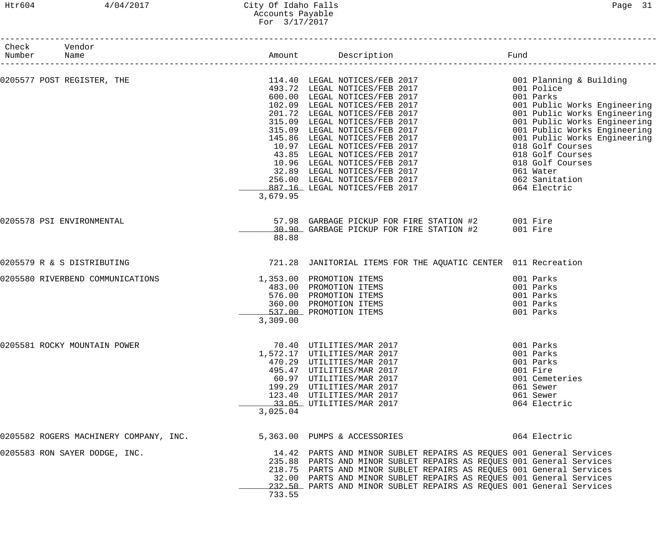# Htr604 4/04/2017 City Of Idaho Falls Page 31 Accounts Payable For 3/17/2017

| Check Vendor<br>Number | Name                                   |          |                                                                                                                                                                                                                                                                                                                                                                    |                                                                                                                                                                                                                                                                                      |
|------------------------|----------------------------------------|----------|--------------------------------------------------------------------------------------------------------------------------------------------------------------------------------------------------------------------------------------------------------------------------------------------------------------------------------------------------------------------|--------------------------------------------------------------------------------------------------------------------------------------------------------------------------------------------------------------------------------------------------------------------------------------|
|                        | 0205577 POST REGISTER, THE             | 3,679.95 | 114.40 LEGAL NOTICES/FEB 2017 114.40 LEGAL NOTICES/FEB 2017 120 001 Planning & Building<br>493.72 LEGAL NOTICES/FEB 2017<br>600.00 LEGAL NOTICES/FEB 2017<br>102.09 LEGAL NOTICES/FEB 2017<br>201.72 LEGAL NOTICES/FEB 2017<br>315.09 LEGAL NOTICES/FEB 2017<br>315.09 LEGAL NOTICES/FEB 2017<br>145.86 LEGAL NOTICES/FEB 2017<br>10.97 LEGAL                      | 001 Parks<br>001 Public Works Engineering<br>001 Public Works Engineering<br>001 Public Works Engineering<br>001 Public Works Engineering<br>001 Public Works Engineering<br>018 Golf Courses<br>018 Golf Courses<br>018 Golf Courses<br>061 Water<br>062 Sanitation<br>064 Electric |
|                        | 0205578 PSI ENVIRONMENTAL              | 88.88    | 57.98 GARBAGE PICKUP FOR FIRE STATION #2 001 Fire<br>30.90 GARBAGE PICKUP FOR FIRE STATION #2 001 Fire                                                                                                                                                                                                                                                             |                                                                                                                                                                                                                                                                                      |
|                        | 0205579 R & S DISTRIBUTING             |          | 721.28 JANITORIAL ITEMS FOR THE AQUATIC CENTER 011 Recreation                                                                                                                                                                                                                                                                                                      |                                                                                                                                                                                                                                                                                      |
|                        | 0205580 RIVERBEND COMMUNICATIONS       | 3,309.00 | 1,353.00 PROMOTION ITEMS<br>483.00 PROMOTION ITEMS<br>576.00 PROMOTION ITEMS<br>360.00 PROMOTION ITEMS<br>537.00 PROMOTION ITEMS                                                                                                                                                                                                                                   | 001 Parks<br>001 Parks<br>001 Parks<br>001 Parks<br>001 Parks                                                                                                                                                                                                                        |
|                        | 0205581 ROCKY MOUNTAIN POWER           | 3,025.04 | 70.40 UTILITIES/MAR 2017<br>1,572.17 UTILITIES/MAR 2017<br>470.29 UTILITIES/MAR 2017<br>495.47 UTILITIES/MAR 2017<br>60.97 UTILITIES/MAR 2017<br>199.29 UTILITIES/MAR 2017<br>123.40 UTILITIES/MAR 2017<br>23.05 UTILITIES/MAR 2017<br>33.05 UTILITIES/MAR 2017                                                                                                    | 001 Parks<br>001 Parks<br>001 Parks<br>001 Fire<br>001 Cemeteries<br>061 Sewer<br>061 Sewer<br>064 Electric                                                                                                                                                                          |
|                        | 0205582 ROGERS MACHINERY COMPANY, INC. |          | 5,363.00 PUMPS & ACCESSORIES                                                                                                                                                                                                                                                                                                                                       | 064 Electric                                                                                                                                                                                                                                                                         |
|                        | 0205583 RON SAYER DODGE, INC.          | 733.55   | 14.42 PARTS AND MINOR SUBLET REPAIRS AS REQUES 001 General Services<br>235.88 PARTS AND MINOR SUBLET REPAIRS AS REQUES 001 General Services<br>218.75 PARTS AND MINOR SUBLET REPAIRS AS REQUES 001 General Services<br>32.00 PARTS AND MINOR SUBLET REPAIRS AS REQUES 001 General Services<br>232.50 PARTS AND MINOR SUBLET REPAIRS AS REQUES 001 General Services |                                                                                                                                                                                                                                                                                      |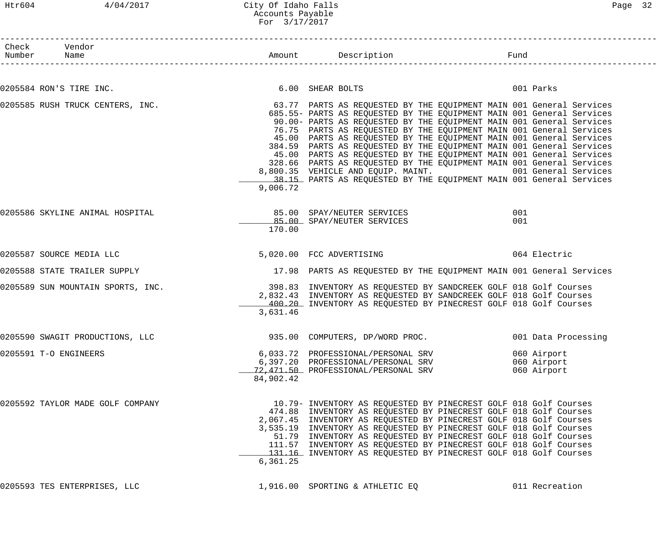# Htr604 4/04/2017 City Of Idaho Falls Page 32 Accounts Payable For 3/17/2017

| Check Vendor<br>Number Name       |           |                                                                                                                                                                                                                                                                                                                                                                                                                                                                                                                                                                                                                                                                                                                             | Fund       |                                           |
|-----------------------------------|-----------|-----------------------------------------------------------------------------------------------------------------------------------------------------------------------------------------------------------------------------------------------------------------------------------------------------------------------------------------------------------------------------------------------------------------------------------------------------------------------------------------------------------------------------------------------------------------------------------------------------------------------------------------------------------------------------------------------------------------------------|------------|-------------------------------------------|
| 0205584 RON'S TIRE INC.           |           | 6.00 SHEAR BOLTS                                                                                                                                                                                                                                                                                                                                                                                                                                                                                                                                                                                                                                                                                                            |            | 001 Parks                                 |
| 0205585 RUSH TRUCK CENTERS, INC.  | 9,006.72  | 63.77 PARTS AS REQUESTED BY THE EQUIPMENT MAIN 001 General Services<br>685.55- PARTS AS REQUESTED BY THE EQUIPMENT MAIN 001 General Services<br>90.00- PARTS AS REQUESTED BY THE EQUIPMENT MAIN 001 General Services<br>76.75 PARTS AS REQUESTED BY THE EQUIPMENT MAIN 001 General Services<br>45.00 PARTS AS REQUESTED BY THE EQUIPMENT MAIN 001 General Services<br>384.59 PARTS AS REQUESTED BY THE EQUIPMENT MAIN 001 General Services<br>45.00 PARTS AS REQUESTED BY THE EQUIPMENT MAIN 001 General Services<br>328.66 PARTS AS REQUESTED BY THE EQUIPMENT MAIN 001 General Services<br>8,800.35 VEHICLE AND EQUIP. MAINT. 001 General Services<br>38.15 PARTS AS REQUESTED BY THE EQUIPMENT MAIN 001 General Services |            |                                           |
| 0205586 SKYLINE ANIMAL HOSPITAL   | 170.00    | 85.00 SPAY/NEUTER SERVICES<br>85.00 SPAY/NEUTER SERVICES                                                                                                                                                                                                                                                                                                                                                                                                                                                                                                                                                                                                                                                                    | 001<br>001 |                                           |
| 0205587 SOURCE MEDIA LLC          |           | 5,020.00 FCC ADVERTISING                                                                                                                                                                                                                                                                                                                                                                                                                                                                                                                                                                                                                                                                                                    |            | 064 Electric                              |
| 0205588 STATE TRAILER SUPPLY      |           | 17.98 PARTS AS REQUESTED BY THE EQUIPMENT MAIN 001 General Services                                                                                                                                                                                                                                                                                                                                                                                                                                                                                                                                                                                                                                                         |            |                                           |
| 0205589 SUN MOUNTAIN SPORTS, INC. | 3,631.46  | 398.83 INVENTORY AS REQUESTED BY SANDCREEK GOLF 018 Golf Courses<br>2,832.43 INVENTORY AS REQUESTED BY SANDCREEK GOLF 018 Golf Courses<br>400.20 INVENTORY AS REQUESTED BY PINECREST GOLF 018 Golf Courses                                                                                                                                                                                                                                                                                                                                                                                                                                                                                                                  |            |                                           |
| 0205590 SWAGIT PRODUCTIONS, LLC   |           | 935.00 COMPUTERS, DP/WORD PROC.                                                                                                                                                                                                                                                                                                                                                                                                                                                                                                                                                                                                                                                                                             |            | 001 Data Processing                       |
| 0205591 T-O ENGINEERS             | 84,902.42 | 6,033.72 PROFESSIONAL/PERSONAL SRV<br>6,397.20 PROFESSIONAL/PERSONAL SRV<br>72,471.50 PROFESSIONAL/PERSONAL SRV                                                                                                                                                                                                                                                                                                                                                                                                                                                                                                                                                                                                             |            | 060 Airport<br>060 Airport<br>060 Airport |
| 0205592 TAYLOR MADE GOLF COMPANY  | 6, 361.25 | 10.79- INVENTORY AS REQUESTED BY PINECREST GOLF 018 Golf Courses<br>474.88 INVENTORY AS REQUESTED BY PINECREST GOLF 018 Golf Courses<br>2,067.45 INVENTORY AS REQUESTED BY PINECREST GOLF 018 Golf Courses<br>3,535.19 INVENTORY AS REQUESTED BY PINECREST GOLF 018 Golf Courses<br>51.79 INVENTORY AS REQUESTED BY PINECREST GOLF 018 Golf Courses<br>111.57 INVENTORY AS REQUESTED BY PINECREST GOLF 018 Golf Courses<br>131.16 INVENTORY AS REQUESTED BY PINECREST GOLF 018 Golf Courses                                                                                                                                                                                                                                 |            |                                           |
| 0205593 TES ENTERPRISES, LLC      |           | 1,916.00 SPORTING & ATHLETIC EQ                                                                                                                                                                                                                                                                                                                                                                                                                                                                                                                                                                                                                                                                                             |            | 011 Recreation                            |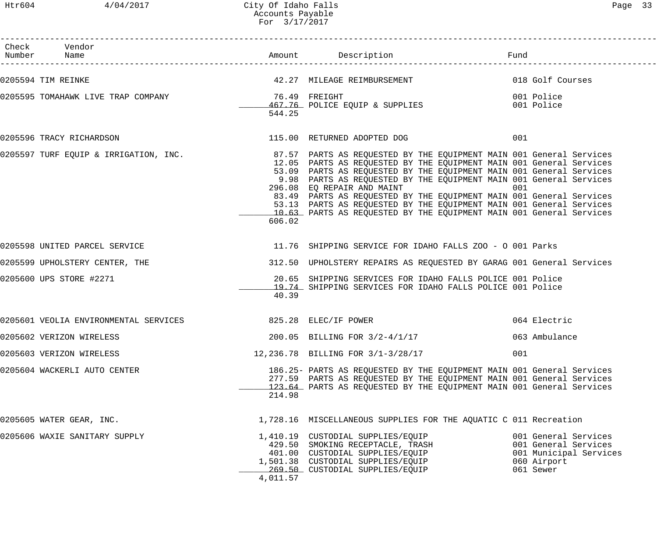Htr604 4/04/2017 City Of Idaho Falls extending the Page 33 Accounts Payable For 3/17/2017

| Check Vendor<br>Number Name                                |          | Amount Description                                                                                                                                                                                                                                                                                                                                                                                                                                                  | Fund                                                                                               |
|------------------------------------------------------------|----------|---------------------------------------------------------------------------------------------------------------------------------------------------------------------------------------------------------------------------------------------------------------------------------------------------------------------------------------------------------------------------------------------------------------------------------------------------------------------|----------------------------------------------------------------------------------------------------|
| 0205594 TIM REINKE                                         |          | 42.27 MILEAGE REIMBURSEMENT                                                                                                                                                                                                                                                                                                                                                                                                                                         | 018 Golf Courses                                                                                   |
| 0205595 TOMAHAWK LIVE TRAP COMPANY THE SERIGHT RELIGHT     | 544.25   | 467.76 POLICE EQUIP & SUPPLIES                                                                                                                                                                                                                                                                                                                                                                                                                                      | 001 Police<br>001 Police                                                                           |
| 0205596 TRACY RICHARDSON                                   |          | 115.00 RETURNED ADOPTED DOG                                                                                                                                                                                                                                                                                                                                                                                                                                         | 001                                                                                                |
|                                                            | 606.02   | 12.05 PARTS AS REQUESTED BY THE EQUIPMENT MAIN 001 General Services<br>53.09 PARTS AS REQUESTED BY THE EQUIPMENT MAIN 001 General Services<br>9.98 PARTS AS REQUESTED BY THE EQUIPMENT MAIN 001 General Services<br>296.08 EQ REPAIR AND MAINT<br>83.49 PARTS AS REQUESTED BY THE EQUIPMENT MAIN 001 General Services<br>53.13 PARTS AS REQUESTED BY THE EQUIPMENT MAIN 001 General Services<br>10.63 PARTS AS REQUESTED BY THE EQUIPMENT MAIN 001 General Services | 001                                                                                                |
| 0205598 UNITED PARCEL SERVICE                              |          | 11.76 SHIPPING SERVICE FOR IDAHO FALLS ZOO - O 001 Parks                                                                                                                                                                                                                                                                                                                                                                                                            |                                                                                                    |
| 0205599 UPHOLSTERY CENTER, THE                             |          | 312.50 UPHOLSTERY REPAIRS AS REQUESTED BY GARAG 001 General Services                                                                                                                                                                                                                                                                                                                                                                                                |                                                                                                    |
| 0205600 UPS STORE #2271                                    | 40.39    | 20.65 SHIPPING SERVICES FOR IDAHO FALLS POLICE 001 Police<br>19.74 SHIPPING SERVICES FOR IDAHO FALLS POLICE 001 Police                                                                                                                                                                                                                                                                                                                                              |                                                                                                    |
| 0205601 VEOLIA ENVIRONMENTAL SERVICES 625.28 ELEC/IF POWER |          |                                                                                                                                                                                                                                                                                                                                                                                                                                                                     | 064 Electric                                                                                       |
| 0205602 VERIZON WIRELESS                                   |          | 200.05 BILLING FOR 3/2-4/1/17                                                                                                                                                                                                                                                                                                                                                                                                                                       | 063 Ambulance                                                                                      |
| 0205603 VERIZON WIRELESS                                   |          | 12, 236.78 BILLING FOR 3/1-3/28/17                                                                                                                                                                                                                                                                                                                                                                                                                                  | 001                                                                                                |
| 0205604 WACKERLI AUTO CENTER                               | 214.98   | 186.25- PARTS AS REQUESTED BY THE EQUIPMENT MAIN 001 General Services<br>277.59 PARTS AS REQUESTED BY THE EQUIPMENT MAIN 001 General Services<br>123.64 PARTS AS REQUESTED BY THE EQUIPMENT MAIN 001 General Services                                                                                                                                                                                                                                               |                                                                                                    |
| 0205605 WATER GEAR, INC.                                   |          | 1,728.16 MISCELLANEOUS SUPPLIES FOR THE AQUATIC C 011 Recreation                                                                                                                                                                                                                                                                                                                                                                                                    |                                                                                                    |
| 0205606 WAXIE SANITARY SUPPLY                              | 4,011.57 | 1,410.19 CUSTODIAL SUPPLIES/EQUIP<br>429.50 SMOKING RECEPTACLE, TRASH<br>401.00 CUSTODIAL SUPPLIES/EQUIP<br>1,501.38 CUSTODIAL SUPPLIES/EQUIP<br>269.50 CUSTODIAL SUPPLIES/EQUIP                                                                                                                                                                                                                                                                                    | 001 General Services<br>001 General Services<br>001 Municipal Services<br>060 Airport<br>061 Sewer |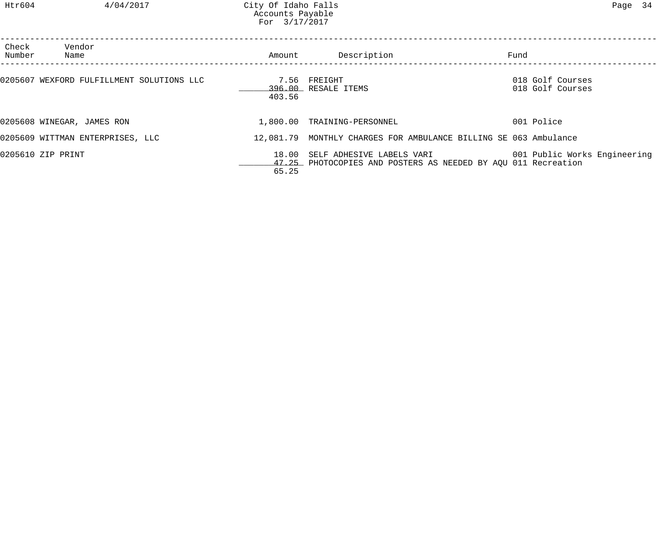| Check<br>Number | Vendor<br>Name                            | Amount         | Description                                                                                | Fund                                 |
|-----------------|-------------------------------------------|----------------|--------------------------------------------------------------------------------------------|--------------------------------------|
|                 | 0205607 WEXFORD FULFILLMENT SOLUTIONS LLC | 7.56<br>403.56 | FREIGHT<br>396.00 RESALE ITEMS                                                             | 018 Golf Courses<br>018 Golf Courses |
|                 | 0205608 WINEGAR, JAMES RON                | 1,800.00       | TRAINING-PERSONNEL                                                                         | 001 Police                           |
|                 | 0205609 WITTMAN ENTERPRISES, LLC          |                | 12,081.79 MONTHLY CHARGES FOR AMBULANCE BILLING SE 063 Ambulance                           |                                      |
|                 | 0205610 ZIP PRINT                         | 18.00<br>65.25 | SELF ADHESIVE LABELS VARI<br>47.25 PHOTOCOPIES AND POSTERS AS NEEDED BY AQU 011 Recreation | 001 Public Works Engineering         |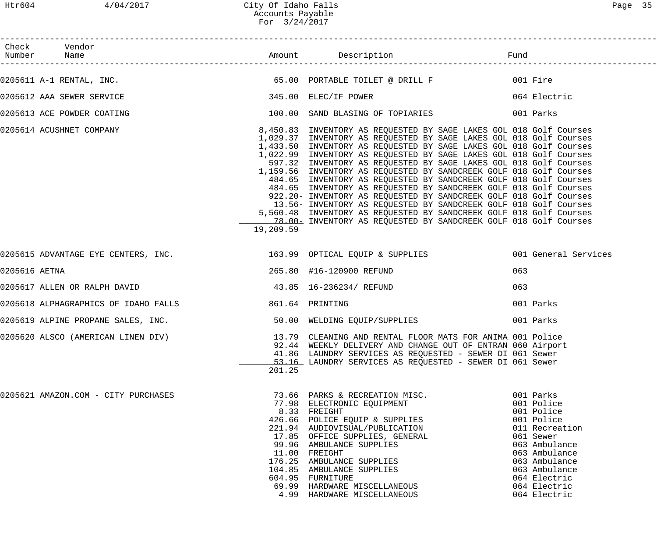|               | Check Vendor                        |           |                                                                                                                                                                                                                                                                                                                                                                                                                                                                                                                                                                                                                                                                                                                                                                                                                                                                          |                                                                                                                                                                                                        |
|---------------|-------------------------------------|-----------|--------------------------------------------------------------------------------------------------------------------------------------------------------------------------------------------------------------------------------------------------------------------------------------------------------------------------------------------------------------------------------------------------------------------------------------------------------------------------------------------------------------------------------------------------------------------------------------------------------------------------------------------------------------------------------------------------------------------------------------------------------------------------------------------------------------------------------------------------------------------------|--------------------------------------------------------------------------------------------------------------------------------------------------------------------------------------------------------|
|               |                                     |           |                                                                                                                                                                                                                                                                                                                                                                                                                                                                                                                                                                                                                                                                                                                                                                                                                                                                          |                                                                                                                                                                                                        |
|               | 0205612 AAA SEWER SERVICE           |           | 345.00 ELEC/IF POWER 064 Electric                                                                                                                                                                                                                                                                                                                                                                                                                                                                                                                                                                                                                                                                                                                                                                                                                                        |                                                                                                                                                                                                        |
|               | 0205613 ACE POWDER COATING          |           | 100.00 SAND BLASING OF TOPIARIES 001 Parks                                                                                                                                                                                                                                                                                                                                                                                                                                                                                                                                                                                                                                                                                                                                                                                                                               |                                                                                                                                                                                                        |
|               | 0205614 ACUSHNET COMPANY            | 19,209.59 | 8,450.83 INVENTORY AS REQUESTED BY SAGE LAKES GOL 018 Golf Courses<br>1,029.37 INVENTORY AS REQUESTED BY SAGE LAKES GOL 018 Golf Courses<br>1,433.50 INVENTORY AS REQUESTED BY SAGE LAKES GOL 018 Golf Courses<br>1,022.99 INVENTORY AS REQUESTED BY SAGE LAKES GOL 018 Golf Courses<br>597.32 INVENTORY AS REQUESTED BY SAGE LAKES GOL 018 Golf Courses<br>1,159.56 INVENTORY AS REQUESTED BY SANDCREEK GOLF 018 Golf Courses<br>484.65 INVENTORY AS REQUESTED BY SANDCREEK GOLF 018 Golf Courses<br>484.65 INVENTORY AS REQUESTED BY SANDCREEK GOLF 018 Golf Courses<br>922.20- INVENTORY AS REQUESTED BY SANDCREEK GOLF 018 Golf Courses<br>13.56- INVENTORY AS REQUESTED BY SANDCREEK GOLF 018 Golf Courses<br>5,560.48 INVENTORY AS REQUESTED BY SANDCREEK GOLF 018 Golf Courses<br>_____________78.00___ INVENTORY AS REQUESTED BY SANDCREEK GOLF 018 Golf Courses |                                                                                                                                                                                                        |
|               |                                     |           | 0205615 ADVANTAGE EYE CENTERS, INC. 163.99 OPTICAL EQUIP & SUPPLIES 001 General Services                                                                                                                                                                                                                                                                                                                                                                                                                                                                                                                                                                                                                                                                                                                                                                                 |                                                                                                                                                                                                        |
| 0205616 AETNA |                                     |           | 265.80 #16-120900 REFUND                                                                                                                                                                                                                                                                                                                                                                                                                                                                                                                                                                                                                                                                                                                                                                                                                                                 | 063                                                                                                                                                                                                    |
|               |                                     |           |                                                                                                                                                                                                                                                                                                                                                                                                                                                                                                                                                                                                                                                                                                                                                                                                                                                                          | 063                                                                                                                                                                                                    |
|               |                                     |           |                                                                                                                                                                                                                                                                                                                                                                                                                                                                                                                                                                                                                                                                                                                                                                                                                                                                          | 001 Parks                                                                                                                                                                                              |
|               |                                     |           | 0205619 ALPINE PROPANE SALES, INC.                           50.00 WELDING EQUIP/SUPPLIES                    001 Parks                                                                                                                                                                                                                                                                                                                                                                                                                                                                                                                                                                                                                                                                                                                                                   |                                                                                                                                                                                                        |
|               |                                     | 201.25    | 0205620 ALSCO (AMERICAN LINEN DIV) 13.79 CLEANING AND RENTAL FLOOR MATS FOR ANIMA 001 Police<br>92.44 WEEKLY DELIVERY AND CHANGE OUT OF ENTRAN 060 Airport<br>41.86 LAUNDRY SERVICES AS REQUESTED - SEWER DI 061 Sewer<br>53.16 LAUNDRY SERVICES AS REQUESTED - SEWER DI 061 Sewer                                                                                                                                                                                                                                                                                                                                                                                                                                                                                                                                                                                       |                                                                                                                                                                                                        |
|               | 0205621 AMAZON.COM - CITY PURCHASES |           | 73.66 PARKS & RECREATION MISC.<br>77.98 ELECTRONIC EQUIPMENT<br>8.33 FREIGHT<br>426.66 POLICE EQUIP & SUPPLIES<br>221.94 AUDIOVISUAL/PUBLICATION<br>17.85 OFFICE SUPPLIES, GENERAL<br>99.96 AMBULANCE SUPPLIES<br>11.00 FREIGHT<br>176.25 AMBULANCE SUPPLIES<br>104.85 AMBULANCE SUPPLIES<br>604.95 FURNITURE<br>69.99 HARDWARE MISCELLANEOUS<br>4.99 HARDWARE MISCELLANEOUS                                                                                                                                                                                                                                                                                                                                                                                                                                                                                             | 001 Parks<br>001 Police<br>001 Police<br>001 Police<br>011 Recreation<br>061 Sewer<br>063 Ambulance<br>063 Ambulance<br>063 Ambulance<br>063 Ambulance<br>064 Electric<br>064 Electric<br>064 Electric |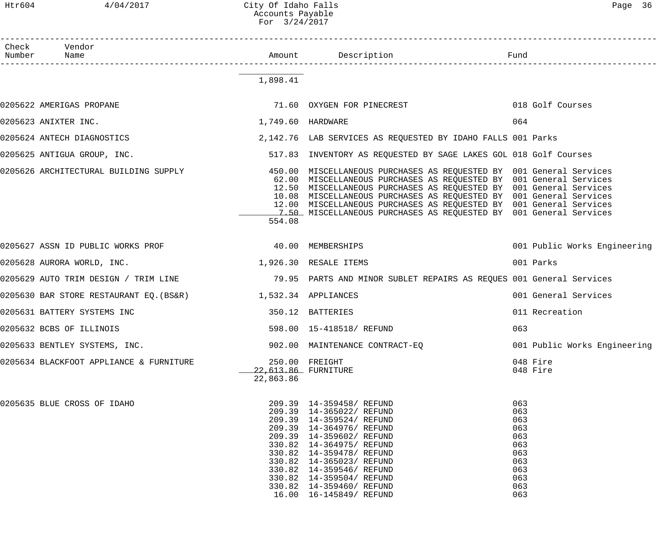## Htr604 4/04/2017 City Of Idaho Falls Page 36 Accounts Payable For 3/24/2017

| Check Vendor<br>Number Name                                             |                                  |                                                                                                                                                                                                                                                                                                                                                                                                                                  |                                                                                  |
|-------------------------------------------------------------------------|----------------------------------|----------------------------------------------------------------------------------------------------------------------------------------------------------------------------------------------------------------------------------------------------------------------------------------------------------------------------------------------------------------------------------------------------------------------------------|----------------------------------------------------------------------------------|
|                                                                         | 1,898.41                         |                                                                                                                                                                                                                                                                                                                                                                                                                                  |                                                                                  |
| 0205622 AMERIGAS PROPANE                                                |                                  | 71.60 OXYGEN FOR PINECREST                                                                                                                                                                                                                                                                                                                                                                                                       | 018 Golf Courses                                                                 |
| 0205623 ANIXTER INC.                                                    | 1,749.60 HARDWARE                |                                                                                                                                                                                                                                                                                                                                                                                                                                  | 064                                                                              |
| 0205624 ANTECH DIAGNOSTICS                                              |                                  | 2,142.76 LAB SERVICES AS REQUESTED BY IDAHO FALLS 001 Parks                                                                                                                                                                                                                                                                                                                                                                      |                                                                                  |
| 0205625 ANTIGUA GROUP, INC.                                             |                                  | 517.83 INVENTORY AS REQUESTED BY SAGE LAKES GOL 018 Golf Courses                                                                                                                                                                                                                                                                                                                                                                 |                                                                                  |
| 0205626 ARCHITECTURAL BUILDING SUPPLY                                   | 554.08                           | 450.00 MISCELLANEOUS PURCHASES AS REQUESTED BY 001 General Services<br>62.00 MISCELLANEOUS PURCHASES AS REQUESTED BY 001 General Services<br>12.50 MISCELLANEOUS PURCHASES AS REQUESTED BY 001 General Services<br>10.08 MISCELLANEOUS PURCHASES AS REQUESTED BY 001 General Services<br>12.00 MISCELLANEOUS PURCHASES AS REQUESTED BY 001 General Services<br>1.50 MISCELLANEOUS PURCHASES AS REQUESTED BY 001 General Services |                                                                                  |
| 0205627 ASSN ID PUBLIC WORKS PROF THE RESOLUTION OF A 40.00 MEMBERSHIPS |                                  |                                                                                                                                                                                                                                                                                                                                                                                                                                  | 001 Public Works Engineering                                                     |
| 0205628 AURORA WORLD, INC.                                              |                                  | 1,926.30 RESALE ITEMS                                                                                                                                                                                                                                                                                                                                                                                                            | 001 Parks                                                                        |
| 0205629 AUTO TRIM DESIGN / TRIM LINE                                    |                                  | 79.95 PARTS AND MINOR SUBLET REPAIRS AS REQUES 001 General Services                                                                                                                                                                                                                                                                                                                                                              |                                                                                  |
| 0205630 BAR STORE RESTAURANT EQ. (BS&R) 1,532.34 APPLIANCES             |                                  |                                                                                                                                                                                                                                                                                                                                                                                                                                  | 001 General Services                                                             |
| 0205631 BATTERY SYSTEMS INC                                             |                                  | 350.12 BATTERIES                                                                                                                                                                                                                                                                                                                                                                                                                 | 011 Recreation                                                                   |
| 0205632 BCBS OF ILLINOIS                                                |                                  | 598.00  15-418518/ REFUND                                                                                                                                                                                                                                                                                                                                                                                                        | 063                                                                              |
| 0205633 BENTLEY SYSTEMS, INC.                                           |                                  | 902.00 MAINTENANCE CONTRACT-EQ                                                                                                                                                                                                                                                                                                                                                                                                   | 001 Public Works Engineering                                                     |
| 0205634 BLACKFOOT APPLIANCE & FURNITURE                                 | 22,613.86 FURNITURE<br>22,863.86 | 250.00 FREIGHT                                                                                                                                                                                                                                                                                                                                                                                                                   | 048 Fire<br>048 Fire                                                             |
| 0205635 BLUE CROSS OF IDAHO                                             |                                  | 209.39 14-359458/REFUND<br>209.39 14-365022/ REFUND<br>209.39 14-359524/ REFUND<br>209.39 14-364976/ REFUND<br>209.39 14-359602/ REFUND<br>330.82  14-364975/ REFUND<br>330.82  14-359478/ REFUND<br>330.82  14-365023/ REFUND<br>330.82  14-359546/ REFUND<br>330.82  14-359504/ REFUND<br>330.82  14-359460/ REFUND<br>16.00  16-145849/ REFUND                                                                                | 063<br>063<br>063<br>063<br>063<br>063<br>063<br>063<br>063<br>063<br>063<br>063 |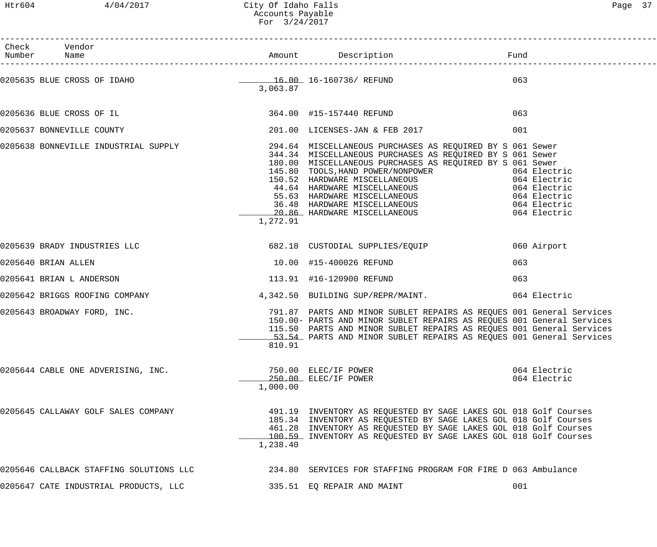Htr604 4/04/2017 City Of Idaho Falls Page 37 Accounts Payable For 3/24/2017

| PΩG⊆ |  |
|------|--|
|------|--|

| Check Vendor              |                                         |          |                                                                                                                                                                                                                                                                                                                                                                                                                                                                          |                              |
|---------------------------|-----------------------------------------|----------|--------------------------------------------------------------------------------------------------------------------------------------------------------------------------------------------------------------------------------------------------------------------------------------------------------------------------------------------------------------------------------------------------------------------------------------------------------------------------|------------------------------|
|                           |                                         | 3,063.87 | 0205635 BLUE CROSS OF IDAHO<br>2063.97 16-160736/REFUND                                                                                                                                                                                                                                                                                                                                                                                                                  | 063                          |
|                           |                                         |          | 0205636 BLUE CROSS OF IL 2000 2010 2020 10:00 415-157440 REFUND                                                                                                                                                                                                                                                                                                                                                                                                          | 063                          |
| 0205637 BONNEVILLE COUNTY |                                         |          | 201.00 LICENSES-JAN & FEB 2017                                                                                                                                                                                                                                                                                                                                                                                                                                           | 001                          |
|                           |                                         | 1,272.91 | 0205638 BONNEVILLE INDUSTRIAL SUPPLY 294.64 MISCELLANEOUS PURCHASES AS REQUIRED BY S 061 Sewer<br>344.34 MISCELLANEOUS PURCHASES AS REQUIRED BY S 061 Sewer<br>180.00 MISCELLANEOUS PURCHASES AS REQUIRED BY S 061 Sewer<br>145.80 TOOLS, HAND POWER/NONPOWER<br>145.80 TOOLS, HAND POWER/NONPOWER<br>150.52 HARDWARE MISCELLANEOUS<br>44.64 HARDWARE MISCELLANEOUS<br>55.63 HARDWARE MISCELLANEOUS<br>36.48 HARDWARE MISCELLANEOUS<br>20.86 HARDWARE MISCELLANEOUS<br>2 |                              |
|                           |                                         |          |                                                                                                                                                                                                                                                                                                                                                                                                                                                                          | 060 Airport                  |
| 0205640 BRIAN ALLEN       |                                         |          | 10.00 #15-400026 REFUND                                                                                                                                                                                                                                                                                                                                                                                                                                                  | 063                          |
| 0205641 BRIAN L ANDERSON  |                                         |          | 113.91 #16-120900 REFUND                                                                                                                                                                                                                                                                                                                                                                                                                                                 | 063                          |
|                           |                                         |          | 0205642 BRIGGS ROOFING COMPANY 4,342.50 BUILDING SUP/REPR/MAINT. 664 Electric                                                                                                                                                                                                                                                                                                                                                                                            |                              |
|                           |                                         | 810.91   | 0205643 BROADWAY FORD, INC. The Same Manager of the Services of the Services of the Services of the Services o<br>150.00- PARTS AND MINOR SUBLET REPAIRS AS REQUES 001 General Services<br>115.50 PARTS AND MINOR SUBLET REPAIRS AS REQUES 001 General Services<br>53.54 PARTS AND MINOR SUBLET REPAIRS AS REQUES 001 General Services                                                                                                                                   |                              |
|                           | 0205644 CABLE ONE ADVERISING, INC.      | 1,000.00 | 750.00 ELEC/IF POWER<br>250.00 ELEC/IF POWER                                                                                                                                                                                                                                                                                                                                                                                                                             | 064 Electric<br>064 Electric |
|                           | 0205645 CALLAWAY GOLF SALES COMPANY     | 1,238.40 | 491.19 INVENTORY AS REQUESTED BY SAGE LAKES GOL 018 Golf Courses<br>185.34 INVENTORY AS REQUESTED BY SAGE LAKES GOL 018 Golf Courses<br>461.28 INVENTORY AS REQUESTED BY SAGE LAKES GOL 018 Golf Courses<br>100.59 INVENTORY AS REQUESTED BY SAGE LAKES GOL 018 Golf Courses                                                                                                                                                                                             |                              |
|                           | 0205646 CALLBACK STAFFING SOLUTIONS LLC |          | 234.80 SERVICES FOR STAFFING PROGRAM FOR FIRE D 063 Ambulance                                                                                                                                                                                                                                                                                                                                                                                                            |                              |
|                           | 0205647 CATE INDUSTRIAL PRODUCTS, LLC   |          | 335.51 EQ REPAIR AND MAINT                                                                                                                                                                                                                                                                                                                                                                                                                                               | 001                          |
|                           |                                         |          |                                                                                                                                                                                                                                                                                                                                                                                                                                                                          |                              |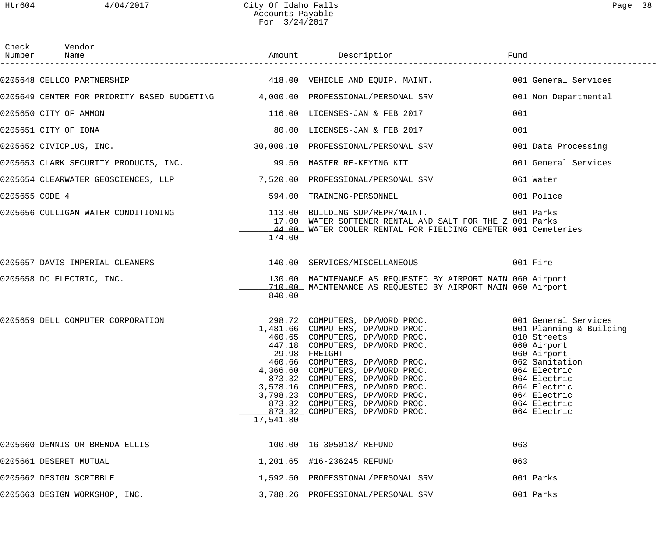|                | Check Vendor                                                                                        |           |                                                                                                                                                                                                                                                                                                                                                                                                                              | Fund                                                                                                                                                        |
|----------------|-----------------------------------------------------------------------------------------------------|-----------|------------------------------------------------------------------------------------------------------------------------------------------------------------------------------------------------------------------------------------------------------------------------------------------------------------------------------------------------------------------------------------------------------------------------------|-------------------------------------------------------------------------------------------------------------------------------------------------------------|
|                | 0205648 CELLCO PARTNERSHIP <b>118.00</b> VEHICLE AND EQUIP. MAINT. 418.00 VEHICLE AND EQUIP. MAINT. |           |                                                                                                                                                                                                                                                                                                                                                                                                                              |                                                                                                                                                             |
|                | 0205649 CENTER FOR PRIORITY BASED BUDGETING 4,000.00 PROFESSIONAL/PERSONAL SRV                      |           |                                                                                                                                                                                                                                                                                                                                                                                                                              | 001 Non Departmental                                                                                                                                        |
|                | 0205650 CITY OF AMMON                                                                               |           | 116.00 LICENSES-JAN & FEB 2017                                                                                                                                                                                                                                                                                                                                                                                               | 001                                                                                                                                                         |
|                | 0205651 CITY OF IONA                                                                                |           | 80.00 LICENSES-JAN & FEB 2017                                                                                                                                                                                                                                                                                                                                                                                                | 001                                                                                                                                                         |
|                | 0205652 CIVICPLUS, INC.                                                                             |           | 30,000.10 PROFESSIONAL/PERSONAL SRV                                                                                                                                                                                                                                                                                                                                                                                          | 001 Data Processing                                                                                                                                         |
|                | 0205653 CLARK SECURITY PRODUCTS, INC. 400 09.50 MASTER RE-KEYING KIT                                |           |                                                                                                                                                                                                                                                                                                                                                                                                                              | 001 General Services                                                                                                                                        |
|                | 0205654 CLEARWATER GEOSCIENCES, LLP          7,520.00 PROFESSIONAL/PERSONAL SRV                     |           |                                                                                                                                                                                                                                                                                                                                                                                                                              | 061 Water                                                                                                                                                   |
| 0205655 CODE 4 |                                                                                                     |           | 594.00 TRAINING-PERSONNEL                                                                                                                                                                                                                                                                                                                                                                                                    | 001 Police                                                                                                                                                  |
|                | 0205656 CULLIGAN WATER CONDITIONING                                                                 | 174.00    | 113.00 BUILDING SUP/REPR/MAINT.<br>17.00 WATER SOFTENER RENTAL AND SALT FOR THE Z 001 Parks<br>44.00 WATER COOLER RENTAL FOR FIELDING CEMETER 001 Cemeteries                                                                                                                                                                                                                                                                 | 001 Parks                                                                                                                                                   |
|                | 0205657 DAVIS IMPERIAL CLEANERS                                                                     |           | 140.00 SERVICES/MISCELLANEOUS 001 Fire                                                                                                                                                                                                                                                                                                                                                                                       |                                                                                                                                                             |
|                | 0205658 DC ELECTRIC, INC.                                                                           | 840.00    | 130.00 MAINTENANCE AS REQUESTED BY AIRPORT MAIN 060 Airport<br>710.00 MAINTENANCE AS REQUESTED BY AIRPORT MAIN 060 Airport                                                                                                                                                                                                                                                                                                   |                                                                                                                                                             |
|                | 0205659 DELL COMPUTER CORPORATION                                                                   | 17,541.80 | 298.72 COMPUTERS, DP/WORD PROC.<br>1,481.66 COMPUTERS, DP/WORD PROC. 001 Planning & Building<br>$460.65$ COMPUTERS, DP/WORD PROC.<br>447.18 COMPUTERS, DP/WORD PROC.<br>29.98 FREIGHT<br>23.50 FREIGHT<br>460.66 COMPUTERS, DP/WORD PROC.<br>4,366.60 COMPUTERS, DP/WORD PROC.<br>873.32 COMPUTERS, DP/WORD PROC.<br>3,578.16 COMPUTERS, DP/WORD PROC.<br>873.32 COMPUTERS, DP/WORD PROC.<br>873.32 COMPUTERS, DP/WORD PROC. | 010 Streets<br>060 Airport<br>060 Airport<br>062 Sanitation<br>064 Electric<br>064 Electric<br>064 Electric<br>064 Electric<br>064 Electric<br>064 Electric |
|                | 0205660 DENNIS OR BRENDA ELLIS                                                                      |           | 100.00  16-305018/ REFUND                                                                                                                                                                                                                                                                                                                                                                                                    | 063                                                                                                                                                         |
|                | 0205661 DESERET MUTUAL                                                                              |           | 1,201.65 #16-236245 REFUND                                                                                                                                                                                                                                                                                                                                                                                                   | 063                                                                                                                                                         |
|                | 0205662 DESIGN SCRIBBLE                                                                             |           | 1,592.50 PROFESSIONAL/PERSONAL SRV                                                                                                                                                                                                                                                                                                                                                                                           | 001 Parks                                                                                                                                                   |
|                | 0205663 DESIGN WORKSHOP, INC.                                                                       |           | 3,788.26 PROFESSIONAL/PERSONAL SRV                                                                                                                                                                                                                                                                                                                                                                                           | 001 Parks                                                                                                                                                   |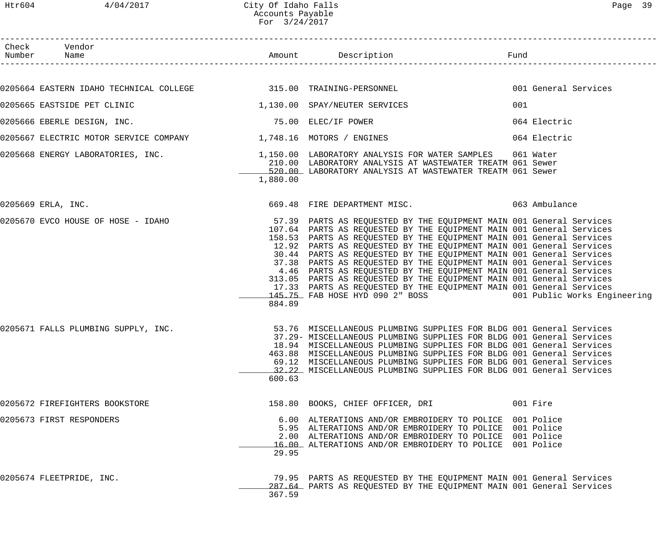| Htr604 | 4/04/2017                                                           | City Of Idaho Falls<br>Accounts Payable<br>For 3/24/2017 |                                                                                                                                                                                                                                                                                                                                                                                                                                                                                                                                                                                                                                                                                                                                    |     | Page 39              |
|--------|---------------------------------------------------------------------|----------------------------------------------------------|------------------------------------------------------------------------------------------------------------------------------------------------------------------------------------------------------------------------------------------------------------------------------------------------------------------------------------------------------------------------------------------------------------------------------------------------------------------------------------------------------------------------------------------------------------------------------------------------------------------------------------------------------------------------------------------------------------------------------------|-----|----------------------|
|        | Check Vendor<br>Number Name                                         |                                                          | Amount Description <b>Example 1</b> Fund                                                                                                                                                                                                                                                                                                                                                                                                                                                                                                                                                                                                                                                                                           |     |                      |
|        | 0205664 EASTERN IDAHO TECHNICAL COLLEGE 6 715.00 TRAINING-PERSONNEL |                                                          |                                                                                                                                                                                                                                                                                                                                                                                                                                                                                                                                                                                                                                                                                                                                    |     | 001 General Services |
|        | 0205665 EASTSIDE PET CLINIC                                         |                                                          | 1,130.00 SPAY/NEUTER SERVICES                                                                                                                                                                                                                                                                                                                                                                                                                                                                                                                                                                                                                                                                                                      | 001 |                      |
|        | 0205666 EBERLE DESIGN, INC.                                         |                                                          | 75.00 ELEC/IF POWER                                                                                                                                                                                                                                                                                                                                                                                                                                                                                                                                                                                                                                                                                                                |     | 064 Electric         |
|        | 0205667 ELECTRIC MOTOR SERVICE COMPANY 1,748.16 MOTORS / ENGINES    |                                                          |                                                                                                                                                                                                                                                                                                                                                                                                                                                                                                                                                                                                                                                                                                                                    |     | 064 Electric         |
|        |                                                                     | 1,880.00                                                 | 0205668 ENERGY LABORATORIES, INC.<br>1,150.00 LABORATORIES 1061 Water<br>210.00 LABORATORY ANALYSIS AT WASTEWATER TREATM 061 Sewer<br>520.00 LABORATORY ANALYSIS AT WASTEWATER TREATM 061 Sewer                                                                                                                                                                                                                                                                                                                                                                                                                                                                                                                                    |     |                      |
|        | 0205669 ERLA, INC.                                                  |                                                          | 669.48 FIRE DEPARTMENT MISC. 063 Ambulance                                                                                                                                                                                                                                                                                                                                                                                                                                                                                                                                                                                                                                                                                         |     |                      |
|        | 0205670 EVCO HOUSE OF HOSE - IDAHO                                  | 884.89                                                   | 57.39 PARTS AS REQUESTED BY THE EQUIPMENT MAIN 001 General Services<br>107.64 PARTS AS REQUESTED BY THE EQUIPMENT MAIN 001 General Services<br>158.53 PARTS AS REQUESTED BY THE EQUIPMENT MAIN 001 General Services<br>12.92 PARTS AS REQUESTED BY THE EQUIPMENT MAIN 001 General Services<br>30.44 PARTS AS REQUESTED BY THE EQUIPMENT MAIN 001 General Services<br>37.38 PARTS AS REQUESTED BY THE EQUIPMENT MAIN 001 General Services<br>4.46 PARTS AS REQUESTED BY THE EQUIPMENT MAIN 001 General Services<br>313.05 PARTS AS REQUESTED BY THE EQUIPMENT MAIN 001 General Services<br>17.33 PARTS AS REQUESTED BY THE EQUIPMENT MAIN 001 General Services<br>145.75 FAB HOSE HYD 090 2" BOSS 6000 001 Public Works Engineering |     |                      |
|        | 0205671 FALLS PLUMBING SUPPLY, INC.                                 | 600.63                                                   | 53.76 MISCELLANEOUS PLUMBING SUPPLIES FOR BLDG 001 General Services<br>37.29- MISCELLANEOUS PLUMBING SUPPLIES FOR BLDG 001 General Services<br>18.94 MISCELLANEOUS PLUMBING SUPPLIES FOR BLDG 001 General Services<br>463.88 MISCELLANEOUS PLUMBING SUPPLIES FOR BLDG 001 General Services<br>69.12 MISCELLANEOUS PLUMBING SUPPLIES FOR BLDG 001 General Services<br>32.22 MISCELLANEOUS PLUMBING SUPPLIES FOR BLDG 001 General Services                                                                                                                                                                                                                                                                                           |     |                      |
|        | 0205672 FIREFIGHTERS BOOKSTORE                                      |                                                          | 158.80 BOOKS, CHIEF OFFICER, DRI                                                                                                                                                                                                                                                                                                                                                                                                                                                                                                                                                                                                                                                                                                   |     | 001 Fire             |
|        | 0205673 FIRST RESPONDERS                                            | 29.95                                                    | 6.00 ALTERATIONS AND/OR EMBROIDERY TO POLICE 001 Police<br>5.95 ALTERATIONS AND/OR EMBROIDERY TO POLICE 001 Police<br>2.00 ALTERATIONS AND/OR EMBROIDERY TO POLICE 001 Police<br>16.00 ALTERATIONS AND/OR EMBROIDERY TO POLICE 001 Police                                                                                                                                                                                                                                                                                                                                                                                                                                                                                          |     |                      |

0205674 FLEETPRIDE, INC. 79.95 PARTS AS REQUESTED BY THE EQUIPMENT MAIN 001 General Services \_287.64 PARTS AS REQUESTED BY THE EQUIPMENT MAIN 001 General Services 367.59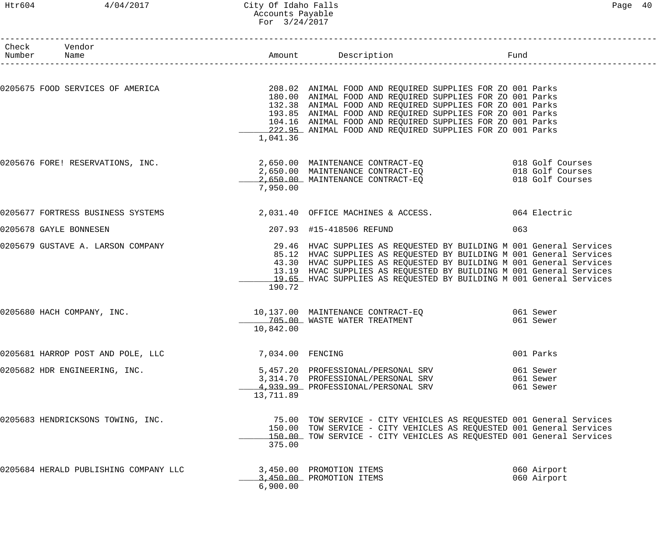# Htr604 4/04/2017 City Of Idaho Falls Page 40 Accounts Payable For 3/24/2017

| Check Vendor<br>Number Name                                                                                            |                  |                                                                                                                                                                                                                                                                                                                                                                 |     |                                     |
|------------------------------------------------------------------------------------------------------------------------|------------------|-----------------------------------------------------------------------------------------------------------------------------------------------------------------------------------------------------------------------------------------------------------------------------------------------------------------------------------------------------------------|-----|-------------------------------------|
| 0205675 FOOD SERVICES OF AMERICA THE RELEVIE SUPPLIES ON THE 208.02 ANIMAL FOOD AND REQUIRED SUPPLIES FOR ZO 001 Parks |                  | 180.00 ANIMAL FOOD AND REQUIRED SUPPLIES FOR ZO 001 Parks<br>132.38 ANIMAL FOOD AND REQUIRED SUPPLIES FOR ZO 001 Parks                                                                                                                                                                                                                                          |     |                                     |
|                                                                                                                        | 1,041.36         | 193.85 ANIMAL FOOD AND REQUIRED SUPPLIES FOR ZO 001 Parks<br>104.16 ANIMAL FOOD AND REQUIRED SUPPLIES FOR ZO 001 Parks<br>222.95 ANIMAL FOOD AND REQUIRED SUPPLIES FOR ZO 001 Parks                                                                                                                                                                             |     |                                     |
| 0205676 FORE! RESERVATIONS, INC.                     2,650.00 MAINTENANCE CONTRACT-EQ                018 Golf Courses  | 7,950.00         | 2,650.00 MAINTENANCE CONTRACT-EQ 018 Golf Courses<br>2,650.00 MAINTENANCE CONTRACT-EQ 018 Golf Courses                                                                                                                                                                                                                                                          |     |                                     |
| 0205677 FORTRESS BUSINESS SYSTEMS 3.031.40 OFFICE MACHINES & ACCESS. 064 Electric                                      |                  |                                                                                                                                                                                                                                                                                                                                                                 |     |                                     |
| 0205678 GAYLE BONNESEN                                                                                                 |                  | 207.93 #15-418506 REFUND                                                                                                                                                                                                                                                                                                                                        | 063 |                                     |
| 0205679 GUSTAVE A. LARSON COMPANY                                                                                      | 190.72           | 29.46 HVAC SUPPLIES AS REQUESTED BY BUILDING M 001 General Services<br>85.12 HVAC SUPPLIES AS REQUESTED BY BUILDING M 001 General Services<br>43.30 HVAC SUPPLIES AS REQUESTED BY BUILDING M 001 General Services<br>13.19 HVAC SUPPLIES AS REQUESTED BY BUILDING M 001 General Services<br>19.65 HVAC SUPPLIES AS REQUESTED BY BUILDING M 001 General Services |     |                                     |
| 0205680 HACH COMPANY, INC.                                                                                             | 10,842.00        | 10,137.00 MAINTENANCE CONTRACT-EQ 061 Sewer<br>705.00 WASTE WATER TREATMENT                                                                                                                                                                                                                                                                                     |     | 061 Sewer                           |
| 0205681 HARROP POST AND POLE, LLC                                                                                      | 7,034.00 FENCING |                                                                                                                                                                                                                                                                                                                                                                 |     | 001 Parks                           |
| 0205682 HDR ENGINEERING, INC.                                                                                          | 13,711.89        | 5,457.20 PROFESSIONAL/PERSONAL SRV<br>3,314.70 PROFESSIONAL/PERSONAL SRV<br>4,939.99 PROFESSIONAL/PERSONAL SRV                                                                                                                                                                                                                                                  |     | 061 Sewer<br>061 Sewer<br>061 Sewer |
| 0205683 HENDRICKSONS TOWING, INC.                                                                                      | 375.00           | 75.00 TOW SERVICE - CITY VEHICLES AS REQUESTED 001 General Services<br>150.00 TOW SERVICE - CITY VEHICLES AS REQUESTED 001 General Services<br>150.00 TOW SERVICE - CITY VEHICLES AS REQUESTED 001 General Services                                                                                                                                             |     |                                     |
| 0205684 HERALD PUBLISHING COMPANY LLC                                                                                  | 6,900.00         | 3,450.00 PROMOTION ITEMS<br>3,450.00 PROMOTION ITEMS                                                                                                                                                                                                                                                                                                            |     | 060 Airport<br>060 Airport          |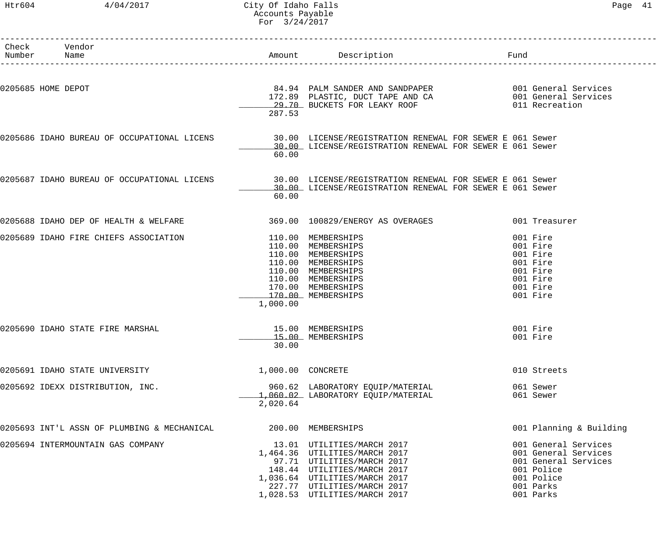#### Htr604 4/04/2017 City Of Idaho Falls Page 41 Accounts Payable For 3/24/2017

| Number | Check Vendor<br>Name                                                                                 |                   | Amount Description<br>in the state of the Fund                                                                                                                                                                            |                                                                                                                            |  |
|--------|------------------------------------------------------------------------------------------------------|-------------------|---------------------------------------------------------------------------------------------------------------------------------------------------------------------------------------------------------------------------|----------------------------------------------------------------------------------------------------------------------------|--|
|        | 0205685 HOME DEPOT                                                                                   | 287.53            | 84.94 PALM SANDER AND SANDPAPER<br>172.89 PLASTIC, DUCT TAPE AND CA 001 General Services<br>28.70 PHOKETS FOR LEAKY ROOF<br>29.70 BUCKETS FOR LEAKY ROOF                                                                  | 011 Recreation                                                                                                             |  |
|        | 0205686 IDAHO BUREAU OF OCCUPATIONAL LICENS 30.00 LICENSE/REGISTRATION RENEWAL FOR SEWER E 061 Sewer | 60.00             | 30.00 LICENSE/REGISTRATION RENEWAL FOR SEWER E 061 Sewer                                                                                                                                                                  |                                                                                                                            |  |
|        | 0205687 IDAHO BUREAU OF OCCUPATIONAL LICENS                                                          | 60.00             | 30.00 LICENSE/REGISTRATION RENEWAL FOR SEWER E 061 Sewer<br>30.00 LICENSE/REGISTRATION RENEWAL FOR SEWER E 061 Sewer                                                                                                      |                                                                                                                            |  |
|        | 0205688 IDAHO DEP OF HEALTH & WELFARE                                                                |                   | 369.00  100829/ENERGY AS OVERAGES                                                                                                                                                                                         | 001 Treasurer                                                                                                              |  |
|        | 0205689 IDAHO FIRE CHIEFS ASSOCIATION                                                                | 1,000.00          | 110.00 MEMBERSHIPS<br>110.00 MEMBERSHIPS<br>110.00 MEMBERSHIPS<br>110.00 MEMBERSHIPS<br>110.00 MEMBERSHIPS<br>110.00 MEMBERSHIPS<br>170.00 MEMBERSHIPS<br>170.00 MEMBERSHIPS                                              | 001 Fire<br>001 Fire<br>001 Fire<br>001 Fire<br>001 Fire<br>001 Fire<br>001 Fire<br>001 Fire                               |  |
|        | 0205690 IDAHO STATE FIRE MARSHAL                                                                     | 30.00             | 15.00 MEMBERSHIPS<br>15.00 MEMBERSHIPS                                                                                                                                                                                    | 001 Fire<br>001 Fire                                                                                                       |  |
|        | 0205691 IDAHO STATE UNIVERSITY                                                                       | 1,000.00 CONCRETE |                                                                                                                                                                                                                           | 010 Streets                                                                                                                |  |
|        | 0205692 IDEXX DISTRIBUTION, INC.                                                                     | 2,020.64          | 960.62 LABORATORY EQUIP/MATERIAL<br>1,060.02 LABORATORY EQUIP/MATERIAL                                                                                                                                                    | 061 Sewer<br>061 Sewer                                                                                                     |  |
|        | 0205693 INT'L ASSN OF PLUMBING & MECHANICAL                                                          |                   | 200.00 MEMBERSHIPS                                                                                                                                                                                                        | 001 Planning & Building                                                                                                    |  |
|        | 0205694 INTERMOUNTAIN GAS COMPANY                                                                    |                   | 13.01 UTILITIES/MARCH 2017<br>1,464.36 UTILITIES/MARCH 2017<br>97.71 UTILITIES/MARCH 2017<br>148.44 UTILITIES/MARCH 2017<br>1,036.64 UTILITIES/MARCH 2017<br>227.77 UTILITIES/MARCH 2017<br>1,028.53 UTILITIES/MARCH 2017 | 001 General Services<br>001 General Services<br>001 General Services<br>001 Police<br>001 Police<br>001 Parks<br>001 Parks |  |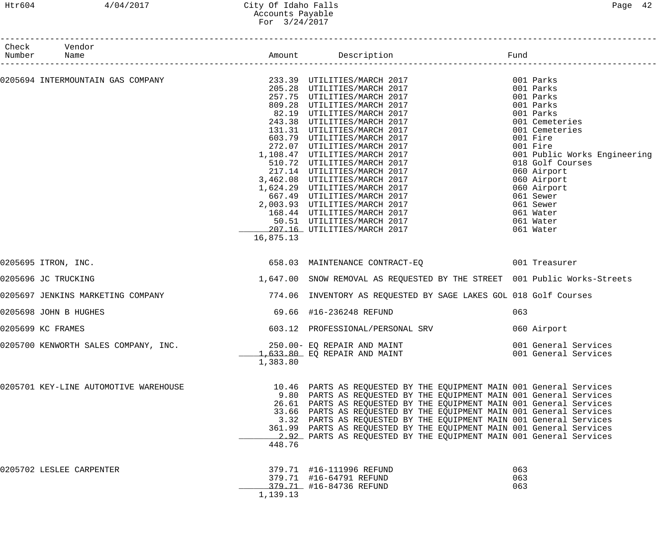#### Htr604 4/04/2017 City Of Idaho Falls Page 42 Accounts Payable For 3/24/2017

| Check<br>Number | Vendor<br>Name                                                                                                                    |           |                                                                                                                                                                                                                                                                                                                                                                                                                                                                                                             |                   |                                                                                                                       |
|-----------------|-----------------------------------------------------------------------------------------------------------------------------------|-----------|-------------------------------------------------------------------------------------------------------------------------------------------------------------------------------------------------------------------------------------------------------------------------------------------------------------------------------------------------------------------------------------------------------------------------------------------------------------------------------------------------------------|-------------------|-----------------------------------------------------------------------------------------------------------------------|
|                 |                                                                                                                                   |           |                                                                                                                                                                                                                                                                                                                                                                                                                                                                                                             |                   |                                                                                                                       |
|                 | 0205694 INTERMOUNTAIN GAS COMPANY                                    233.39  UTILITIES/MARCH 2017<br>205.28  UTILITIES/MARCH 2017 |           | 257.75 UTILITIES/MARCH 2017<br>809.28 UTILITIES/MARCH 2017<br>82.19 UTILITIES/MARCH 2017<br>243.38 UTILITIES/MARCH 2017<br>131.31 UTILITIES/MARCH 2017                                                                                                                                                                                                                                                                                                                                                      |                   | 001 Parks<br>001 Parks<br>001 Parks<br>001 Parks<br>001 Parks<br>001 Cemeteries<br>001 Cemeteries                     |
|                 |                                                                                                                                   |           | 603.79 UTILITIES/MARCH 2017<br>272.07 UTILITIES/MARCH 2017<br>1,108.47 UTILITIES/MARCH 2017<br>510.72 UTILITIES/MARCH 2017<br>217.14 UTILITIES/MARCH 2017<br>3,462.08 UTILITIES/MARCH 2017<br>1,624.29 UTILITIES/MARCH 2017                                                                                                                                                                                                                                                                                 |                   | 001 Fire<br>001 Fire<br>001 Public Works Engineering<br>018 Golf Courses<br>060 Airport<br>060 Airport<br>060 Airport |
|                 |                                                                                                                                   | 16,875.13 | 667.49 UTILITIES/MARCH 2017<br>2,003.93 UTILITIES/MARCH 2017<br>168.44 UTILITIES/MARCH 2017<br>50.51 UTILITIES/MARCH 2017<br>207.16 UTILITIES/MARCH 2017                                                                                                                                                                                                                                                                                                                                                    |                   | 061 Sewer<br>061 Sewer<br>061 Water<br>061 Water<br>061 Water                                                         |
|                 | 0205695 ITRON, INC.                                                                                                               |           | 658.03 MAINTENANCE CONTRACT-EQ 001 Treasurer                                                                                                                                                                                                                                                                                                                                                                                                                                                                |                   |                                                                                                                       |
|                 | 0205696 JC TRUCKING                                                                                                               |           | 1,647.00 SNOW REMOVAL AS REQUESTED BY THE STREET 001 Public Works-Streets                                                                                                                                                                                                                                                                                                                                                                                                                                   |                   |                                                                                                                       |
|                 | 0205697 JENKINS MARKETING COMPANY                                                                                                 |           | 774.06 INVENTORY AS REQUESTED BY SAGE LAKES GOL 018 Golf Courses                                                                                                                                                                                                                                                                                                                                                                                                                                            |                   |                                                                                                                       |
|                 | 0205698 JOHN B HUGHES                                                                                                             |           | 69.66 #16-236248 REFUND                                                                                                                                                                                                                                                                                                                                                                                                                                                                                     | 063               |                                                                                                                       |
|                 | 0205699 KC FRAMES                                                                                                                 |           | 603.12 PROFESSIONAL/PERSONAL SRV                                                                                                                                                                                                                                                                                                                                                                                                                                                                            |                   | 060 Airport                                                                                                           |
|                 | 0205700 KENWORTH SALES COMPANY, INC.                                                                                              | 1,383.80  | 250.00- EQ REPAIR AND MAINT<br>1,633.80 EQ REPAIR AND MAINT                                                                                                                                                                                                                                                                                                                                                                                                                                                 |                   | 001 General Services<br>001 General Services                                                                          |
|                 | 0205701 KEY-LINE AUTOMOTIVE WAREHOUSE                                                                                             | 448.76    | 10.46 PARTS AS REQUESTED BY THE EQUIPMENT MAIN 001 General Services<br>9.80 PARTS AS REQUESTED BY THE EQUIPMENT MAIN 001 General Services<br>26.61 PARTS AS REQUESTED BY THE EQUIPMENT MAIN 001 General Services<br>33.66 PARTS AS REQUESTED BY THE EQUIPMENT MAIN 001 General Services<br>3.32 PARTS AS REQUESTED BY THE EQUIPMENT MAIN 001 General Services<br>361.99 PARTS AS REQUESTED BY THE EQUIPMENT MAIN 001 General Services<br>2.92 PARTS AS REQUESTED BY THE EQUIPMENT MAIN 001 General Services |                   |                                                                                                                       |
|                 | 0205702 LESLEE CARPENTER                                                                                                          | 1,139.13  | 379.71 #16-111996 REFUND<br>379.71 #16-64791 REFUND<br>379.71 #16-84736 REFUND                                                                                                                                                                                                                                                                                                                                                                                                                              | 063<br>063<br>063 |                                                                                                                       |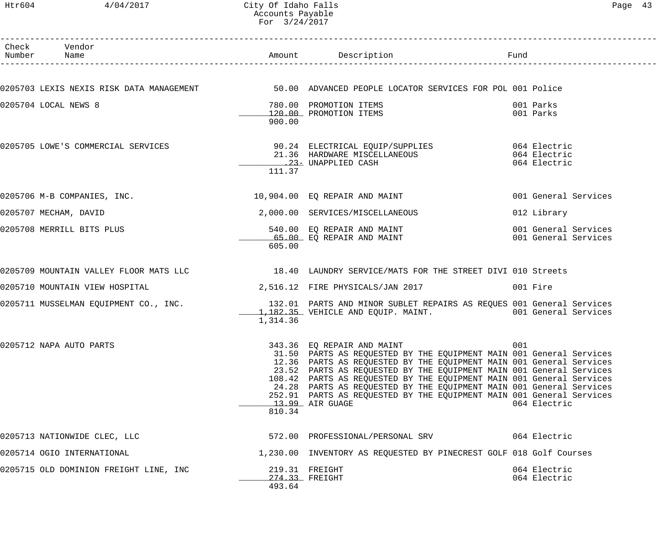# Htr604 4/04/2017 City Of Idaho Falls Page 43 Accounts Payable For 3/24/2017

| Check Vendor<br>Number Name            |          | Amount Description                                                                                                                          | Fund                         |
|----------------------------------------|----------|---------------------------------------------------------------------------------------------------------------------------------------------|------------------------------|
|                                        |          |                                                                                                                                             |                              |
|                                        |          | 0205703 LEXIS NEXIS RISK DATA MANAGEMENT 50.00 ADVANCED PEOPLE LOCATOR SERVICES FOR POL 001 Police                                          |                              |
| 0205704 LOCAL NEWS 8                   |          | 780.00 PROMOTION ITEMS                                                                                                                      | 001 Parks                    |
|                                        | 900.00   | 120.00 PROMOTION ITEMS                                                                                                                      | 001 Parks                    |
| 0205705 LOWE'S COMMERCIAL SERVICES     |          | 90.24 ELECTRICAL EQUIP/SUPPLIES 664 Electric                                                                                                |                              |
|                                        |          | 21.36 HARDWARE MISCELLANEOUS<br>. 23- UNAPPLIED CASH                                                                                        | 064 Electric<br>064 Electric |
|                                        | 111.37   |                                                                                                                                             |                              |
| 0205706 M-B COMPANIES, INC.            |          | 10,904.00 EQ REPAIR AND MAINT                                                                                                               | 001 General Services         |
| 0205707 MECHAM, DAVID                  |          | 2,000.00 SERVICES/MISCELLANEOUS                                                                                                             | 012 Library                  |
| 0205708 MERRILL BITS PLUS              |          | 540.00 EQ REPAIR AND MAINT<br>65.00 EQ REPAIR AND MAINT                                                                                     | 001 General Services         |
|                                        | 605.00   | 65.00 EO REPAIR AND MAINT                                                                                                                   | 001 General Services         |
|                                        |          | 0205709 MOUNTAIN VALLEY FLOOR MATS LLC 18.40 LAUNDRY SERVICE/MATS FOR THE STREET DIVI 010 Streets                                           |                              |
| 0205710 MOUNTAIN VIEW HOSPITAL         |          | 2,516.12 FIRE PHYSICALS/JAN 2017                                                                                                            | 001 Fire                     |
| 0205711 MUSSELMAN EQUIPMENT CO., INC.  |          | 132.01 PARTS AND MINOR SUBLET REPAIRS AS REQUES 001 General Services<br>1,182.35 VEHICLE AND EQUIP. MAINT. 001 General Services             |                              |
|                                        | 1,314.36 |                                                                                                                                             |                              |
| 0205712 NAPA AUTO PARTS                |          | 343.36 EQ REPAIR AND MAINT                                                                                                                  | 001                          |
|                                        |          | 31.50 PARTS AS REQUESTED BY THE EQUIPMENT MAIN 001 General Services<br>12.36 PARTS AS REQUESTED BY THE EQUIPMENT MAIN 001 General Services  |                              |
|                                        |          | 23.52 PARTS AS REQUESTED BY THE EQUIPMENT MAIN 001 General Services                                                                         |                              |
|                                        |          | 108.42 PARTS AS REQUESTED BY THE EQUIPMENT MAIN 001 General Services<br>24.28 PARTS AS REQUESTED BY THE EQUIPMENT MAIN 001 General Services |                              |
|                                        |          | 252.91 PARTS AS REQUESTED BY THE EQUIPMENT MAIN 001 General Services                                                                        |                              |
|                                        |          | 13.99 AIR GUAGE                                                                                                                             | 064 Electric                 |
|                                        | 810.34   |                                                                                                                                             |                              |
| 0205713 NATIONWIDE CLEC, LLC           |          | 572.00 PROFESSIONAL/PERSONAL SRV                                                                                                            | 064 Electric                 |
| 0205714 OGIO INTERNATIONAL             |          | 1,230.00 INVENTORY AS REQUESTED BY PINECREST GOLF 018 Golf Courses                                                                          |                              |
| 0205715 OLD DOMINION FREIGHT LINE, INC |          | 219.31 FREIGHT                                                                                                                              | 064 Electric                 |
|                                        | 493.64   | 274.33 FREIGHT                                                                                                                              | 064 Electric                 |
|                                        |          |                                                                                                                                             |                              |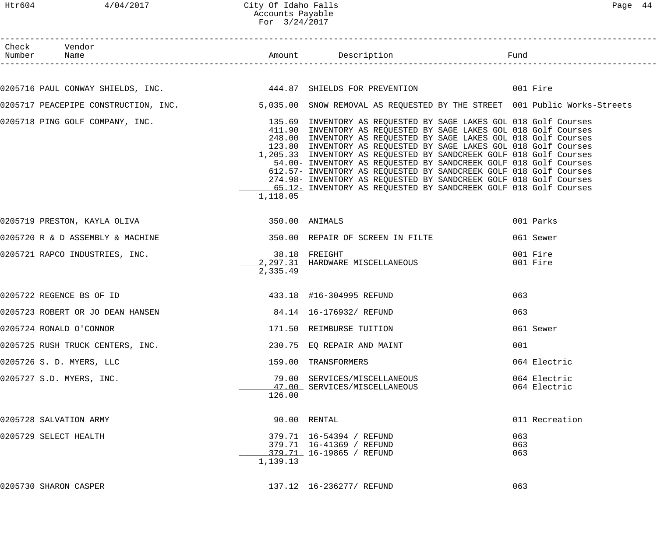# Htr604 4/04/2017 City Of Idaho Falls Page 44 Accounts Payable For 3/24/2017

| Check Vendor                                                                                                                                                                                       |          |                                                                                                                                                                                                                                                                                                                                                                                                                                                                                              |                      |                              |
|----------------------------------------------------------------------------------------------------------------------------------------------------------------------------------------------------|----------|----------------------------------------------------------------------------------------------------------------------------------------------------------------------------------------------------------------------------------------------------------------------------------------------------------------------------------------------------------------------------------------------------------------------------------------------------------------------------------------------|----------------------|------------------------------|
|                                                                                                                                                                                                    |          |                                                                                                                                                                                                                                                                                                                                                                                                                                                                                              |                      |                              |
| 0205716 PAUL CONWAY SHIELDS, INC. 444.87 SHIELDS FOR PREVENTION 001 Fire                                                                                                                           |          |                                                                                                                                                                                                                                                                                                                                                                                                                                                                                              |                      |                              |
| 0205717 PEACEPIPE CONSTRUCTION, INC. 4 . The S. 2015.00 SNOW REMOVAL AS REQUESTED BY THE STREET 001 Public Works-Streets                                                                           |          |                                                                                                                                                                                                                                                                                                                                                                                                                                                                                              |                      |                              |
| 0205718 PING GOLF COMPANY, INC.                               135.69 INVENTORY AS REQUESTED BY SAGE LAKES GOL 018 Golf Courses<br>411.90 INVENTORY AS REQUESTED BY SAGE LAKES GOL 018 Golf Courses | 1,118.05 | 248.00 INVENTORY AS REQUESTED BY SAGE LAKES GOL 018 Golf Courses<br>123.80 INVENTORY AS REQUESTED BY SAGE LAKES GOL 018 Golf Courses<br>1,205.33 INVENTORY AS REQUESTED BY SANDCREEK GOLF 018 Golf Courses<br>54.00- INVENTORY AS REQUESTED BY SANDCREEK GOLF 018 Golf Courses<br>612.57- INVENTORY AS REQUESTED BY SANDCREEK GOLF 018 Golf Courses<br>274.98- INVENTORY AS REQUESTED BY SANDCREEK GOLF 018 Golf Courses<br>65.12- INVENTORY AS REQUESTED BY SANDCREEK GOLF 018 Golf Courses |                      |                              |
| 0205719 PRESTON, KAYLA OLIVA (2008) 250.00 ANIMALS                                                                                                                                                 |          |                                                                                                                                                                                                                                                                                                                                                                                                                                                                                              |                      | 001 Parks                    |
| 0205720 R & D ASSEMBLY & MACHINE<br>350.00 REPAIR OF SCREEN IN FILTE                                                                                                                               |          |                                                                                                                                                                                                                                                                                                                                                                                                                                                                                              |                      | 061 Sewer                    |
| 0205721 RAPCO INDUSTRIES, INC. 2008 2010 10:00 120 138.18 FREIGHT                                                                                                                                  | 2,335.49 | 2,297.31 HARDWARE MISCELLANEOUS                                                                                                                                                                                                                                                                                                                                                                                                                                                              | 001 Fire<br>001 Fire |                              |
| 0205722 REGENCE BS OF ID                                                                                                                                                                           |          | 433.18 #16-304995 REFUND                                                                                                                                                                                                                                                                                                                                                                                                                                                                     | 063                  |                              |
| 0205723 ROBERT OR JO DEAN HANSEN 684.14 16-176932/ REFUND                                                                                                                                          |          |                                                                                                                                                                                                                                                                                                                                                                                                                                                                                              | 063                  |                              |
| 0205724 RONALD O'CONNOR                                                                                                                                                                            |          | 171.50 REIMBURSE TUITION                                                                                                                                                                                                                                                                                                                                                                                                                                                                     |                      | 061 Sewer                    |
| 0205725 RUSH TRUCK CENTERS, INC. 230.75 EQ REPAIR AND MAINT                                                                                                                                        |          |                                                                                                                                                                                                                                                                                                                                                                                                                                                                                              | 001                  |                              |
| 0205726 S. D. MYERS, LLC                                                                                                                                                                           |          | 159.00 TRANSFORMERS                                                                                                                                                                                                                                                                                                                                                                                                                                                                          |                      | 064 Electric                 |
| 0205727 S.D. MYERS, INC.                                                                                                                                                                           | 126.00   | 79.00 SERVICES/MISCELLANEOUS<br>47.00 SERVICES/MISCELLANEOUS                                                                                                                                                                                                                                                                                                                                                                                                                                 |                      | 064 Electric<br>064 Electric |
| 0205728 SALVATION ARMY                                                                                                                                                                             |          | 90.00 RENTAL                                                                                                                                                                                                                                                                                                                                                                                                                                                                                 |                      | 011 Recreation               |
| 0205729 SELECT HEALTH                                                                                                                                                                              | 1,139.13 | 379.71  16-54394 / REFUND<br>379.71  16-41369 / REFUND<br>379.71 16-19865 / REFUND                                                                                                                                                                                                                                                                                                                                                                                                           | 063<br>063<br>063    |                              |
| 0205730 SHARON CASPER                                                                                                                                                                              |          | 137.12  16-236277/ REFUND                                                                                                                                                                                                                                                                                                                                                                                                                                                                    | 063                  |                              |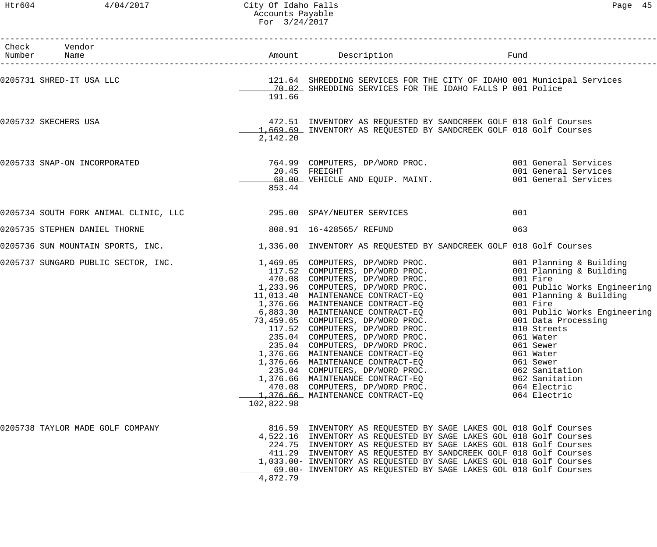# Htr604 4/04/2017 City Of Idaho Falls Page 45 Accounts Payable For 3/24/2017

| Check Vendor<br>Number Name                                               |            |                                                                                                                                                                                                                                                                                                                                                                                                                           |                                                                                                                                                                                                                                                                                                                                     |
|---------------------------------------------------------------------------|------------|---------------------------------------------------------------------------------------------------------------------------------------------------------------------------------------------------------------------------------------------------------------------------------------------------------------------------------------------------------------------------------------------------------------------------|-------------------------------------------------------------------------------------------------------------------------------------------------------------------------------------------------------------------------------------------------------------------------------------------------------------------------------------|
| 0205731 SHRED-IT USA LLC                                                  | 191.66     | 121.64 SHREDDING SERVICES FOR THE CITY OF IDAHO 001 Municipal Services<br>________ 70.02_ SHREDDING SERVICES FOR THE IDAHO FALLS P 001 Police                                                                                                                                                                                                                                                                             |                                                                                                                                                                                                                                                                                                                                     |
| 0205732 SKECHERS USA                                                      | 2,142.20   | 472.51 INVENTORY AS REQUESTED BY SANDCREEK GOLF 018 Golf Courses<br>1,669.69 INVENTORY AS REQUESTED BY SANDCREEK GOLF 018 Golf Courses                                                                                                                                                                                                                                                                                    |                                                                                                                                                                                                                                                                                                                                     |
| 0205733 SNAP-ON INCORPORATED                                              | 853.44     | 764.99 COMPUTERS, DP/WORD PROC. 001 General Services<br>20.45 FREIGHT<br>68.00 VEHICLE AND EQUIP. MAINT.                                                                                                                                                                                                                                                                                                                  | 001 General Services<br>001 General Services                                                                                                                                                                                                                                                                                        |
| 0205734 SOUTH FORK ANIMAL CLINIC, LLC <a> 295.00 SPAY/NEUTER SERVICES</a> |            |                                                                                                                                                                                                                                                                                                                                                                                                                           | 001                                                                                                                                                                                                                                                                                                                                 |
| 0205735 STEPHEN DANIEL THORNE                                             |            | 808.91  16-428565/ REFUND                                                                                                                                                                                                                                                                                                                                                                                                 | 063                                                                                                                                                                                                                                                                                                                                 |
| 0205736 SUN MOUNTAIN SPORTS, INC.                                         |            | 1,336.00 INVENTORY AS REQUESTED BY SANDCREEK GOLF 018 Golf Courses                                                                                                                                                                                                                                                                                                                                                        |                                                                                                                                                                                                                                                                                                                                     |
|                                                                           | 102,822.98 | 235.04 COMPUTERS, DP/WORD PROC.<br>1,376.66 MAINTENANCE CONTRACT-EO<br>1,376.66 MAINTENANCE CONTRACT-EQ<br>235.04 COMPUTERS, DP/WORD PROC.<br>1,376.66 MAINTENANCE CONTRACT-EQ<br>470.08 COMPUTERS, DP/WORD PROC.<br>1,376.66 MAINTENANCE CONTRACT-EQ                                                                                                                                                                     | 001 Planning & Building<br>001 Planning & Building<br>001 Fire<br>001 Public Works Engineering<br>001 Planning & Building<br>001 Fire<br>001 Public Works Engineering<br>001 Data Processing<br>010 Streets<br>061 Water<br>061 Sewer<br>061 Water<br>061 Sewer<br>062 Sanitation<br>062 Sanitation<br>064 Electric<br>064 Electric |
| 0205738 TAYLOR MADE GOLF COMPANY                                          | 4,872.79   | 816.59 INVENTORY AS REQUESTED BY SAGE LAKES GOL 018 Golf Courses<br>4,522.16 INVENTORY AS REQUESTED BY SAGE LAKES GOL 018 Golf Courses<br>224.75 INVENTORY AS REQUESTED BY SAGE LAKES GOL 018 Golf Courses<br>411.29 INVENTORY AS REQUESTED BY SANDCREEK GOLF 018 Golf Courses<br>1,033.00- INVENTORY AS REQUESTED BY SAGE LAKES GOL 018 Golf Courses<br>69.00- INVENTORY AS REQUESTED BY SAGE LAKES GOL 018 Golf Courses |                                                                                                                                                                                                                                                                                                                                     |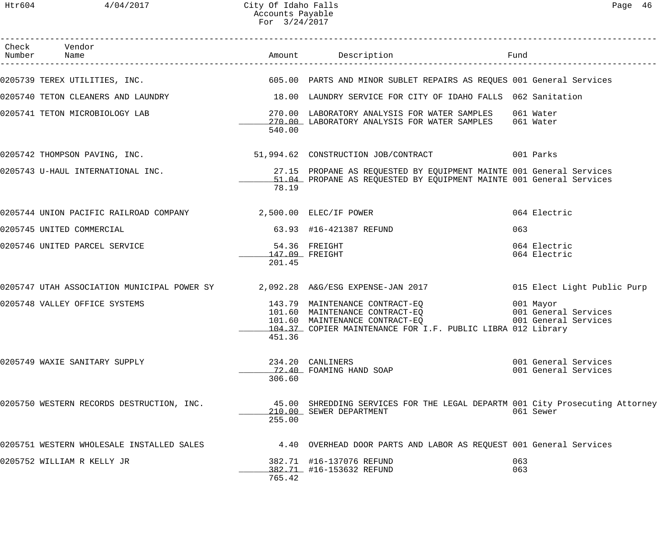| Page |  |
|------|--|
|------|--|

| Check Vendor<br>Number Name |                                                                  |                          | Amount Description                                                                                                                                                                                                                                                        | Fund       |                                              |
|-----------------------------|------------------------------------------------------------------|--------------------------|---------------------------------------------------------------------------------------------------------------------------------------------------------------------------------------------------------------------------------------------------------------------------|------------|----------------------------------------------|
|                             | 0205739 TEREX UTILITIES, INC.                                    |                          | 605.00 PARTS AND MINOR SUBLET REPAIRS AS REQUES 001 General Services                                                                                                                                                                                                      |            |                                              |
|                             | 0205740 TETON CLEANERS AND LAUNDRY                               |                          | 18.00 LAUNDRY SERVICE FOR CITY OF IDAHO FALLS 062 Sanitation                                                                                                                                                                                                              |            |                                              |
|                             | 0205741 TETON MICROBIOLOGY LAB                                   | 540.00                   | 270.00 LABORATORY ANALYSIS FOR WATER SAMPLES<br>270.00 LABORATORY ANALYSIS FOR WATER SAMPLES                                                                                                                                                                              |            | 061 Water<br>061 Water                       |
|                             |                                                                  |                          | 0205742 THOMPSON PAVING, INC. 2001 1994.62 CONSTRUCTION JOB/CONTRACT 601 Parks                                                                                                                                                                                            |            |                                              |
|                             | 0205743 U-HAUL INTERNATIONAL INC.                                | 78.19                    | 27.15 PROPANE AS REQUESTED BY EQUIPMENT MAINTE 001 General Services<br>51.04 PROPANE AS REQUESTED BY EQUIPMENT MAINTE 001 General Services                                                                                                                                |            |                                              |
|                             | 0205744 UNION PACIFIC RAILROAD COMPANY 48 2,500.00 ELEC/IF POWER |                          |                                                                                                                                                                                                                                                                           |            | 064 Electric                                 |
|                             | 0205745 UNITED COMMERCIAL                                        |                          | 63.93 #16-421387 REFUND                                                                                                                                                                                                                                                   | 063        |                                              |
|                             | 0205746 UNITED PARCEL SERVICE                                    | 147.09 FREIGHT<br>201.45 | 54.36 FREIGHT                                                                                                                                                                                                                                                             |            | 064 Electric<br>064 Electric                 |
|                             |                                                                  |                          | 0205747 UTAH ASSOCIATION MUNICIPAL POWER SY $2,092.28$ A&G/ESG EXPENSE-JAN 2017                                                                                                                                                                                           |            | 015 Elect Light Public Purp                  |
|                             | 0205748 VALLEY OFFICE SYSTEMS                                    | 451.36                   | 143.79 MAINTENANCE CONTRACT-EQ<br>101.60 MAINTENANCE CONTRACT-EQ                                   001 General Services<br>101.60 MAINTENANCE CONTRACT-EQ                             001 General Services<br>104.37 COPIER MAINTENANCE FOR I.F. PUBLIC LIBRA 012 Library |            |                                              |
|                             | 0205749 WAXIE SANITARY SUPPLY                                    | 306.60                   | 234.20 CANLINERS<br>72.40 FOAMING HAND SOAP                                                                                                                                                                                                                               |            | 001 General Services<br>001 General Services |
|                             | 0205750 WESTERN RECORDS DESTRUCTION, INC.                        | 255.00                   | 45.00 SHREDDING SERVICES FOR THE LEGAL DEPARTM 001 City Prosecuting Attorney<br>210.00 SEWER DEPARTMENT                                                                                                                                                                   |            | 061 Sewer                                    |
|                             | 0205751 WESTERN WHOLESALE INSTALLED SALES                        |                          | 4.40 OVERHEAD DOOR PARTS AND LABOR AS REQUEST 001 General Services                                                                                                                                                                                                        |            |                                              |
|                             | 0205752 WILLIAM R KELLY JR                                       | 765.42                   | 382.71 #16-137076 REFUND<br>382.71 #16-153632 REFUND                                                                                                                                                                                                                      | 063<br>063 |                                              |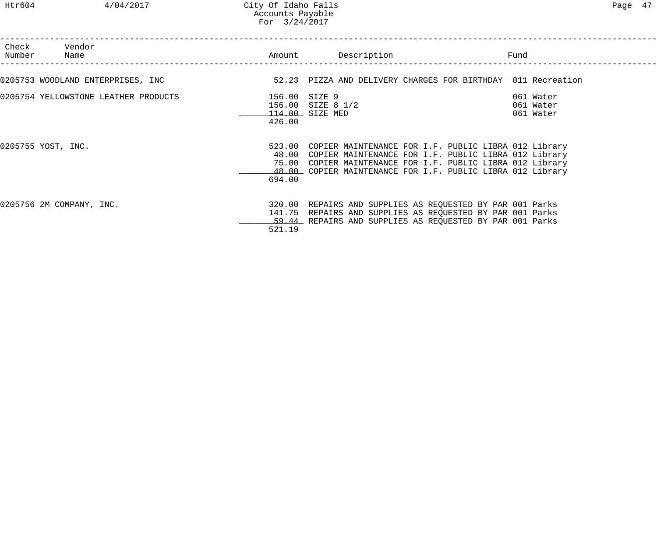Htr604 4/04/2017 City Of Idaho Falls Page 47 Accounts Payable For 3/24/2017

| Check Vendor<br>Number Name          | Amount                  | Description                                                                                                                                                                                                                                           | Fund                                |
|--------------------------------------|-------------------------|-------------------------------------------------------------------------------------------------------------------------------------------------------------------------------------------------------------------------------------------------------|-------------------------------------|
| 0205753 WOODLAND ENTERPRISES, INC    |                         | 52.23 PIZZA AND DELIVERY CHARGES FOR BIRTHDAY 011 Recreation                                                                                                                                                                                          |                                     |
| 0205754 YELLOWSTONE LEATHER PRODUCTS | 156.00 SIZE 9<br>426.00 | 156.00 SIZE 8 1/2<br>114.00 SIZE MED                                                                                                                                                                                                                  | 061 Water<br>061 Water<br>061 Water |
| 0205755 YOST, INC.                   | 694.00                  | 523.00 COPIER MAINTENANCE FOR I.F. PUBLIC LIBRA 012 Library<br>48.00 COPIER MAINTENANCE FOR I.F. PUBLIC LIBRA 012 Library<br>75.00 COPIER MAINTENANCE FOR I.F. PUBLIC LIBRA 012 Library<br>48.00 COPIER MAINTENANCE FOR I.F. PUBLIC LIBRA 012 Library |                                     |
| 0205756 2M COMPANY, INC.             | 521.19                  | 320.00 REPAIRS AND SUPPLIES AS REQUESTED BY PAR 001 Parks<br>141.75 REPAIRS AND SUPPLIES AS REQUESTED BY PAR 001 Parks<br>59.44 REPAIRS AND SUPPLIES AS REQUESTED BY PAR 001 Parks                                                                    |                                     |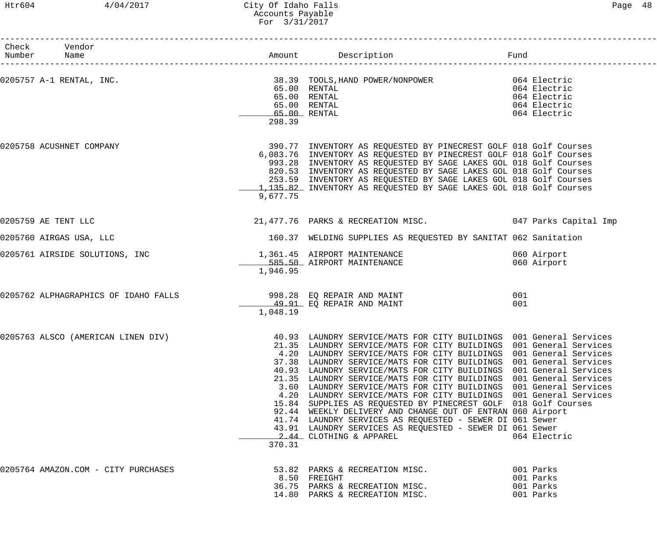# Htr604 4/04/2017 City Of Idaho Falls Page 48 Accounts Payable For 3/31/2017

| ำสα≏ | R |
|------|---|
|------|---|

| Check Vendor<br>Number Name         |          |                                                                                                                                                                                                                                                                                                                                                                                                                                                                                                                                                                                                                                                                                                                                                                                                                                                              | Fund                                                         |
|-------------------------------------|----------|--------------------------------------------------------------------------------------------------------------------------------------------------------------------------------------------------------------------------------------------------------------------------------------------------------------------------------------------------------------------------------------------------------------------------------------------------------------------------------------------------------------------------------------------------------------------------------------------------------------------------------------------------------------------------------------------------------------------------------------------------------------------------------------------------------------------------------------------------------------|--------------------------------------------------------------|
| 0205757 A-1 RENTAL, INC.            | 298.39   | 38.39 TOOLS, HAND POWER/NONPOWER 664 Electric<br>65.00 RENTAL<br>65.00 RENTAL<br>65.00 RENTAL<br>65.00 RENTAL                                                                                                                                                                                                                                                                                                                                                                                                                                                                                                                                                                                                                                                                                                                                                | 064 Electric<br>064 Electric<br>064 Electric<br>064 Electric |
| 0205758 ACUSHNET COMPANY            | 9,677.75 | 390.77 INVENTORY AS REQUESTED BY PINECREST GOLF 018 Golf Courses<br>6,083.76 INVENTORY AS REQUESTED BY PINECREST GOLF 018 Golf Courses<br>993.28 INVENTORY AS REQUESTED BY SAGE LAKES GOL 018 Golf Courses<br>820.53 INVENTORY AS REQUESTED BY SAGE LAKES GOL 018 Golf Courses<br>253.59 INVENTORY AS REQUESTED BY SAGE LAKES GOL 018 Golf Courses<br>1,135.82 INVENTORY AS REQUESTED BY SAGE LAKES GOL 018 Golf Courses                                                                                                                                                                                                                                                                                                                                                                                                                                     |                                                              |
| 0205759 AE TENT LLC                 |          | 21,477.76 PARKS & RECREATION MISC. 047 Parks Capital Imp                                                                                                                                                                                                                                                                                                                                                                                                                                                                                                                                                                                                                                                                                                                                                                                                     |                                                              |
| 0205760 AIRGAS USA, LLC             |          | 160.37 WELDING SUPPLIES AS REQUESTED BY SANITAT 062 Sanitation                                                                                                                                                                                                                                                                                                                                                                                                                                                                                                                                                                                                                                                                                                                                                                                               |                                                              |
| 0205761 AIRSIDE SOLUTIONS, INC      | 1,946.95 | 1,361.45 AIRPORT MAINTENANCE<br>585.50 AIRPORT MAINTENANCE                                                                                                                                                                                                                                                                                                                                                                                                                                                                                                                                                                                                                                                                                                                                                                                                   | 060 Airport<br>060 Airport                                   |
|                                     | 1,048.19 | 49.91 EQ REPAIR AND MAINT                                                                                                                                                                                                                                                                                                                                                                                                                                                                                                                                                                                                                                                                                                                                                                                                                                    | 001<br>001                                                   |
| 0205763 ALSCO (AMERICAN LINEN DIV)  | 370.31   | 40.93 LAUNDRY SERVICE/MATS FOR CITY BUILDINGS 001 General Services<br>21.35 LAUNDRY SERVICE/MATS FOR CITY BUILDINGS 001 General Services<br>4.20 LAUNDRY SERVICE/MATS FOR CITY BUILDINGS 001 General Services<br>37.38 LAUNDRY SERVICE/MATS FOR CITY BUILDINGS 001 General Services<br>40.93 LAUNDRY SERVICE/MATS FOR CITY BUILDINGS 001 General Services<br>21.35 LAUNDRY SERVICE/MATS FOR CITY BUILDINGS 001 General Services<br>3.60 LAUNDRY SERVICE/MATS FOR CITY BUILDINGS 001 General Services<br>4.20 LAUNDRY SERVICE/MATS FOR CITY BUILDINGS 001 General Services<br>15.84 SUPPLIES AS REQUESTED BY PINECREST GOLF 018 Golf Courses<br>92.44 WEEKLY DELIVERY AND CHANGE OUT OF ENTRAN 060 Airport<br>41.74 LAUNDRY SERVICES AS REQUESTED - SEWER DI 061 Sewer<br>43.91 LAUNDRY SERVICES AS REQUESTED - SEWER DI 061 Sewer<br>2.44 CLOTHING & APPAREL | 064 Electric                                                 |
| 0205764 AMAZON.COM - CITY PURCHASES |          | 53.82 PARKS & RECREATION MISC.<br>8.50 FREIGHT<br>36.75 PARKS & RECREATION MISC.<br>14.80 PARKS & RECREATION MISC.                                                                                                                                                                                                                                                                                                                                                                                                                                                                                                                                                                                                                                                                                                                                           | 001 Parks<br>001 Parks<br>001 Parks<br>001 Parks             |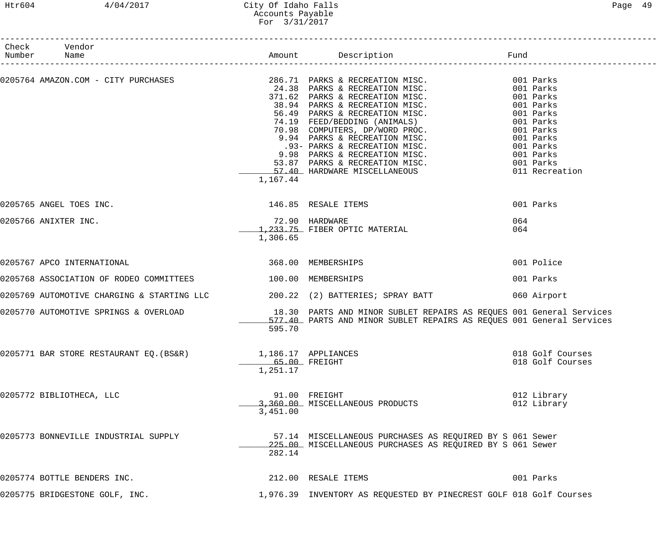# Htr604 4/04/2017 City Of Idaho Falls Page 49 Accounts Payable For 3/31/2017

| Check Vendor<br>Number Name                                                                                                                                                                                                                                                                                                                                                                                                                         |                            |                                                                                                                       |                                      |
|-----------------------------------------------------------------------------------------------------------------------------------------------------------------------------------------------------------------------------------------------------------------------------------------------------------------------------------------------------------------------------------------------------------------------------------------------------|----------------------------|-----------------------------------------------------------------------------------------------------------------------|--------------------------------------|
| $\texttt{0205764 AMAZON.COM - CITY PURCHASES}\texttt{286.71} \texttt{PARKS & RECREATION MISC.}\texttt{001 Parks}\texttt{24.38} \texttt{PARKS & RECREBATION MISC.}\texttt{001 Parks}\texttt{38.94} \texttt{PARKS & RECREBATION MISC.}\texttt{001 Parks}\texttt{38.94} \texttt{PARKS & RECREBATION MISC.}\texttt{001 Parks}\texttt{38.94} \texttt{PARKS & RECREBATION MISC.}\texttt{001 Parks}\texttt{56.49} \texttt{PARKS & RECREBATION MISC.}\text$ | 1,167.44                   |                                                                                                                       |                                      |
| 0205765 ANGEL TOES INC.                                                                                                                                                                                                                                                                                                                                                                                                                             |                            | 146.85 RESALE ITEMS                                                                                                   | 001 Parks                            |
| 0205766 ANIXTER INC.                                                                                                                                                                                                                                                                                                                                                                                                                                | 72.90 HARDWARE<br>1,306.65 | 1,233.75 FIBER OPTIC MATERIAL                                                                                         | 064<br>064                           |
| 0205767 APCO INTERNATIONAL                                                                                                                                                                                                                                                                                                                                                                                                                          | 368.00 MEMBERSHIPS         |                                                                                                                       | 001 Police                           |
| 0205768 ASSOCIATION OF RODEO COMMITTEES 100.00 MEMBERSHIPS                                                                                                                                                                                                                                                                                                                                                                                          |                            |                                                                                                                       | 001 Parks                            |
| 0205769 AUTOMOTIVE CHARGING & STARTING LLC $200.22$ (2) BATTERIES; SPRAY BATT                                                                                                                                                                                                                                                                                                                                                                       |                            |                                                                                                                       | 060 Airport                          |
| 0205770 AUTOMOTIVE SPRINGS & OVERLOAD <sup>18.30</sup> PARTS AND MINOR SUBLET REPAIRS AS REQUES 001 General Services<br>577.40 PARTS AND MINOR SUBLET REPAIRS AS REQUES 001 General Services                                                                                                                                                                                                                                                        | 595.70                     | 577.40 PARTS AND MINOR SUBLET REPAIRS AS REQUES 001 General Services                                                  |                                      |
| 0205771 BAR STORE RESTAURANT EQ.(BS&R)                                                                                                                                                                                                                                                                                                                                                                                                              | 65.00 FREIGHT<br>1,251.17  | 1,186.17 APPLIANCES                                                                                                   | 018 Golf Courses<br>018 Golf Courses |
| 0205772 BIBLIOTHECA, LLC                                                                                                                                                                                                                                                                                                                                                                                                                            | 3,451.00                   | 91.00 FREIGHT<br>3,360.00 MISCELLANEOUS PRODUCTS                                                                      | 012 Library<br>012 Library           |
| 0205773 BONNEVILLE INDUSTRIAL SUPPLY                                                                                                                                                                                                                                                                                                                                                                                                                | 282.14                     | 57.14 MISCELLANEOUS PURCHASES AS REQUIRED BY S 061 Sewer<br>225.00 MISCELLANEOUS PURCHASES AS REQUIRED BY S 061 Sewer |                                      |
| 0205774 BOTTLE BENDERS INC.                                                                                                                                                                                                                                                                                                                                                                                                                         |                            | 212.00 RESALE ITEMS                                                                                                   | 001 Parks                            |
| 0205775 BRIDGESTONE GOLF, INC.                                                                                                                                                                                                                                                                                                                                                                                                                      |                            | 1,976.39 INVENTORY AS REQUESTED BY PINECREST GOLF 018 Golf Courses                                                    |                                      |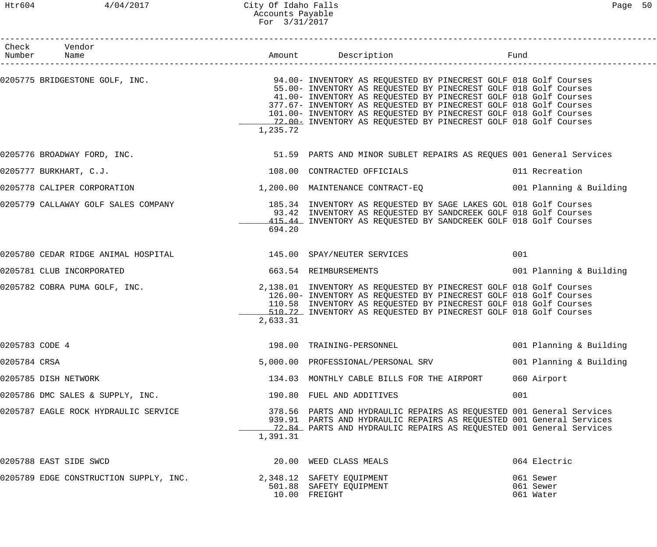|                | Check Vendor<br>Number Name                                                                                     |          |                                                                                                                                                                                                                                                                                                                                                    |                                     |
|----------------|-----------------------------------------------------------------------------------------------------------------|----------|----------------------------------------------------------------------------------------------------------------------------------------------------------------------------------------------------------------------------------------------------------------------------------------------------------------------------------------------------|-------------------------------------|
|                | 0205775 BRIDGESTONE GOLF, INC. THE SALE SERVICE SERVICE SERVICE OF SALE SERVICES SERVICES SOLF 018 Golf Courses | 1,235.72 | 55.00- INVENTORY AS REQUESTED BY PINECREST GOLF 018 Golf Courses<br>41.00- INVENTORY AS REQUESTED BY PINECREST GOLF 018 Golf Courses<br>377.67- INVENTORY AS REQUESTED BY PINECREST GOLF 018 Golf Courses<br>101.00- INVENTORY AS REQUESTED BY PINECREST GOLF 018 Golf Courses<br>12.00- INVENTORY AS REQUESTED BY PINECREST GOLF 018 Golf Courses |                                     |
|                | 0205776 BROADWAY FORD, INC.                                                                                     |          | 51.59 PARTS AND MINOR SUBLET REPAIRS AS REQUES 001 General Services                                                                                                                                                                                                                                                                                |                                     |
|                | 0205777 BURKHART, C.J.                                                                                          |          | 108.00 CONTRACTED OFFICIALS                                                                                                                                                                                                                                                                                                                        | 011 Recreation                      |
|                | 0205778 CALIPER CORPORATION                                                                                     |          | 1,200.00 MAINTENANCE CONTRACT-EQ 001 Planning & Building                                                                                                                                                                                                                                                                                           |                                     |
|                | 0205779 CALLAWAY GOLF SALES COMPANY 185.34 INVENTORY AS REQUESTED BY SAGE LAKES GOL 018 Golf Courses            | 694.20   | 93.42 INVENTORY AS REQUESTED BY SANDCREEK GOLF 018 Golf Courses<br>415.44 INVENTORY AS REQUESTED BY SANDCREEK GOLF 018 Golf Courses                                                                                                                                                                                                                |                                     |
|                | 0205780 CEDAR RIDGE ANIMAL HOSPITAL                                                                             |          | 145.00 SPAY/NEUTER SERVICES                                                                                                                                                                                                                                                                                                                        | 001                                 |
|                | 0205781 CLUB INCORPORATED                                                                                       |          | 663.54 REIMBURSEMENTS                                                                                                                                                                                                                                                                                                                              | 001 Planning & Building             |
|                | 0205782 COBRA PUMA GOLF, INC.                                                                                   | 2,633.31 | 2,138.01 INVENTORY AS REQUESTED BY PINECREST GOLF 018 Golf Courses<br>126.00- INVENTORY AS REQUESTED BY PINECREST GOLF 018 Golf Courses<br>110.58 INVENTORY AS REQUESTED BY PINECREST GOLF 018 Golf Courses<br>510.72 INVENTORY AS REQUESTED BY PINECREST GOLF 018 Golf Courses                                                                    |                                     |
| 0205783 CODE 4 |                                                                                                                 |          | 198.00 TRAINING-PERSONNEL                                                                                                                                                                                                                                                                                                                          | 001 Planning & Building             |
| 0205784 CRSA   |                                                                                                                 |          | 5,000.00 PROFESSIONAL/PERSONAL SRV                                                                                                                                                                                                                                                                                                                 | 001 Planning & Building             |
|                | 0205785 DISH NETWORK                                                                                            |          | 134.03 MONTHLY CABLE BILLS FOR THE AIRPORT                                                                                                                                                                                                                                                                                                         | 060 Airport                         |
|                | 0205786 DMC SALES & SUPPLY, INC.                                                                                |          | 190.80 FUEL AND ADDITIVES                                                                                                                                                                                                                                                                                                                          | 001                                 |
|                | 0205787 EAGLE ROCK HYDRAULIC SERVICE                                                                            | 1,391.31 | 378.56 PARTS AND HYDRAULIC REPAIRS AS REQUESTED 001 General Services<br>939.91 PARTS AND HYDRAULIC REPAIRS AS REQUESTED 001 General Services<br>72.84 PARTS AND HYDRAULIC REPAIRS AS REQUESTED 001 General Services                                                                                                                                |                                     |
|                | 0205788 EAST SIDE SWCD                                                                                          |          | 20.00 WEED CLASS MEALS                                                                                                                                                                                                                                                                                                                             | 064 Electric                        |
|                | 0205789 EDGE CONSTRUCTION SUPPLY, INC.                                                                          |          | 2,348.12 SAFETY EQUIPMENT<br>501.88 SAFETY EQUIPMENT<br>10.00 FREIGHT                                                                                                                                                                                                                                                                              | 061 Sewer<br>061 Sewer<br>061 Water |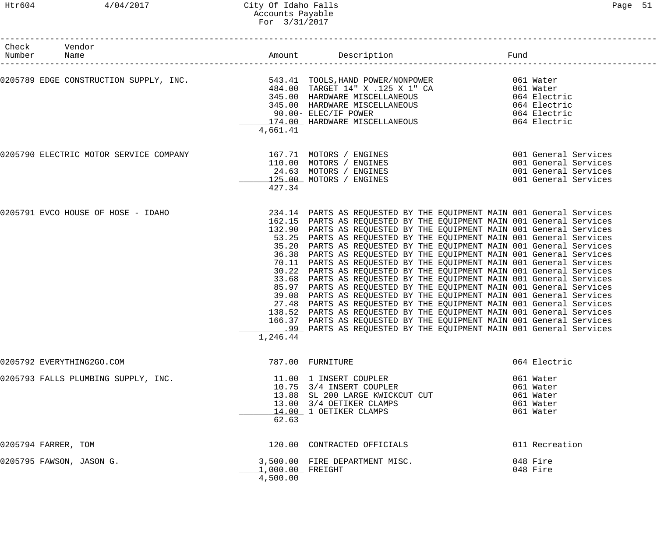# Htr604 4/04/2017 City Of Idaho Falls Page 51 Accounts Payable For 3/31/2017

| Check Vendor<br>Number Name                                                                                                                                                                                                              |                              | Amount Description Description                                                                                                                                                                                                                                                                                                                                                                                                                                                                                                                                                                                                                                                                                                                                                                                                                                                                                                                                                                                                                                                                           |                                                                                              |  |
|------------------------------------------------------------------------------------------------------------------------------------------------------------------------------------------------------------------------------------------|------------------------------|----------------------------------------------------------------------------------------------------------------------------------------------------------------------------------------------------------------------------------------------------------------------------------------------------------------------------------------------------------------------------------------------------------------------------------------------------------------------------------------------------------------------------------------------------------------------------------------------------------------------------------------------------------------------------------------------------------------------------------------------------------------------------------------------------------------------------------------------------------------------------------------------------------------------------------------------------------------------------------------------------------------------------------------------------------------------------------------------------------|----------------------------------------------------------------------------------------------|--|
| 0205789 EDGE CONSTRUCTION SUPPLY, INC.<br>0205789 EDGE CONSTRUCTION SUPPLY, INC.<br>345.00 HARDWARE MISCELLANEOUS 061 Water<br>345.00 HARDWARE MISCELLANEOUS 064 Electric<br>345.00 HARDWARE MISCELLANEOUS 064 Electric<br>21.00 HARDWAR | 4,661.41                     |                                                                                                                                                                                                                                                                                                                                                                                                                                                                                                                                                                                                                                                                                                                                                                                                                                                                                                                                                                                                                                                                                                          |                                                                                              |  |
| 0205790 ELECTRIC MOTOR SERVICE COMPANY 167.71 MOTORS / ENGINES                                                                                                                                                                           | 427.34                       | 110.00 MOTORS / ENGINES<br>24.63 MOTORS / ENGINES<br>125.00 MOTORS / ENGINES                                                                                                                                                                                                                                                                                                                                                                                                                                                                                                                                                                                                                                                                                                                                                                                                                                                                                                                                                                                                                             | 001 General Services<br>001 General Services<br>001 General Services<br>001 General Services |  |
| 0205791 EVCO HOUSE OF HOSE - IDAHO                                                                                                                                                                                                       | 1,246.44                     | 234.14 PARTS AS REQUESTED BY THE EQUIPMENT MAIN 001 General Services<br>162.15 PARTS AS REQUESTED BY THE EQUIPMENT MAIN 001 General Services<br>132.90 PARTS AS REQUESTED BY THE EQUIPMENT MAIN 001 General Services<br>53.25 PARTS AS REQUESTED BY THE EQUIPMENT MAIN 001 General Services<br>35.20 PARTS AS REQUESTED BY THE EQUIPMENT MAIN 001 General Services<br>36.38 PARTS AS REQUESTED BY THE EQUIPMENT MAIN 001 General Services<br>70.11 PARTS AS REQUESTED BY THE EQUIPMENT MAIN 001 General Services<br>30.22 PARTS AS REQUESTED BY THE EQUIPMENT MAIN 001 General Services<br>33.68 PARTS AS REQUESTED BY THE EQUIPMENT MAIN 001 General Services<br>85.97 PARTS AS REQUESTED BY THE EQUIPMENT MAIN 001 General Services<br>39.08 PARTS AS REQUESTED BY THE EQUIPMENT MAIN 001 General Services<br>27.48 PARTS AS REQUESTED BY THE EQUIPMENT MAIN 001 General Services<br>138.52 PARTS AS REQUESTED BY THE EQUIPMENT MAIN 001 General Services<br>166.37 PARTS AS REQUESTED BY THE EQUIPMENT MAIN 001 General Services<br>.99 PARTS AS REQUESTED BY THE EQUIPMENT MAIN 001 General Services |                                                                                              |  |
| 0205792 EVERYTHING2GO.COM                                                                                                                                                                                                                |                              | 787.00 FURNITURE                                                                                                                                                                                                                                                                                                                                                                                                                                                                                                                                                                                                                                                                                                                                                                                                                                                                                                                                                                                                                                                                                         | 064 Electric                                                                                 |  |
| 0205793 FALLS PLUMBING SUPPLY, INC.                                                                                                                                                                                                      | 62.63                        | 11.00 1 INSERT COUPLER<br>10.75 3/4 INSERT COUPLER<br>13.88 SL 200 LARGE KWICKCUT CUT<br>13.00 3/4 OETIKER CLAMPS<br>14.00 1 OETIKER CLAMPS                                                                                                                                                                                                                                                                                                                                                                                                                                                                                                                                                                                                                                                                                                                                                                                                                                                                                                                                                              | 061 Water<br>061 Water<br>061 Water<br>061 Water<br>061 Water                                |  |
| 0205794 FARRER, TOM                                                                                                                                                                                                                      |                              | 120.00 CONTRACTED OFFICIALS                                                                                                                                                                                                                                                                                                                                                                                                                                                                                                                                                                                                                                                                                                                                                                                                                                                                                                                                                                                                                                                                              | 011 Recreation                                                                               |  |
| 0205795 FAWSON, JASON G.                                                                                                                                                                                                                 | 1,000.00 FREIGHT<br>4,500.00 | 3,500.00 FIRE DEPARTMENT MISC.                                                                                                                                                                                                                                                                                                                                                                                                                                                                                                                                                                                                                                                                                                                                                                                                                                                                                                                                                                                                                                                                           | 048 Fire<br>048 Fire                                                                         |  |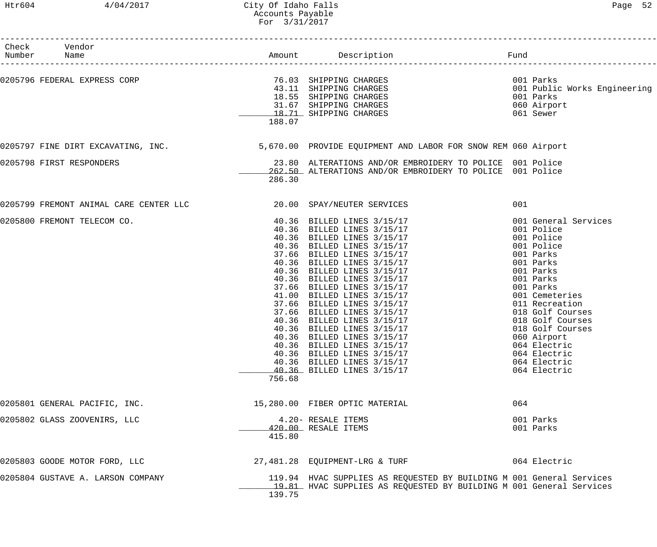| c |  |
|---|--|
|---|--|

| Number | Check Vendor<br>Name              |        |                                                                                                                                                                                                                                                                                                                                                                               |     | ____________________________________                                                                                                                                                                                                                                                                           |
|--------|-----------------------------------|--------|-------------------------------------------------------------------------------------------------------------------------------------------------------------------------------------------------------------------------------------------------------------------------------------------------------------------------------------------------------------------------------|-----|----------------------------------------------------------------------------------------------------------------------------------------------------------------------------------------------------------------------------------------------------------------------------------------------------------------|
|        | 0205796 FEDERAL EXPRESS CORP      | 188.07 | 76.03 SHIPPING CHARGES<br>43.11 SHIPPING CHARGES<br>18.55 SHIPPING CHARGES<br>31.67 SHIPPING CHARGES<br>19.71 SHIPPING CHARGES<br>18.71 SHIPPING CHARGES                                                                                                                                                                                                                      |     | 001 Parks<br>001 Public Works Engineering<br>001 Parks<br>060 Airport<br>061 Sewer                                                                                                                                                                                                                             |
|        |                                   |        | 0205797 FINE DIRT EXCAVATING, INC. 40 1991 1991 5,670.00 PROVIDE EQUIPMENT AND LABOR FOR SNOW REM 060 Airport                                                                                                                                                                                                                                                                 |     |                                                                                                                                                                                                                                                                                                                |
|        | 0205798 FIRST RESPONDERS          | 286.30 | 23.80 ALTERATIONS AND/OR EMBROIDERY TO POLICE 001 Police<br>262.50 ALTERATIONS AND/OR EMBROIDERY TO POLICE 001 Police                                                                                                                                                                                                                                                         |     |                                                                                                                                                                                                                                                                                                                |
|        |                                   |        |                                                                                                                                                                                                                                                                                                                                                                               | 001 |                                                                                                                                                                                                                                                                                                                |
|        | 0205800 FREMONT TELECOM CO.       | 756.68 | 40.36 BILLED LINES 3/15/17<br>40.36 BILLED LINES 3/15/17<br>40.36 BILLED LINES 3/15/17<br>40.36 BILLED LINES 3/15/17<br>37.66 BILLED LINES 3/15/17<br>40.36 BILLED LINES 3/15/17<br>40.36 BILLED LINES 3/15/17<br>40.36 BILLED LINES 3/15/17<br>37.66<br>40.36 BILLED LINES 3/15/17<br>40.36 BILLED LINES 3/15/17<br>40.36 BILLED LINES 3/15/17<br>40.36 BILLED LINES 3/15/17 |     | 001 General Services<br>001 Police<br>001 Police<br>001 Police<br>001 Parks<br>001 Parks<br>001 Parks<br>001 Parks<br>001 Parks<br>001 Cemeteries<br>011 Recreation<br>018 Golf Courses<br>018 Golf Courses<br>018 Golf Courses<br>060 Airport<br>064 Electric<br>064 Electric<br>064 Electric<br>064 Electric |
|        | 0205801 GENERAL PACIFIC, INC.     |        | 15,280.00 FIBER OPTIC MATERIAL                                                                                                                                                                                                                                                                                                                                                | 064 |                                                                                                                                                                                                                                                                                                                |
|        | 0205802 GLASS ZOOVENIRS, LLC      | 415.80 | 4.20- RESALE ITEMS<br>420.00 RESALE ITEMS                                                                                                                                                                                                                                                                                                                                     |     | 001 Parks<br>001 Parks                                                                                                                                                                                                                                                                                         |
|        | 0205803 GOODE MOTOR FORD, LLC     |        | 27,481.28 EQUIPMENT-LRG & TURF                                                                                                                                                                                                                                                                                                                                                |     | 064 Electric                                                                                                                                                                                                                                                                                                   |
|        | 0205804 GUSTAVE A. LARSON COMPANY | 139.75 | 119.94 HVAC SUPPLIES AS REQUESTED BY BUILDING M 001 General Services<br>19.81 HVAC SUPPLIES AS REQUESTED BY BUILDING M 001 General Services                                                                                                                                                                                                                                   |     |                                                                                                                                                                                                                                                                                                                |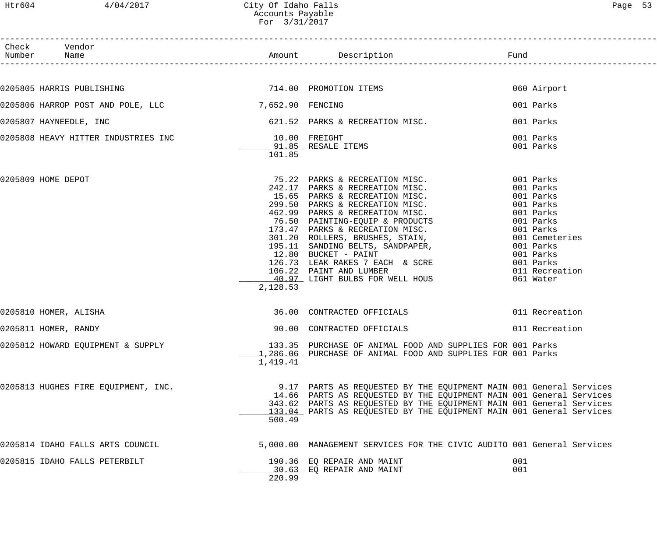| Htr604 | 4/04/2017                                          | City Of Idaho Falls<br>Accounts Payable<br>For 3/31/2017 |                                                                                                                                                                                                                                                                                                                                                                                                                                   |                                                                                                                                                                    | Page 53 |
|--------|----------------------------------------------------|----------------------------------------------------------|-----------------------------------------------------------------------------------------------------------------------------------------------------------------------------------------------------------------------------------------------------------------------------------------------------------------------------------------------------------------------------------------------------------------------------------|--------------------------------------------------------------------------------------------------------------------------------------------------------------------|---------|
|        | Check Vendor<br>Number Name                        |                                                          |                                                                                                                                                                                                                                                                                                                                                                                                                                   |                                                                                                                                                                    |         |
|        |                                                    |                                                          |                                                                                                                                                                                                                                                                                                                                                                                                                                   |                                                                                                                                                                    |         |
|        | 0205805 HARRIS PUBLISHING                          |                                                          | 714.00 PROMOTION ITEMS                                                                                                                                                                                                                                                                                                                                                                                                            | 060 Airport                                                                                                                                                        |         |
|        | 0205806 HARROP POST AND POLE, LLC 7,652.90 FENCING |                                                          |                                                                                                                                                                                                                                                                                                                                                                                                                                   | 001 Parks                                                                                                                                                          |         |
|        | 0205807 HAYNEEDLE, INC                             |                                                          | 621.52 PARKS & RECREATION MISC.                                                                                                                                                                                                                                                                                                                                                                                                   | 001 Parks                                                                                                                                                          |         |
|        | 0205808 HEAVY HITTER INDUSTRIES INC                | 10.00 FREIGHT<br>101.85                                  | 91.85 RESALE ITEMS                                                                                                                                                                                                                                                                                                                                                                                                                | 001 Parks<br>001 Parks                                                                                                                                             |         |
|        | 0205809 HOME DEPOT                                 | 2,128.53                                                 | 75.22 PARKS & RECREATION MISC.<br>242.17 PARKS & RECREATION MISC.<br>242.17 PARKS & RECREATION MISC.<br>15.65 PARKS & RECREATION MISC.<br>299.50 PARKS & RECREATION MISC.<br>462.99 PARKS & RECREATION MISC.<br>76.50 PAINTING-EQUIP & PRODUCTS<br>173.47 PARKS & RECREATION MISC.<br>301.20 ROLLERS, BRUSHES, STAIN,<br>126.73 LEAK RAKES 7 EACH & SCRE 6001 Parks<br>106.22 PAINT AND LUMBER<br>40.97 LIGHT BULBS FOR WELL HOUS | 001 Parks<br>001 Parks<br>001 Parks<br>001 Parks<br>001 Parks<br>001 Parks<br>001 Parks<br>001 Cemeteries<br>001 Parks<br>001 Parks<br>011 Recreation<br>061 Water |         |
|        | 0205810 HOMER, ALISHA                              |                                                          | 36.00 CONTRACTED OFFICIALS                                                                                                                                                                                                                                                                                                                                                                                                        | 011 Recreation                                                                                                                                                     |         |
|        | 0205811 HOMER, RANDY                               |                                                          | 90.00 CONTRACTED OFFICIALS                                                                                                                                                                                                                                                                                                                                                                                                        | 011 Recreation                                                                                                                                                     |         |
|        | 0205812 HOWARD EQUIPMENT & SUPPLY                  | 1,419.41                                                 | 133.35 PURCHASE OF ANIMAL FOOD AND SUPPLIES FOR 001 Parks<br>1,286,06 PURCHASE OF ANIMAL FOOD AND SUPPLIES FOR 001 Parks                                                                                                                                                                                                                                                                                                          |                                                                                                                                                                    |         |
|        | 0205813 HUGHES FIRE EQUIPMENT, INC.                |                                                          | 9.17 PARTS AS REQUESTED BY THE EQUIPMENT MAIN 001 General Services<br>14.66 PARTS AS REQUESTED BY THE EQUIPMENT MAIN 001 General Services<br>343.62 PARTS AS REQUESTED BY THE EQUIPMENT MAIN 001 General Services                                                                                                                                                                                                                 |                                                                                                                                                                    |         |

| 2,128.53                                      | 126.73 LEAK RAKES 7 EACH & SCRE<br>001 Parks<br>106.22 PAINT AND LUMBER<br>011 Recreation<br>40.97 LIGHT BULBS FOR WELL HOUS<br>061 Water                                                                                                                                                 |
|-----------------------------------------------|-------------------------------------------------------------------------------------------------------------------------------------------------------------------------------------------------------------------------------------------------------------------------------------------|
| 0205810 HOMER, ALISHA                         | 011 Recreation<br>36.00 CONTRACTED OFFICIALS                                                                                                                                                                                                                                              |
| 0205811 HOMER, RANDY                          | 011 Recreation<br>90.00 CONTRACTED OFFICIALS                                                                                                                                                                                                                                              |
| 0205812 HOWARD EQUIPMENT & SUPPLY<br>1,419.41 | 133.35 PURCHASE OF ANIMAL FOOD AND SUPPLIES FOR 001 Parks<br>$1.286.06$ PURCHASE OF ANIMAL FOOD AND SUPPLIES FOR 001 Parks                                                                                                                                                                |
| 0205813 HUGHES FIRE EQUIPMENT, INC.<br>500.49 | 9.17 PARTS AS REQUESTED BY THE EQUIPMENT MAIN 001 General Services<br>14.66 PARTS AS REQUESTED BY THE EQUIPMENT MAIN 001 General Services<br>343.62 PARTS AS REQUESTED BY THE EQUIPMENT MAIN 001 General Services<br>133.04 PARTS AS REQUESTED BY THE EQUIPMENT MAIN 001 General Services |
| 0205814 IDAHO FALLS ARTS COUNCIL              | 5,000.00 MANAGEMENT SERVICES FOR THE CIVIC AUDITO 001 General Services                                                                                                                                                                                                                    |
| 0205815 IDAHO FALLS PETERBILT<br>220.99       | 001<br>190.36 EQ REPAIR AND MAINT<br>30.63 EO REPAIR AND MAINT<br>001                                                                                                                                                                                                                     |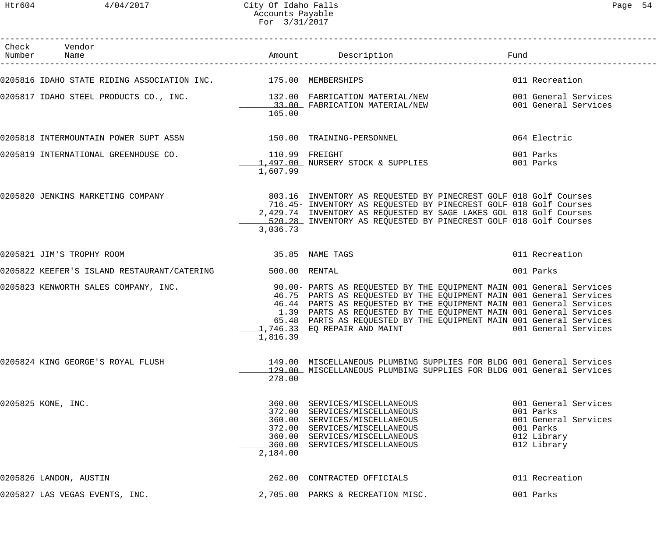Htr604 4/04/2017 City Of Idaho Falls Page 54 Accounts Payable For 3/31/2017

| $\sim$<br>⋍<br>⊣. |  |
|-------------------|--|
|-------------------|--|

| Check Vendor<br>Number Name                                     |          |                                                                                                                                                                                                                                                                                                                                                                                                                                          |                                                                                                      |
|-----------------------------------------------------------------|----------|------------------------------------------------------------------------------------------------------------------------------------------------------------------------------------------------------------------------------------------------------------------------------------------------------------------------------------------------------------------------------------------------------------------------------------------|------------------------------------------------------------------------------------------------------|
| 0205816 IDAHO STATE RIDING ASSOCIATION INC. 475.00 MEMBERSHIPS  |          |                                                                                                                                                                                                                                                                                                                                                                                                                                          | 011 Recreation                                                                                       |
|                                                                 | 165.00   | 0205817 IDAHO STEEL PRODUCTS CO., INC.                132.00 FABRICATION MATERIAL/NEW                001 General Services<br>33.00 FABRICATION MATERIAL/NEW                     001 General Services                                                                                                                                                                                                                                     |                                                                                                      |
| 0205818 INTERMOUNTAIN POWER SUPT ASSN 150.00 TRAINING-PERSONNEL |          |                                                                                                                                                                                                                                                                                                                                                                                                                                          | 064 Electric                                                                                         |
| 0205819 INTERNATIONAL GREENHOUSE CO. 110.99 FREIGHT             | 1,607.99 | 1,497.00 NURSERY STOCK & SUPPLIES 001 Parks                                                                                                                                                                                                                                                                                                                                                                                              | 001 Parks                                                                                            |
|                                                                 | 3,036.73 | 0205820 JENKINS MARKETING COMPANY (2008) 2003.16 INVENTORY AS REQUESTED BY PINECREST GOLF 018 Golf Courses<br>716.45- INVENTORY AS REQUESTED BY PINECREST GOLF 018 Golf Courses<br>2,429.74 INVENTORY AS REQUESTED BY SAGE LAKES GOL 018 Golf Courses<br>520.28 INVENTORY AS REQUESTED BY PINECREST GOLF 018 Golf Courses                                                                                                                |                                                                                                      |
| 35.85 NAME TAGS<br>0205821 JIM'S TROPHY ROOM                    |          |                                                                                                                                                                                                                                                                                                                                                                                                                                          | 011 Recreation                                                                                       |
| 0205822 KEEFER'S ISLAND RESTAURANT/CATERING 500.00 RENTAL       |          |                                                                                                                                                                                                                                                                                                                                                                                                                                          | 001 Parks                                                                                            |
|                                                                 | 1,816.39 | 0205823 KENWORTH SALES COMPANY, INC. 40 190.00- PARTS AS REQUESTED BY THE EQUIPMENT MAIN 001 General Services<br>46.75 PARTS AS REQUESTED BY THE EQUIPMENT MAIN 001 General Services<br>46.44 PARTS AS REQUESTED BY THE EQUIPMENT MAIN 001 General Services<br>1.39 PARTS AS REQUESTED BY THE EQUIPMENT MAIN 001 General Services<br>65.48 PARTS AS REQUESTED BY THE EQUIPMENT MAIN 001 General Services<br>1,746.33 EQ REPAIR AND MAINT | 001 General Services                                                                                 |
| 0205824 KING GEORGE'S ROYAL FLUSH                               | 278.00   | 149.00 MISCELLANEOUS PLUMBING SUPPLIES FOR BLDG 001 General Services<br>129.00 MISCELLANEOUS PLUMBING SUPPLIES FOR BLDG 001 General Services                                                                                                                                                                                                                                                                                             |                                                                                                      |
| 0205825 KONE, INC.                                              | 2,184.00 | 360.00 SERVICES/MISCELLANEOUS<br>372.00 SERVICES/MISCELLANEOUS<br>360.00 SERVICES/MISCELLANEOUS<br>372.00 SERVICES/MISCELLANEOUS<br>360.00 SERVICES/MISCELLANEOUS<br>360.00 SERVICES/MISCELLANEOUS                                                                                                                                                                                                                                       | 001 General Services<br>001 Parks<br>001 General Services<br>001 Parks<br>012 Library<br>012 Library |
| 0205826 LANDON, AUSTIN                                          |          | 262.00 CONTRACTED OFFICIALS                                                                                                                                                                                                                                                                                                                                                                                                              | 011 Recreation                                                                                       |
| 0205827 LAS VEGAS EVENTS, INC.                                  |          | 2,705.00 PARKS & RECREATION MISC.                                                                                                                                                                                                                                                                                                                                                                                                        | 001 Parks                                                                                            |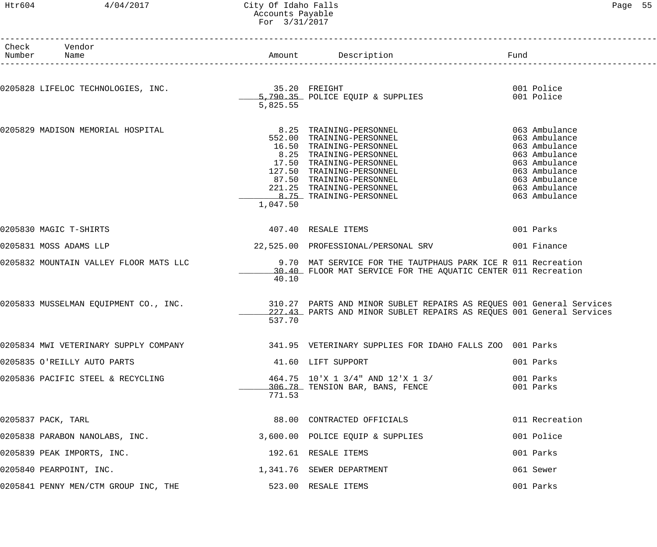# Htr604 4/04/2017 City Of Idaho Falls Page 55 Accounts Payable For 3/31/2017

| Check Vendor<br>Number Name                      |          |                                                                                                                                                                                                                                                          |                                                                                                                                                       |
|--------------------------------------------------|----------|----------------------------------------------------------------------------------------------------------------------------------------------------------------------------------------------------------------------------------------------------------|-------------------------------------------------------------------------------------------------------------------------------------------------------|
| 0205828 LIFELOC TECHNOLOGIES, INC. 35.20 FREIGHT | 5,825.55 | 5,790.35 POLICE EQUIP & SUPPLIES                                                                                                                                                                                                                         | 001 Police<br>001 Police                                                                                                                              |
| 0205829 MADISON MEMORIAL HOSPITAL                | 1,047.50 | 8.25 TRAINING-PERSONNEL<br>552.00 TRAINING-PERSONNEL<br>16.50 TRAINING-PERSONNEL<br>8.25 TRAINING-PERSONNEL<br>17.50 TRAINING-PERSONNEL<br>127.50 TRAINING-PERSONNEL<br>87.50 TRAINING-PERSONNEL<br>221.25 TRAINING-PERSONNEL<br>8.75 TRAINING-PERSONNEL | 063 Ambulance<br>063 Ambulance<br>063 Ambulance<br>063 Ambulance<br>063 Ambulance<br>063 Ambulance<br>063 Ambulance<br>063 Ambulance<br>063 Ambulance |
| 0205830 MAGIC T-SHIRTS                           |          | 407.40 RESALE ITEMS                                                                                                                                                                                                                                      | 001 Parks                                                                                                                                             |
| 0205831 MOSS ADAMS LLP                           |          |                                                                                                                                                                                                                                                          |                                                                                                                                                       |
| 0205832 MOUNTAIN VALLEY FLOOR MATS LLC           | 40.10    | 9.70 MAT SERVICE FOR THE TAUTPHAUS PARK ICE R 011 Recreation<br>30.40 FLOOR MAT SERVICE FOR THE AQUATIC CENTER 011 Recreation                                                                                                                            |                                                                                                                                                       |
|                                                  | 537.70   | 0205833 MUSSELMAN EQUIPMENT CO., INC. 310.27 PARTS AND MINOR SUBLET REPAIRS AS REQUES 001 General Services<br>227.43 PARTS AND MINOR SUBLET REPAIRS AS REQUES 001 General Services                                                                       |                                                                                                                                                       |
|                                                  |          | 0205834 MWI VETERINARY SUPPLY COMPANY 1999 1999 1999 VETERINARY SUPPLIES FOR IDAHO FALLS ZOO 001 Parks                                                                                                                                                   |                                                                                                                                                       |
| 0205835 O'REILLY AUTO PARTS                      |          | 41.60 LIFT SUPPORT                                                                                                                                                                                                                                       | 001 Parks                                                                                                                                             |
| 0205836 PACIFIC STEEL & RECYCLING                | 771.53   | 464.75 10'X 1 3/4" AND 12'X 1 3/<br>306.78 TENSION BAR, BANS, FENCE                                                                                                                                                                                      | 001 Parks<br>001 Parks                                                                                                                                |
| 0205837 PACK, TARL                               |          | 88.00 CONTRACTED OFFICIALS                                                                                                                                                                                                                               | 011 Recreation                                                                                                                                        |
| 0205838 PARABON NANOLABS, INC.                   |          | 3,600.00 POLICE EQUIP & SUPPLIES                                                                                                                                                                                                                         | 001 Police                                                                                                                                            |
| 0205839 PEAK IMPORTS, INC.                       |          | 192.61 RESALE ITEMS                                                                                                                                                                                                                                      | 001 Parks                                                                                                                                             |
| 0205840 PEARPOINT, INC.                          |          | 1,341.76 SEWER DEPARTMENT                                                                                                                                                                                                                                | 061 Sewer                                                                                                                                             |
| 0205841 PENNY MEN/CTM GROUP INC, THE             |          | 523.00 RESALE ITEMS                                                                                                                                                                                                                                      | 001 Parks                                                                                                                                             |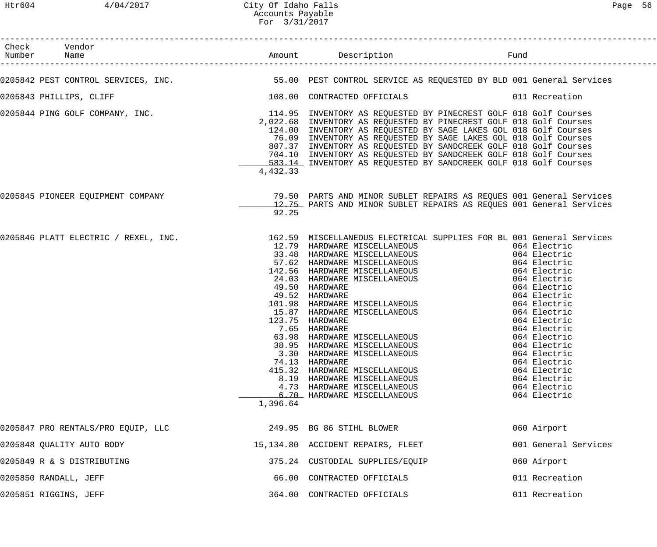| Check Vendor<br>Number Name<br>_____________________                                                                  |          |                                                                                                                                                                                                                                                                                                                                                                                                                                                                                                                                                                                                                            |                                                                                                                                                                                                                                                                                                                              |
|-----------------------------------------------------------------------------------------------------------------------|----------|----------------------------------------------------------------------------------------------------------------------------------------------------------------------------------------------------------------------------------------------------------------------------------------------------------------------------------------------------------------------------------------------------------------------------------------------------------------------------------------------------------------------------------------------------------------------------------------------------------------------------|------------------------------------------------------------------------------------------------------------------------------------------------------------------------------------------------------------------------------------------------------------------------------------------------------------------------------|
| 0205842 PEST CONTROL SERVICES, INC. THE SERVICT SESS ON PEST CONTROL SERVICE AS REQUESTED BY BLD 001 General Services |          |                                                                                                                                                                                                                                                                                                                                                                                                                                                                                                                                                                                                                            |                                                                                                                                                                                                                                                                                                                              |
| 0205843 PHILLIPS, CLIFF                                                                                               |          |                                                                                                                                                                                                                                                                                                                                                                                                                                                                                                                                                                                                                            |                                                                                                                                                                                                                                                                                                                              |
| 0205844 PING GOLF COMPANY, INC. THE SAME SERVIEW READS THE SERVIEW AS REQUESTED BY PINECREST GOLF 018 Golf Courses    | 4,432.33 | 2,022.68 INVENTORY AS REQUESTED BY PINECREST GOLF 018 Golf Courses<br>124.00 INVENTORY AS REQUESTED BY SAGE LAKES GOL 018 Golf Courses<br>76.09 INVENTORY AS REQUESTED BY SAGE LAKES GOL 018 Golf Courses<br>807.37 INVENTORY AS REQUESTED BY SANDCREEK GOLF 018 Golf Courses<br>704.10 INVENTORY AS REQUESTED BY SANDCREEK GOLF 018 Golf Courses<br>583.14 INVENTORY AS REQUESTED BY SANDCREEK GOLF 018 Golf Courses                                                                                                                                                                                                      |                                                                                                                                                                                                                                                                                                                              |
| 0205845 PIONEER EQUIPMENT COMPANY (2008) 29.50 PARTS AND MINOR SUBLET REPAIRS AS REQUES 001 General Services          | 92.25    | 12.75 PARTS AND MINOR SUBLET REPAIRS AS REQUES 001 General Services                                                                                                                                                                                                                                                                                                                                                                                                                                                                                                                                                        |                                                                                                                                                                                                                                                                                                                              |
| 0205846 PLATT ELECTRIC / REXEL, INC. 162.59 MISCELLANEOUS ELECTRICAL SUPPLIES FOR BL 001 General Services             | 1,396.64 | 12.79 HARDWARE MISCELLANEOUS<br>33.48 HARDWARE MISCELLANEOUS<br>57.62 HARDWARE MISCELLANEOUS<br>142.56 HARDWARE MISCELLANEOUS<br>24.03 HARDWARE MISCELLANEOUS<br>49.50 HARDWARE<br>49.52 HARDWARE<br>101.98 HARDWARE MISCELLANEOUS<br>191.99 HARDWARE MISCELLANEOUS<br>15.87 HARDWARE MISCELLANEOUS<br>123.75 HARDWARE<br>7.65 HARDWARE<br>123.75 HARDWARE<br>7.65 HARDWARE<br>63.98 HARDWARE MISCELLANEOUS<br>38.95 HARDWARE MISCELLANEOUS<br>3.30 HARDWARE MISCELLANEOUS<br>74.13 HARDWARE<br>415.32 HARDWARE MISCELLANEOUS<br>8.19 HARDWARE MISCELLANEOUS<br>4.73 HARDWARE MISCELLANEOUS<br>6.70 HARDWARE MISCELLANEOUS | 064 Electric<br>064 Electric<br>064 Electric<br>064 Electric<br>064 Electric<br>064 Electric<br>064 Electric<br>064 Electric<br>064 Electric<br>064 Electric<br>064 Electric<br>064 Electric<br>064 Electric<br>064 Electric<br>064 Electric<br>064 Electric<br>064 Electric<br>064 Electric<br>064 Electric<br>064 Electric |
| 0205847 PRO RENTALS/PRO EQUIP, LLC                                                                                    |          | 249.95 BG 86 STIHL BLOWER                                                                                                                                                                                                                                                                                                                                                                                                                                                                                                                                                                                                  | 060 Airport                                                                                                                                                                                                                                                                                                                  |
| 0205848 QUALITY AUTO BODY                                                                                             |          | 15,134.80 ACCIDENT REPAIRS, FLEET                                                                                                                                                                                                                                                                                                                                                                                                                                                                                                                                                                                          | 001 General Services                                                                                                                                                                                                                                                                                                         |
| 0205849 R & S DISTRIBUTING                                                                                            |          | 375.24 CUSTODIAL SUPPLIES/EQUIP                                                                                                                                                                                                                                                                                                                                                                                                                                                                                                                                                                                            | 060 Airport                                                                                                                                                                                                                                                                                                                  |
| 0205850 RANDALL, JEFF                                                                                                 |          | 66.00 CONTRACTED OFFICIALS                                                                                                                                                                                                                                                                                                                                                                                                                                                                                                                                                                                                 | 011 Recreation                                                                                                                                                                                                                                                                                                               |
| 0205851 RIGGINS, JEFF                                                                                                 |          | 364.00 CONTRACTED OFFICIALS                                                                                                                                                                                                                                                                                                                                                                                                                                                                                                                                                                                                | 011 Recreation                                                                                                                                                                                                                                                                                                               |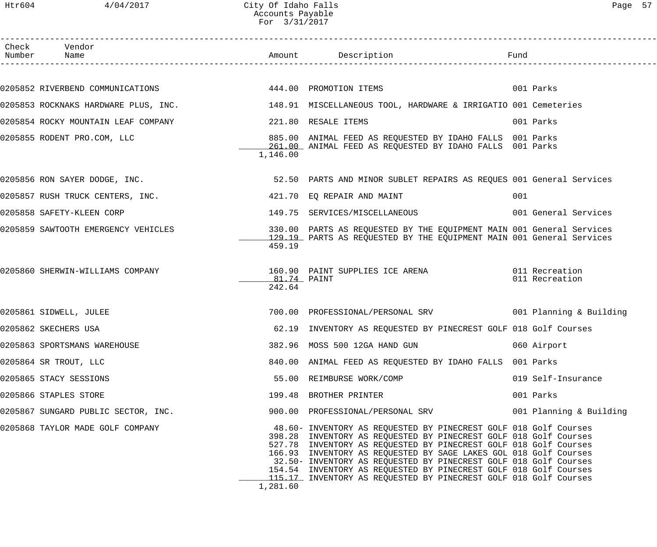| Check Vendor                                                                                        |                       |                                                                                                                                                                                                                                                                                                                                                                                                                                                                                          |                         |
|-----------------------------------------------------------------------------------------------------|-----------------------|------------------------------------------------------------------------------------------------------------------------------------------------------------------------------------------------------------------------------------------------------------------------------------------------------------------------------------------------------------------------------------------------------------------------------------------------------------------------------------------|-------------------------|
|                                                                                                     |                       |                                                                                                                                                                                                                                                                                                                                                                                                                                                                                          |                         |
| 0205852 RIVERBEND COMMUNICATIONS             444.00 PROMOTION ITEMS                                 |                       |                                                                                                                                                                                                                                                                                                                                                                                                                                                                                          | 001 Parks               |
| 0205853 ROCKNAKS HARDWARE PLUS, INC. 148.91 MISCELLANEOUS TOOL, HARDWARE & IRRIGATIO 001 Cemeteries |                       |                                                                                                                                                                                                                                                                                                                                                                                                                                                                                          |                         |
| 0205854 ROCKY MOUNTAIN LEAF COMPANY                                                                 |                       | 221.80 RESALE ITEMS                                                                                                                                                                                                                                                                                                                                                                                                                                                                      | 001 Parks               |
| 0205855 RODENT PRO.COM, LLC                                                                         | 1,146.00              | 885.00 ANIMAL FEED AS REQUESTED BY IDAHO FALLS 001 Parks<br>261.00 ANIMAL FEED AS REQUESTED BY IDAHO FALLS 001 Parks                                                                                                                                                                                                                                                                                                                                                                     |                         |
| 0205856 RON SAYER DODGE, INC.                                                                       |                       | 52.50 PARTS AND MINOR SUBLET REPAIRS AS REQUES 001 General Services                                                                                                                                                                                                                                                                                                                                                                                                                      |                         |
| 0205857 RUSH TRUCK CENTERS, INC.                                                                    |                       | 421.70 EQ REPAIR AND MAINT                                                                                                                                                                                                                                                                                                                                                                                                                                                               | 001                     |
| 0205858 SAFETY-KLEEN CORP                                                                           |                       | 149.75 SERVICES/MISCELLANEOUS                                                                                                                                                                                                                                                                                                                                                                                                                                                            | 001 General Services    |
| 0205859 SAWTOOTH EMERGENCY VEHICLES                                                                 | 459.19                | 330.00 PARTS AS REQUESTED BY THE EQUIPMENT MAIN 001 General Services<br>129.19 PARTS AS REQUESTED BY THE EQUIPMENT MAIN 001 General Services                                                                                                                                                                                                                                                                                                                                             |                         |
| 0205860 SHERWIN-WILLIAMS COMPANY                                                                    | 81.74 PAINT<br>242.64 | 160.90 PAINT SUPPLIES ICE ARENA 6011 Recreation                                                                                                                                                                                                                                                                                                                                                                                                                                          | 011 Recreation          |
| 0205861 SIDWELL, JULEE                                                                              |                       | 700.00 PROFESSIONAL/PERSONAL SRV 001 Planning & Building                                                                                                                                                                                                                                                                                                                                                                                                                                 |                         |
| 0205862 SKECHERS USA                                                                                |                       | 62.19 INVENTORY AS REQUESTED BY PINECREST GOLF 018 Golf Courses                                                                                                                                                                                                                                                                                                                                                                                                                          |                         |
| 0205863 SPORTSMANS WAREHOUSE                                                                        |                       | 382.96 MOSS 500 12GA HAND GUN                                                                                                                                                                                                                                                                                                                                                                                                                                                            | 060 Airport             |
| 0205864 SR TROUT, LLC                                                                               |                       | 840.00 ANIMAL FEED AS REQUESTED BY IDAHO FALLS 001 Parks                                                                                                                                                                                                                                                                                                                                                                                                                                 |                         |
| 0205865 STACY SESSIONS                                                                              |                       | 55.00 REIMBURSE WORK/COMP                                                                                                                                                                                                                                                                                                                                                                                                                                                                | 019 Self-Insurance      |
| 0205866 STAPLES STORE                                                                               |                       | 199.48 BROTHER PRINTER                                                                                                                                                                                                                                                                                                                                                                                                                                                                   | 001 Parks               |
| 0205867 SUNGARD PUBLIC SECTOR, INC.                                                                 |                       | 900.00 PROFESSIONAL/PERSONAL SRV                                                                                                                                                                                                                                                                                                                                                                                                                                                         | 001 Planning & Building |
| 0205868 TAYLOR MADE GOLF COMPANY                                                                    | 1,281.60              | 48.60- INVENTORY AS REQUESTED BY PINECREST GOLF 018 Golf Courses<br>398.28 INVENTORY AS REQUESTED BY PINECREST GOLF 018 Golf Courses<br>527.78 INVENTORY AS REQUESTED BY PINECREST GOLF 018 Golf Courses<br>166.93 INVENTORY AS REQUESTED BY SAGE LAKES GOL 018 Golf Courses<br>32.50- INVENTORY AS REQUESTED BY PINECREST GOLF 018 Golf Courses<br>154.54 INVENTORY AS REQUESTED BY PINECREST GOLF 018 Golf Courses<br>115.17 INVENTORY AS REQUESTED BY PINECREST GOLF 018 Golf Courses |                         |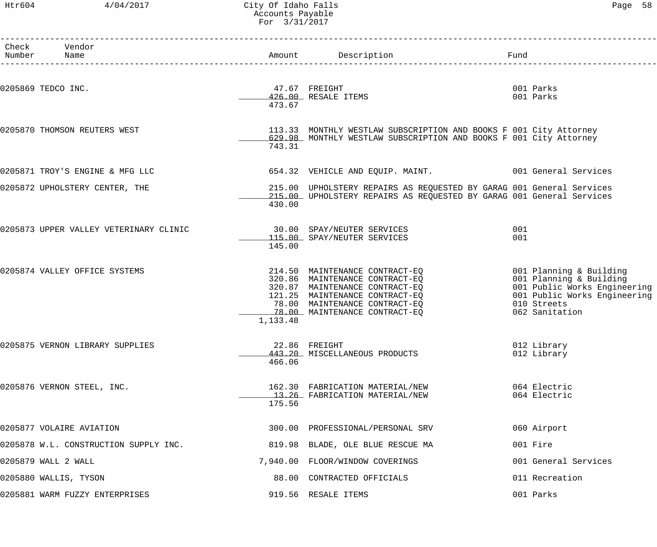# Htr604 4/04/2017 City Of Idaho Falls Page 58 Accounts Payable For 3/31/2017

| Check Vendor<br>Number Name            |                         | Amount Description                                                                                                                                                                                     | Fund                                                                                |                                                              |
|----------------------------------------|-------------------------|--------------------------------------------------------------------------------------------------------------------------------------------------------------------------------------------------------|-------------------------------------------------------------------------------------|--------------------------------------------------------------|
| 0205869 TEDCO INC.                     | 473.67                  | 47.67 FREIGHT<br>426.00 RESALE ITEMS                                                                                                                                                                   | 001 Parks<br>001 Parks                                                              |                                                              |
| 0205870 THOMSON REUTERS WEST           | 743.31                  | 113.33 MONTHLY WESTLAW SUBSCRIPTION AND BOOKS F 001 City Attorney<br>629.98 MONTHLY WESTLAW SUBSCRIPTION AND BOOKS F 001 City Attorney                                                                 |                                                                                     |                                                              |
| 0205871 TROY'S ENGINE & MFG LLC        |                         | 654.32 VEHICLE AND EQUIP. MAINT. 001 General Services                                                                                                                                                  |                                                                                     |                                                              |
| 0205872 UPHOLSTERY CENTER, THE         | 430.00                  | 215.00 UPHOLSTERY REPAIRS AS REQUESTED BY GARAG 001 General Services<br>215.00 UPHOLSTERY REPAIRS AS REQUESTED BY GARAG 001 General Services                                                           |                                                                                     |                                                              |
| 0205873 UPPER VALLEY VETERINARY CLINIC | 145.00                  | 30.00 SPAY/NEUTER SERVICES<br>115.00 SPAY/NEUTER SERVICES                                                                                                                                              | 001<br>001                                                                          |                                                              |
| 0205874 VALLEY OFFICE SYSTEMS          | 1,133.48                | 214.50 MAINTENANCE CONTRACT-EQ<br>320.86 MAINTENANCE CONTRACT-EQ<br>320.87 MAINTENANCE CONTRACT-EQ<br>121.25 MAINTENANCE CONTRACT-EQ<br>78.00 MAINTENANCE CONTRACT-EQ<br>78.00 MAINTENANCE CONTRACT-EQ | 001 Planning & Building<br>001 Planning & Building<br>010 Streets<br>062 Sanitation | 001 Public Works Engineering<br>001 Public Works Engineering |
| 0205875 VERNON LIBRARY SUPPLIES        | 22.86 FREIGHT<br>466.06 | 443.20 MISCELLANEOUS PRODUCTS                                                                                                                                                                          | 012 Library<br>012 Library                                                          |                                                              |
| 0205876 VERNON STEEL, INC.             | 175.56                  | 162.30 FABRICATION MATERIAL/NEW<br>13.26 FABRICATION MATERIAL/NEW                                                                                                                                      | 064 Electric<br>064 Electric                                                        |                                                              |
| 0205877 VOLAIRE AVIATION               |                         | 300.00 PROFESSIONAL/PERSONAL SRV                                                                                                                                                                       | 060 Airport                                                                         |                                                              |
| 0205878 W.L. CONSTRUCTION SUPPLY INC.  |                         | 819.98 BLADE, OLE BLUE RESCUE MA                                                                                                                                                                       | 001 Fire                                                                            |                                                              |
| 0205879 WALL 2 WALL                    |                         | 7,940.00 FLOOR/WINDOW COVERINGS                                                                                                                                                                        | 001 General Services                                                                |                                                              |
| 0205880 WALLIS, TYSON                  |                         | 88.00 CONTRACTED OFFICIALS                                                                                                                                                                             | 011 Recreation                                                                      |                                                              |
| 0205881 WARM FUZZY ENTERPRISES         |                         | 919.56 RESALE ITEMS                                                                                                                                                                                    | 001 Parks                                                                           |                                                              |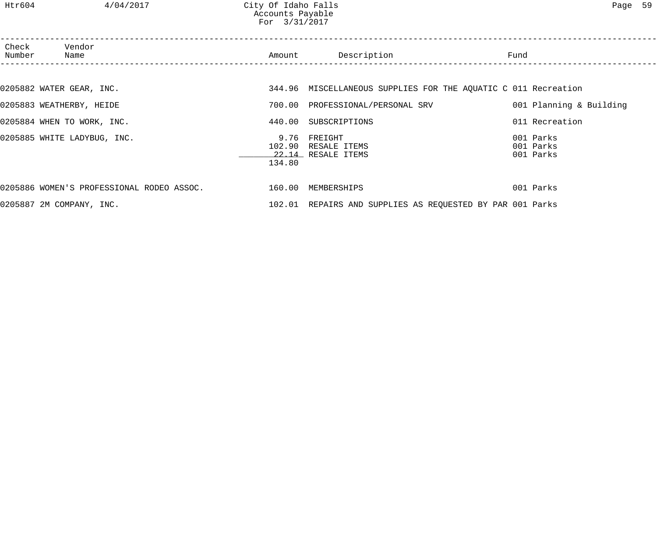| Check<br>Number | Vendor<br>Name                            | Amount         | Description                                                    | Fund                                |
|-----------------|-------------------------------------------|----------------|----------------------------------------------------------------|-------------------------------------|
|                 |                                           |                |                                                                |                                     |
|                 | 0205882 WATER GEAR, INC.                  |                | 344.96 MISCELLANEOUS SUPPLIES FOR THE AQUATIC C 011 Recreation |                                     |
|                 | 0205883 WEATHERBY, HEIDE                  | 700.00         | PROFESSIONAL/PERSONAL SRV                                      | 001 Planning & Building             |
|                 | 0205884 WHEN TO WORK, INC.                |                | 440.00 SUBSCRIPTIONS                                           | 011 Recreation                      |
|                 | 0205885 WHITE LADYBUG, INC.               | 9.76<br>134.80 | FREIGHT<br>102.90 RESALE ITEMS<br>22.14 RESALE ITEMS           | 001 Parks<br>001 Parks<br>001 Parks |
|                 | 0205886 WOMEN'S PROFESSIONAL RODEO ASSOC. |                | 160.00 MEMBERSHIPS                                             | 001 Parks                           |
|                 | 0205887 2M COMPANY, INC.                  |                | 102.01 REPAIRS AND SUPPLIES AS REQUESTED BY PAR 001 Parks      |                                     |